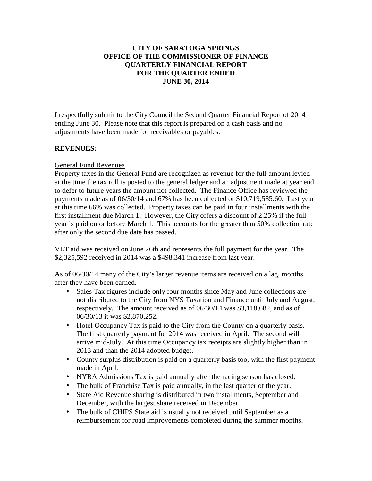### **CITY OF SARATOGA SPRINGS OFFICE OF THE COMMISSIONER OF FINANCE QUARTERLY FINANCIAL REPORT FOR THE QUARTER ENDED JUNE 30, 2014**

I respectfully submit to the City Council the Second Quarter Financial Report of 2014 ending June 30. Please note that this report is prepared on a cash basis and no adjustments have been made for receivables or payables.

### **REVENUES:**

### General Fund Revenues

Property taxes in the General Fund are recognized as revenue for the full amount levied at the time the tax roll is posted to the general ledger and an adjustment made at year end to defer to future years the amount not collected. The Finance Office has reviewed the payments made as of 06/30/14 and 67% has been collected or \$10,719,585.60. Last year at this time 66% was collected. Property taxes can be paid in four installments with the first installment due March 1. However, the City offers a discount of 2.25% if the full year is paid on or before March 1. This accounts for the greater than 50% collection rate after only the second due date has passed.

VLT aid was received on June 26th and represents the full payment for the year. The \$2,325,592 received in 2014 was a \$498,341 increase from last year.

As of 06/30/14 many of the City's larger revenue items are received on a lag, months after they have been earned.

- Sales Tax figures include only four months since May and June collections are not distributed to the City from NYS Taxation and Finance until July and August, respectively. The amount received as of 06/30/14 was \$3,118,682, and as of 06/30/13 it was \$2,870,252.
- Hotel Occupancy Tax is paid to the City from the County on a quarterly basis. The first quarterly payment for 2014 was received in April. The second will arrive mid-July. At this time Occupancy tax receipts are slightly higher than in 2013 and than the 2014 adopted budget.
- County surplus distribution is paid on a quarterly basis too, with the first payment made in April.
- NYRA Admissions Tax is paid annually after the racing season has closed.
- The bulk of Franchise Tax is paid annually, in the last quarter of the year.
- State Aid Revenue sharing is distributed in two installments, September and December, with the largest share received in December.
- The bulk of CHIPS State aid is usually not received until September as a reimbursement for road improvements completed during the summer months.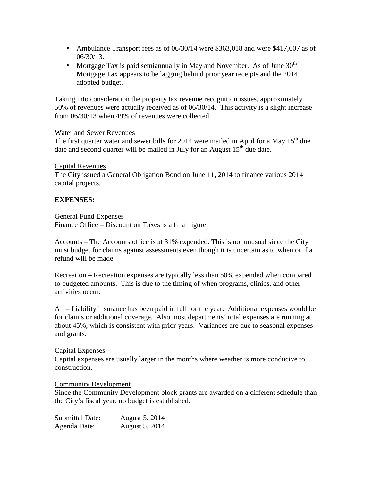- Ambulance Transport fees as of  $06/30/14$  were \$363,018 and were \$417,607 as of 06/30/13.
- Mortgage Tax is paid semiannually in May and November. As of June  $30<sup>th</sup>$ Mortgage Tax appears to be lagging behind prior year receipts and the 2014 adopted budget.

Taking into consideration the property tax revenue recognition issues, approximately 50% of revenues were actually received as of 06/30/14. This activity is a slight increase from 06/30/13 when 49% of revenues were collected.

### Water and Sewer Revenues

The first quarter water and sewer bills for 2014 were mailed in April for a May  $15<sup>th</sup>$  due date and second quarter will be mailed in July for an August  $15<sup>th</sup>$  due date.

### Capital Revenues

The City issued a General Obligation Bond on June 11, 2014 to finance various 2014 capital projects.

### **EXPENSES:**

### General Fund Expenses

Finance Office – Discount on Taxes is a final figure.

Accounts – The Accounts office is at 31% expended. This is not unusual since the City must budget for claims against assessments even though it is uncertain as to when or if a refund will be made.

Recreation – Recreation expenses are typically less than 50% expended when compared to budgeted amounts. This is due to the timing of when programs, clinics, and other activities occur.

All – Liability insurance has been paid in full for the year. Additional expenses would be for claims or additional coverage. Also most departments' total expenses are running at about 45%, which is consistent with prior years. Variances are due to seasonal expenses and grants.

### Capital Expenses

Capital expenses are usually larger in the months where weather is more conducive to construction.

### Community Development

Since the Community Development block grants are awarded on a different schedule than the City's fiscal year, no budget is established.

Submittal Date: August 5, 2014 Agenda Date: August 5, 2014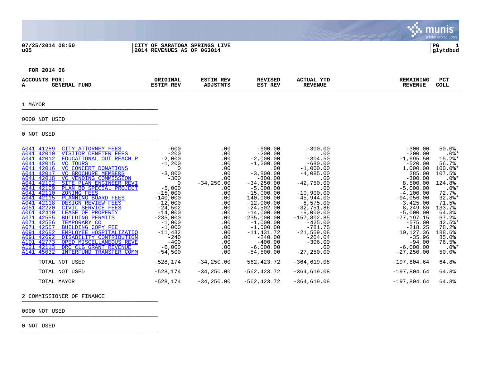**07/25/2014 08:50 |CITY OF SARATOGA SPRINGS LIVE |PG 1**

# **u05 |2014 REVENUES AS OF 063014 |glytdbud**



. munis<sup>.</sup>

 $\mathbf{C}$ 

**FOR 2014 06**

| ACCOUNT<br>л. | TOR.<br>. .<br>21 V 12 O | <b>TUND</b> | ORIGINAL<br>RE\<br>50 T | REV<br>$\lambda$ n tam $\epsilon$ m $\epsilon$ | [SE]<br>יה ס<br>REV<br>EST | YTD<br>"UAL<br>AC<br><b>EVENUE</b> | NING.<br>-----<br>75 | PC.<br><b>COLL</b> |
|---------------|--------------------------|-------------|-------------------------|------------------------------------------------|----------------------------|------------------------------------|----------------------|--------------------|
|               |                          |             |                         |                                                |                            |                                    |                      |                    |

#### 1 MAYOR \_\_\_\_\_\_\_\_\_\_\_\_\_\_\_\_\_\_\_\_\_\_\_\_\_\_\_\_\_\_\_\_\_\_\_\_\_\_\_\_\_

# 0000 NOT USED \_\_\_\_\_\_\_\_\_\_\_\_\_\_\_\_\_\_\_\_\_\_\_\_\_\_\_\_\_\_\_\_\_\_\_\_\_\_\_\_\_

0 NOT USED \_\_\_\_\_\_\_\_\_\_\_\_\_\_\_\_\_\_\_\_\_\_\_\_\_\_\_\_\_\_\_\_\_\_\_\_\_\_\_\_\_

| A041 41289  | CITY ATTORNEY FEES             | $-600$     | .00           | $-600.00$      | $-300.00$     | $-300.00$     | 50.0%      |
|-------------|--------------------------------|------------|---------------|----------------|---------------|---------------|------------|
| A041 42010  | VISITOR CENETER FEES           | $-200$     | .00           | $-200.00$      | .00           | $-200.00$     | $.0$ %*    |
| A041 42012  | EDUCATIONAL OUT REACH P        | $-2,000$   | .00           | $-2,000.00$    | $-304.50$     | $-1,695.50$   | $15.2$ $*$ |
| A041 42015  | VC TOURS                       | $-1,200$   | .00           | $-1,200.00$    | $-680.00$     | $-520.00$     | 56.7%      |
| A041 42016  | VC CONCERT DONATIONS           | - 0        | .00           | $.00 \,$       | $-1,000.00$   | 1,000.00      | 100.0%*    |
| A041 42017  | VC BROCHURE MEMBERS            | $-3,800$   | .00           | $-3,800.00$    | $-4,085.00$   | 285.00        | 107.5%     |
| A041 42018  | VC VENDING COMMISSION          | $-300$     | .00           | $-300.00$      | .00           | $-300.00$     | $.0$ %*    |
| A041 42102  | SITE PLAN ENGINEER REVI        | $\Omega$   | $-34, 250.00$ | $-34, 250.00$  | $-42,750.00$  | 8,500.00      | 124.8%     |
| A041 42109  | PLAN BD SPECIAL PROJECT        | $-5,000$   | .00           | $-5,000.00$    | .00           | $-5,000.00$   | $.0$ %*    |
| A041 42110  | ZONING FEES                    | $-15,000$  | .00           | $-15,000.00$   | $-10,900.00$  | $-4,100.00$   | 72.7%      |
| A041 42115  | PLANNING BOARD FEES            | $-140,000$ | .00           | $-140,000.00$  | $-45,944.00$  | $-94,056.00$  | $32.8$ *   |
| A041 42118  | DESIGN REVIEW FEES             | $-12,000$  | $.00 \,$      | $-12,000.00$   | $-8,575.00$   | $-3,425.00$   | 71.5%      |
| A051 42220  | CIVIL SERVICE FEES             | $-24,502$  | .00           | $-24,502.00$   | -32,751.86    | 8,249.86      | 133.7%     |
| A061 42410  | LEASE OF PROPERTY              | $-14,000$  | .00           | $-14,000.00$   | $-9,000.00$   | $-5,000.00$   | 64.3%      |
| A071 42555  | <b>BUILDING PERMITS</b>        | $-235,000$ | .00           | $-235,000.00$  | $-157,802.85$ | $-77, 197.15$ | 67.2%      |
| A071 42556  | TEMPORARY CO                   | $-1,000$   | .00           | $-1,000.00$    | $-425.00$     | $-575.00$     | $42.5$ *   |
| A071 42557  | BUILDING COPY FEE              | $-1,000$   | $.00 \,$      | $-1,000.00$    | $-781.75$     | $-218.25$     | 78.2%      |
| A091 42682  | EMPLOYEE HOSPITALIZATIO        | -11,432    | .00           | -11,431.72     | $-21,559.08$  | 10,127.36     | 188.6%     |
| A091 42692  | DISABILITY CONTRIBUTION        | $-240$     | .00           | $-240.00$      | $-204.04$     | $-35.96$      | 85.0%      |
| A101 42773  | OPED MISCELLANEOUS REVE        | $-400$     | $.00 \,$      | $-400.00$      | $-306.00$     | $-94.00$      | 76.5%      |
| A121 42113  | DRC CLG GRANT REVENUE          | $-6,000$   | .00           | $-6,000.00$    | .00           | $-6,000.00$   | $.0$ %*    |
| A141 45032  | <b>INTERFUND TRANSFER COMM</b> | $-54,500$  | $.00 \,$      | $-54,500.00$   | $-27, 250.00$ | $-27, 250.00$ | 50.0%      |
|             |                                |            |               |                |               |               |            |
|             | TOTAL NOT USED                 | -528,174   | $-34,250.00$  | -562,423.72    | $-364,619.08$ | $-197,804.64$ | 64.8%      |
|             | TOTAL NOT USED                 | -528,174   | $-34,250.00$  | $-562, 423.72$ | $-364,619.08$ | $-197,804.64$ | 64.8%      |
|             |                                |            |               |                |               |               |            |
| TOTAL MAYOR |                                | -528,174   | $-34, 250.00$ | -562,423.72    | $-364,619.08$ | $-197,804.64$ | 64.8%      |
|             |                                |            |               |                |               |               |            |

2 COMMISSIONER OF FINANCE

0000 NOT USED \_\_\_\_\_\_\_\_\_\_\_\_\_\_\_\_\_\_\_\_\_\_\_\_\_\_\_\_\_\_\_\_\_\_\_\_\_\_\_\_\_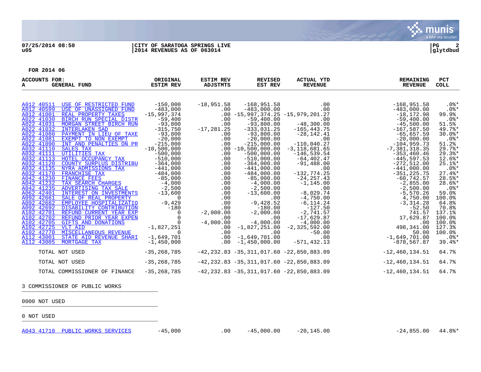

| ACCOUNTS FOR:<br><b>GENERAL FUND</b><br>A                                                                                                                                                                                                                                                                                                                                                                                                                                                                                                                                                                                                                                                                                                                                                                                                                                                                                                                                                                                                                                                                                  | ORIGINAL<br><b>ESTIM REV</b>                                                                                                                                                                                                                                                                                                                                                    | <b>ESTIM REV</b><br>ADJSTMTS                                                                                                                                                                                                 | <b>REVISED</b><br>EST REV                                                                                                                                                                                                                                                                                                                                                                                                                          | <b>ACTUAL YTD</b><br><b>REVENUE</b>                                                                                                                                                                                                                                                                                                                                                                                                      | <b>REMAINING</b><br><b>REVENUE</b>                                                                                                                                                                                                                                                                                                                                                                                                                        | <b>PCT</b><br><b>COLL</b>                                                                                                                                                                                                                                                                                        |
|----------------------------------------------------------------------------------------------------------------------------------------------------------------------------------------------------------------------------------------------------------------------------------------------------------------------------------------------------------------------------------------------------------------------------------------------------------------------------------------------------------------------------------------------------------------------------------------------------------------------------------------------------------------------------------------------------------------------------------------------------------------------------------------------------------------------------------------------------------------------------------------------------------------------------------------------------------------------------------------------------------------------------------------------------------------------------------------------------------------------------|---------------------------------------------------------------------------------------------------------------------------------------------------------------------------------------------------------------------------------------------------------------------------------------------------------------------------------------------------------------------------------|------------------------------------------------------------------------------------------------------------------------------------------------------------------------------------------------------------------------------|----------------------------------------------------------------------------------------------------------------------------------------------------------------------------------------------------------------------------------------------------------------------------------------------------------------------------------------------------------------------------------------------------------------------------------------------------|------------------------------------------------------------------------------------------------------------------------------------------------------------------------------------------------------------------------------------------------------------------------------------------------------------------------------------------------------------------------------------------------------------------------------------------|-----------------------------------------------------------------------------------------------------------------------------------------------------------------------------------------------------------------------------------------------------------------------------------------------------------------------------------------------------------------------------------------------------------------------------------------------------------|------------------------------------------------------------------------------------------------------------------------------------------------------------------------------------------------------------------------------------------------------------------------------------------------------------------|
| A012 40511<br>USE OF RESTRICTED FUND<br>A012 40599<br>USE OF UNASSIGNED FUND<br>A012 41001<br>REAL PROPERTY TAXES<br>BIRCH RUN SPECIAL DISTR<br>A022 41030<br>MORGAN STREET BIRCH RUN<br>A022 41031<br>A022 41032<br><b>INTERLAKEN SAD</b><br>A022 41080<br>PAYMENT IN LIEU OF TAXE<br>A022 41081<br>EXEMPT TO NON EXEMPT<br>A022 41090<br>INT AND PENALTIES ON PR<br>A032 41110 SALES TAX<br>A032 41111<br>UTILITIES TAX<br>A032 41113<br>HOTEL OCCUPANCY TAX<br>COUNTY SURPLUS DISTRIBU<br>A032 41120<br>NYRA ADMISSIONS TAX<br>A032 41135<br>A032 41170<br>FRANCHISE TAX<br>A042 41230<br><b>FINANCE FEES</b><br>A042 41232<br>TAX SEARCH CHARGES<br>A042 41235<br>ADVERTISING TAX SALE<br>A062 42401<br>INTEREST ON INVESTMENTS<br>A092 42661<br>SALE OF REAL PROPERTY<br>A092 42682<br>EMPLOYEE HOSPITALIZATIO<br>A092 42692<br>DISABILITY CONTRIBUTION<br>A102 42701<br>REFUND CURRENT YEAR EXP<br>A102 42702<br>REFUND PRIOR YEAR EXPEN<br>A102 42705<br>GIFTS AND DONATIONS<br>A102 42725<br>VLT AID<br>A102 42770<br>MISCELLANEOUS REVENUE<br>A112 43001<br>STATE AID REVENUE SHARI<br>A112 43005<br>MORTGAGE TAX | $-150,000$<br>$-483,000$<br>$-15,997,374$<br>$-59,400$<br>-93,800<br>$-315,750$<br>$-93,800$<br>$-20,000$<br>$-215,000$<br>$-10,500,000$<br>$-500,000$<br>$-510,000$<br>$-364,000$<br>$-441,000$<br>$-484,000$<br>$-85,000$<br>$-4,000$<br>$-2,500$<br>$-13,600$<br>$\Omega$<br>$-9,429$<br>$-180$<br>0<br>$\Omega$<br>$-1,827,251$<br>$\Omega$<br>$-1,649,701$<br>$-1,450,000$ | $-18,951.58$<br>.00<br>.00<br>.00<br>$-17, 281.25$<br>.00<br>.00<br>.00<br>.00<br>.00<br>.00<br>.00<br>.00<br>.00<br>.00<br>.00<br>.00<br>.00<br>.00<br>.00<br>$-2,000.00$<br>.00<br>$-4,000.00$<br>.00<br>.00<br>.00<br>.00 | $-168,951.58$<br>$-483,000.00$<br>$-59,400.00$<br>$-93,800.00$<br>$-333,031.25$<br>$-93,800.00$<br>$-20,000.00$<br>$-215,000.00$<br>$.00 - 10,500,000.00$<br>$-500,000.00$<br>$-510,000.00$<br>$-364,000.00$<br>$-441,000.00$<br>$-484,000.00$<br>$-85,000.00$<br>$-4,000.00$<br>$-2,500.00$<br>$-13,600.00$<br>.00<br>$-9,428.52$<br>$-180.00$<br>$-2,000.00$<br>.00<br>$-4,000.00$<br>-1,827,251.00<br>.00<br>$-1,649,701.00$<br>$-1,450,000.00$ | .00<br>.00<br>$.00 - 15,997,374.25 - 15,979,201.27$<br>.00<br>$-48,300.00$<br>$-165, 443.75$<br>$-28,142.41$<br>.00<br>$-110.040.27$<br>$-3,118,681.65$<br>$-146, 539.54$<br>-64,402.47<br>$-91,488.00$<br>.00<br>$-132, 774.25$<br>$-24, 257.43$<br>$-1, 145.00$<br>.00<br>$-8,029.74$<br>$-4,750.00$<br>$-6, 114.24$<br>$-127.50$<br>$-2,741.57$<br>$-17,629.87$<br>$-4,000.00$<br>$-2, 325, 592.00$<br>$-50.00$<br>.00<br>-571,432.13 | $-168,951.58$<br>$-483,000.00$<br>$-18, 172.98$<br>$-59,400.00$<br>$-45,500.00$<br>$-167,587.50$<br>$-65,657.59$<br>$-20,000.00$<br>$-104, 959.73$<br>$-7,381,318.35$<br>$-353, 460.46$<br>$-445, 597.53$<br>$-272,512.00$<br>$-441,000.00$<br>$-351, 225.75$<br>$-60, 742.57$<br>$-2,855.00$<br>$-2,500.00$<br>$-5,570.26$<br>4,750.00<br>$-3,314.28$<br>$-52.50$<br>741.57<br>17,629.87<br>.00<br>498,341.00<br>50.00<br>$-1,649,701.00$<br>-878,567.87 | $.0$ %*<br>$.0$ %*<br>99.9%<br>$.0$ %*<br>51.5%<br>49.7%<br>$30.0$ *<br>$.0$ %*<br>51.2%<br>29.7%<br>$29.3$ *<br>$12.6$ $*$<br>$25.1$ %*<br>$.0$ %*<br>$27.4$ *<br>$28.5$ *<br>$28.6$ *<br>$.0$ %*<br>59.0%<br>100.0%<br>64.8%<br>70.8%<br>137.1%<br>100.0%<br>100.0%<br>127.3%<br>100.0%<br>$.0$ %*<br>$39.4$ * |
| TOTAL NOT USED                                                                                                                                                                                                                                                                                                                                                                                                                                                                                                                                                                                                                                                                                                                                                                                                                                                                                                                                                                                                                                                                                                             | $-35, 268, 785$                                                                                                                                                                                                                                                                                                                                                                 |                                                                                                                                                                                                                              | $-42, 232.83 - 35, 311, 017.60 - 22, 850, 883.09$                                                                                                                                                                                                                                                                                                                                                                                                  |                                                                                                                                                                                                                                                                                                                                                                                                                                          | $-12,460,134.51$                                                                                                                                                                                                                                                                                                                                                                                                                                          | 64.7%                                                                                                                                                                                                                                                                                                            |
| TOTAL NOT USED                                                                                                                                                                                                                                                                                                                                                                                                                                                                                                                                                                                                                                                                                                                                                                                                                                                                                                                                                                                                                                                                                                             | $-35, 268, 785$                                                                                                                                                                                                                                                                                                                                                                 |                                                                                                                                                                                                                              | $-42, 232.83 - 35, 311, 017.60 - 22, 850, 883.09$                                                                                                                                                                                                                                                                                                                                                                                                  |                                                                                                                                                                                                                                                                                                                                                                                                                                          | $-12,460,134.51$                                                                                                                                                                                                                                                                                                                                                                                                                                          | 64.7%                                                                                                                                                                                                                                                                                                            |
| TOTAL COMMISSIONER OF FINANCE                                                                                                                                                                                                                                                                                                                                                                                                                                                                                                                                                                                                                                                                                                                                                                                                                                                                                                                                                                                                                                                                                              | $-35, 268, 785$                                                                                                                                                                                                                                                                                                                                                                 |                                                                                                                                                                                                                              | $-42, 232.83 - 35, 311, 017.60 - 22, 850, 883.09$                                                                                                                                                                                                                                                                                                                                                                                                  |                                                                                                                                                                                                                                                                                                                                                                                                                                          | $-12,460,134.51$                                                                                                                                                                                                                                                                                                                                                                                                                                          | 64.7%                                                                                                                                                                                                                                                                                                            |

3 COMMISSIONER OF PUBLIC WORKS

0000 NOT USED \_\_\_\_\_\_\_\_\_\_\_\_\_\_\_\_\_\_\_\_\_\_\_\_\_\_\_\_\_\_\_\_\_\_\_\_\_\_\_\_\_

0 NOT USED \_\_\_\_\_\_\_\_\_\_\_\_\_\_\_\_\_\_\_\_\_\_\_\_\_\_\_\_\_\_\_\_\_\_\_\_\_\_\_\_\_

[A043 41710 PUBLIC WORKS SERVICES](http://munis1:55003/views/PassThru.aspx?-E=mFFdVuIt7o3BLP5GicfvLPm2qjWxCWn3aM1Oq7aGpRadhRlgPYgVLYmjyuJxkJnd&) -45,000 .00 -45,000.00 -20,145.00 -24,855.00 44.8%\*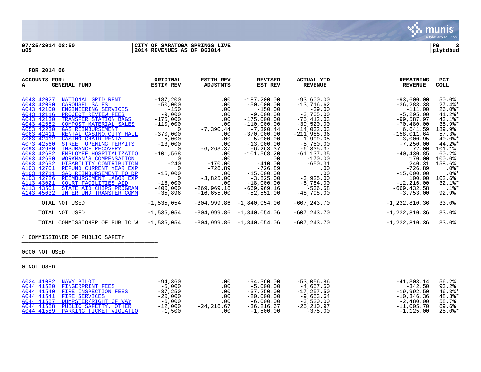

| ACCOUNTS FOR:<br>GENERAL FUND<br>A                                                                                                                                                                                                                                                                                                                                                                                                                                                                                                                                                                                                                 | ORIGINAL<br><b>ESTIM REV</b>                                                                                                                                                               | <b>ESTIM REV</b><br>ADJSTMTS                                                                                                                                  | <b>REVISED</b><br>EST REV                                                                                                                                                                                                                     | <b>ACTUAL YTD</b><br><b>REVENUE</b>                                                                                                                                                                                             | <b>REMAINING</b><br><b>REVENUE</b>                                                                                                                                                                                               | PCT<br>COLL                                                                                                                                                                                 |
|----------------------------------------------------------------------------------------------------------------------------------------------------------------------------------------------------------------------------------------------------------------------------------------------------------------------------------------------------------------------------------------------------------------------------------------------------------------------------------------------------------------------------------------------------------------------------------------------------------------------------------------------------|--------------------------------------------------------------------------------------------------------------------------------------------------------------------------------------------|---------------------------------------------------------------------------------------------------------------------------------------------------------------|-----------------------------------------------------------------------------------------------------------------------------------------------------------------------------------------------------------------------------------------------|---------------------------------------------------------------------------------------------------------------------------------------------------------------------------------------------------------------------------------|----------------------------------------------------------------------------------------------------------------------------------------------------------------------------------------------------------------------------------|---------------------------------------------------------------------------------------------------------------------------------------------------------------------------------------------|
| A043 42027<br>NATIONAL GRID RENT<br>A043 42090<br>CAROUSEL SALES<br>A043 42100<br>ENGINEERING SERVICES<br>A043 42116<br>PROJECT REVIEW FEES<br>A043 42130<br>TRANSFER STATION BAGS<br>A043 42652<br>COMPOST MATERIAL SALES<br>A053 42230<br><b>GAS REIMBURSEMENT</b><br>A063 42411<br>RENTAL CASINO, CITY HALL<br>A063 42412<br>CASINO CHAIR RENTAL<br>A073 42560<br>STREET OPENING PERMITS<br>A093 42680<br><b>INSURANCE RECOVERY</b><br>A093 42682<br>EMPLOYEE HOSPITALIZATIO<br>A093 42690<br>WORKMAN'S COMPENSATION<br>A093 42692<br>DISABILITY CONTRIBUTION<br>A103 42701<br>REFUND CURRENT YEAR EXP<br>A103 42711<br>SAD REIMBURSEMENT TO DP | $-187,200$<br>$-50,000$<br>$-150$<br>$-9,000$<br>$-175,000$<br>$-110,000$<br>$\overline{0}$<br>$-370,000$<br>$-5,000$<br>$-13,000$<br>- 0<br>$-101,568$<br>$\Omega$<br>$-240$<br>$-15,000$ | $.00 \,$<br>$.00 \,$<br>.00<br>.00<br>$.00 \,$<br>.00<br>$-7,390.44$<br>.00<br>$.00 \,$<br>.00<br>$-6, 263.37$<br>.00<br>.00<br>$-170.00$<br>$-726.89$<br>.00 | $-187, 200.00$<br>$-50,000.00$<br>$-150.00$<br>$-9,000.00$<br>$-175,000.00$<br>$-110,000.00$<br>$-7,390.44$<br>$-370,000.00$<br>$-5,000.00$<br>$-13,000.00$<br>$-6, 263.37$<br>$-101,568.20$<br>.00<br>$-410.00$<br>$-726.89$<br>$-15,000.00$ | $-93,600.00$<br>$-13,716.62$<br>$-39.00$<br>$-3,705.00$<br>$-75,412.03$<br>$-39,520.00$<br>$-14,032.03$<br>$-211,988.36$<br>$-1,999.05$<br>$-5,750.00$<br>$-6, 335.37$<br>$-61, 137.35$<br>$-170.00$<br>$-650.31$<br>.00<br>.00 | $-93,600.00$<br>$-36, 283.38$<br>$-111.00$<br>$-5, 295.00$<br>$-99,587.97$<br>$-70,480.00$<br>6,641.59<br>$-158,011.64$<br>$-3,000.95$<br>$-7,250.00$<br>72.00<br>$-40, 430.85$<br>170.00<br>240.31<br>$-726.89$<br>$-15,000.00$ | 50.0%<br>$27.4$ $*$<br>$26.0$ $*$<br>$41.2$ $*$<br>43.1%*<br>$35.9$ $*$<br>189.9%<br>57.3%<br>$40.0$ *<br>44.2%*<br>101.1%<br>60.2%<br>$100.0$ <sup>8</sup><br>158.6%<br>$.0$ %*<br>$.0$ %* |
| A103 42726<br>REIMBURSEMENT LABOR EXP<br>A113 43021<br>COURT FACILITIES AID<br>A113 43501<br>STATE AID CHIPS PROGRAM<br>A143 45032<br>INTERFUND TRANSFER COMM                                                                                                                                                                                                                                                                                                                                                                                                                                                                                      | $\Omega$<br>$-18,000$<br>$-400,000$<br>$-35,896$                                                                                                                                           | $-3,825.00$<br>.00<br>$-269,969.16$<br>$-16,655.00$                                                                                                           | $-3,825.00$<br>$-18,000.00$<br>$-669,969.16$<br>$-52,551.00$                                                                                                                                                                                  | $-3,925.00$<br>$-5,784.00$<br>$-536.58$<br>$-48,798.00$                                                                                                                                                                         | 100.00<br>$-12, 216.00$<br>$-669, 432.58$<br>$-3,753.00$                                                                                                                                                                         | 102.6%<br>$32.1$ $*$<br>$.1$ $\,^*$<br>92.9%                                                                                                                                                |
| TOTAL NOT USED<br>TOTAL NOT USED                                                                                                                                                                                                                                                                                                                                                                                                                                                                                                                                                                                                                   | $-1,535,054$<br>$-1,535,054$                                                                                                                                                               | $-304,999.86$<br>$-304,999.86$                                                                                                                                | $-1,840,054.06$<br>$-1,840,054.06$                                                                                                                                                                                                            | $-607, 243.70$<br>$-607, 243.70$                                                                                                                                                                                                | $-1, 232, 810.36$<br>$-1, 232, 810.36$                                                                                                                                                                                           | 33.0%<br>33.0%                                                                                                                                                                              |
| TOTAL COMMISSIONER OF PUBLIC W                                                                                                                                                                                                                                                                                                                                                                                                                                                                                                                                                                                                                     | $-1,535,054$                                                                                                                                                                               |                                                                                                                                                               | $-304,999.86 -1,840,054.06$                                                                                                                                                                                                                   | $-607, 243, 70$                                                                                                                                                                                                                 | $-1, 232, 810.36$                                                                                                                                                                                                                | 33.0%                                                                                                                                                                                       |

# 4 COMMISSIONER OF PUBLIC SAFETY

0000 NOT USED \_\_\_\_\_\_\_\_\_\_\_\_\_\_\_\_\_\_\_\_\_\_\_\_\_\_\_\_\_\_\_\_\_\_\_\_\_\_\_\_\_

| A024 41082 NAVY PILOT              | $-94,360$ | .00        | $-94,360.00$ | -53,056.86   | $-41,303.14$                     | 56.2%  |
|------------------------------------|-----------|------------|--------------|--------------|----------------------------------|--------|
| A044 41520 FINGERPRINT FEES        | $-5,000$  | .00        | $-5.000.00$  | -4.657.50    | $-342.50$                        | 93.2%  |
| A044 41540 FIRE INSPECTION FEES    | $-37,250$ | $.00 \,$   | $-37.250.00$ | $-17.257.50$ | -19,992.50                       | 46.3%* |
| A044 41541 FIRE SERVICES           | $-20,000$ | $.00 \,$   | $-20.000.00$ | $-9.653.64$  | $-10,346,36$ $48.3$ <sup>*</sup> |        |
| A044 41587 DUMPSTER/RIGHT OF WAY   | $-6,000$  | . 00       | $-6,000,00$  | $-3.520.00$  | -2,480.00                        | 58.7%  |
| A044 41588 PUBLIC SAFETTY, OTHER   | $-12,000$ | -24,216.67 | -36,216.67   | -25,210.97   | $-11.005.70$                     | 69.6%  |
| A044 41589 PARKING TICKET VIOLATIO | $-1,500$  | .00        | $-1,500.00$  | $-375.00$    | -1,125.00                        | 25.0%* |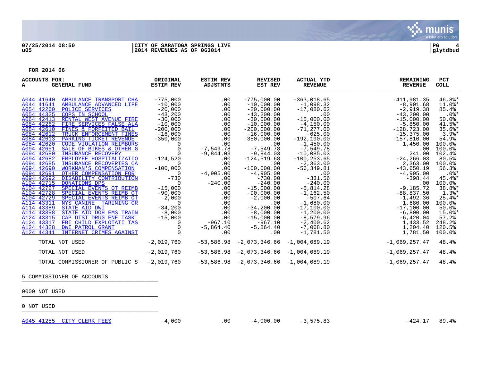

| ACCOUNTS FOR:<br><b>GENERAL FUND</b><br>A                                     | ORIGINAL<br><b>ESTIM REV</b> | <b>ESTIM REV</b><br>ADJSTMTS | <b>REVISED</b><br>EST REV                    | <b>ACTUAL YTD</b><br><b>REVENUE</b> | <b>REMAINING</b><br><b>REVENUE</b> | <b>PCT</b><br>COLL   |
|-------------------------------------------------------------------------------|------------------------------|------------------------------|----------------------------------------------|-------------------------------------|------------------------------------|----------------------|
| A044 41640 AMBULANCE TRANSPORT CHA                                            | $-775,000$                   | .00                          | $-775,000.00$                                | $-363,018.65$                       | $-411,981.35$                      | $46.8$ *             |
| A044 41641<br>AMBULANCE ADVANCED LIFE                                         | $-10,000$                    | .00                          | $-10,000.00$                                 | $-1,098.32$                         | $-8,901.68$                        | $11.0$ %*            |
| A054 42260 POLICE SERVICES                                                    | $-20,000$                    | .00                          | $-20,000.00$                                 | $-17,080.62$                        | $-2,919.38$                        | 85.4%                |
| A054 44325 COPS IN SCHOOL                                                     | $-43,200$                    | .00                          | $-43, 200.00$                                | .00                                 | $-43, 200, 00$                     | $.0$ %*              |
| A064 42413 RENTAL WEST AVENUE FIRE                                            | $-30,000$                    | .00                          | $-30,000.00$                                 | $-15,000.00$                        | $-15,000.00$                       | 50.0%                |
| A084 42262 FIRE SERVICES FALSE ALA                                            | $-10,000$                    | .00                          | $-10,000.00$                                 | $-4,150.00$                         | $-5,850.00$                        | $41.5$ %*            |
| A084 42610 FINES & FORFEITED BAIL                                             | $-200,000$                   | .00                          | $-200,000.00$                                | $-71, 277.00$                       | $-128,723.00$                      | $35.6$ *             |
| A084 42612 TRUCK ENFORCEMENT FINES                                            | $-16,000$                    | .00                          | $-16$ ,000.00                                | $-625.00$                           | $-15,375.00$                       | $3.9$ <sup>*</sup>   |
| A084 42613 PARKING TICKET REVENUE                                             | $-350,000$                   | .00                          | $-350,000.00$                                | $-192, 190.00$                      | $-157,810.00$                      | 54.9%                |
| A084 42620<br><b>CODE VIOLATION REIMBURS</b>                                  | $\overline{0}$               | .00                          | .00                                          | $-1,450.00$                         | 1,450.00                           | 100.0%               |
| A094 42651<br>SALE OF BIKES & OTHER G                                         | 0                            | $-7,549.78$                  | $-7,549.78$                                  | $-7,549.78$                         | .00                                | 100.0%               |
| A094 42680<br><b>INSURANCE RECOVERY</b>                                       | $\Omega$                     | $-9,844.03$                  | $-9,844.03$                                  | $-10,085.03$                        | 241.00                             | 102.4%               |
| A094 42682<br>EMPLOYEE HOSPITALIZATIO                                         | $-124,520$                   | .00                          | $-124, 519.68$                               | $-100, 253.65$                      | $-24, 266.03$                      | 80.5%                |
| A094 42685<br>INSURANCE RECOVERIES CA                                         | $\Omega$                     | .00                          | .00                                          | $-2, 363.00$                        | 2,363.00                           | 100.0%               |
| <b>WORKMAN'S COMPENSATION</b><br>A094 42690                                   | $-100,000$                   | .00                          | $-100,000.00$                                | $-56, 349.81$                       | $-43,650.19$                       | 56.3%                |
| A094 42691<br>OTHER COMPENSATION FOR                                          | $\overline{0}$               | $-4,905.00$                  | $-4,905.00$                                  | .00                                 | $-4,905.00$                        | $.0$ %*              |
| A094 42692 DISABILITY CONTRIBUTION                                            | $-730$                       | .00                          | $-730.00$                                    | $-331.56$                           | $-398.44$                          | $45.4$ *             |
| A104 42715<br><b>DONATIONS DPS</b>                                            | - 0                          | $-240.00$                    | $-240.00$                                    | $-240.00$                           | .00                                | $100.0$ <sup>8</sup> |
| A104 42727 SPECIAL EVENTS OT REIMB                                            | $-15,000$                    | .00                          | $-15,000.00$                                 | $-5.814.28$                         | $-9,185,72$                        | 38.8%*               |
| A104 42728 SPECIAL EVENTS REIMB OT                                            | $-90,000$                    | .00                          | $-90,000.00$                                 | $-1,162.50$                         | $-88,837.50$                       | $1.3$ $*$            |
| A104 42729 SPECIAL EVENTS REIMB OT                                            | $-2,000$                     | .00                          | $-2,000.00$                                  | $-507.64$                           | $-1,492.36$                        | $25.4$ *             |
| A114 43311 NYS CANINE TARINING GR                                             | $\Omega$                     | .00                          | .00                                          | $-1,680.00$                         | 1,680.00                           | 100.0%               |
| A114 43389<br>STATE AID DWI                                                   | $-34,200$                    | .00                          | $-34, 200.00$                                | $-17,100.00$                        | $-17, 100.00$                      | 50.0%                |
| A114 43398 STATE AID DOH EMS TRAIN                                            | $-8,000$                     | .00                          | $-8,000.00$                                  | $-1, 200.00$                        | $-6,800.00$                        | $15.0$ $*$           |
| A124 43315<br>CAP DIST DRUG ENF TASK<br>A124 43317<br>FBI CHILD EXPLOTATI TAS | $-15,000$                    | .00<br>$-967.10$             | $-15,000.00$<br>$-967.10$                    | $-8,579.96$                         | $-6,420.04$                        | 57.2<br>248.2%       |
| A124 44328 DWI PATROL GRANT                                                   | 0                            |                              |                                              | $-2,400.62$<br>$-7,068.80$          | 1,433.52                           | 120.5%               |
| A124 44341<br>INTERNET CRIMES AGAINST                                         |                              | $-5,864.40$<br>.00           | $-5,864.40$<br>.00                           | $-1,781.50$                         | 1,204.40                           | $100.0$ <sup>8</sup> |
|                                                                               |                              |                              |                                              |                                     | 1,781.50                           |                      |
| TOTAL NOT USED                                                                | $-2,019,760$                 |                              | $-53,586.98$ $-2,073,346.66$ $-1,004,089.19$ |                                     | $-1,069,257.47$                    | 48.4%                |
| TOTAL NOT USED                                                                | $-2,019,760$                 |                              | $-53,586.98$ $-2,073,346.66$ $-1,004,089.19$ |                                     | $-1,069,257.47$                    | 48.4%                |
| TOTAL COMMISSIONER OF PUBLIC S                                                | $-2,019,760$                 |                              | $-53,586.98$ $-2,073,346.66$ $-1,004,089.19$ |                                     | $-1,069,257.47$                    | 48.4%                |

5 COMMISSIONER OF ACCOUNTS

0000 NOT USED \_\_\_\_\_\_\_\_\_\_\_\_\_\_\_\_\_\_\_\_\_\_\_\_\_\_\_\_\_\_\_\_\_\_\_\_\_\_\_\_\_

0 NOT USED \_\_\_\_\_\_\_\_\_\_\_\_\_\_\_\_\_\_\_\_\_\_\_\_\_\_\_\_\_\_\_\_\_\_\_\_\_\_\_\_\_

[A045 41255 CITY CLERK FEES](http://munis1:55003/views/PassThru.aspx?-E=GSfoLqHA3I%2BWIPY82wHVkZBZutlZ0PNBBM5cRk56LkQ7%2BmNMAg/inDpHh2qYGv%2B7&) -4,000 -4,000 .00 -4,000.00 -3,575.83 -424.17 89.4%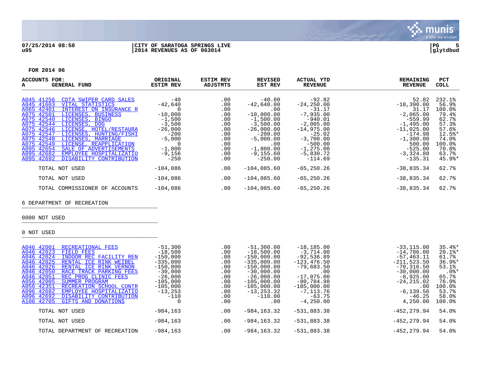

#### **07/25/2014 08:50 |CITY OF SARATOGA SPRINGS LIVE |PG 5 u05 |2014 REVENUES AS OF 063014 |glytdbud**



munis a tyler erp solutior

**FOR 2014 06**

\_\_\_\_\_\_\_\_\_\_\_\_\_\_\_\_\_\_\_\_\_\_\_\_\_\_\_\_\_\_\_\_\_\_\_\_\_\_\_\_\_

| <b>ACCOUNTS FOR:</b><br><b>GENERAL FUND</b><br>A                                                                                                                                                                                                                                                                                                                                                                                                                                                   | ORIGINAL<br><b>ESTIM REV</b>                                                                                                                  | <b>ESTIM REV</b><br>ADJSTMTS                                                            | <b>REVISED</b><br>EST REV                                                                                                                                                    | <b>ACTUAL YTD</b><br><b>REVENUE</b>                                                                                                                                                  | <b>REMAINING</b><br><b>REVENUE</b>                                                                                                                                       | <b>PCT</b><br>COLL                                                                                                        |
|----------------------------------------------------------------------------------------------------------------------------------------------------------------------------------------------------------------------------------------------------------------------------------------------------------------------------------------------------------------------------------------------------------------------------------------------------------------------------------------------------|-----------------------------------------------------------------------------------------------------------------------------------------------|-----------------------------------------------------------------------------------------|------------------------------------------------------------------------------------------------------------------------------------------------------------------------------|--------------------------------------------------------------------------------------------------------------------------------------------------------------------------------------|--------------------------------------------------------------------------------------------------------------------------------------------------------------------------|---------------------------------------------------------------------------------------------------------------------------|
| A045 41256<br>CDTA SWIPER CARD SALES<br>A045 41603 VITAL STATISTICS<br>A065 42401<br>INTEREST ON INSURANCE R<br>A075 42501<br>LICENSES, BUSINESS<br>A075 42540<br>LICENSES, BINGO<br>A075 42544<br>LICENSES, DOG<br>A075 42546<br>LICENSE, HOTEL/RESTAURA<br>A075 42547<br>LICENSES, HUNTING/FISHI<br>A075 42548 LICENSES, MARRIAGE<br>A075 42549<br>LICENSE, REAPPLICATION<br>A095 42654<br>SALE OF ADVERTISEMENTS<br>A095 42682<br>EMPLOYEE HOSPITALIZATIO<br>A095 42692 DISABILITY CONTRIBUTION | $-40$<br>$-42,640$<br>0<br>$-10,000$<br>$-1,500$<br>$-3,500$<br>$-26,000$<br>$-200$<br>$-5,000$<br>$\Omega$<br>$-1,800$<br>$-9,156$<br>$-250$ | .00<br>.00<br>.00<br>.00<br>.00<br>.00<br>.00<br>.00<br>.00<br>.00<br>.00<br>.00<br>.00 | $-40.00$<br>$-42,640.00$<br>.00<br>$-10,000.00$<br>$-1,500.00$<br>$-3,500.00$<br>$-26,000.00$<br>$-200.00$<br>$-5,000.00$<br>.00<br>$-1,800.00$<br>$-9, 155.60$<br>$-250.00$ | $-92.82$<br>$-24, 250.00$<br>$-31.17$<br>$-7,935.00$<br>$-940.01$<br>$-2,005.00$<br>$-14,975.00$<br>$-25.02$<br>$-3,700.00$<br>$-500.00$<br>$-1, 275.00$<br>$-5,830.72$<br>$-114.69$ | 52.82<br>$-18,390.00$<br>31.17<br>$-2,065.00$<br>$-559.99$<br>$-1,495.00$<br>$-11,025.00$<br>$-174.98$<br>$-1,300.00$<br>500.00<br>$-525.00$<br>$-3,324.88$<br>$-135.31$ | 232.1%<br>56.9%<br>100.0%<br>79.4%<br>62.7%<br>57.3%<br>57.6%<br>12.5%*<br>74.0%<br>100.0%<br>70.8%<br>63.7%<br>$45.9$ %* |
| TOTAL NOT USED                                                                                                                                                                                                                                                                                                                                                                                                                                                                                     | $-104,086$                                                                                                                                    | $.00 \,$                                                                                | $-104,085.60$                                                                                                                                                                | $-65, 250.26$                                                                                                                                                                        | $-38,835.34$                                                                                                                                                             | 62.7%                                                                                                                     |
| TOTAL NOT USED                                                                                                                                                                                                                                                                                                                                                                                                                                                                                     | $-104,086$                                                                                                                                    | $.00 \,$                                                                                | $-104,085.60$                                                                                                                                                                | $-65, 250.26$                                                                                                                                                                        | $-38,835.34$                                                                                                                                                             | 62.7%                                                                                                                     |
| TOTAL COMMISSIONER OF ACCOUNTS                                                                                                                                                                                                                                                                                                                                                                                                                                                                     | $-104,086$                                                                                                                                    | .00                                                                                     | $-104,085.60$                                                                                                                                                                | $-65, 250.26$                                                                                                                                                                        | $-38,835.34$                                                                                                                                                             | 62.7%                                                                                                                     |
| 6 DEPARTMENT OF RECREATION                                                                                                                                                                                                                                                                                                                                                                                                                                                                         |                                                                                                                                               |                                                                                         |                                                                                                                                                                              |                                                                                                                                                                                      |                                                                                                                                                                          |                                                                                                                           |
| 0000 NOT USED                                                                                                                                                                                                                                                                                                                                                                                                                                                                                      |                                                                                                                                               |                                                                                         |                                                                                                                                                                              |                                                                                                                                                                                      |                                                                                                                                                                          |                                                                                                                           |
| 0 NOT USED                                                                                                                                                                                                                                                                                                                                                                                                                                                                                         |                                                                                                                                               |                                                                                         |                                                                                                                                                                              |                                                                                                                                                                                      |                                                                                                                                                                          |                                                                                                                           |

[A046 42001 RECREATIONAL FEES](http://munis1:55003/views/PassThru.aspx?-E=5btyQbm7o3fixZXWKruft6LwVNC5uiJOEWU0K0xuZL6Vf41Peio9ORz39sAswO7h&) -51,300 -51,300 -51,300.00 -18,185.00 -18,185.00 -33,115.00 35.4%<br>A046 42023 FIELD FEES -18,500 -18,500.00 -18,500.00 -3,714.00 -3,714.00 -14,786.00 20.1%\* [A046 42023 FIELD FEES](http://munis1:55003/views/PassThru.aspx?-E=I%2B/wUkGFs%2BLFLlvq4%2BxlZ9FVh0hWBxrkGQyceqZsrgx5SdfUzGVfN3LatFj4hRoT&) -18,500 .00 -18,500.00 -3,714.00 -14,786.00 20.1%\* [A046 42024 INDOOR REC FACILITY REN](http://munis1:55003/views/PassThru.aspx?-E=cdciaEzBnrFus2KMxPY7Al4eiJU7U7wGXOi1%2BXL6/fOdMxUWJigvayWpi6n3JNil&) -150,000 .00 -150,000.00 -92,536.89 -57,463.11 61.7% [A046 42025 RENTAL ICE RINK WEIBEL](http://munis1:55003/views/PassThru.aspx?-E=Gjz1eqynA3m2UvBKmB9jub1%2BO3ykHuJn176Nn/Apu2X0hegyw8mm48EvVkMT%2BfEi&) -335,000 .00 -335,000.00 -123,476.50 -211,523.50 36.98<br>A046 42026 RENTAL ICE RINK VERNON -150,000 .00 -150,000.00 -79,683.50 -70,316.50 53.1% [A046 42026 RENTAL ICE RINK VERNON](http://munis1:55003/views/PassThru.aspx?-E=fhaMPjdR1DSBzB6PY3dijL1YOGr55ZNYs5XBv8PjKUYZiq3PIPfW4yRq3w1W82gg&) -150,000 .00 -150,000.00 -79,683.50 -70,316.50 53.1% [A046 42050 RACE TRACK PARKING FEES](http://munis1:55003/views/PassThru.aspx?-E=KrtvnEKgc9c3yZPLyD33QEpiejeM0eWJTDI8Szs/yjRu7fJaxzoUJJM/46D8iBIH&) -30,000 .00 -30,000.00 .00 -30,000.00 .0%\* [A046 42051 REC PROG CLINIC FEES](http://munis1:55003/views/PassThru.aspx?-E=9y7bh6EWCvtSrJieDTZuZeyZnbpNzxT8BSrX4HoNNHQBVVbQRyyxZpHnXawkXsEr&) -26,000 .00 -26,000.00 -17,075.00 -30,925.00 -8,925.00 65.7%<br>A056 42005 SUMMER PROGRAM -105,000 -105,000 -105,000.00 -80,784.98 -24,215.02 76.9% [A056 42005 SUMMER PROGRAM](http://munis1:55003/views/PassThru.aspx?-E=dkucc21n%2BjEt7VUxqwt5uFjnlpMDPkpRzZRKt4O0K5QRjlQYIKmlSbYbZ4m9%2Bo3G&) -105,000 .00 -105,000.00 -80,784.98 -24,215.02 76.9% [A056 42351 RECREATION SCHOOL CONTR](http://munis1:55003/views/PassThru.aspx?-E=8aINUMgwO58W2q/qEPSBC73UWAA9ZGvrMlfnNV45p4atz6HCumcT0qvLuHFse1nC&)UE -105,000 00 -105,000.00 -105,000.00 -105,000.00 -105,000.00 -105,000.00 -105,000.00 -105,000.00 -105,000.00 -105,000.00 -105,000.00 -105,000.00 -105,000.00 -105,000.00 -105,000.00 -105, [A096 42682 EMPLOYEE HOSPITALIZATIO](http://munis1:55003/views/PassThru.aspx?-E=l65X6cKMSmczqRdbTyT2MkzP4zgnSWwRC30y33GJ8QchShmtQlUJ2Ik6PGMb6RfU&) -13,253 .00 -13,253.32 -7,113.76 -6,139.56 53.7% [A096 42692 DISABILITY CONTRIBUTION](http://munis1:55003/views/PassThru.aspx?-E=2kpnb2yCjtgTW8RH50xCOgBhdqZo9FVKd7FMBlA0HgXCs9WzYMIi2BnMMcPsFMi6&) -110 .00 -110.00 -63.75 -46.25 58.0% GIFTS AND DONATIONS TOTAL NOT USED -984,163 .00 -984,163.32 -531,883.38 -452,279.94 54.0% TOTAL NOT USED -984,163 .00 -984,163.32 -531,883.38 -452,279.94 54.0% TOTAL DEPARTMENT OF RECREATION  $-984,163$  .00  $-984,163.32$   $-531,883.38$   $-452,279.94$  54.0%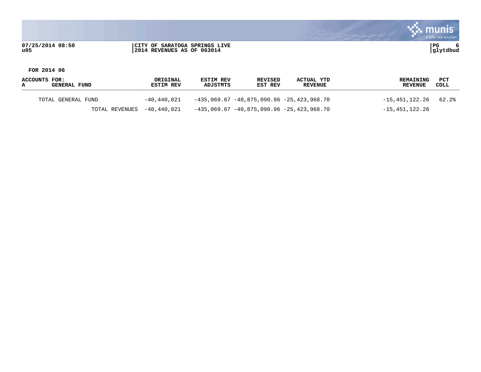munis a tyler erp solution **07/25/2014 08:50 |CITY OF SARATOGA SPRINGS LIVE |PG 6 u05 |2014 REVENUES AS OF 063014 |glytdbud**

**FOR 2014 06**

**ACCOUNTS FOR: ORIGINAL ESTIM REV REVISED ACTUAL YTD REMAINING PCT A GENERAL FUND ESTIM REV ADJSTMTS EST REV REVENUE REVENUE COLL** \_\_\_\_\_\_\_\_\_\_\_\_\_\_\_\_\_\_\_\_\_\_\_\_\_\_\_\_\_\_\_\_\_\_\_\_\_\_\_\_\_\_\_\_\_\_\_\_\_\_\_\_\_\_\_\_\_\_\_\_\_\_\_\_\_\_\_\_\_\_\_\_\_\_\_\_\_\_\_\_\_\_\_\_\_\_\_\_\_\_\_\_\_\_\_\_\_\_\_\_\_\_\_\_\_\_\_\_\_\_\_\_\_\_\_\_\_\_\_\_\_\_\_\_\_\_\_\_\_\_\_\_ TOTAL GENERAL FUND -40,440,021 -435,069.67 -40,875,090.96 -25,423,968.70 -15,451,122.26 62.2% TOTAL REVENUES -40,440,021 -435,069.67 -40,875,090.96 -25,423,968.70 -15,451,122.26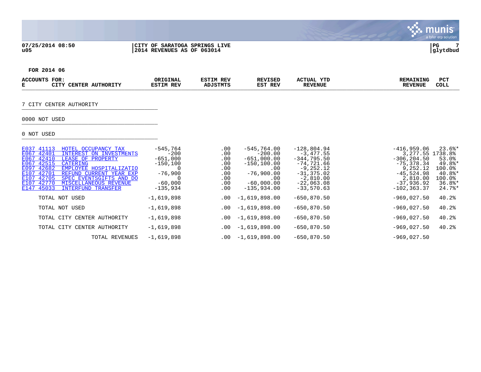### **07/25/2014 08:50 |CITY OF SARATOGA SPRINGS LIVE |PG 7 u05 |2014 REVENUES AS OF 063014 |glytdbud**



**FOR 2014 06**

| <b>ACCOUNT</b><br>д. | FOR:<br>ᇚᇚᅲᅲ<br>.TER<br>и:N<br>AU<br>HURIT. | ORIGINAL<br><b>REV</b> | IM REV<br>$\lambda$ ntam $\epsilon$ | VISET<br>וים ס<br>EST<br>REV | <b>TTUAL</b><br>YTD<br>$\mathbf{a}$<br><b>PEVENUE</b> | <b>LNING</b><br>RLMA. | PC <sub>1</sub><br><b>COLL</b> |  |
|----------------------|---------------------------------------------|------------------------|-------------------------------------|------------------------------|-------------------------------------------------------|-----------------------|--------------------------------|--|
|                      |                                             |                        |                                     |                              |                                                       |                       |                                |  |

# 7 CITY CENTER AUTHORITY \_\_\_\_\_\_\_\_\_\_\_\_\_\_\_\_\_\_\_\_\_\_\_\_\_\_\_\_\_\_\_\_\_\_\_\_\_\_\_\_\_

# 0000 NOT USED \_\_\_\_\_\_\_\_\_\_\_\_\_\_\_\_\_\_\_\_\_\_\_\_\_\_\_\_\_\_\_\_\_\_\_\_\_\_\_\_\_

| E037 41113 | HOTEL OCCUPANCY TAX         | $-545,764$   | .00      | $-545,764.00$   | $-128,804.94$  | $-416,959.06$     | $23.6$ *  |
|------------|-----------------------------|--------------|----------|-----------------|----------------|-------------------|-----------|
| E067 42401 | INTEREST ON INVESTMENTS     | $-200$       | .00      | $-200.00$       | $-3.477.55$    | 3, 277.55 1738.8% |           |
| E067 42410 | LEASE OF PROPERTY           | $-651,000$   | .00      | $-651,000.00$   | $-344.795.50$  | $-306.204.50$     | 53.0%     |
| E067 42515 | <b>CATERING</b>             | $-150, 100$  | .00      | $-150, 100, 00$ | $-74.721.66$   | $-75, 378, 34$    | 49.8%*    |
| E097 42682 | EMPLOYEE HOSPITALIZATIO     |              | .00      | .00             | $-9, 252.12$   | 9,252.12          | $100.0$ % |
| E107 42701 | REFUND CURRENT YEAR EXP     | $-76,900$    | .00      | $-76,900.00$    | $-31, 375.02$  | $-45,524.98$      | $40.8$ *  |
| E107 42705 | SPEC EVENTSGIFTS AND DO     |              | .00      | .00             | $-2,810.00$    | 2,810.00          | 100.0%    |
| E107 42770 | MISCELLANEOUS REVENUE       | $-60,000$    | .00      | $-60,000,00$    | $-22,063.08$   | $-37.936.92$      | $36.8$ *  |
| E147 45033 | <b>INTERFUND TRANSFER</b>   | $-135.934$   | .00      | $-135.934.00$   | $-33,570.63$   | $-102.363.37$     | $24.7$ %* |
|            |                             |              |          |                 |                |                   |           |
|            | TOTAL NOT USED              | $-1,619,898$ | .00      | $-1,619,898.00$ | $-650, 870.50$ | $-969.027.50$     | 40.2%     |
|            |                             |              |          |                 |                |                   |           |
|            | TOTAL NOT USED              | $-1,619,898$ | .00      | $-1,619,898.00$ | $-650.870.50$  | $-969,027.50$     | 40.2%     |
|            |                             |              |          |                 |                |                   |           |
|            | TOTAL CITY CENTER AUTHORITY | $-1,619,898$ | $.00 \,$ | $-1,619,898.00$ | $-650,870.50$  | $-969,027.50$     | 40.2%     |
|            |                             |              |          |                 |                |                   |           |
|            | TOTAL CITY CENTER AUTHORITY | $-1,619,898$ | $.00 \,$ | $-1,619,898.00$ | $-650, 870.50$ | $-969,027.50$     | 40.2%     |
|            |                             |              |          |                 |                |                   |           |
|            | TOTAL REVENUES              | $-1,619,898$ | .00      | $-1,619,898.00$ | $-650, 870.50$ | $-969.027.50$     |           |
|            |                             |              |          |                 |                |                   |           |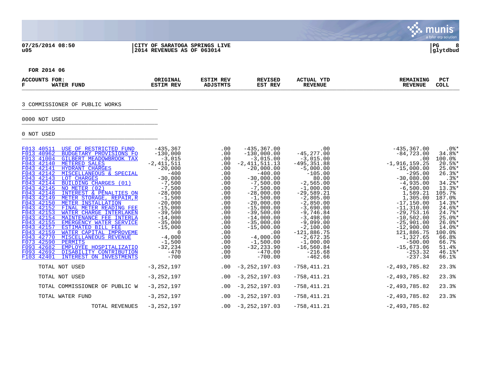### **07/25/2014 08:50 |CITY OF SARATOGA SPRINGS LIVE |PG 8 u05 |2014 REVENUES AS OF 063014 |glytdbud**



**FOR 2014 06**

| <b>ACCOT</b><br>באוו | FOR.<br><b>TUND</b><br>הי | ORIGINAI<br>TNAT<br>REV | זיסם או<br>KL'<br>$3.75.70$ mass $4.7$ | ISEI<br>יחם<br>REV<br>EST | <b>SEPTEMBER</b><br>'UAL<br>$\Delta$ $\Gamma$<br>…<br><b>EVENUE</b> | NING. | DO"<br>FC.<br>COLL |
|----------------------|---------------------------|-------------------------|----------------------------------------|---------------------------|---------------------------------------------------------------------|-------|--------------------|
|                      |                           |                         |                                        |                           |                                                                     |       |                    |

# 3 COMMISSIONER OF PUBLIC WORKS

# 0000 NOT USED \_\_\_\_\_\_\_\_\_\_\_\_\_\_\_\_\_\_\_\_\_\_\_\_\_\_\_\_\_\_\_\_\_\_\_\_\_\_\_\_\_

| F013 40511 | USE OF RESTRICTED FUND             | $-435, 367$    | .00      | $-435, 367, 00$       | .00            | $-435, 367.00$  | $.0$ % $*$          |
|------------|------------------------------------|----------------|----------|-----------------------|----------------|-----------------|---------------------|
| F013 40962 | BUDGETARY PROVISIONS FO            | $-130,000$     | .00      | $-130,000.00$         | $-45, 277.00$  | $-84, 723.00$   | $34.8$ *            |
| F013 41004 | GILBERT MEADOWBROOK TAX            | $-3,015$       | .00      | $-3.015.00$           | $-3,015.00$    | .00             | 100.0%              |
| F043 42140 | METERED SALES                      | $-2,411,511$   | .00      | $-2,411,511.13$       | $-495, 351.88$ | $-1,916,159.25$ | $20.5$ *            |
| F043 42141 | HYDRANT CHARGES                    | $-20,000$      | .00      | $-20,000.00$          | $-5,000.00$    | $-15,000.00$    | $25.0$ <sup>*</sup> |
| F043 42142 | MISCELLANEOUS & SPECIAL            | $-400$         | .00      | $-400.00$             | $-105.00$      | $-295.00$       | $26.3$ *            |
| F043 42143 | LOT CHARGES                        | $-30,000$      | .00      | $-30,000.00$          | 80.00          | $-30,080.00$    | $.3$ $*$            |
| F043 42144 | BUILDING CHARGES (01)              | $-7,500$       | .00      | $-7,500.00$           | $-2,565.00$    | $-4,935.00$     | $34.2$ $*$          |
|            | F043 42145 NO METER (02)           | $-7,500$       | .00      | $-7,500.00$           | $-1,000.00$    | $-6,500.00$     | $13.3$ <sup>*</sup> |
| F043 42148 | INTEREST & PENALTIES ON            | $-28,000$      | .00      | $-28,000.00$          | $-29,589.21$   | 1,589.21        | 105.7%              |
| F043 42149 | METER STORAGE, REPAIR, R           | $-1,500$       | .00      | $-1,500.00$           | $-2,805.00$    | 1,305.00        | 187.0%              |
| F043 42150 | METER INSTALLATION                 | $-20,000$      | .00      | $-20,000.00$          | $-2,850.00$    | $-17, 150.00$   | $14.3$ <sup>*</sup> |
| F043 42152 | FINAL METER READING FEE            | $-15,000$      | .00      | $-15,000.00$          | $-3,690.00$    | $-11, 310.00$   | $24.6$ <sup>*</sup> |
| F043 42153 | WATER CHARGE INTERLAKEN            | $-39,500$      | .00      | $-39,500.00$          | $-9,746.84$    | $-29,753.16$    | $24.7$ %*           |
| F043 42154 | MAINTENANCE FEE INTERLA            | $-14,000$      | .00      | $-14,000.00$          | $-3,498.00$    | $-10,502.00$    | $25.0$ *            |
| F043 42155 | EMERGENCY WATER SERVICE            | $-35,000$      | .00      | $-35,000.00$          | $-9,099.00$    | $-25,901.00$    | $26.0$ *            |
| F043 42157 | <b>ESTIMATED BILL FEE</b>          | $-15,000$      | .00      | $-15,000.00$          | $-2,100.00$    | $-12,900.00$    | $14.0$ <sup>*</sup> |
| F043 42159 | WATER CAPITAL IMPROVEME            | $\Omega$       | .00      | .00                   | $-121,886.75$  | 121,886.75      | 100.0%              |
| F043 42770 | MISCELLANEOUS REVENUE              | $-4,000$       | .00      | $-4,000.00$           | $-2,672.35$    | $-1,327.65$     | 66.8%               |
| F073 42590 | PERMITS                            | $-1,500$       | .00      | $-1,500.00$           | $-1,000.00$    | $-500.00$       | 66.7%               |
| F093 42682 | EMPLOYEE HOSPITALIZATIO            | $-32, 234$     | .00      | $-32, 233.90$         | $-16,560.84$   | $-15,673.06$    | 51.4%               |
| F093 42692 | DISABILITY CONTRIBUTION            | $-470$         | .00      | $-470.00$             | $-216.68$      | $-253.32$       | $46.1$ <sup>*</sup> |
|            | F103 42401 INTEREST ON INVESTMENTS | $-700$         | .00      | $-700.00$             | $-462.66$      | $-237.34$       | 66.1%               |
|            | TOTAL NOT USED                     | $-3,252,197$   |          | $.00 -3, 252, 197.03$ | $-758, 411.21$ | $-2,493,785.82$ | 23.3%               |
|            |                                    |                |          |                       |                |                 |                     |
|            | TOTAL NOT USED                     | $-3, 252, 197$ | $.00\,$  | $-3, 252, 197.03$     | $-758, 411.21$ | $-2,493,785.82$ | 23.3%               |
|            | TOTAL COMMISSIONER OF PUBLIC W     | $-3, 252, 197$ | $.00 \,$ | $-3, 252, 197.03$     | $-758, 411.21$ | $-2,493,785.82$ | 23.3%               |
|            |                                    |                |          |                       |                |                 |                     |
|            | TOTAL WATER FUND                   | $-3, 252, 197$ | $.00\,$  | $-3, 252, 197.03$     | $-758, 411.21$ | $-2,493,785.82$ | 23.3%               |
|            | TOTAL REVENUES                     | $-3, 252, 197$ |          | $.00 -3, 252, 197.03$ | $-758, 411.21$ | $-2,493,785.82$ |                     |
|            |                                    |                |          |                       |                |                 |                     |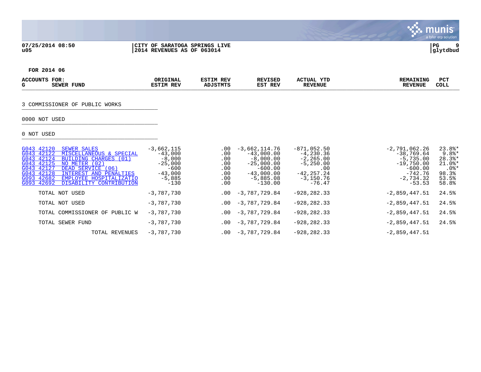### **07/25/2014 08:50 |CITY OF SARATOGA SPRINGS LIVE |PG 9 u05 |2014 REVENUES AS OF 063014 |glytdbud**



 $\blacksquare$ munis

 $\mathcal{L}$ 

**FOR 2014 06**

| ACCOU<br>- | FOR<br>FUND<br>ם סידותי<br>SLWLR | ORIGINAL<br>REV<br>cam | ודסם אדי<br>cat<br>$P = 100$ | <b>/ISEL</b><br>RFV<br>REV<br>更点更 | <b>CTUAL</b><br>YTD<br>л.<br>REVENUE | <b>ANING</b><br>ארה ר<br>R P.M.<br>-----<br>77 T | PC.<br><b>COLL</b> |
|------------|----------------------------------|------------------------|------------------------------|-----------------------------------|--------------------------------------|--------------------------------------------------|--------------------|
|            |                                  |                        |                              |                                   |                                      |                                                  |                    |

# 3 COMMISSIONER OF PUBLIC WORKS

# 0000 NOT USED \_\_\_\_\_\_\_\_\_\_\_\_\_\_\_\_\_\_\_\_\_\_\_\_\_\_\_\_\_\_\_\_\_\_\_\_\_\_\_\_\_

| G043 42120<br>SEWER SALES<br>G043 42122<br>MISCELLANEOUS & SPECIAL<br>G043 42124<br>BUILDING CHARGES (01)<br>G043 42125<br>NO METER (02)<br>G043 42127<br>DEAD SERVICE (06)<br>G043 42128<br>INTEREST AND PENALTIES<br>G093 42682<br>EMPLOYEE HOSPITALIZATIO | $-3,662,115$<br>$-43,000$<br>$-8,000$<br>$-25,000$<br>$-600$<br>$-43,000$<br>$-5,885$ | $.00 \,$<br>$.00 \,$<br>.00<br>.00<br>.00<br>.00<br>.00 | $-3,662,114.76$<br>$-43,000.00$<br>$-8,000.00$<br>$-25,000.00$<br>$-600.00$<br>$-43,000.00$<br>$-5,885.08$ | $-871,052.50$<br>$-4,230.36$<br>$-2, 265.00$<br>$-5,250.00$<br>.00<br>$-42, 257, 24$<br>$-3,150.76$ | $-2,791,062.26$<br>$-38,769.64$<br>$-5,735.00$<br>$-19,750.00$<br>$-600.00$<br>$-742.76$<br>$-2,734.32$ | $23.8$ *<br>$9.8$ <sup>*</sup><br>$28.3$ <sup>*</sup><br>$21.0$ <sup>*</sup><br>$.0$ %*<br>98.3%<br>53.5% |
|--------------------------------------------------------------------------------------------------------------------------------------------------------------------------------------------------------------------------------------------------------------|---------------------------------------------------------------------------------------|---------------------------------------------------------|------------------------------------------------------------------------------------------------------------|-----------------------------------------------------------------------------------------------------|---------------------------------------------------------------------------------------------------------|-----------------------------------------------------------------------------------------------------------|
| G093 42692<br>DISABILITY CONTRIBUTION<br>TOTAL NOT USED                                                                                                                                                                                                      | $-130$<br>$-3.787.730$                                                                | .00<br>.00                                              | $-130.00$<br>$-3,787,729.84$                                                                               | $-76.47$<br>$-928.282.33$                                                                           | $-53.53$<br>$-2,859,447.51$                                                                             | 58.8%<br>24.5%                                                                                            |
| TOTAL NOT USED<br>TOTAL COMMISSIONER OF<br>PUBLIC W                                                                                                                                                                                                          | $-3,787,730$<br>$-3.787.730$                                                          | .00<br>.00                                              | $-3,787,729.84$<br>-3,787,729.84                                                                           | $-928.282.33$<br>$-928.282.33$                                                                      | $-2,859,447.51$<br>$-2,859,447.51$                                                                      | 24.5%<br>24.5%                                                                                            |
| TOTAL SEWER FUND<br>TOTAL REVENUES                                                                                                                                                                                                                           | $-3,787,730$<br>$-3,787,730$                                                          | .00<br>.00                                              | -3,787,729.84<br>-3,787,729.84                                                                             | $-928, 282.33$<br>$-928, 282.33$                                                                    | $-2,859,447.51$<br>$-2,859,447.51$                                                                      | 24.5%                                                                                                     |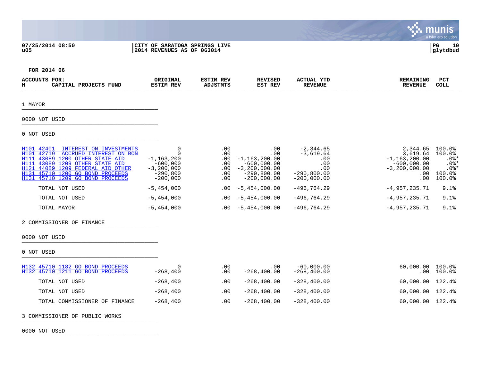|                                                                                                                                                                                                                                                                                        |                                                                                                     |                                               |                                                                                                         |                                                                                     |                                                                                                    | a tyler erp solution                                                                   |
|----------------------------------------------------------------------------------------------------------------------------------------------------------------------------------------------------------------------------------------------------------------------------------------|-----------------------------------------------------------------------------------------------------|-----------------------------------------------|---------------------------------------------------------------------------------------------------------|-------------------------------------------------------------------------------------|----------------------------------------------------------------------------------------------------|----------------------------------------------------------------------------------------|
| 07/25/2014 08:50<br>u05                                                                                                                                                                                                                                                                | CITY OF SARATOGA SPRINGS LIVE<br>2014 REVENUES AS OF 063014                                         |                                               |                                                                                                         |                                                                                     |                                                                                                    | $_{\rm PG}$<br>10<br>glytdbud                                                          |
| FOR 2014 06                                                                                                                                                                                                                                                                            |                                                                                                     |                                               |                                                                                                         |                                                                                     |                                                                                                    |                                                                                        |
| ACCOUNTS FOR:<br>н<br>CAPITAL PROJECTS FUND                                                                                                                                                                                                                                            | ORIGINAL<br><b>ESTIM REV</b>                                                                        | <b>ESTIM REV</b><br><b>ADJSTMTS</b>           | <b>REVISED</b><br>EST REV                                                                               | ACTUAL YTD<br><b>REVENUE</b>                                                        | <b>REMAINING</b><br><b>REVENUE</b>                                                                 | <b>PCT</b><br><b>COLL</b>                                                              |
| 1 MAYOR                                                                                                                                                                                                                                                                                |                                                                                                     |                                               |                                                                                                         |                                                                                     |                                                                                                    |                                                                                        |
| 0000 NOT USED                                                                                                                                                                                                                                                                          |                                                                                                     |                                               |                                                                                                         |                                                                                     |                                                                                                    |                                                                                        |
| 0 NOT USED                                                                                                                                                                                                                                                                             |                                                                                                     |                                               |                                                                                                         |                                                                                     |                                                                                                    |                                                                                        |
| H101 42401<br>INTEREST ON INVESTMENTS<br>42719<br>H101<br>ACCRUED INTEREST ON BON<br>H111<br>1200 OTHER STATE AID<br>43089<br>H111<br>43089<br>1209 OTHER STATE AID<br>H121<br>44089 1209 FEDERAL AID OTHER<br>45710 1200 GO BOND PROCEEDS<br>H131<br>H131 45710 1209 GO BOND PROCEEDS | $\mathbf 0$<br>$\Omega$<br>$-1, 163, 200$<br>$-600,000$<br>$-3,200,000$<br>$-290,800$<br>$-200,000$ | .00<br>.00<br>.00<br>.00<br>.00<br>.00<br>.00 | .00<br>.00<br>$-1, 163, 200.00$<br>$-600,000.00$<br>$-3, 200, 000.00$<br>$-290,800.00$<br>$-200,000.00$ | $-2, 344.65$<br>$-3,619.64$<br>.00<br>.00<br>.00<br>$-290, 800.00$<br>$-200,000.00$ | 2,344.65<br>3,619.64<br>$-1, 163, 200.00$<br>$-600,000.00$<br>$-3, 200, 000.00$<br>$.00 \,$<br>.00 | $100.0$ <sup>8</sup><br>100.0%<br>$.0$ %*<br>$.0$ %*<br>$.0$ %*<br>$100.0$ %<br>100.0% |
| TOTAL NOT USED                                                                                                                                                                                                                                                                         | $-5,454,000$                                                                                        | .00                                           | $-5,454,000.00$                                                                                         | $-496, 764.29$                                                                      | $-4,957,235.71$                                                                                    | 9.1%                                                                                   |
| TOTAL NOT USED                                                                                                                                                                                                                                                                         | $-5,454,000$                                                                                        | .00                                           | $-5,454,000.00$                                                                                         | $-496, 764.29$                                                                      | $-4,957,235.71$                                                                                    | 9.1%                                                                                   |
| TOTAL MAYOR                                                                                                                                                                                                                                                                            | $-5,454,000$                                                                                        | .00                                           | $-5,454,000.00$                                                                                         | $-496, 764.29$                                                                      | $-4,957,235.71$                                                                                    | 9.1%                                                                                   |
| 2 COMMISSIONER OF FINANCE                                                                                                                                                                                                                                                              |                                                                                                     |                                               |                                                                                                         |                                                                                     |                                                                                                    |                                                                                        |
| 0000 NOT USED                                                                                                                                                                                                                                                                          |                                                                                                     |                                               |                                                                                                         |                                                                                     |                                                                                                    |                                                                                        |
| 0 NOT USED                                                                                                                                                                                                                                                                             |                                                                                                     |                                               |                                                                                                         |                                                                                     |                                                                                                    |                                                                                        |
| H132 45710 1182 GO BOND PROCEEDS<br>H132 45710 1211 GO BOND PROCEEDS                                                                                                                                                                                                                   | $\Omega$<br>$-268,400$                                                                              | .00<br>.00                                    | .00<br>$-268, 400.00$                                                                                   | $-60,000.00$<br>$-268, 400.00$                                                      | 60,000.00 100.0%<br>$.00 \,$                                                                       | $100.0\%$                                                                              |
| TOTAL NOT USED                                                                                                                                                                                                                                                                         | $-268,400$                                                                                          | .00                                           | $-268, 400.00$                                                                                          | $-328, 400.00$                                                                      | 60,000.00 122.4%                                                                                   |                                                                                        |
| TOTAL NOT USED                                                                                                                                                                                                                                                                         | $-268,400$                                                                                          | .00                                           | $-268, 400.00$                                                                                          | $-328, 400.00$                                                                      | 60,000.00                                                                                          | 122.4%                                                                                 |
| TOTAL COMMISSIONER OF FINANCE                                                                                                                                                                                                                                                          | $-268,400$                                                                                          | .00                                           | $-268, 400.00$                                                                                          | $-328, 400.00$                                                                      | 60,000.00 122.4%                                                                                   |                                                                                        |

3 COMMISSIONER OF PUBLIC WORKS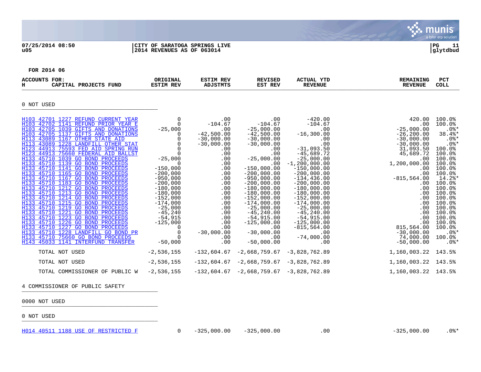munis a tyler erp solution

| 07/25/2014 08:50 | CITY OF SARATOGA SPRINGS LIVE | l PG     | 11 |
|------------------|-------------------------------|----------|----|
| u05              | 2014 REVENUES AS OF 063014    | glytdbud |    |



**FOR 2014 06**

| ACCOUNTS FOR:<br>CAPITAL PROJECTS FUND<br>н                                                                                                                                                                                                                                                                                                                                                                                                                                                                                                                                                                                                                                                                                                                                                                                                                                                                                                                                                    | ORIGINAL<br><b>ESTIM REV</b>                                                                                                                                                                                                                                                                               | <b>ESTIM REV</b><br>ADJSTMTS                                                                                                                                                                                                 | <b>REVISED</b><br>EST REV                                                                                                                                                                                                                                                                                                                                                     | <b>ACTUAL YTD</b><br><b>REVENUE</b>                                                                                                                                                                                                                                                                                                                                                          | <b>REMAINING</b><br><b>REVENUE</b>                                                                                                                                                                                                                                                                     | <b>PCT</b><br><b>COLL</b>                                                                                                                                                                                                                                                  |
|------------------------------------------------------------------------------------------------------------------------------------------------------------------------------------------------------------------------------------------------------------------------------------------------------------------------------------------------------------------------------------------------------------------------------------------------------------------------------------------------------------------------------------------------------------------------------------------------------------------------------------------------------------------------------------------------------------------------------------------------------------------------------------------------------------------------------------------------------------------------------------------------------------------------------------------------------------------------------------------------|------------------------------------------------------------------------------------------------------------------------------------------------------------------------------------------------------------------------------------------------------------------------------------------------------------|------------------------------------------------------------------------------------------------------------------------------------------------------------------------------------------------------------------------------|-------------------------------------------------------------------------------------------------------------------------------------------------------------------------------------------------------------------------------------------------------------------------------------------------------------------------------------------------------------------------------|----------------------------------------------------------------------------------------------------------------------------------------------------------------------------------------------------------------------------------------------------------------------------------------------------------------------------------------------------------------------------------------------|--------------------------------------------------------------------------------------------------------------------------------------------------------------------------------------------------------------------------------------------------------------------------------------------------------|----------------------------------------------------------------------------------------------------------------------------------------------------------------------------------------------------------------------------------------------------------------------------|
| 0 NOT USED                                                                                                                                                                                                                                                                                                                                                                                                                                                                                                                                                                                                                                                                                                                                                                                                                                                                                                                                                                                     |                                                                                                                                                                                                                                                                                                            |                                                                                                                                                                                                                              |                                                                                                                                                                                                                                                                                                                                                                               |                                                                                                                                                                                                                                                                                                                                                                                              |                                                                                                                                                                                                                                                                                                        |                                                                                                                                                                                                                                                                            |
| H103 42701 1227 REFUND CURRENT YEAR<br>H103 42702 1141 REFUND PRIOR YEAR E<br>H103 42705 1039 GIFTS AND DONATIONS<br>H103 42705 1137 GIFTS AND DONATIONS<br>H113 43089 1167 OTHER STATE AID<br>H113 43089 1228 LANDFILL OTHER STAT<br>H123 44913 75593 FED AID SPRING RUN<br>H123 44913 75660 FEDERAL AID BALLST<br>H133 45710 1039 GO BOND PROCEEDS<br>H133 45710 1139 GO BOND PROCEEDS<br>H133 45710 1141 GO BOND PROCEEDS<br>H133 45710 1165 GO BOND PROCEEDS<br>H133 45710 1167 GO BOND PROCEEDS<br>H133 45710 1183 GO BOND PROCEEDS<br>H133 45710 1212 GO BOND PROCEEDS<br>H133 45710 1213 GO BOND PROCEEDS<br>H133 45710 1214 GO BOND PROCEEDS<br>H133 45710 1215 GO BOND PROCEEDS<br>H133 45710 1219 GO BOND PROCEEDS<br>H133 45710 1221 GO BOND PROCEEDS<br>H133 45710 1223 GO BOND PROCEEDS<br>H133 45710 1226 GO BOND PROCEEDS<br>H133 45710 1227 GO BOND PROCEEDS<br>H133 45710 1228 LANDFILL GO BOND PR<br>H133 45710 75660 GO BOND PROCEEDS<br>H143 45033 1141 INTERFUND TRANSFER | $\Omega$<br>$\mathbf 0$<br>$-25,000$<br>0<br>0<br>$\Omega$<br>$\mathbf 0$<br>$-25,000$<br>$\Omega$<br>$-150,000$<br>$-200,000$<br>$-950,000$<br>$-200,000$<br>$-180,000$<br>$-180,000$<br>$-152,000$<br>$-174,000$<br>$-25,000$<br>$-45,240$<br>$-54,915$<br>$-125,000$<br>0<br>0<br>$\Omega$<br>$-50,000$ | .00<br>$-104.67$<br>.00<br>$-42,500.00$<br>$-30,000.00$<br>$-30,000.00$<br>.00<br>.00<br>.00<br>.00<br>.00<br>.00<br>.00<br>.00<br>.00<br>.00<br>.00<br>.00<br>.00<br>.00<br>.00<br>.00<br>.00<br>$-30,000.00$<br>.00<br>.00 | .00<br>$-104.67$<br>$-25,000.00$<br>$-42,500.00$<br>$-30,000.00$<br>$-30,000.00$<br>.00<br>.00<br>$-25,000.00$<br>.00<br>$-150,000.00$<br>$-200,000.00$<br>$-950,000.00$<br>$-200,000.00$<br>$-180,000.00$<br>$-180,000.00$<br>$-152,000.00$<br>$-174,000.00$<br>$-25,000.00$<br>$-45, 240.00$<br>$-54,915.00$<br>$-125,000.00$<br>.00<br>$-30,000.00$<br>.00<br>$-50,000.00$ | $-420.00$<br>$-104.67$<br>.00<br>$-16, 300.00$<br>.00<br>.00<br>$-31,093.50$<br>$-45,689.72$<br>$-25,000.00$<br>$-1, 200, 000.00$<br>$-150,000.00$<br>$-200,000.00$<br>$-134, 436.00$<br>$-200,000.00$<br>$-180,000.00$<br>$-180,000.00$<br>$-152,000.00$<br>$-174,000.00$<br>$-25,000.00$<br>$-45, 240.00$<br>$-54,915.00$<br>$-125,000.00$<br>$-815, 564.00$<br>.00<br>$-74,000.00$<br>.00 | 420.00<br>.00<br>$-25,000.00$<br>$-26, 200.00$<br>$-30,000,00$<br>$-30,000.00$<br>31,093.50<br>45,689.72<br>.00<br>1,200,000.00<br>.00<br>.00<br>$-815, 564.00$<br>$.00 \,$<br>.00<br>$.00 \ \rm$<br>.00<br>.00<br>.00<br>.00<br>.00<br>.00<br>815,564.00<br>$-30,000.00$<br>74,000.00<br>$-50,000.00$ | 100.0%<br>100.0%<br>$.0$ %*<br>38.4%*<br>$.0$ %*<br>$.0$ %*<br>100.0%<br>100.0%<br>100.0%<br>100.0%<br>100.0%<br>100.0%<br>$14.2$ $*$<br>100.0%<br>100.0%<br>100.0%<br>100.0%<br>100.0%<br>100.0%<br>100.0%<br>100.0%<br>100.0%<br>100.0%<br>$.0$ %*<br>100.0%<br>$.0$ % * |
| TOTAL NOT USED                                                                                                                                                                                                                                                                                                                                                                                                                                                                                                                                                                                                                                                                                                                                                                                                                                                                                                                                                                                 | $-2,536,155$                                                                                                                                                                                                                                                                                               | $-132,604.67$                                                                                                                                                                                                                | $-2,668,759.67$                                                                                                                                                                                                                                                                                                                                                               | -3,828,762.89                                                                                                                                                                                                                                                                                                                                                                                | 1,160,003.22 143.5%                                                                                                                                                                                                                                                                                    |                                                                                                                                                                                                                                                                            |
| TOTAL NOT USED                                                                                                                                                                                                                                                                                                                                                                                                                                                                                                                                                                                                                                                                                                                                                                                                                                                                                                                                                                                 | $-2,536,155$                                                                                                                                                                                                                                                                                               |                                                                                                                                                                                                                              | $-132,604.67$ $-2,668,759.67$ $-3,828,762.89$                                                                                                                                                                                                                                                                                                                                 |                                                                                                                                                                                                                                                                                                                                                                                              | 1,160,003.22 143.5%                                                                                                                                                                                                                                                                                    |                                                                                                                                                                                                                                                                            |
| TOTAL COMMISSIONER OF PUBLIC W                                                                                                                                                                                                                                                                                                                                                                                                                                                                                                                                                                                                                                                                                                                                                                                                                                                                                                                                                                 | $-2,536,155$                                                                                                                                                                                                                                                                                               |                                                                                                                                                                                                                              | $-132,604.67 -2,668,759.67 -3,828,762.89$                                                                                                                                                                                                                                                                                                                                     |                                                                                                                                                                                                                                                                                                                                                                                              | 1,160,003.22 143.5%                                                                                                                                                                                                                                                                                    |                                                                                                                                                                                                                                                                            |

4 COMMISSIONER OF PUBLIC SAFETY

- 0000 NOT USED \_\_\_\_\_\_\_\_\_\_\_\_\_\_\_\_\_\_\_\_\_\_\_\_\_\_\_\_\_\_\_\_\_\_\_\_\_\_\_\_\_
- 0 NOT USED \_\_\_\_\_\_\_\_\_\_\_\_\_\_\_\_\_\_\_\_\_\_\_\_\_\_\_\_\_\_\_\_\_\_\_\_\_\_\_\_\_

[H014 40511 1188 USE OF RESTRICTED F](http://munis1:55003/views/PassThru.aspx?-E=oDKZVNEL0zJkNxR0sabG7q34G/ZWcQDNJUvVlPnU1p1OwKWXL6XgaUVu51xikEqe&) 0 -325,000.00 -325,000.00 .00 -325,000.00 .0%\*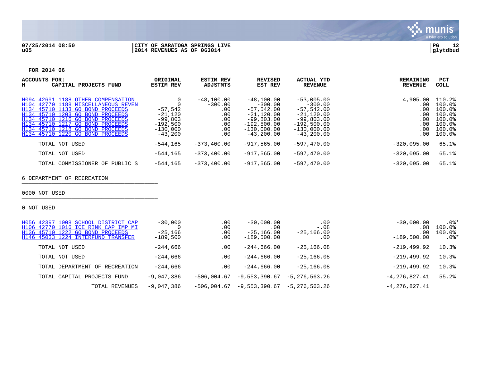

### **07/25/2014 08:50 |CITY OF SARATOGA SPRINGS LIVE |PG 12 u05 |2014 REVENUES AS OF 063014 |glytdbud**



### **FOR 2014 06**

| ACCOUNTS<br>FOR:<br>н<br>CAPITAL PROJECTS FUND                                                                                                                                                                                                                                                    | ORIGINAL<br><b>ESTIM REV</b>                                                 | <b>ESTIM REV</b><br>ADJSTMTS                                        | <b>REVISED</b><br>EST REV                                                                                                   | ACTUAL YTD<br><b>REVENUE</b>                                                                                                | <b>REMAINING</b><br><b>REVENUE</b>                        | <b>PCT</b><br>COLL                                                           |
|---------------------------------------------------------------------------------------------------------------------------------------------------------------------------------------------------------------------------------------------------------------------------------------------------|------------------------------------------------------------------------------|---------------------------------------------------------------------|-----------------------------------------------------------------------------------------------------------------------------|-----------------------------------------------------------------------------------------------------------------------------|-----------------------------------------------------------|------------------------------------------------------------------------------|
| H094 42691 1188 OTHER COMPENSATION<br>H104 42770 1188 MISCELLANEOUS REVEN<br>H134 45710 1133 GO BOND PROCEEDS<br>H134 45710 1203 GO BOND PROCEEDS<br>H134 45710 1216 GO BOND PROCEEDS<br>H134 45710 1217 GO BOND PROCEEDS<br>H134 45710 1218 GO BOND PROCEEDS<br>H134 45710 1220 GO BOND PROCEEDS | $-57,542$<br>$-21,120$<br>$-99,803$<br>$-192,500$<br>$-130.000$<br>$-43,200$ | $-48,100.00$<br>$-300.00$<br>.00<br>.00<br>.00<br>.00<br>.00<br>.00 | $-48,100.00$<br>$-300.00$<br>$-57.542.00$<br>$-21,120.00$<br>$-99,803.00$<br>$-192.500.00$<br>$-130.000.00$<br>$-43,200.00$ | $-53,005,00$<br>$-300.00$<br>$-57,542.00$<br>$-21,120,00$<br>$-99,803.00$<br>$-192,500.00$<br>$-130.000.00$<br>$-43,200,00$ | 4,905.00<br>.00<br>.00<br>.00<br>.00<br>.00<br>.00<br>.00 | 110.2%<br>100.0%<br>100.0%<br>100.0%<br>100.0%<br>100.0%<br>100.0%<br>100.0% |
| TOTAL NOT USED                                                                                                                                                                                                                                                                                    | $-544.165$                                                                   | $-373.400.00$                                                       | $-917.565.00$                                                                                                               | $-597.470.00$                                                                                                               | $-320.095.00$                                             | 65.1%                                                                        |
| TOTAL NOT USED                                                                                                                                                                                                                                                                                    | $-544.165$                                                                   | $-373.400.00$                                                       | $-917.565.00$                                                                                                               | $-597.470.00$                                                                                                               | $-320.095.00$                                             | 65.1%                                                                        |
| TOTAL COMMISSIONER OF PUBLIC S                                                                                                                                                                                                                                                                    | $-544, 165$                                                                  | $-373.400.00$                                                       | $-917.565.00$                                                                                                               | $-597.470.00$                                                                                                               | $-320,095.00$                                             | 65.1%                                                                        |

# 6 DEPARTMENT OF RECREATION

0000 NOT USED \_\_\_\_\_\_\_\_\_\_\_\_\_\_\_\_\_\_\_\_\_\_\_\_\_\_\_\_\_\_\_\_\_\_\_\_\_\_\_\_\_

| H056 42397 1008 SCHOOL DISTRICT CAP<br>H106 42770 1016 ICE RINK CAP IMP MI<br>H136 45710 1222 GO BOND PROCEEDS<br>H146 45033 1224 INTERFUND TRANSFER | $-30,000$<br>$-25.166$<br>$-189,500$ | .00<br>.00<br>.00<br>.00 | $-30,000.00$<br>.00<br>$-25, 166.00$<br>$-189,500.00$ | .00<br>$-.08$<br>$-25, 166.00$<br>.00 | $-30,000.00$<br>.08<br>.00<br>$-189,500.00$ | $.0$ %*<br>100.0%<br>100.0%<br>$.0$ %* |
|------------------------------------------------------------------------------------------------------------------------------------------------------|--------------------------------------|--------------------------|-------------------------------------------------------|---------------------------------------|---------------------------------------------|----------------------------------------|
| TOTAL NOT USED                                                                                                                                       | $-244,666$                           | .00                      | $-244,666.00$                                         | $-25, 166.08$                         | $-219, 499.92$                              | 10.3%                                  |
| TOTAL NOT USED                                                                                                                                       | $-244.666$                           | .00                      | $-244.666.00$                                         | $-25, 166.08$                         | $-219.499.92$                               | 10.3%                                  |
| TOTAL DEPARTMENT OF RECREATION                                                                                                                       | $-244.666$                           | .00                      | $-244.666.00$                                         | $-25, 166.08$                         | $-219.499.92$                               | 10.3%                                  |
| TOTAL CAPITAL PROJECTS FUND                                                                                                                          | $-9,047,386$                         | -506,004.67              | $-9,553,390.67$                                       | $-5.276.563.26$                       | $-4, 276, 827.41$                           | 55.2%                                  |
| TOTAL REVENUES                                                                                                                                       | $-9,047,386$                         | $-506.004.67$            | $-9,553,390.67$                                       | -5,276,563.26                         | $-4, 276, 827.41$                           |                                        |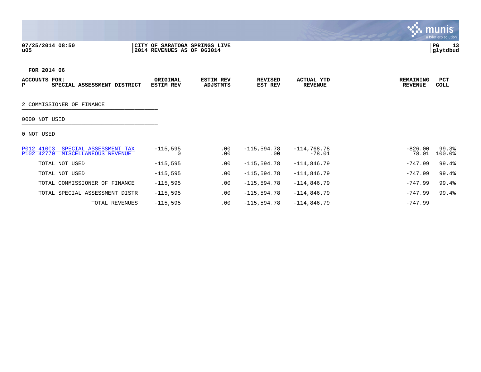|                                                                             |                              |                               |                           |                                     |                                    | a tyler erp solution    |
|-----------------------------------------------------------------------------|------------------------------|-------------------------------|---------------------------|-------------------------------------|------------------------------------|-------------------------|
| 07/25/2014 08:50<br>u05                                                     | 2014 REVENUES AS OF 063014   | CITY OF SARATOGA SPRINGS LIVE |                           |                                     |                                    | 13<br>l PG.<br>glytdbud |
| FOR 2014 06                                                                 |                              |                               |                           |                                     |                                    |                         |
| <b>ACCOUNTS FOR:</b><br>P<br>SPECIAL ASSESSMENT DISTRICT                    | ORIGINAL<br><b>ESTIM REV</b> | <b>ESTIM REV</b><br>ADJSTMTS  | <b>REVISED</b><br>EST REV | <b>ACTUAL YTD</b><br><b>REVENUE</b> | <b>REMAINING</b><br><b>REVENUE</b> | PCT<br><b>COLL</b>      |
| 2 COMMISSIONER OF FINANCE                                                   |                              |                               |                           |                                     |                                    |                         |
| 0000 NOT USED                                                               |                              |                               |                           |                                     |                                    |                         |
| 0 NOT USED                                                                  |                              |                               |                           |                                     |                                    |                         |
| P012 41003<br>SPECIAL ASSESSMENT TAX<br>P102 42770<br>MISCELLANEOUS REVENUE | $-115,595$<br>$\Omega$       | .00<br>.00                    | $-115,594.78$<br>.00      | $-114,768.78$<br>$-78.01$           | $-826.00$<br>78.01                 | 99.3%<br>100.0%         |
| TOTAL NOT USED                                                              | $-115,595$                   | .00                           | $-115,594.78$             | $-114,846.79$                       | $-747.99$                          | 99.4%                   |
| TOTAL NOT USED                                                              | $-115,595$                   | .00                           | $-115,594.78$             | $-114,846.79$                       | $-747.99$                          | 99.4%                   |
| TOTAL COMMISSIONER OF FINANCE                                               | $-115,595$                   | .00                           | $-115,594.78$             | $-114,846.79$                       | $-747.99$                          | 99.4%                   |

TOTAL SPECIAL ASSESSMENT DISTR -115,595 .00 -115,594.78 -114,846.79 - - - - -747.99 99.4%

TOTAL REVENUES -115,595 .00 -115,594.78 -114,846.79 -747.99

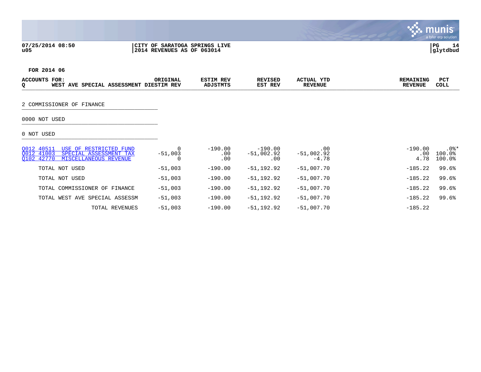**07/25/2014 08:50 |CITY OF SARATOGA SPRINGS LIVE |PG 14 u05 |2014 REVENUES AS OF 063014 |glytdbud**



 $\blacksquare$ munis a tyler erp solution

 $\mathcal{L}$ 

**FOR 2014 06**

| TOR.<br><b>ACCOUNT</b><br>WEST | AVE<br>חספ<br>галт<br>Δ. | ORIGINAL<br>REV<br>T C | <b>ESTIM REV</b><br>ADJSTMTS | <b>REVISED</b><br><b>REV</b><br>EST | 3753<br>"TUA.<br><b>REVENUE</b> | מאדזוד גאסס<br>N T UG.<br><b>REVENUE</b> | PC.<br><b>COLL</b> |
|--------------------------------|--------------------------|------------------------|------------------------------|-------------------------------------|---------------------------------|------------------------------------------|--------------------|
|                                |                          |                        |                              |                                     |                                 |                                          |                    |

# 2 COMMISSIONER OF FINANCE

# 0000 NOT USED \_\_\_\_\_\_\_\_\_\_\_\_\_\_\_\_\_\_\_\_\_\_\_\_\_\_\_\_\_\_\_\_\_\_\_\_\_\_\_\_\_

| 0012 40511<br>USE OF RESTRICTED FUND<br>0012 41003<br>SPECIAL ASSESSMENT TAX<br>0102 42770<br>MISCELLANEOUS REVENUE | $-51,003$ | $-190.00$<br>$.00 \,$<br>.00 | $-190.00$<br>-51,002.92<br>.00 | .00<br>-51,002.92<br>$-4.78$ | $-190.00$<br>.00<br>4.78 | $.0$ % $^{\prime}$<br>100.0%<br>100.0% |
|---------------------------------------------------------------------------------------------------------------------|-----------|------------------------------|--------------------------------|------------------------------|--------------------------|----------------------------------------|
| TOTAL NOT USED                                                                                                      | $-51,003$ | $-190.00$                    | -51,192.92                     | $-51.007.70$                 | $-185.22$                | 99.6%                                  |
| TOTAL NOT USED                                                                                                      | $-51,003$ | $-190.00$                    | $-51.192.92$                   | $-51.007.70$                 | $-185.22$                | 99.6%                                  |
| TOTAL COMMISSIONER OF FINANCE                                                                                       | $-51.003$ | $-190.00$                    | -51,192.92                     | $-51.007.70$                 | $-185.22$                | 99.6%                                  |
| TOTAL WEST AVE SPECIAL ASSESSM                                                                                      | $-51,003$ | $-190.00$                    | $-51.192.92$                   | $-51.007.70$                 | $-185.22$                | 99.6%                                  |
| TOTAL REVENUES                                                                                                      | $-51.003$ | $-190.00$                    | -51,192.92                     | $-51,007.70$                 | $-185.22$                |                                        |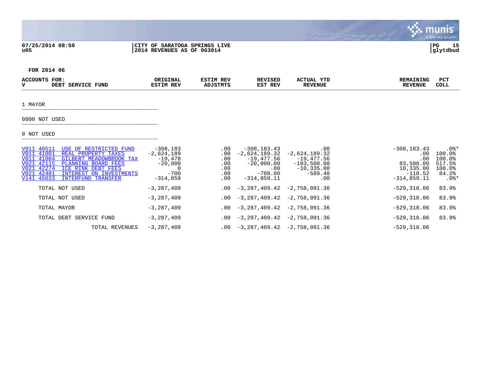### **07/25/2014 08:50 |CITY OF SARATOGA SPRINGS LIVE |PG 15 u05 |2014 REVENUES AS OF 063014 |glytdbud**



S. munis

**FOR 2014 06**

| ACCC<br><b>TT</b> | FOR<br>DEBT | "UND<br>$. \mathsf{m}$ D $\mathsf{v}$ | ORIG:<br>LANAL .<br><b>REV</b><br>--- | <b>DET</b><br>マセル<br>кв. | ISEI<br>יים ס<br>REV<br>更点更<br>- 60. | <b>CTUA)</b><br>YTL<br><b>REVENUE</b> | INC<br>. | PC.<br><b>COLL</b> |
|-------------------|-------------|---------------------------------------|---------------------------------------|--------------------------|--------------------------------------|---------------------------------------|----------|--------------------|
|                   |             |                                       |                                       |                          |                                      |                                       |          |                    |

1 MAYOR \_\_\_\_\_\_\_\_\_\_\_\_\_\_\_\_\_\_\_\_\_\_\_\_\_\_\_\_\_\_\_\_\_\_\_\_\_\_\_\_\_

# 0000 NOT USED \_\_\_\_\_\_\_\_\_\_\_\_\_\_\_\_\_\_\_\_\_\_\_\_\_\_\_\_\_\_\_\_\_\_\_\_\_\_\_\_\_

| V011 40511<br>USE OF RESTRICTED FUND<br>V011 41001<br>REAL PROPERTY TAXES<br>V011 41004<br>GILBERT MEADOWBROOK TAX<br>V021 42115<br>PLANNING BOARD FEES<br>V021 42274<br>ICE RINK DEBT FEES<br>V021 42401<br>INTEREST ON INVESTMENTS<br>V141 45033<br><b>INTERFUND TRANSFER</b> | $-308,183$<br>$-2,624,189$<br>$-19.478$<br>$-20.000$<br>$-700$<br>$-314,859$ | $.00 \,$<br>$.00 \,$<br>.00<br>.00<br>.00<br>.00<br>$.00 \,$ | $-308, 183.43$<br>$-2,624,189.32$<br>$-19.477.56$<br>$-20,000.00$<br>$.00 \,$<br>$-700.00$<br>$-314.859.11$ | .00<br>$-2,624,189.32$<br>$-19.477.56$<br>$-103,500.00$<br>$-10, 335.00$<br>$-589.48$<br>.00 | $-308, 183.43$<br>.00<br>.00<br>83,500.00<br>10,335.00<br>$-110.52$<br>$-314.859.11$ | $.0$ %*<br>100.0%<br>$100.0$ <sup>8</sup><br>517.5%<br>100.0%<br>84.2%<br>$.0$ %* |
|---------------------------------------------------------------------------------------------------------------------------------------------------------------------------------------------------------------------------------------------------------------------------------|------------------------------------------------------------------------------|--------------------------------------------------------------|-------------------------------------------------------------------------------------------------------------|----------------------------------------------------------------------------------------------|--------------------------------------------------------------------------------------|-----------------------------------------------------------------------------------|
| TOTAL NOT USED                                                                                                                                                                                                                                                                  | $-3,287,409$                                                                 |                                                              | $.00 -3.287.409.42$                                                                                         | -2,758,091.36                                                                                | $-529.318.06$                                                                        | 83.9%                                                                             |
| TOTAL NOT USED                                                                                                                                                                                                                                                                  | $-3,287,409$                                                                 |                                                              | $.00 - 3,287,409.42 - 2,758,091.36$                                                                         |                                                                                              | $-529.318.06$                                                                        | 83.9%                                                                             |
| TOTAL MAYOR                                                                                                                                                                                                                                                                     | $-3,287,409$                                                                 | .00                                                          | $-3.287.409.42 -2.758.091.36$                                                                               |                                                                                              | $-529.318.06$                                                                        | 83.9%                                                                             |
| TOTAL DEBT SERVICE FUND                                                                                                                                                                                                                                                         | $-3,287,409$                                                                 | .00                                                          | $-3, 287, 409.42$ $-2, 758, 091.36$                                                                         |                                                                                              | $-529,318.06$                                                                        | 83.9%                                                                             |
| TOTAL REVENUES                                                                                                                                                                                                                                                                  | $-3, 287, 409$                                                               |                                                              | $.00 - 3,287,409.42$                                                                                        | -2,758,091.36                                                                                | $-529, 318.06$                                                                       |                                                                                   |
|                                                                                                                                                                                                                                                                                 |                                                                              |                                                              |                                                                                                             |                                                                                              |                                                                                      |                                                                                   |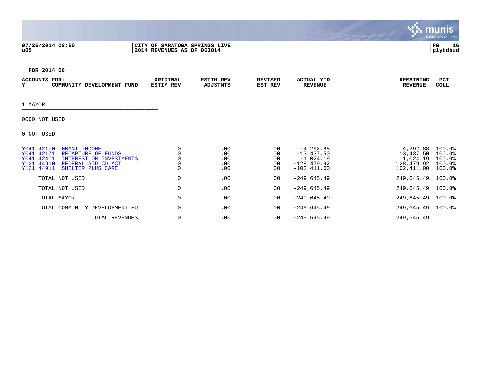|                                                                                                                                                                                                       |                                                             |                                     |                                 |                                                                                 |                                                               | <b>munis</b><br>a tyler erp solution           |
|-------------------------------------------------------------------------------------------------------------------------------------------------------------------------------------------------------|-------------------------------------------------------------|-------------------------------------|---------------------------------|---------------------------------------------------------------------------------|---------------------------------------------------------------|------------------------------------------------|
| 07/25/2014 08:50<br>u05                                                                                                                                                                               | CITY OF SARATOGA SPRINGS LIVE<br>2014 REVENUES AS OF 063014 |                                     |                                 |                                                                                 |                                                               | 16<br>  PG<br>glytdbud                         |
| FOR 2014 06                                                                                                                                                                                           |                                                             |                                     |                                 |                                                                                 |                                                               |                                                |
| <b>ACCOUNTS FOR:</b><br>Y<br>COMMUNITY DEVELOPMENT FUND                                                                                                                                               | ORIGINAL<br><b>ESTIM REV</b>                                | <b>ESTIM REV</b><br><b>ADJSTMTS</b> | <b>REVISED</b><br>EST REV       | ACTUAL YTD<br><b>REVENUE</b>                                                    | <b>REMAINING</b><br><b>REVENUE</b>                            | PCT<br><b>COLL</b>                             |
| 1 MAYOR                                                                                                                                                                                               |                                                             |                                     |                                 |                                                                                 |                                                               |                                                |
| 0000 NOT USED                                                                                                                                                                                         |                                                             |                                     |                                 |                                                                                 |                                                               |                                                |
| 0 NOT USED                                                                                                                                                                                            |                                                             |                                     |                                 |                                                                                 |                                                               |                                                |
| Y041 42170<br><b>GRANT INCOME</b><br>Y041 42171<br>RECAPTURE OF FUNDS<br>42401<br>INTEREST ON INVESTMENTS<br>Y041<br>44910<br>Y121<br>FEDERAL AID CD ACT<br>44911<br>SHELTER PLUS CARE<br><b>Y121</b> | 0<br>$\Omega$<br>0<br>0<br>$\Omega$                         | .00<br>.00<br>.00<br>.00<br>.00     | .00<br>.00<br>.00<br>.00<br>.00 | $-4,292.88$<br>$-13, 437.50$<br>$-1,024.19$<br>$-128, 479.92$<br>$-102, 411.00$ | 4,292.88<br>13,437.50<br>1,024.19<br>128,479.92<br>102,411.00 | 100.0%<br>100.0%<br>100.0%<br>100.0%<br>100.0% |
| TOTAL NOT USED                                                                                                                                                                                        | 0                                                           | .00                                 | .00                             | $-249,645.49$                                                                   | 249,645.49                                                    | 100.0%                                         |
| TOTAL NOT USED                                                                                                                                                                                        | 0                                                           | .00                                 | .00                             | $-249,645.49$                                                                   | 249,645.49                                                    | 100.0%                                         |
| TOTAL MAYOR                                                                                                                                                                                           | 0                                                           | .00                                 | .00                             | $-249,645.49$                                                                   | 249,645.49                                                    | 100.0%                                         |
| TOTAL COMMUNITY DEVELOPMENT FU                                                                                                                                                                        | 0                                                           | .00                                 | .00                             | $-249,645.49$                                                                   | 249,645.49                                                    | 100.0%                                         |
| TOTAL REVENUES                                                                                                                                                                                        | 0                                                           | .00                                 | .00                             | $-249,645.49$                                                                   | 249,645.49                                                    |                                                |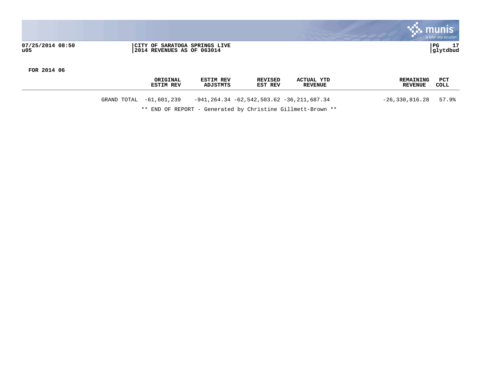|                         |                                                             | a tyler erp solution                       |
|-------------------------|-------------------------------------------------------------|--------------------------------------------|
| 07/25/2014 08:50<br>u05 | CITY OF SARATOGA SPRINGS LIVE<br>2014 REVENUES AS OF 063014 | 1.7<br>  PG<br><u>. на стр</u><br>glytdbud |

|             | ORIGINAL<br><b>ESTIM REV</b> | <b>ESTIM REV</b><br><b>ADJSTMTS</b> | <b>REVISED</b><br>EST REV                    | <b>ACTUAL YTD</b><br><b>REVENUE</b> | <b>REMAINING</b><br><b>REVENUE</b> | PCT<br>COLL |
|-------------|------------------------------|-------------------------------------|----------------------------------------------|-------------------------------------|------------------------------------|-------------|
| GRAND TOTAL | -61,601,239                  |                                     | $-941, 264.34 -62.542.503.62 -36.211.687.34$ |                                     | $-26,330,816.28$                   | 57.9%       |

\*\* END OF REPORT - Generated by Christine Gillmett-Brown \*\*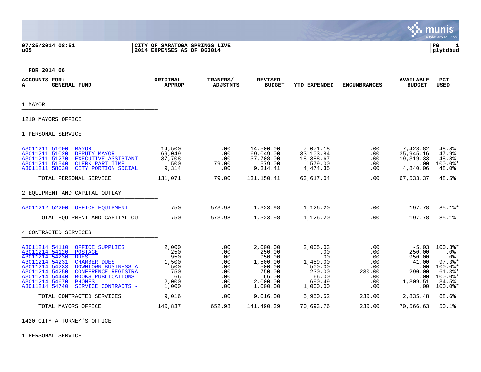**07/25/2014 08:51 |CITY OF SARATOGA SPRINGS LIVE |PG 1**

# **u05 |2014 EXPENSES AS OF 063014 |glytdbud**



. munis<sup>.</sup>

 $\mathcal{L}$ 

**FOR 2014 06**

| <b>ACCOUNTS FOR:</b><br><b>GENERAL FUND</b><br>A                                                                                                                                                                                                                                                                                                                    | ORIGINAL<br><b>APPROP</b>                                          | TRANFRS/<br><b>ADJSTMTS</b>                                 | <b>REVISED</b><br><b>BUDGET</b>                                                               | <b>YTD EXPENDED</b>                                                                   | <b>ENCUMBRANCES</b>                                             | <b>AVAILABLE</b><br><b>BUDGET</b>                                               | PCT<br><b>USED</b>                                                                                         |
|---------------------------------------------------------------------------------------------------------------------------------------------------------------------------------------------------------------------------------------------------------------------------------------------------------------------------------------------------------------------|--------------------------------------------------------------------|-------------------------------------------------------------|-----------------------------------------------------------------------------------------------|---------------------------------------------------------------------------------------|-----------------------------------------------------------------|---------------------------------------------------------------------------------|------------------------------------------------------------------------------------------------------------|
| 1 MAYOR                                                                                                                                                                                                                                                                                                                                                             |                                                                    |                                                             |                                                                                               |                                                                                       |                                                                 |                                                                                 |                                                                                                            |
| 1210 MAYORS OFFICE                                                                                                                                                                                                                                                                                                                                                  |                                                                    |                                                             |                                                                                               |                                                                                       |                                                                 |                                                                                 |                                                                                                            |
| 1 PERSONAL SERVICE                                                                                                                                                                                                                                                                                                                                                  |                                                                    |                                                             |                                                                                               |                                                                                       |                                                                 |                                                                                 |                                                                                                            |
| A3011211 51000<br><b>MAYOR</b><br>A3011211 51020<br>DEPUTY MAYOR<br>A3011211 51270<br>EXECUTIVE ASSISTANT<br>A3011211 51540<br><b>CLERK PART TIME</b><br>A3011211 58030<br>CITY PORTION SOCIAL                                                                                                                                                                      | 14,500<br>69,049<br>37,708<br>500<br>9,314                         | .00<br>.00<br>.00<br>79.00<br>.00                           | 14,500.00<br>69,049.00<br>37,708.00<br>579.00<br>9,314.41                                     | 7,071.18<br>33,103.84<br>18,388.67<br>579.00<br>4,474.35                              | .00<br>.00<br>.00<br>.00<br>.00                                 | 7,428.82<br>35,945.16<br>19,319.33<br>.00<br>4,840.06                           | 48.8%<br>47.9%<br>48.8%<br>$100.0$ *<br>48.0%                                                              |
| TOTAL PERSONAL SERVICE                                                                                                                                                                                                                                                                                                                                              | 131,071                                                            | 79.00                                                       | 131,150.41                                                                                    | 63,617.04                                                                             | .00                                                             | 67,533.37                                                                       | 48.5%                                                                                                      |
| 2 EOUIPMENT AND CAPITAL OUTLAY                                                                                                                                                                                                                                                                                                                                      |                                                                    |                                                             |                                                                                               |                                                                                       |                                                                 |                                                                                 |                                                                                                            |
| A3011212 52200<br>OFFICE EOUIPMENT                                                                                                                                                                                                                                                                                                                                  | 750                                                                | 573.98                                                      | 1,323.98                                                                                      | 1,126.20                                                                              | .00                                                             | 197.78                                                                          | $85.1$ %*                                                                                                  |
| TOTAL EQUIPMENT AND CAPITAL OU                                                                                                                                                                                                                                                                                                                                      | 750                                                                | 573.98                                                      | 1,323.98                                                                                      | 1,126.20                                                                              | .00                                                             | 197.78                                                                          | 85.1%                                                                                                      |
| 4 CONTRACTED SERVICES                                                                                                                                                                                                                                                                                                                                               |                                                                    |                                                             |                                                                                               |                                                                                       |                                                                 |                                                                                 |                                                                                                            |
| A3011214 54110<br>OFFICE SUPPLIES<br>A3011214 54120<br><b>POSTAGE</b><br>A3011214 54230<br><b>DUES</b><br>A3011214 54231<br><b>CHAMBER DUES</b><br>A3011214 54233<br>DOWNTOWN BUSINESS A<br>A3011214 54250<br><b>CONFERENCE REGISTRA</b><br>A3011214 54440<br><b>BOOKS PUBLICATIONS</b><br>A3011214 54670<br><b>PHONES</b><br>A3011214 54740<br>SERVICE CONTRACTS - | 2,000<br>250<br>950<br>1,500<br>500<br>750<br>66<br>2,000<br>1,000 | .00<br>.00<br>.00<br>.00<br>.00<br>.00<br>.00<br>.00<br>.00 | 2,000.00<br>250.00<br>950.00<br>1,500.00<br>500.00<br>750.00<br>66.00<br>2,000.00<br>1,000.00 | 2,005.03<br>.00<br>.00<br>1,459.00<br>500.00<br>230.00<br>66.00<br>690.49<br>1,000.00 | .00<br>.00<br>.00.<br>.00<br>.00<br>230.00<br>.00<br>.00<br>.00 | $-5.03$<br>250.00<br>950.00<br>41.00<br>.00<br>290.00<br>.00<br>1,309.51<br>.00 | 100.3%*<br>.0%<br>.0%<br>$97.3$ <sup>*</sup><br>$100.0$ *<br>$61.3$ $*$<br>$100.0$ *<br>34.5%<br>$100.0$ * |
| TOTAL CONTRACTED SERVICES                                                                                                                                                                                                                                                                                                                                           | 9,016                                                              | .00                                                         | 9,016.00                                                                                      | 5,950.52                                                                              | 230.00                                                          | 2,835.48                                                                        | 68.6%                                                                                                      |
| TOTAL MAYORS OFFICE                                                                                                                                                                                                                                                                                                                                                 | 140,837                                                            | 652.98                                                      | 141,490.39                                                                                    | 70,693.76                                                                             | 230.00                                                          | 70,566.63                                                                       | 50.1%                                                                                                      |

1420 CITY ATTORNEY'S OFFICE

1 PERSONAL SERVICE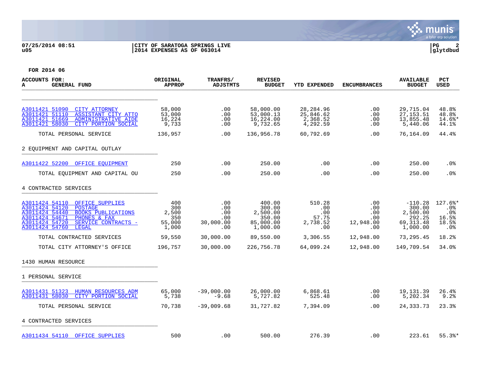### **07/25/2014 08:51 |CITY OF SARATOGA SPRINGS LIVE |PG 2 u05 |2014 EXPENSES AS OF 063014 |glytdbud**



| ACCOUNTS FOR:<br><b>GENERAL FUND</b><br>A                                                                                                                                                                                  | <b>ORIGINAL</b><br><b>APPROP</b>              | TRANFRS/<br><b>ADJSTMTS</b>                  | <b>REVISED</b><br><b>BUDGET</b>                                 | <b>YTD EXPENDED</b>                              | <b>ENCUMBRANCES</b>                               | <b>AVAILABLE</b><br><b>BUDGET</b>                                   | <b>PCT</b><br><b>USED</b>                                       |
|----------------------------------------------------------------------------------------------------------------------------------------------------------------------------------------------------------------------------|-----------------------------------------------|----------------------------------------------|-----------------------------------------------------------------|--------------------------------------------------|---------------------------------------------------|---------------------------------------------------------------------|-----------------------------------------------------------------|
|                                                                                                                                                                                                                            |                                               |                                              |                                                                 |                                                  |                                                   |                                                                     |                                                                 |
| A3011421 51090<br><b>CITY ATTORNEY</b><br>A3011421 51110<br>ASSISTANT CITY ATTO<br>A3011421 51669<br>ADMINISTRATIVE AIDE<br>A3011421 58030<br>CITY PORTION SOCIAL                                                          | 58,000<br>53,000<br>16,224<br>9,733           | .00<br>.00<br>.00<br>.00                     | 58,000.00<br>53,000.13<br>16,224.00<br>9,732.65                 | 28, 284.96<br>25,846.62<br>2,368.52<br>4,292.59  | .00<br>.00<br>$.00 \,$<br>.00                     | 29,715.04<br>27, 153.51<br>13,855.48<br>5,440.06                    | 48.8%<br>48.8%<br>14.6%*<br>44.1%                               |
| TOTAL PERSONAL SERVICE                                                                                                                                                                                                     | 136,957                                       | .00                                          | 136,956.78                                                      | 60,792.69                                        | .00                                               | 76,164.09                                                           | 44.4%                                                           |
| 2 EOUIPMENT AND CAPITAL OUTLAY                                                                                                                                                                                             |                                               |                                              |                                                                 |                                                  |                                                   |                                                                     |                                                                 |
| A3011422 52200<br>OFFICE EOUIPMENT                                                                                                                                                                                         | 250                                           | .00                                          | 250.00                                                          | .00                                              | .00                                               | 250.00                                                              | $.0\%$                                                          |
| TOTAL EQUIPMENT AND CAPITAL OU                                                                                                                                                                                             | 250                                           | .00                                          | 250.00                                                          | .00                                              | .00                                               | 250.00                                                              | .0%                                                             |
| 4 CONTRACTED SERVICES                                                                                                                                                                                                      |                                               |                                              |                                                                 |                                                  |                                                   |                                                                     |                                                                 |
| A3011424 54110<br>OFFICE SUPPLIES<br>A3011424 54120<br><b>POSTAGE</b><br>A3011424 54440<br><b>BOOKS PUBLICATIONS</b><br>A3011424 54671<br>PHONES & FAX<br>A3011424 54720<br>SERVICE CONTRACTS -<br>A3011424 54760<br>LEGAL | 400<br>300<br>2,500<br>350<br>55,000<br>1,000 | .00<br>.00<br>.00<br>.00<br>30,000.00<br>.00 | 400.00<br>300.00<br>2,500.00<br>350.00<br>85,000.00<br>1,000.00 | 510.28<br>.00<br>.00<br>57.75<br>2,738.52<br>.00 | .00<br>$.00 \,$<br>.00<br>.00<br>12,948.00<br>.00 | $-110.28$<br>300.00<br>2,500.00<br>292.25<br>69, 313.48<br>1,000.00 | $127.6$ *<br>$.0\%$<br>.0%<br>16.5%<br>18.5%<br>.0 <sub>8</sub> |
| TOTAL CONTRACTED SERVICES                                                                                                                                                                                                  | 59,550                                        | 30,000.00                                    | 89,550.00                                                       | 3,306.55                                         | 12,948.00                                         | 73,295.45                                                           | 18.2%                                                           |
| TOTAL CITY ATTORNEY'S OFFICE                                                                                                                                                                                               | 196,757                                       | 30,000.00                                    | 226,756.78                                                      | 64,099.24                                        | 12,948.00                                         | 149,709.54                                                          | 34.0%                                                           |
| 1430 HUMAN RESOURCE                                                                                                                                                                                                        |                                               |                                              |                                                                 |                                                  |                                                   |                                                                     |                                                                 |
| 1 PERSONAL SERVICE                                                                                                                                                                                                         |                                               |                                              |                                                                 |                                                  |                                                   |                                                                     |                                                                 |
| A3011431 51323<br>HUMAN RESOURCES ADM<br>A3011431 58030<br>CITY PORTION SOCIAL                                                                                                                                             | 65,000<br>5,738                               | $-39,000.00$<br>$-9.68$                      | 26,000.00<br>5,727.82                                           | 6,868.61<br>525.48                               | .00<br>.00                                        | 19,131.39<br>5,202.34                                               | 26.4%<br>9.2%                                                   |
| TOTAL PERSONAL SERVICE                                                                                                                                                                                                     | 70,738                                        | $-39,009.68$                                 | 31,727.82                                                       | 7,394.09                                         | .00                                               | 24, 333. 73                                                         | 23.3%                                                           |
| 4 CONTRACTED SERVICES                                                                                                                                                                                                      |                                               |                                              |                                                                 |                                                  |                                                   |                                                                     |                                                                 |
| A3011434 54110 OFFICE SUPPLIES                                                                                                                                                                                             | 500                                           | .00                                          | 500.00                                                          | 276.39                                           | .00                                               | 223.61                                                              | $55.3$ $*$                                                      |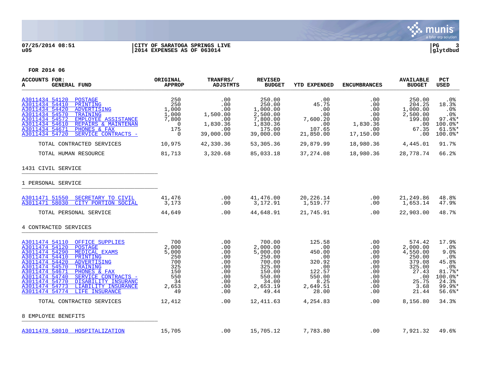

### **07/25/2014 08:51 |CITY OF SARATOGA SPRINGS LIVE |PG 3 u05 |2014 EXPENSES AS OF 063014 |glytdbud**

| ACCOUNTS FOR:<br>A<br><b>GENERAL FUND</b>                                                                                                                                                                                                                                                                                                                                                    | ORIGINAL<br>APPROP                                                               | TRANFRS/<br>ADJSTMTS                                                      | <b>REVISED</b><br><b>BUDGET</b>                                                                                | YTD EXPENDED                                                                                     | <b>ENCUMBRANCES</b>                                                                                  | <b>AVAILABLE</b><br><b>BUDGET</b>                                                                      | <b>PCT</b><br>USED                                                                                                     |
|----------------------------------------------------------------------------------------------------------------------------------------------------------------------------------------------------------------------------------------------------------------------------------------------------------------------------------------------------------------------------------------------|----------------------------------------------------------------------------------|---------------------------------------------------------------------------|----------------------------------------------------------------------------------------------------------------|--------------------------------------------------------------------------------------------------|------------------------------------------------------------------------------------------------------|--------------------------------------------------------------------------------------------------------|------------------------------------------------------------------------------------------------------------------------|
| A3011434 54120<br>POSTAGE<br>A3011434 54410<br>PRINTING<br>A3011434 54420<br>ADVERTISING<br>A3011434 54570<br>TRAINING<br>A3011434 54572<br><b>EMPLOYEE ASSISTANCE</b><br>A3011434 54610<br>REPAIRS & MAINTENAN<br>A3011434 54671<br>PHONES & FAX<br>SERVICE CONTRACTS -<br>A3011434 54720                                                                                                   | 250<br>250<br>1,000<br>1,000<br>7,800<br>$\overline{0}$<br>175<br>$\overline{0}$ | .00<br>.00<br>.00<br>1,500.00<br>.00<br>1,830.36<br>.00<br>39,000.00      | 250.00<br>250.00<br>1,000.00<br>2,500.00<br>7,800.00<br>1,830.36<br>175.00<br>39,000.00                        | $\,$ .00<br>45.75<br>.00<br>.00<br>7,600.20<br>.00<br>107.65<br>21,850.00                        | .00<br>$.00 \ \rm$<br>.00<br>.00<br>$.00\,$<br>1,830.36<br>.00<br>17,150.00                          | 250.00<br>204.25<br>1,000.00<br>2,500.00<br>199.80<br>$.00 \,$<br>67.35<br>.00                         | . 0 %<br>18.3%<br>$.0\%$<br>$.0\%$<br>$97.4$ <sup>*</sup><br>$100.0$ *<br>$61.5$ $*$<br>$100.0$ *                      |
| TOTAL CONTRACTED SERVICES                                                                                                                                                                                                                                                                                                                                                                    | 10,975                                                                           | 42,330.36                                                                 | 53,305.36                                                                                                      | 29,879.99                                                                                        | 18,980.36 4,445.01                                                                                   |                                                                                                        | 91.7%                                                                                                                  |
| TOTAL HUMAN RESOURCE                                                                                                                                                                                                                                                                                                                                                                         | 81,713                                                                           | 3,320.68                                                                  | 85,033.18                                                                                                      | 37, 274.08                                                                                       | 18,980.36 28,778.74                                                                                  |                                                                                                        | 66.2%                                                                                                                  |
| 1431 CIVIL SERVICE                                                                                                                                                                                                                                                                                                                                                                           |                                                                                  |                                                                           |                                                                                                                |                                                                                                  |                                                                                                      |                                                                                                        |                                                                                                                        |
| 1 PERSONAL SERVICE                                                                                                                                                                                                                                                                                                                                                                           |                                                                                  |                                                                           |                                                                                                                |                                                                                                  |                                                                                                      |                                                                                                        |                                                                                                                        |
| A3011471 51550 SECRETARY TO CIVIL<br>CITY PORTION SOCIAL<br>A3011471 58030                                                                                                                                                                                                                                                                                                                   | 41,476<br>3,173                                                                  | .00<br>.00                                                                | 41,476.00<br>3,172.91                                                                                          | 20,226.14<br>1,519.77                                                                            | .00<br>$.00 \,$                                                                                      | 21,249.86<br>1,653.14                                                                                  | 48.8%<br>47.9%                                                                                                         |
| TOTAL PERSONAL SERVICE                                                                                                                                                                                                                                                                                                                                                                       | 44,649                                                                           | .00                                                                       | 44,648.91                                                                                                      | 21,745.91                                                                                        | .00                                                                                                  | 22,903.00                                                                                              | 48.7%                                                                                                                  |
| 4 CONTRACTED SERVICES                                                                                                                                                                                                                                                                                                                                                                        |                                                                                  |                                                                           |                                                                                                                |                                                                                                  |                                                                                                      |                                                                                                        |                                                                                                                        |
| A3011474 54110 OFFICE SUPPLIES<br>A3011474 54120<br>POSTAGE<br>A3011474 54290<br>MEDICAL EXAMS<br>A3011474 54410<br>PRINTING<br>A3011474 54420<br>ADVERTISING<br>A3011474 54570<br>TRAINING<br>A3011474 54671<br>PHONES & FAX<br>A3011474 54740<br>SERVICE CONTRACTS -<br>A3011474 54770<br>DISABILITY INSURANC<br>A3011474 54773<br>LIABILITY INSURANCE<br>A3011474 54774<br>LIFE INSURANCE | 700<br>2,000<br>5,000<br>250<br>700<br>- 325<br>150<br>550<br>34<br>2,653<br>49  | .00<br>.00<br>.00<br>.00<br>.00<br>.00<br>.00<br>.00<br>.00<br>.00<br>.00 | 700.00<br>2,000.00<br>5,000.00<br>250.00<br>700.00<br>325.00<br>150.00<br>550.00<br>34.00<br>2,653.19<br>49.44 | 125.58<br>.00<br>450.00<br>.00<br>320.92<br>.00<br>122.57<br>550.00<br>8.25<br>2,649.51<br>28.00 | .00<br>.00<br>$.00 \,$<br>.00<br>.00<br>$.00 \ \,$<br>$.00 \,$<br>$.00 \,$<br>.00<br>$.00 \,$<br>.00 | 574.42<br>2,000.00<br>4,550.00<br>250.00<br>379.08<br>325.00<br>27.43<br>.00<br>25.75<br>3.68<br>21.44 | 17.9%<br>$.0\%$<br>9.0%<br>$.0\%$<br>45.8%<br>$.0\%$<br>81.7%*<br>100.0%*<br>24.3%<br>$99.9$ <sup>*</sup><br>$56.6$ %* |
| TOTAL CONTRACTED SERVICES                                                                                                                                                                                                                                                                                                                                                                    | 12,412                                                                           | .00                                                                       | 12,411.63                                                                                                      | 4,254.83                                                                                         | $.00\,$                                                                                              | 8,156.80                                                                                               | 34.3%                                                                                                                  |
| 8 EMPLOYEE BENEFITS                                                                                                                                                                                                                                                                                                                                                                          |                                                                                  |                                                                           |                                                                                                                |                                                                                                  |                                                                                                      |                                                                                                        |                                                                                                                        |
| A3011478 58010 HOSPITALIZATION                                                                                                                                                                                                                                                                                                                                                               | 15,705                                                                           | .00                                                                       | 15,705.12                                                                                                      | 7,783.80                                                                                         | $.00 \,$                                                                                             | 7,921.32                                                                                               | 49.6%                                                                                                                  |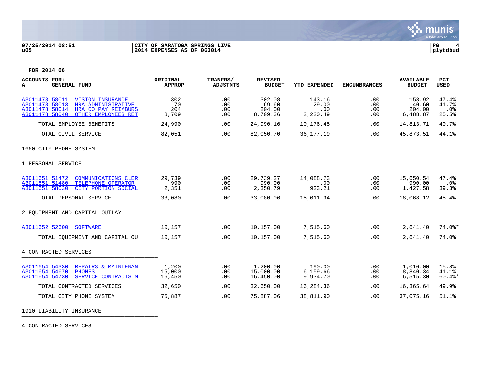

### **07/25/2014 08:51 |CITY OF SARATOGA SPRINGS LIVE |PG 4 u05 |2014 EXPENSES AS OF 063014 |glytdbud**



**FOR 2014 06**

| <b>ACCOUNTS FOR:</b><br><b>GENERAL FUND</b><br>A                                                                                                                    | ORIGINAL<br><b>APPROP</b> | TRANFRS/<br><b>ADJSTMTS</b> | <b>REVISED</b><br><b>BUDGET</b>       | <b>YTD EXPENDED</b>                | <b>ENCUMBRANCES</b>      | <b>AVAILABLE</b><br><b>BUDGET</b>     | <b>PCT</b><br><b>USED</b>         |
|---------------------------------------------------------------------------------------------------------------------------------------------------------------------|---------------------------|-----------------------------|---------------------------------------|------------------------------------|--------------------------|---------------------------------------|-----------------------------------|
| A3011478 58011<br><b>VISION INSURANCE</b><br>A3011478 58013<br>HRA ADMINISTRATIVE<br>HRA CO PAY REIMBURS<br>A3011478 58014<br>A3011478 58040<br>OTHER EMPLOYEES RET | 302<br>70<br>204<br>8,709 | .00<br>.00<br>.00<br>.00    | 302.08<br>69.60<br>204.00<br>8,709.36 | 143.16<br>29.00<br>.00<br>2,220.49 | .00<br>.00<br>.00<br>.00 | 158.92<br>40.60<br>204.00<br>6,488.87 | 47.4%<br>41.7%<br>$.0\%$<br>25.5% |
| TOTAL EMPLOYEE BENEFITS                                                                                                                                             | 24,990                    | .00                         | 24,990.16                             | 10,176.45                          | .00                      | 14,813.71                             | 40.7%                             |
| TOTAL CIVIL SERVICE                                                                                                                                                 | 82,051                    | .00                         | 82,050.70                             | 36, 177. 19                        | .00                      | 45,873.51                             | 44.1%                             |
| 1650 CITY PHONE SYSTEM                                                                                                                                              |                           |                             |                                       |                                    |                          |                                       |                                   |
| 1 PERSONAL SERVICE                                                                                                                                                  |                           |                             |                                       |                                    |                          |                                       |                                   |
| A3011651 51472<br><b>COMMUNICATIONS CLER</b><br>A3011651 51480<br>TELEPHONE OPERATOR<br>A3011651 58030<br>CITY PORTION SOCIAL                                       | 29,739<br>990<br>2,351    | .00<br>.00<br>.00           | 29,739.27<br>990.00<br>2,350.79       | 14,088.73<br>.00<br>923.21         | .00<br>.00<br>.00        | 15,650.54<br>990.00<br>1,427.58       | 47.4%<br>.0%<br>39.3%             |
| TOTAL PERSONAL SERVICE                                                                                                                                              | 33,080                    | .00                         | 33,080.06                             | 15,011.94                          | .00                      | 18,068.12                             | 45.4%                             |
| 2 EOUIPMENT AND CAPITAL OUTLAY                                                                                                                                      |                           |                             |                                       |                                    |                          |                                       |                                   |
| A3011652 52600 SOFTWARE                                                                                                                                             | 10,157                    | .00                         | 10,157.00                             | 7,515.60                           | .00                      | 2,641.40                              | $74.0$ <sup>*</sup>               |
| TOTAL EQUIPMENT AND CAPITAL OU                                                                                                                                      | 10,157                    | .00                         | 10,157.00                             | 7,515.60                           | .00                      | 2,641.40                              | 74.0%                             |
| 4 CONTRACTED SERVICES                                                                                                                                               |                           |                             |                                       |                                    |                          |                                       |                                   |
| A3011654 54330<br>REPAIRS & MAINTENAN<br>A3011654 54670<br><b>PHONES</b><br>A3011654 54730<br>SERVICE CONTRACTS M                                                   | 1,200<br>15,000<br>16,450 | .00<br>.00<br>.00           | 1,200.00<br>15,000.00<br>16,450.00    | 190.00<br>6,159.66<br>9,934.70     | .00<br>.00<br>.00        | 1,010.00<br>8,840.34<br>6,515.30      | 15.8%<br>41.1%<br>$60.4$ $*$      |
| TOTAL CONTRACTED SERVICES                                                                                                                                           | 32,650                    | .00                         | 32,650.00                             | 16,284.36                          | .00                      | 16,365.64                             | 49.9%                             |
| TOTAL CITY PHONE SYSTEM                                                                                                                                             | 75,887                    | .00                         | 75,887.06                             | 38,811.90                          | .00                      | 37,075.16                             | 51.1%                             |

1910 LIABILITY INSURANCE

4 CONTRACTED SERVICES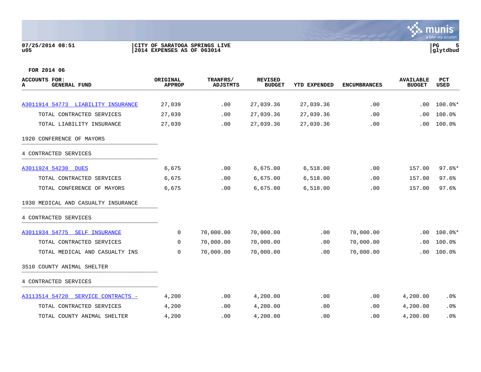### **07/25/2014 08:51 |CITY OF SARATOGA SPRINGS LIVE |PG 5 u05 |2014 EXPENSES AS OF 063014 |glytdbud**



| ACCOUNTS FOR:<br><b>GENERAL FUND</b><br>А | ORIGINAL<br><b>APPROP</b> | TRANFRS/<br><b>ADJSTMTS</b> | <b>REVISED</b><br><b>BUDGET</b> | <b>YTD EXPENDED</b> | <b>ENCUMBRANCES</b> | <b>AVAILABLE</b><br><b>BUDGET</b> | <b>PCT</b><br><b>USED</b> |
|-------------------------------------------|---------------------------|-----------------------------|---------------------------------|---------------------|---------------------|-----------------------------------|---------------------------|
|                                           |                           |                             |                                 |                     |                     |                                   |                           |
| A3011914 54773 LIABILITY INSURANCE        | 27,039                    | .00                         | 27,039.36                       | 27,039.36           | .00                 | .00                               | $100.0$ *                 |
| TOTAL CONTRACTED SERVICES                 | 27,039                    | .00                         | 27,039.36                       | 27,039.36           | .00                 | .00                               | 100.0%                    |
| TOTAL LIABILITY INSURANCE                 | 27,039                    | .00                         | 27,039.36                       | 27,039.36           | .00                 | .00                               | 100.0%                    |
| 1920 CONFERENCE OF MAYORS                 |                           |                             |                                 |                     |                     |                                   |                           |
| 4 CONTRACTED SERVICES                     |                           |                             |                                 |                     |                     |                                   |                           |
| A3011924 54230 DUES                       | 6,675                     | .00                         | 6,675.00                        | 6,518.00            | .00                 | 157.00                            | $97.6$ $*$                |
| TOTAL CONTRACTED SERVICES                 | 6,675                     | .00                         | 6,675.00                        | 6,518.00            | .00                 | 157.00                            | 97.6%                     |
| TOTAL CONFERENCE OF MAYORS                | 6,675                     | .00                         | 6,675.00                        | 6,518.00            | .00                 | 157.00                            | 97.6%                     |
| 1930 MEDICAL AND CASUALTY INSURANCE       |                           |                             |                                 |                     |                     |                                   |                           |
| 4 CONTRACTED SERVICES                     |                           |                             |                                 |                     |                     |                                   |                           |
| A3011934 54775 SELF INSURANCE             | 0                         | 70,000.00                   | 70,000.00                       | .00                 | 70,000.00           | .00                               | $100.0$ *                 |
| TOTAL CONTRACTED SERVICES                 | $\Omega$                  | 70,000.00                   | 70,000.00                       | .00                 | 70,000.00           | .00                               | 100.0%                    |
| TOTAL MEDICAL AND CASUALTY INS            | 0                         | 70,000.00                   | 70,000.00                       | .00                 | 70,000.00           | .00                               | 100.0%                    |
| 3510 COUNTY ANIMAL SHELTER                |                           |                             |                                 |                     |                     |                                   |                           |
| 4 CONTRACTED SERVICES                     |                           |                             |                                 |                     |                     |                                   |                           |
| A3113514 54720 SERVICE CONTRACTS -        | 4,200                     | .00                         | 4,200.00                        | .00                 | .00                 | 4,200.00                          | .0%                       |
| TOTAL CONTRACTED SERVICES                 | 4,200                     | .00                         | 4,200.00                        | .00                 | .00.                | 4,200.00                          | .0%                       |
| TOTAL COUNTY ANIMAL SHELTER               | 4,200                     | .00                         | 4,200.00                        | .00                 | .00                 | 4,200.00                          | .0%                       |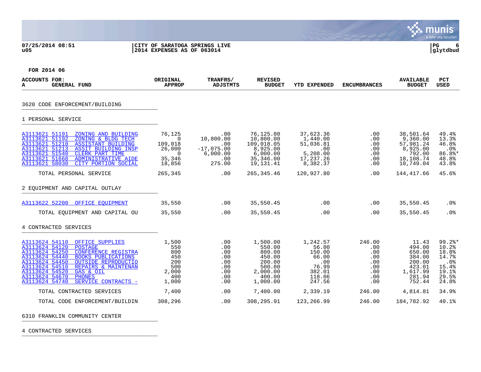### **07/25/2014 08:51 |CITY OF SARATOGA SPRINGS LIVE |PG 6 u05 |2014 EXPENSES AS OF 063014 |glytdbud**



**∵∴** munis

**FOR 2014 06**

| ACCOUNTS FOR:<br><b>GENERAL FUND</b><br>A                                                                                                                                                                                                                                                                                                                         | ORIGINAL<br><b>APPROP</b>                                               | TRANFRS/<br><b>ADJSTMTS</b>                                          | <b>REVISED</b><br><b>BUDGET</b>                                                              | <b>YTD EXPENDED</b>                                                                | <b>ENCUMBRANCES</b>                                                 | <b>AVAILABLE</b><br><b>BUDGET</b>                                                       | PCT<br><b>USED</b>                                                                        |
|-------------------------------------------------------------------------------------------------------------------------------------------------------------------------------------------------------------------------------------------------------------------------------------------------------------------------------------------------------------------|-------------------------------------------------------------------------|----------------------------------------------------------------------|----------------------------------------------------------------------------------------------|------------------------------------------------------------------------------------|---------------------------------------------------------------------|-----------------------------------------------------------------------------------------|-------------------------------------------------------------------------------------------|
| 3620 CODE ENFORCEMENT/BUILDING                                                                                                                                                                                                                                                                                                                                    |                                                                         |                                                                      |                                                                                              |                                                                                    |                                                                     |                                                                                         |                                                                                           |
| 1 PERSONAL SERVICE                                                                                                                                                                                                                                                                                                                                                |                                                                         |                                                                      |                                                                                              |                                                                                    |                                                                     |                                                                                         |                                                                                           |
| A3113621 51191<br>ZONING AND BUILDING<br>A3113621 51192<br>ZONING & BLDG TECH<br>A3113621 51210 ASSISTANT BUILDING<br>A3113621 51213<br>ASSIT BUILDING INSP<br>A3113621 51540<br><b>CLERK PART TIME</b><br>A3113621 51668<br>ADMINISTRATIVE AIDE<br>A3113621 58030<br>CITY PORTION SOCIAL                                                                         | 76,125<br>$\Omega$<br>109,018<br>26,000<br>$\sim$ 0<br>35,346<br>18,856 | .00<br>10,800.00<br>.00<br>$-17,075.00$<br>6,000.00<br>.00<br>275.00 | 76,125.00<br>10,800.00<br>109,018.05<br>8,925.00<br>6,000.00<br>35,346.00<br>19,131.41       | 37,623.36<br>1,440.00<br>51,036.81<br>.00<br>5,208.00<br>17,237.26<br>8,382.37     | .00<br>.00<br>.00<br>.00<br>.00<br>.00<br>.00                       | 38,501.64<br>9,360.00<br>57,981.24<br>8,925.00<br>792.00<br>18,108.74<br>10,749.04      | 49.4%<br>13.3%<br>46.8%<br>.0%<br>86.8%*<br>48.8%<br>43.8%                                |
| TOTAL PERSONAL SERVICE                                                                                                                                                                                                                                                                                                                                            | 265,345                                                                 | .00                                                                  | 265, 345.46                                                                                  | 120,927.80                                                                         | .00                                                                 | 144,417.66                                                                              | 45.6%                                                                                     |
| 2 EOUIPMENT AND CAPITAL OUTLAY                                                                                                                                                                                                                                                                                                                                    |                                                                         |                                                                      |                                                                                              |                                                                                    |                                                                     |                                                                                         |                                                                                           |
| A3113622 52200 OFFICE EOUIPMENT                                                                                                                                                                                                                                                                                                                                   | 35,550                                                                  | .00                                                                  | 35,550.45                                                                                    | $\sim$ 00                                                                          | .00                                                                 | 35,550.45                                                                               | $.0\%$                                                                                    |
| TOTAL EQUIPMENT AND CAPITAL OU                                                                                                                                                                                                                                                                                                                                    | 35,550                                                                  | .00                                                                  | 35,550.45                                                                                    | .00                                                                                | .00                                                                 | 35,550.45                                                                               | .0%                                                                                       |
| 4 CONTRACTED SERVICES                                                                                                                                                                                                                                                                                                                                             |                                                                         |                                                                      |                                                                                              |                                                                                    |                                                                     |                                                                                         |                                                                                           |
| A3113624 54110<br>OFFICE SUPPLIES<br>A3113624 54120<br><b>POSTAGE</b><br>A3113624 54250<br><b>CONFERENCE REGISTRA</b><br>A3113624 54440<br><b>BOOKS PUBLICATIONS</b><br>A3113624 54450<br>OUTSIDE REPRODUCTIO<br>A3113624 54510<br>REPAIRS & MAINTENAN<br>A3113624 54520<br>GAS & OIL<br>A3113624 54670<br><b>PHONES</b><br>A3113624 54740<br>SERVICE CONTRACTS - | 1,500<br>550<br>800<br>450<br>200<br>500<br>2,000<br>400<br>1,000       | .00<br>.00<br>.00<br>.00<br>.00<br>.00<br>.00<br>.00<br>.00          | 1,500.00<br>550.00<br>800.00<br>450.00<br>200.00<br>500.00<br>2,000.00<br>400.00<br>1,000.00 | 1,242.57<br>56.00<br>150.00<br>66.00<br>.00<br>76.99<br>382.01<br>118.06<br>247.56 | 246.00<br>.00<br>.00<br>$.00 \,$<br>.00<br>.00<br>.00<br>.00<br>.00 | 11.43<br>494.00<br>650.00<br>384.00<br>200.00<br>423.01<br>1,617.99<br>281.94<br>752.44 | $99.2$ <sup>*</sup><br>10.2%<br>18.8%<br>14.7%<br>.0%<br>15.4%<br>19.1%<br>29.5%<br>24.8% |
| TOTAL CONTRACTED SERVICES                                                                                                                                                                                                                                                                                                                                         | 7,400                                                                   | .00                                                                  | 7,400.00                                                                                     | 2,339.19                                                                           | 246.00                                                              | 4,814.81                                                                                | 34.9%                                                                                     |
| TOTAL CODE ENFORCEMENT/BUILDIN                                                                                                                                                                                                                                                                                                                                    | 308,296                                                                 | .00                                                                  | 308,295.91                                                                                   | 123,266.99                                                                         | 246.00                                                              | 184,782.92                                                                              | 40.1%                                                                                     |

6310 FRANKLIN COMMUNITY CENTER \_\_\_\_\_\_\_\_\_\_\_\_\_\_\_\_\_\_\_\_\_\_\_\_\_\_\_\_\_\_\_\_\_\_\_\_\_\_\_\_\_

4 CONTRACTED SERVICES \_\_\_\_\_\_\_\_\_\_\_\_\_\_\_\_\_\_\_\_\_\_\_\_\_\_\_\_\_\_\_\_\_\_\_\_\_\_\_\_\_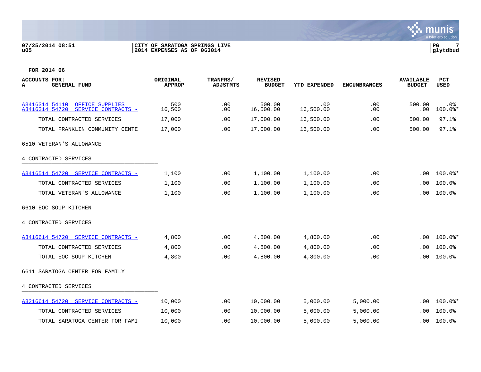### **07/25/2014 08:51 |CITY OF SARATOGA SPRINGS LIVE |PG 7 u05 |2014 EXPENSES AS OF 063014 |glytdbud**



| <b>ACCOUNTS FOR:</b><br><b>GENERAL FUND</b><br>А | ORIGINAL<br><b>APPROP</b> | <b>TRANFRS/</b><br><b>ADJSTMTS</b> | <b>REVISED</b><br><b>BUDGET</b> | YTD EXPENDED | <b>ENCUMBRANCES</b> | <b>AVAILABLE</b><br><b>BUDGET</b> | PCT<br><b>USED</b> |
|--------------------------------------------------|---------------------------|------------------------------------|---------------------------------|--------------|---------------------|-----------------------------------|--------------------|
| A3416314 54110<br>OFFICE SUPPLIES                | 500                       | .00                                | 500.00                          | .00          | .00                 | 500.00                            | $.0\%$             |
| A3416314 54720<br>SERVICE CONTRACTS -            | 16,500                    | .00                                | 16,500.00                       | 16,500.00    | .00                 | .00                               | $100.0$ *          |
| TOTAL CONTRACTED SERVICES                        | 17,000                    | .00                                | 17,000.00                       | 16,500.00    | .00                 | 500.00                            | 97.1%              |
| TOTAL FRANKLIN COMMUNITY CENTE                   | 17,000                    | .00                                | 17,000.00                       | 16,500.00    | .00                 | 500.00                            | 97.1%              |
| 6510 VETERAN'S ALLOWANCE                         |                           |                                    |                                 |              |                     |                                   |                    |
| 4 CONTRACTED SERVICES                            |                           |                                    |                                 |              |                     |                                   |                    |
| A3416514 54720 SERVICE CONTRACTS -               | 1,100                     | .00                                | 1,100.00                        | 1,100.00     | .00                 | .00                               | $100.0$ $*$        |
| TOTAL CONTRACTED SERVICES                        | 1,100                     | .00                                | 1,100.00                        | 1,100.00     | .00                 | .00                               | 100.0%             |
| TOTAL VETERAN'S ALLOWANCE                        | 1,100                     | .00                                | 1,100.00                        | 1,100.00     | .00                 | .00                               | 100.0%             |
| 6610 EOC SOUP KITCHEN                            |                           |                                    |                                 |              |                     |                                   |                    |
| 4 CONTRACTED SERVICES                            |                           |                                    |                                 |              |                     |                                   |                    |
| A3416614 54720 SERVICE CONTRACTS -               | 4,800                     | .00                                | 4,800.00                        | 4,800.00     | .00                 | .00                               | $100.0$ $*$        |
| TOTAL CONTRACTED SERVICES                        | 4,800                     | .00                                | 4,800.00                        | 4,800.00     | .00                 | .00                               | 100.0%             |
| TOTAL EOC SOUP KITCHEN                           | 4,800                     | .00                                | 4,800.00                        | 4,800.00     | .00                 | .00                               | 100.0%             |
| 6611 SARATOGA CENTER FOR FAMILY                  |                           |                                    |                                 |              |                     |                                   |                    |
| 4 CONTRACTED SERVICES                            |                           |                                    |                                 |              |                     |                                   |                    |
| A3216614 54720 SERVICE CONTRACTS -               | 10,000                    | .00                                | 10,000.00                       | 5,000.00     | 5,000.00            | .00                               | $100.0$ *          |
| TOTAL CONTRACTED SERVICES                        | 10,000                    | .00                                | 10,000.00                       | 5,000.00     | 5,000.00            | .00.                              | 100.0%             |
| TOTAL SARATOGA CENTER FOR FAMI                   | 10,000                    | .00                                | 10,000.00                       | 5,000.00     | 5,000.00            | .00                               | 100.0%             |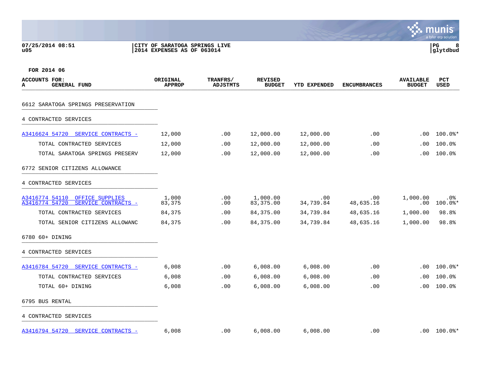### **07/25/2014 08:51 |CITY OF SARATOGA SPRINGS LIVE |PG 8 u05 |2014 EXPENSES AS OF 063014 |glytdbud**



| <b>ACCOUNTS FOR:</b><br><b>GENERAL FUND</b><br>А                           | ORIGINAL<br><b>APPROP</b> | TRANFRS/<br><b>ADJSTMTS</b> | <b>REVISED</b><br><b>BUDGET</b> | YTD EXPENDED     | <b>ENCUMBRANCES</b> | <b>AVAILABLE</b><br><b>BUDGET</b> | PCT<br><b>USED</b>         |
|----------------------------------------------------------------------------|---------------------------|-----------------------------|---------------------------------|------------------|---------------------|-----------------------------------|----------------------------|
| 6612 SARATOGA SPRINGS PRESERVATION                                         |                           |                             |                                 |                  |                     |                                   |                            |
| 4 CONTRACTED SERVICES                                                      |                           |                             |                                 |                  |                     |                                   |                            |
| A3416624 54720 SERVICE CONTRACTS -                                         | 12,000                    | .00                         | 12,000.00                       | 12,000.00        | .00                 | .00                               | $100.0$ $*$                |
| TOTAL CONTRACTED SERVICES                                                  | 12,000                    | .00                         | 12,000.00                       | 12,000.00        | .00                 | .00                               | 100.0%                     |
| TOTAL SARATOGA SPRINGS PRESERV                                             | 12,000                    | .00                         | 12,000.00                       | 12,000.00        | .00                 | .00                               | 100.0%                     |
| 6772 SENIOR CITIZENS ALLOWANCE                                             |                           |                             |                                 |                  |                     |                                   |                            |
| 4 CONTRACTED SERVICES                                                      |                           |                             |                                 |                  |                     |                                   |                            |
| A3416774 54110<br>OFFICE SUPPLIES<br>A3416774 54720<br>SERVICE CONTRACTS - | 1,000<br>83,375           | .00<br>$.00 \,$             | 1,000.00<br>83,375.00           | .00<br>34,739.84 | .00<br>48,635.16    | 1,000.00<br>.00                   | . 0%<br>$100.0$ *          |
| TOTAL CONTRACTED SERVICES                                                  | 84,375                    | .00                         | 84,375.00                       | 34,739.84        | 48,635.16           | 1,000.00                          | 98.8%                      |
| TOTAL SENIOR CITIZENS ALLOWANC                                             | 84,375                    | .00                         | 84, 375.00                      | 34,739.84        | 48,635.16           | 1,000.00                          | 98.8%                      |
| 6780 60+ DINING                                                            |                           |                             |                                 |                  |                     |                                   |                            |
| 4 CONTRACTED SERVICES                                                      |                           |                             |                                 |                  |                     |                                   |                            |
| A3416784 54720 SERVICE CONTRACTS -                                         | 6,008                     | .00                         | 6,008.00                        | 6,008.00         | .00                 | .00                               | $100.0$ *                  |
| TOTAL CONTRACTED SERVICES                                                  | 6,008                     | $.00 \,$                    | 6,008.00                        | 6,008.00         | .00                 | .00                               | 100.0%                     |
| TOTAL 60+ DINING                                                           | 6,008                     | .00                         | 6,008.00                        | 6,008.00         | .00                 | .00.                              | 100.0%                     |
| 6795 BUS RENTAL                                                            |                           |                             |                                 |                  |                     |                                   |                            |
| 4 CONTRACTED SERVICES                                                      |                           |                             |                                 |                  |                     |                                   |                            |
| A3416794 54720 SERVICE CONTRACTS -                                         | 6,008                     | .00                         | 6,008.00                        | 6,008.00         | .00                 |                                   | $.00$ $100.0$ <sup>*</sup> |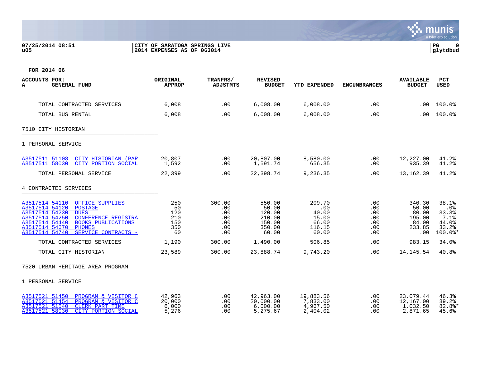### **07/25/2014 08:51 |CITY OF SARATOGA SPRINGS LIVE |PG 9 u05 |2014 EXPENSES AS OF 063014 |glytdbud**



| <b>ACCOUNTS FOR:</b><br><b>GENERAL FUND</b><br>A                                                                                                                                                                                                                                  | ORIGINAL<br><b>APPROP</b>                   | TRANFRS/<br><b>ADJSTMTS</b>                      | <b>REVISED</b><br><b>BUDGET</b>                                  | <b>YTD EXPENDED</b>                                         | <b>ENCUMBRANCES</b>                                     | <b>AVAILABLE</b><br><b>BUDGET</b>                            | <b>PCT</b><br><b>USED</b>                                  |
|-----------------------------------------------------------------------------------------------------------------------------------------------------------------------------------------------------------------------------------------------------------------------------------|---------------------------------------------|--------------------------------------------------|------------------------------------------------------------------|-------------------------------------------------------------|---------------------------------------------------------|--------------------------------------------------------------|------------------------------------------------------------|
|                                                                                                                                                                                                                                                                                   |                                             |                                                  |                                                                  |                                                             |                                                         |                                                              |                                                            |
| TOTAL CONTRACTED SERVICES                                                                                                                                                                                                                                                         | 6,008                                       | .00                                              | 6,008.00                                                         | 6,008.00                                                    | .00                                                     | .00                                                          | 100.0%                                                     |
| TOTAL BUS RENTAL                                                                                                                                                                                                                                                                  | 6,008                                       | .00                                              | 6,008.00                                                         | 6,008.00                                                    | .00                                                     | .00                                                          | 100.0%                                                     |
| 7510 CITY HISTORIAN                                                                                                                                                                                                                                                               |                                             |                                                  |                                                                  |                                                             |                                                         |                                                              |                                                            |
| 1 PERSONAL SERVICE                                                                                                                                                                                                                                                                |                                             |                                                  |                                                                  |                                                             |                                                         |                                                              |                                                            |
| A3517511 51108<br>CITY HISTORIAN (PAR<br>A3517511 58030<br>CITY PORTION SOCIAL                                                                                                                                                                                                    | 20,807<br>1,592                             | .00<br>.00                                       | 20,807.00<br>1,591.74                                            | 8,580.00<br>656.35                                          | .00<br>.00                                              | 12,227.00<br>935.39                                          | 41.2%<br>41.2%                                             |
| TOTAL PERSONAL SERVICE                                                                                                                                                                                                                                                            | 22,399                                      | .00                                              | 22,398.74                                                        | 9,236.35                                                    | .00                                                     | 13,162.39                                                    | 41.2%                                                      |
| 4 CONTRACTED SERVICES                                                                                                                                                                                                                                                             |                                             |                                                  |                                                                  |                                                             |                                                         |                                                              |                                                            |
| A3517514 54110<br>OFFICE SUPPLIES<br>A3517514 54120<br><b>POSTAGE</b><br>A3517514 54230<br><b>DUES</b><br>A3517514 54250<br><b>CONFERENCE REGISTRA</b><br>A3517514 54440<br><b>BOOKS PUBLICATIONS</b><br>A3517514 54670<br><b>PHONES</b><br>A3517514 54740<br>SERVICE CONTRACTS - | 250<br>50<br>120<br>210<br>150<br>350<br>60 | 300.00<br>.00<br>.00<br>.00<br>.00<br>.00<br>.00 | 550.00<br>50.00<br>120.00<br>210.00<br>150.00<br>350.00<br>60.00 | 209.70<br>.00<br>40.00<br>15.00<br>66.00<br>116.15<br>60.00 | $.00 \,$<br>.00<br>.00<br>.00<br>.00<br>.00<br>$.00 \,$ | 340.30<br>50.00<br>80.00<br>195.00<br>84.00<br>233.85<br>.00 | 38.1%<br>.0%<br>33.3%<br>7.1%<br>44.0%<br>33.2%<br>100.0%* |
| TOTAL CONTRACTED SERVICES                                                                                                                                                                                                                                                         | 1,190                                       | 300.00                                           | 1,490.00                                                         | 506.85                                                      | .00                                                     | 983.15                                                       | 34.0%                                                      |
| TOTAL CITY HISTORIAN                                                                                                                                                                                                                                                              | 23,589                                      | 300.00                                           | 23,888.74                                                        | 9,743.20                                                    | .00                                                     | 14, 145. 54                                                  | 40.8%                                                      |
| 7520 URBAN HERITAGE AREA PROGRAM                                                                                                                                                                                                                                                  |                                             |                                                  |                                                                  |                                                             |                                                         |                                                              |                                                            |
| 1 PERSONAL SERVICE                                                                                                                                                                                                                                                                |                                             |                                                  |                                                                  |                                                             |                                                         |                                                              |                                                            |
| A3517521 51450<br>PROGRAM & VISITOR C<br>A3517521 51454<br>PROGRAM & VISITOR C<br>A3517521 51540<br><b>CLERK PART TIME</b><br>A3517521 58030<br>CITY PORTION SOCIAL                                                                                                               | 42,963<br>20,000<br>6,000<br>5,276          | .00<br>.00<br>.00<br>.00                         | 42,963.00<br>20,000.00<br>6,000.00<br>5,275.67                   | 19,883.56<br>7,833.00<br>4,967.50<br>2,404.02               | .00<br>.00<br>.00<br>.00                                | 23,079.44<br>12,167.00<br>1,032.50<br>2,871.65               | 46.3%<br>39.2%<br>$82.8$ *<br>45.6%                        |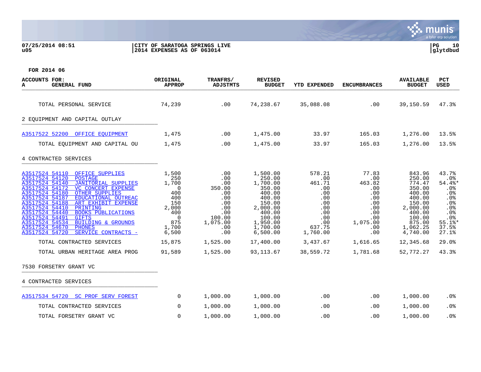### **07/25/2014 08:51 |CITY OF SARATOGA SPRINGS LIVE |PG 10 u05 |2014 EXPENSES AS OF 063014 |glytdbud**

| ACCOUNTS FOR:<br><b>GENERAL FUND</b><br>А                                                                                                                                                                                                                                                                                                                                                                                                                                                                                                                                                                      | ORIGINAL<br><b>APPROP</b>                                                                                                                   | TRANFRS/<br><b>ADJSTMTS</b>                                                                                                | <b>REVISED</b><br><b>BUDGET</b>                                                                                                                                      | <b>YTD EXPENDED</b>                                                                                                            | <b>ENCUMBRANCES</b>                                                                                                       | <b>AVAILABLE</b><br><b>BUDGET</b>                                                                                                                              | <b>PCT</b><br><b>USED</b>                                                                                                   |
|----------------------------------------------------------------------------------------------------------------------------------------------------------------------------------------------------------------------------------------------------------------------------------------------------------------------------------------------------------------------------------------------------------------------------------------------------------------------------------------------------------------------------------------------------------------------------------------------------------------|---------------------------------------------------------------------------------------------------------------------------------------------|----------------------------------------------------------------------------------------------------------------------------|----------------------------------------------------------------------------------------------------------------------------------------------------------------------|--------------------------------------------------------------------------------------------------------------------------------|---------------------------------------------------------------------------------------------------------------------------|----------------------------------------------------------------------------------------------------------------------------------------------------------------|-----------------------------------------------------------------------------------------------------------------------------|
| TOTAL PERSONAL SERVICE                                                                                                                                                                                                                                                                                                                                                                                                                                                                                                                                                                                         | 74,239                                                                                                                                      | .00                                                                                                                        | 74,238.67                                                                                                                                                            | 35,088.08                                                                                                                      | .00                                                                                                                       | 39,150.59                                                                                                                                                      | 47.3%                                                                                                                       |
| 2 EQUIPMENT AND CAPITAL OUTLAY                                                                                                                                                                                                                                                                                                                                                                                                                                                                                                                                                                                 |                                                                                                                                             |                                                                                                                            |                                                                                                                                                                      |                                                                                                                                |                                                                                                                           |                                                                                                                                                                |                                                                                                                             |
| A3517522 52200 OFFICE EQUIPMENT                                                                                                                                                                                                                                                                                                                                                                                                                                                                                                                                                                                | 1,475                                                                                                                                       | .00                                                                                                                        | 1,475.00                                                                                                                                                             | 33.97                                                                                                                          | 165.03                                                                                                                    | 1,276.00                                                                                                                                                       | 13.5%                                                                                                                       |
| TOTAL EQUIPMENT AND CAPITAL OU                                                                                                                                                                                                                                                                                                                                                                                                                                                                                                                                                                                 | 1,475                                                                                                                                       | .00                                                                                                                        | 1,475.00                                                                                                                                                             | 33.97                                                                                                                          | 165.03                                                                                                                    | 1,276.00                                                                                                                                                       | 13.5%                                                                                                                       |
| 4 CONTRACTED SERVICES                                                                                                                                                                                                                                                                                                                                                                                                                                                                                                                                                                                          |                                                                                                                                             |                                                                                                                            |                                                                                                                                                                      |                                                                                                                                |                                                                                                                           |                                                                                                                                                                |                                                                                                                             |
| A3517524 54110<br>OFFICE SUPPLIES<br>A3517524 54120<br><b>POSTAGE</b><br>A3517524 54140<br><b>JANITORIAL SUPPLIES</b><br>A3517524 54172<br><b>VC CONCERT EXPENSE</b><br>A3517524 54180<br><b>OTHER SUPPLIES</b><br>A3517524 54187<br>EDUCATIONAL OUTREAC<br>A3517524 54188<br>ART EXHIBIT EXPENSE<br>A3517524 54410<br>PRINTING<br>A3517524 54440<br><b>BOOKS PUBLICATIONS</b><br>A3517524 54491<br><b>GIFTS</b><br>A3517524 54534<br><b>BUILDING &amp; GROUNDS</b><br>A3517524 54670<br><b>PHONES</b><br>A3517524 54720<br>SERVICE CONTRACTS -<br>TOTAL CONTRACTED SERVICES<br>TOTAL URBAN HERITAGE AREA PROG | 1,500<br>250<br>1,700<br>$\overline{0}$<br>400<br>400<br>150<br>2,000<br>400<br>$\overline{0}$<br>875<br>1,700<br>6,500<br>15,875<br>91,589 | .00<br>.00<br>.00<br>350.00<br>.00<br>.00<br>.00<br>.00<br>.00<br>100.00<br>1,075.00<br>.00<br>.00<br>1,525.00<br>1,525.00 | 1,500.00<br>250.00<br>1,700.00<br>350.00<br>400.00<br>400.00<br>150.00<br>2,000.00<br>400.00<br>100.00<br>1,950.00<br>1,700.00<br>6,500.00<br>17,400.00<br>93,113.67 | 578.21<br>.00<br>461.71<br>.00<br>.00<br>.00<br>.00<br>.00<br>.00<br>.00<br>.00<br>637.75<br>1,760.00<br>3,437.67<br>38,559.72 | 77.83<br>.00<br>463.82<br>.00<br>.00<br>.00<br>.00<br>.00<br>.00<br>.00<br>1,075.00<br>.00<br>.00<br>1,616.65<br>1,781.68 | 843.96<br>250.00<br>774.47<br>350.00<br>400.00<br>400.00<br>150.00<br>2,000.00<br>400.00<br>100.00<br>875.00<br>1,062.25<br>4,740.00<br>12,345.68<br>52,772.27 | 43.7%<br>.0%<br>54.4%*<br>.0%<br>$.0\%$<br>.0%<br>.0%<br>.0%<br>.0%<br>.0%<br>$55.1$ %*<br>37.5%<br>27.1%<br>29.0%<br>43.3% |
| 7530 FORSETRY GRANT VC                                                                                                                                                                                                                                                                                                                                                                                                                                                                                                                                                                                         |                                                                                                                                             |                                                                                                                            |                                                                                                                                                                      |                                                                                                                                |                                                                                                                           |                                                                                                                                                                |                                                                                                                             |
| 4 CONTRACTED SERVICES                                                                                                                                                                                                                                                                                                                                                                                                                                                                                                                                                                                          |                                                                                                                                             |                                                                                                                            |                                                                                                                                                                      |                                                                                                                                |                                                                                                                           |                                                                                                                                                                |                                                                                                                             |
| A3517534 54720 SC PROF SERV FOREST                                                                                                                                                                                                                                                                                                                                                                                                                                                                                                                                                                             | $\overline{0}$                                                                                                                              | 1,000.00                                                                                                                   | 1,000.00                                                                                                                                                             | .00                                                                                                                            | .00                                                                                                                       | 1,000.00                                                                                                                                                       | .0%                                                                                                                         |
| TOTAL CONTRACTED SERVICES                                                                                                                                                                                                                                                                                                                                                                                                                                                                                                                                                                                      | $\mathbf 0$                                                                                                                                 | 1,000.00                                                                                                                   | 1,000.00                                                                                                                                                             | .00                                                                                                                            | .00                                                                                                                       | 1,000.00                                                                                                                                                       | .0%                                                                                                                         |
| TOTAL FORSETRY GRANT VC                                                                                                                                                                                                                                                                                                                                                                                                                                                                                                                                                                                        | 0                                                                                                                                           | 1,000.00                                                                                                                   | 1,000.00                                                                                                                                                             | .00                                                                                                                            | .00                                                                                                                       | 1,000.00                                                                                                                                                       | .0%                                                                                                                         |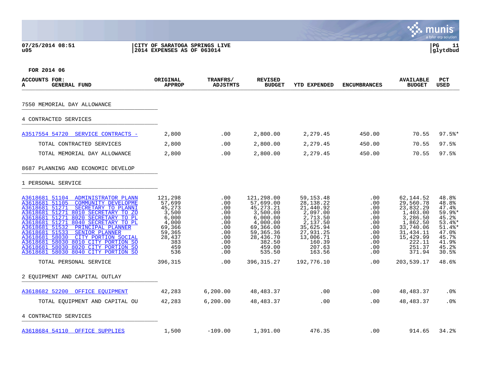### **07/25/2014 08:51 |CITY OF SARATOGA SPRINGS LIVE |PG 11 u05 |2014 EXPENSES AS OF 063014 |glytdbud**



| ACCOUNTS FOR:<br><b>GENERAL FUND</b><br>А                                                                                                                                                                                                                                                                                                                                                                                                                                                                              | ORIGINAL<br><b>APPROP</b>                                                                                            | <b>TRANFRS/</b><br><b>ADJSTMTS</b>                                                           | <b>REVISED</b><br><b>BUDGET</b>                                                                                                                                | YTD EXPENDED                                                                                                                                                   | <b>ENCUMBRANCES</b>                                                                     | <b>AVAILABLE</b><br><b>BUDGET</b>                                                                                                                          | PCT<br><b>USED</b>                                                                                                           |
|------------------------------------------------------------------------------------------------------------------------------------------------------------------------------------------------------------------------------------------------------------------------------------------------------------------------------------------------------------------------------------------------------------------------------------------------------------------------------------------------------------------------|----------------------------------------------------------------------------------------------------------------------|----------------------------------------------------------------------------------------------|----------------------------------------------------------------------------------------------------------------------------------------------------------------|----------------------------------------------------------------------------------------------------------------------------------------------------------------|-----------------------------------------------------------------------------------------|------------------------------------------------------------------------------------------------------------------------------------------------------------|------------------------------------------------------------------------------------------------------------------------------|
| 7550 MEMORIAL DAY ALLOWANCE                                                                                                                                                                                                                                                                                                                                                                                                                                                                                            |                                                                                                                      |                                                                                              |                                                                                                                                                                |                                                                                                                                                                |                                                                                         |                                                                                                                                                            |                                                                                                                              |
| 4 CONTRACTED SERVICES                                                                                                                                                                                                                                                                                                                                                                                                                                                                                                  |                                                                                                                      |                                                                                              |                                                                                                                                                                |                                                                                                                                                                |                                                                                         |                                                                                                                                                            |                                                                                                                              |
| A3517554 54720 SERVICE CONTRACTS -                                                                                                                                                                                                                                                                                                                                                                                                                                                                                     | 2,800                                                                                                                | .00                                                                                          | 2,800.00                                                                                                                                                       | 2,279.45                                                                                                                                                       | 450.00                                                                                  | 70.55                                                                                                                                                      | $97.5$ *                                                                                                                     |
| TOTAL CONTRACTED SERVICES                                                                                                                                                                                                                                                                                                                                                                                                                                                                                              | 2,800                                                                                                                | .00                                                                                          | 2,800.00                                                                                                                                                       | 2,279.45                                                                                                                                                       | 450.00                                                                                  | 70.55                                                                                                                                                      | 97.5%                                                                                                                        |
| TOTAL MEMORIAL DAY ALLOWANCE                                                                                                                                                                                                                                                                                                                                                                                                                                                                                           | 2,800                                                                                                                | $.00 \,$                                                                                     | 2,800.00                                                                                                                                                       | 2,279.45                                                                                                                                                       | 450.00                                                                                  | 70.55                                                                                                                                                      | 97.5%                                                                                                                        |
| 8687 PLANNING AND ECONOMIC DEVELOP                                                                                                                                                                                                                                                                                                                                                                                                                                                                                     |                                                                                                                      |                                                                                              |                                                                                                                                                                |                                                                                                                                                                |                                                                                         |                                                                                                                                                            |                                                                                                                              |
| 1 PERSONAL SERVICE                                                                                                                                                                                                                                                                                                                                                                                                                                                                                                     |                                                                                                                      |                                                                                              |                                                                                                                                                                |                                                                                                                                                                |                                                                                         |                                                                                                                                                            |                                                                                                                              |
| A3618681 51104<br>ADMINISTRATOR PLANN<br>A3618681 51105<br><b>COMMUNITY DEVELOPME</b><br>A3618681 51271<br>SECRETARY TO PLANNI<br>A3618681 51271 8010 SECRETARY TO ZO<br>A3618681 51271 8020 SECRETARY TO PL<br>A3618681 51271 8040 SECRETARY TO PL<br>A3618681 51532<br>PRINCIPAL PLANNER<br>A3618681 51533<br>SENIOR PLANNER<br>A3618681 58030<br>CITY PORTION SOCIAL<br>A3618681 58030 8010 CITY PORTION SO<br>A3618681 58030 8020 CITY PORTION SO<br>A3618681 58030 8040 CITY PORTION SO<br>TOTAL PERSONAL SERVICE | 121,298<br>57,699<br>45,273<br>3,500<br>6,000<br>4,000<br>69,366<br>59,365<br>28,437<br>383<br>459<br>536<br>396,315 | .00<br>.00<br>.00<br>.00<br>.00<br>.00<br>.00<br>.00<br>.00<br>.00<br>.00<br>.00<br>$.00 \,$ | 121,298.00<br>57,699.00<br>45, 273. 21<br>3,500.00<br>6,000.00<br>4,000.00<br>69,366.00<br>59,365.36<br>28,436.70<br>382.50<br>459.00<br>535.50<br>396, 315.27 | 59, 153. 48<br>28, 138. 22<br>21,440.92<br>2,097.00<br>2,713.50<br>2,137.50<br>35,625.94<br>27,931.25<br>13,006.71<br>160.39<br>207.63<br>163.56<br>192,776.10 | .00<br>.00<br>.00<br>.00<br>.00<br>.00<br>.00<br>.00<br>.00<br>.00<br>.00<br>.00<br>.00 | 62,144.52<br>29,560.78<br>23,832.29<br>1,403.00<br>3,286.50<br>1,862.50<br>33,740.06<br>31,434.11<br>15,429.99<br>222.11<br>251.37<br>371.94<br>203,539.17 | 48.8%<br>48.8%<br>47.4%<br>$59.9$ %*<br>45.2%<br>$53.4$ *<br>$51.4$ %*<br>47.0%<br>45.7%<br>41.9%<br>45.2%<br>30.5%<br>48.6% |
|                                                                                                                                                                                                                                                                                                                                                                                                                                                                                                                        |                                                                                                                      |                                                                                              |                                                                                                                                                                |                                                                                                                                                                |                                                                                         |                                                                                                                                                            |                                                                                                                              |
| 2 EOUIPMENT AND CAPITAL OUTLAY                                                                                                                                                                                                                                                                                                                                                                                                                                                                                         |                                                                                                                      |                                                                                              |                                                                                                                                                                |                                                                                                                                                                |                                                                                         |                                                                                                                                                            |                                                                                                                              |
| A3618682 52200<br>OFFICE EOUIPMENT                                                                                                                                                                                                                                                                                                                                                                                                                                                                                     | 42,283                                                                                                               | 6, 200.00                                                                                    | 48, 483. 37                                                                                                                                                    | .00                                                                                                                                                            | .00                                                                                     | 48,483.37                                                                                                                                                  | $.0\%$                                                                                                                       |
| TOTAL EQUIPMENT AND CAPITAL OU                                                                                                                                                                                                                                                                                                                                                                                                                                                                                         | 42,283                                                                                                               | 6, 200.00                                                                                    | 48, 483. 37                                                                                                                                                    | .00                                                                                                                                                            | .00                                                                                     | 48, 483. 37                                                                                                                                                | .0%                                                                                                                          |
| 4 CONTRACTED SERVICES                                                                                                                                                                                                                                                                                                                                                                                                                                                                                                  |                                                                                                                      |                                                                                              |                                                                                                                                                                |                                                                                                                                                                |                                                                                         |                                                                                                                                                            |                                                                                                                              |
| A3618684 54110 OFFICE SUPPLIES                                                                                                                                                                                                                                                                                                                                                                                                                                                                                         | 1,500                                                                                                                | $-109.00$                                                                                    | 1,391.00                                                                                                                                                       | 476.35                                                                                                                                                         | .00                                                                                     | 914.65                                                                                                                                                     | 34.2%                                                                                                                        |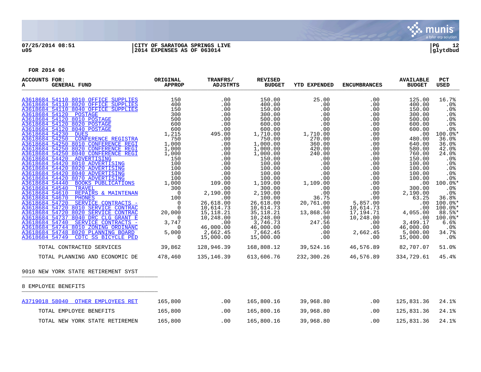

### **07/25/2014 08:51 |CITY OF SARATOGA SPRINGS LIVE |PG 12 u05 |2014 EXPENSES AS OF 063014 |glytdbud**

| ACCOUNTS FOR:<br><b>GENERAL FUND</b><br>A                                                                                                                                        | ORIGINAL<br><b>APPROP</b>                                                                                                | TRANFRS/<br>ADJSTMTS                                               | <b>REVISED</b><br><b>BUDGET</b>                             | YTD EXPENDED                                                                                           | <b>ENCUMBRANCES</b>                        | <b>AVAILABLE</b><br><b>BUDGET</b>              | PCT<br>USED                                         |
|----------------------------------------------------------------------------------------------------------------------------------------------------------------------------------|--------------------------------------------------------------------------------------------------------------------------|--------------------------------------------------------------------|-------------------------------------------------------------|--------------------------------------------------------------------------------------------------------|--------------------------------------------|------------------------------------------------|-----------------------------------------------------|
| A3618684 54110 8010 OFFICE SUPPLIES<br>A3618684 54110 8020 OFFICE SUPPLIES<br>A3618684 54110 8040 OFFICE SUPPLIES<br>A3618684 54120 POSTAGE                                      | $\begin{array}{c} 150 \\ 400 \\ 150 \\ 300 \end{array}$<br>300                                                           | .00<br>.00<br>.00<br>.00                                           | 150.00<br>400.00<br>150.00<br>300.00                        | 25.00<br>.00<br>.00<br>.00                                                                             | $.00 \,$<br>.00<br>.00<br>.00              | 125.00<br>400.00<br>150.00<br>300.00           | 16.7%<br>$.0\%$<br>.0%<br>.0%                       |
| A3618684 54120 8010 POSTAGE<br>A3618684 54120 8020 POSTAGE<br>A3618684 54120 8040 POSTAGE<br>A3618684 54230<br><b>DUES</b>                                                       | $500$<br>$600$<br>600<br>1,215                                                                                           | .00<br>.00<br>$.00$<br>00.195.99                                   | 500.00<br>600.00<br>600.00<br>1,710.00                      | .00<br>.00<br>.00<br>1,710.00                                                                          | $.00 \,$<br>.00<br>.00<br>.00              | 500.00<br>600.00<br>600.00<br>.00              | $.0\%$<br>.0%<br>.0%<br>$100.0$ *                   |
| A3618684 54250<br>CONFERENCE REGISTRA<br>A3618684 54250 8010 CONFERENCE REGI<br>A3618684 54250 8020 CONFERENCE REGI<br>A3618684 54250 8040 CONFERENCE REGI                       | 750<br>1,000<br>$1,000$<br>$1,000$                                                                                       | $495.0$<br>$-00$<br>$-00$<br>$-00$<br>$-0$<br>$-0$<br>$-0$<br>$-0$ | 750.00<br>1,000.00<br>1,000.00<br>1,000.00                  | 270.00<br>360.00<br>420.00<br>240.00                                                                   | .00<br>.00<br>.00<br>.00                   | 480.00<br>640.00<br>580.00<br>760.00           | 36.0%<br>36.0%<br>42.0%<br>24.0%                    |
| A3618684 54420<br>ADVERTISING<br>A3618684 54420 8010 ADVERTISING<br>A3618684 54420 8020 ADVERTISING<br>A3618684 54420 8040 ADVERTISING                                           | $\begin{array}{c} \frac{1}{2000} & 1,000 \\ 150 \\ 100 \\ 100 \\ 100 \\ \underline{18} \\ 1,000 \\ 1,000 \\ \end{array}$ | .00<br>.00<br>.00                                                  | 150.00<br>100.00<br>100.00<br>100.00                        | .00<br>.00<br>.00<br>.00                                                                               | .00<br>.00<br>.00<br>.00                   | 150.00<br>100.00<br>100.00<br>100.00           | $.0\%$<br>.0%<br>.0%<br>$.0\%$                      |
| A3618684 54420 8070 ADVERTISING<br>A3618684 54440 BOOKS PUBLICATIONS<br>A3618684 54540 TRAVEL<br>A3618684 54610 REPAIRS & MAINTENAN                                              |                                                                                                                          | .00<br>109.00<br>.00<br>2,190.00                                   | 100.00<br>1,109.00<br>300.00<br>2,190.00                    | .00<br>1,109.00<br>$\frac{.00}{.00}$                                                                   | .00<br>.00<br>$0.00$<br>$0.00$             | 100.00<br>.00<br>300.00<br>2,190.00            | .0%<br>100.0%*<br>.0%<br>$.0\%$                     |
| A3618684 54670 PHONES<br>A3618684 54720 SERVICE CONTRACTS -<br>A3618684 54720 8010 SERVICE CONTRAC<br>A3618684 54720 8020 SERVICE CONTRAC<br>A3618684 54737 8040 DRC CLG GRANT E | $\begin{array}{r} 1,000 \ 300 \ 0 \ 100 \ 0 \ 0 \end{array}$<br>20,000<br>$\overline{0}$                                 | .00<br>26,618.00<br>10,614.73<br>15, 118. 21<br>10,248.00          | 100.00<br>26,618.00<br>10,614.73<br>35, 118.21<br>10,248.00 | 36.75<br>20,761.00<br>.00<br>13,868.50                                                                 |                                            | 63.25<br>.00<br>.00<br>4,055.00<br>.00         | 36.8%<br>100.0%*<br>100.0%*<br>$88.5$ %*<br>100.0%* |
| A3618684 54740 SERVICE CONTRACTS -<br>A3618684 54744 8010 ZONING ORDINANC<br>A3618684 54748 8020 PLANNING BOARD<br>A3618684 54749<br>CDTC SS BICYCLE PED                         | 3,747<br>$\overline{0}$<br>5,000<br>$\overline{0}$                                                                       | $\sim 00$<br>46,000.00<br>2,662.45<br>15,000.00                    | 3,746.73<br>46,000.00<br>7,662.45<br>15,000.00              | $\begin{array}{c} .00 \\ 247.56 \end{array}$<br>$\begin{array}{c} . & 00 \\ . & 00 \end{array}$<br>.00 | .00<br>$2,662.\widetilde{45}$<br>.00       | 3,499.17<br>46,000.00<br>5,000.00<br>15,000.00 | 6.6%<br>$.0\%$<br>34.7%<br>$.0\%$                   |
| TOTAL CONTRACTED SERVICES                                                                                                                                                        | 39,862                                                                                                                   | 128,946.39                                                         |                                                             | 168,808.12 39,524.16 46,576.89                                                                         |                                            | 82,707.07                                      | 51.0%                                               |
| TOTAL PLANNING AND ECONOMIC DE 478,460                                                                                                                                           |                                                                                                                          |                                                                    |                                                             |                                                                                                        | 135,146.39 613,606.76 232,300.26 46,576.89 | 334,729.61                                     | 45.4%                                               |
| 9010 NEW YORK STATE RETIREMENT SYST                                                                                                                                              |                                                                                                                          |                                                                    |                                                             |                                                                                                        |                                            |                                                |                                                     |
| 8 EMPLOYEE BENEFITS                                                                                                                                                              |                                                                                                                          |                                                                    |                                                             |                                                                                                        |                                            |                                                |                                                     |
| A3719018 58040 OTHER EMPLOYEES RET                                                                                                                                               | 165,800                                                                                                                  | .00                                                                | 165,800.16                                                  | 39,968.80                                                                                              | .00                                        | 125,831.36                                     | 24.1%                                               |
| TOTAL EMPLOYEE BENEFITS                                                                                                                                                          | 165,800                                                                                                                  | .00                                                                | 165,800.16                                                  | 39,968.80                                                                                              | .00                                        | 125,831.36                                     | 24.1%                                               |
| TOTAL NEW YORK STATE RETIREMEN                                                                                                                                                   | 165,800                                                                                                                  | .00                                                                | 165,800.16                                                  | 39,968.80                                                                                              | .00                                        | 125,831.36                                     | 24.1%                                               |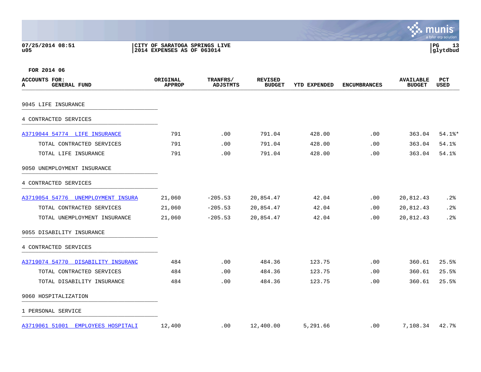**07/25/2014 08:51 |CITY OF SARATOGA SPRINGS LIVE |PG 13 u05 |2014 EXPENSES AS OF 063014 |glytdbud**



| ACCOUNTS FOR:<br><b>GENERAL FUND</b><br>A | ORIGINAL<br><b>APPROP</b> | TRANFRS/<br>ADJSTMTS | <b>REVISED</b><br><b>BUDGET</b> | <b>YTD EXPENDED</b> | <b>ENCUMBRANCES</b> | <b>AVAILABLE</b><br><b>BUDGET</b> | PCT<br><b>USED</b> |
|-------------------------------------------|---------------------------|----------------------|---------------------------------|---------------------|---------------------|-----------------------------------|--------------------|
| 9045 LIFE INSURANCE                       |                           |                      |                                 |                     |                     |                                   |                    |
| 4 CONTRACTED SERVICES                     |                           |                      |                                 |                     |                     |                                   |                    |
| A3719044 54774 LIFE INSURANCE             | 791                       | .00                  | 791.04                          | 428.00              | .00                 | 363.04                            | $54.1$ $*$         |
| TOTAL CONTRACTED SERVICES                 | 791                       | .00                  | 791.04                          | 428.00              | .00                 | 363.04                            | 54.1%              |
| TOTAL LIFE INSURANCE                      | 791                       | .00                  | 791.04                          | 428.00              | .00                 | 363.04                            | 54.1%              |
| 9050 UNEMPLOYMENT INSURANCE               |                           |                      |                                 |                     |                     |                                   |                    |
| 4 CONTRACTED SERVICES                     |                           |                      |                                 |                     |                     |                                   |                    |
| A3719054 54776 UNEMPLOYMENT INSURA        | 21,060                    | $-205.53$            | 20,854.47                       | 42.04               | .00                 | 20,812.43                         | .2%                |
| TOTAL CONTRACTED SERVICES                 | 21,060                    | $-205.53$            | 20,854.47                       | 42.04               | .00                 | 20,812.43                         | .2%                |
| TOTAL UNEMPLOYMENT INSURANCE              | 21,060                    | $-205.53$            | 20,854.47                       | 42.04               | .00                 | 20,812.43                         | .2%                |
| 9055 DISABILITY INSURANCE                 |                           |                      |                                 |                     |                     |                                   |                    |
| 4 CONTRACTED SERVICES                     |                           |                      |                                 |                     |                     |                                   |                    |
| A3719074 54770 DISABILITY INSURANC        | 484                       | .00                  | 484.36                          | 123.75              | .00                 | 360.61                            | 25.5%              |
| TOTAL CONTRACTED SERVICES                 | 484                       | .00                  | 484.36                          | 123.75              | .00                 | 360.61                            | 25.5%              |
| TOTAL DISABILITY INSURANCE                | 484                       | .00                  | 484.36                          | 123.75              | .00                 | 360.61                            | 25.5%              |
| 9060 HOSPITALIZATION                      |                           |                      |                                 |                     |                     |                                   |                    |
| 1 PERSONAL SERVICE                        |                           |                      |                                 |                     |                     |                                   |                    |
| A3719061 51001<br>EMPLOYEES HOSPITALI     | 12,400                    | $.00 \,$             | 12,400.00                       | 5,291.66            | .00                 | 7,108.34                          | 42.7%              |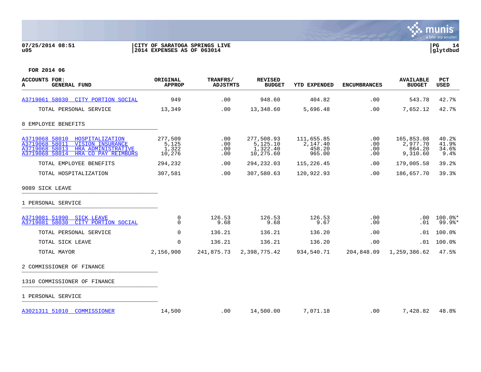### **07/25/2014 08:51 |CITY OF SARATOGA SPRINGS LIVE |PG 14 u05 |2014 EXPENSES AS OF 063014 |glytdbud**



| <b>ACCOUNTS FOR:</b><br><b>GENERAL FUND</b><br>A                                                                                                                | ORIGINAL<br><b>APPROP</b>           | TRANFRS/<br><b>ADJSTMTS</b> | <b>REVISED</b><br><b>BUDGET</b>                 | <b>YTD EXPENDED</b>                        | <b>ENCUMBRANCES</b>      | <b>AVAILABLE</b><br><b>BUDGET</b>            | <b>PCT</b><br><b>USED</b>        |
|-----------------------------------------------------------------------------------------------------------------------------------------------------------------|-------------------------------------|-----------------------------|-------------------------------------------------|--------------------------------------------|--------------------------|----------------------------------------------|----------------------------------|
| A3719061 58030 CITY PORTION SOCIAL                                                                                                                              | 949                                 | .00                         | 948.60                                          | 404.82                                     | .00                      | 543.78                                       | 42.7%                            |
| TOTAL PERSONAL SERVICE                                                                                                                                          | 13,349                              | .00                         | 13,348.60                                       | 5,696.48                                   | .00                      | 7,652.12                                     | 42.7%                            |
| 8 EMPLOYEE BENEFITS                                                                                                                                             |                                     |                             |                                                 |                                            |                          |                                              |                                  |
| A3719068 58010<br>HOSPITALIZATION<br>A3719068 58011<br><b>VISION INSURANCE</b><br>A3719068 58013<br>HRA ADMINISTRATIVE<br>A3719068 58014<br>HRA CO PAY REIMBURS | 277,509<br>5,125<br>1,322<br>10,276 | .00<br>.00<br>.00<br>.00    | 277,508.93<br>5,125.10<br>1,322.40<br>10,275.60 | 111,655.85<br>2,147.40<br>458.20<br>965.00 | .00<br>.00<br>.00<br>.00 | 165,853.08<br>2,977.70<br>864.20<br>9,310.60 | 40.2%<br>41.9%<br>34.6%<br>9.4%  |
| TOTAL EMPLOYEE BENEFITS                                                                                                                                         | 294,232                             | .00                         | 294, 232.03                                     | 115,226.45                                 | .00                      | 179,005.58                                   | 39.2%                            |
| TOTAL HOSPITALIZATION                                                                                                                                           | 307,581                             | .00                         | 307,580.63                                      | 120,922.93                                 | .00                      | 186,657.70                                   | 39.3%                            |
| 9089 SICK LEAVE                                                                                                                                                 |                                     |                             |                                                 |                                            |                          |                                              |                                  |
| 1 PERSONAL SERVICE                                                                                                                                              |                                     |                             |                                                 |                                            |                          |                                              |                                  |
| A3719081 51990<br><b>SICK LEAVE</b><br>A3719081 58030<br>CITY PORTION SOCIAL                                                                                    | 0<br>$\Omega$                       | 126.53<br>9.68              | 126.53<br>9.68                                  | 126.53<br>9.67                             | .00<br>.00               | .00<br>.01                                   | $100.0$ *<br>$99.9$ <sup>*</sup> |
| TOTAL PERSONAL SERVICE                                                                                                                                          | $\Omega$                            | 136.21                      | 136.21                                          | 136.20                                     | .00                      | .01                                          | 100.0%                           |
| TOTAL SICK LEAVE                                                                                                                                                | $\mathbf 0$                         | 136.21                      | 136.21                                          | 136.20                                     | .00                      | .01                                          | 100.0%                           |
| TOTAL MAYOR                                                                                                                                                     | 2,156,900                           | 241,875.73                  | 2,398,775.42                                    | 934,540.71                                 | 204,848.09               | 1,259,386.62                                 | 47.5%                            |
| 2 COMMISSIONER OF FINANCE                                                                                                                                       |                                     |                             |                                                 |                                            |                          |                                              |                                  |
| 1310 COMMISSIONER OF FINANCE                                                                                                                                    |                                     |                             |                                                 |                                            |                          |                                              |                                  |
| 1 PERSONAL SERVICE                                                                                                                                              |                                     |                             |                                                 |                                            |                          |                                              |                                  |
| A3021311 51010 COMMISSIONER                                                                                                                                     | 14,500                              | .00                         | 14,500.00                                       | 7,071.18                                   | .00                      | 7,428.82                                     | 48.8%                            |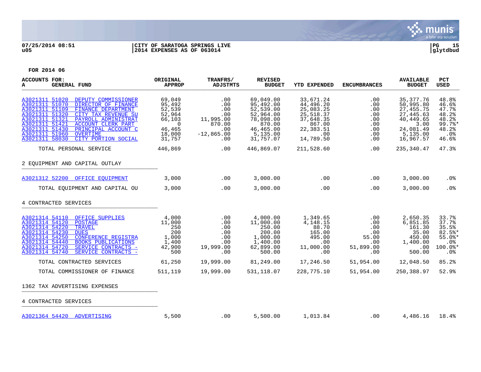

### **07/25/2014 08:51 |CITY OF SARATOGA SPRINGS LIVE |PG 15 u05 |2014 EXPENSES AS OF 063014 |glytdbud**

| <b>ACCOUNTS FOR:</b><br><b>GENERAL FUND</b><br>A                                                                                                                                                                                                                                                                                                                               | ORIGINAL<br><b>APPROP</b>                                                                | TRANFRS/<br><b>ADJSTMTS</b>                                                   | <b>REVISED</b><br><b>BUDGET</b>                                                                               | <b>YTD EXPENDED</b>                                                                                      | <b>ENCUMBRANCES</b>                                          | <b>AVAILABLE</b><br><b>BUDGET</b>                                                                              | PCT<br><b>USED</b>                                                          |
|--------------------------------------------------------------------------------------------------------------------------------------------------------------------------------------------------------------------------------------------------------------------------------------------------------------------------------------------------------------------------------|------------------------------------------------------------------------------------------|-------------------------------------------------------------------------------|---------------------------------------------------------------------------------------------------------------|----------------------------------------------------------------------------------------------------------|--------------------------------------------------------------|----------------------------------------------------------------------------------------------------------------|-----------------------------------------------------------------------------|
| A3021311 51020<br>DEPUTY COMMISSIONER<br>A3021311 51070<br>DIRECTOR OF FINANCE<br>A3021311 51109<br>FINANCE DEPARTMENT<br>A3021311 51320<br>CITY TAX REVENUE SU<br>A3021311 51321<br>PAYROLL ADMINISTRAT<br>A3021311 51421<br><b>ACCOUNT CLERK PART</b><br>A3021311 51430<br>PRINCIPAL ACCOUNT C<br>A3021311 51960<br><b>OVERTIME</b><br>A3021311 58030<br>CITY PORTION SOCIAL | 69,049<br>95,492<br>52,539<br>52,964<br>66,103<br>$\Omega$<br>46,465<br>18,000<br>31,757 | .00<br>.00<br>.00<br>.00<br>11,995.00<br>870.00<br>.00<br>$-12,865.00$<br>.00 | 69,049.00<br>95,492.00<br>52,539.00<br>52,964.00<br>78,098.00<br>870.00<br>46,465.00<br>5,135.00<br>31,757.07 | 33,671.24<br>44,496.20<br>25,083.25<br>25,518.37<br>37,648.35<br>867.00<br>22,383.51<br>.00<br>14,789.50 | .00<br>.00<br>.00<br>.00<br>.00<br>.00<br>.00<br>.00<br>.00. | 35, 377. 76<br>50,995.80<br>27,455.75<br>27, 445.63<br>40,449.65<br>3.00<br>24,081.49<br>5,135.00<br>16,967.57 | 48.8%<br>46.6%<br>47.7%<br>48.2%<br>48.2%<br>99.7%<br>48.2%<br>.0%<br>46.6% |
| TOTAL PERSONAL SERVICE                                                                                                                                                                                                                                                                                                                                                         | 446,869                                                                                  | .00                                                                           | 446,869.07                                                                                                    | 211,528.60                                                                                               | .00                                                          | 235, 340.47                                                                                                    | 47.3%                                                                       |
| 2 EOUIPMENT AND CAPITAL OUTLAY                                                                                                                                                                                                                                                                                                                                                 |                                                                                          |                                                                               |                                                                                                               |                                                                                                          |                                                              |                                                                                                                |                                                                             |
| A3021312 52200 OFFICE EOUIPMENT                                                                                                                                                                                                                                                                                                                                                | 3,000                                                                                    | .00                                                                           | 3,000.00                                                                                                      | .00                                                                                                      | .00                                                          | 3,000.00                                                                                                       | .0 <sub>8</sub>                                                             |
| TOTAL EQUIPMENT AND CAPITAL OU                                                                                                                                                                                                                                                                                                                                                 | 3,000                                                                                    | .00                                                                           | 3,000.00                                                                                                      | .00                                                                                                      | .00                                                          | 3,000.00                                                                                                       | .0%                                                                         |
| 4 CONTRACTED SERVICES                                                                                                                                                                                                                                                                                                                                                          |                                                                                          |                                                                               |                                                                                                               |                                                                                                          |                                                              |                                                                                                                |                                                                             |
| A3021314 54110 OFFICE SUPPLIES<br>A3021314 54120<br><b>POSTAGE</b><br>A3021314 54220<br><b>TRAVEL</b><br>A3021314 54230<br><b>DUES</b><br>A3021314 54250<br><b>CONFERENCE REGISTRA</b><br>A3021314 54440<br><b>BOOKS PUBLICATIONS</b><br>A3021314 54720<br>SERVICE CONTRACTS -<br>A3021314 54740<br>SERVICE CONTRACTS -                                                        | 4,000<br>11,000<br>250<br>200<br>1,000<br>1,400<br>42,900<br>500                         | .00<br>.00<br>.00<br>.00<br>.00<br>.00<br>19,999.00<br>.00                    | 4,000.00<br>11,000.00<br>250.00<br>200.00<br>1,000.00<br>1,400.00<br>62,899.00<br>500.00                      | 1,349.65<br>4,148.15<br>88.70<br>165.00<br>495.00<br>.00<br>11,000.00<br>.00                             | .00<br>.00<br>.00<br>.00<br>55.00<br>.00<br>51,899.00<br>.00 | 2,650.35<br>6,851.85<br>161.30<br>35.00<br>450.00<br>1,400.00<br>.00<br>500.00                                 | 33.7%<br>37.7%<br>35.5%<br>$82.5$ *<br>$55.0$ *<br>.0%<br>100.0%*<br>.0%    |
| TOTAL CONTRACTED SERVICES                                                                                                                                                                                                                                                                                                                                                      | 61,250                                                                                   | 19,999.00                                                                     | 81,249.00                                                                                                     | 17,246.50                                                                                                | 51,954.00                                                    | 12,048.50                                                                                                      | 85.2%                                                                       |
| TOTAL COMMISSIONER OF FINANCE                                                                                                                                                                                                                                                                                                                                                  | 511,119                                                                                  | 19,999.00                                                                     | 531,118.07                                                                                                    | 228,775.10                                                                                               | 51,954.00                                                    | 250,388.97                                                                                                     | 52.9%                                                                       |
| 1362 TAX ADVERTISING EXPENSES                                                                                                                                                                                                                                                                                                                                                  |                                                                                          |                                                                               |                                                                                                               |                                                                                                          |                                                              |                                                                                                                |                                                                             |
| 4 CONTRACTED SERVICES                                                                                                                                                                                                                                                                                                                                                          |                                                                                          |                                                                               |                                                                                                               |                                                                                                          |                                                              |                                                                                                                |                                                                             |
| A3021364 54420 ADVERTISING                                                                                                                                                                                                                                                                                                                                                     | 5,500                                                                                    | .00                                                                           | 5,500.00                                                                                                      | 1,013.84                                                                                                 | .00                                                          | 4,486.16                                                                                                       | 18.4%                                                                       |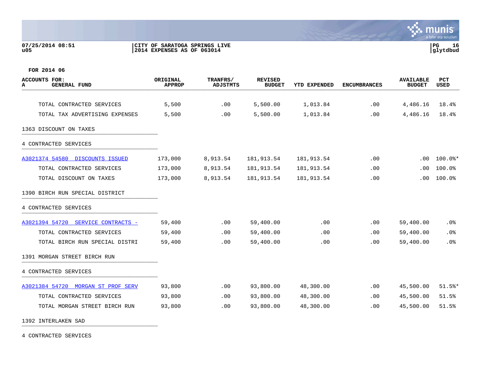### **07/25/2014 08:51 |CITY OF SARATOGA SPRINGS LIVE |PG 16 u05 |2014 EXPENSES AS OF 063014 |glytdbud**



**FOR 2014 06**

| <b>ACCOUNTS FOR:</b><br><b>GENERAL FUND</b><br>A | ORIGINAL<br><b>APPROP</b> | TRANFRS/<br><b>ADJSTMTS</b> | <b>REVISED</b><br><b>BUDGET</b> | YTD EXPENDED | <b>ENCUMBRANCES</b> | <b>AVAILABLE</b><br><b>BUDGET</b> | <b>PCT</b><br>USED |
|--------------------------------------------------|---------------------------|-----------------------------|---------------------------------|--------------|---------------------|-----------------------------------|--------------------|
|                                                  |                           |                             |                                 |              |                     |                                   |                    |
| TOTAL CONTRACTED SERVICES                        | 5,500                     | .00                         | 5,500.00                        | 1,013.84     | .00                 | 4,486.16                          | 18.4%              |
| TOTAL TAX ADVERTISING EXPENSES                   | 5,500                     | .00                         | 5,500.00                        | 1,013.84     | .00                 | 4,486.16                          | 18.4%              |
| 1363 DISCOUNT ON TAXES                           |                           |                             |                                 |              |                     |                                   |                    |
| 4 CONTRACTED SERVICES                            |                           |                             |                                 |              |                     |                                   |                    |
| A3021374 54580 DISCOUNTS ISSUED                  | 173,000                   | 8,913.54                    | 181,913.54                      | 181,913.54   | .00                 | .00                               | $100.0$ $*$        |
| TOTAL CONTRACTED SERVICES                        | 173,000                   | 8,913.54                    | 181, 913.54                     | 181,913.54   | .00                 | .00                               | 100.0%             |
| TOTAL DISCOUNT ON TAXES                          | 173,000                   | 8,913.54                    | 181, 913.54                     | 181,913.54   | .00                 | .00                               | 100.0%             |
| 1390 BIRCH RUN SPECIAL DISTRICT                  |                           |                             |                                 |              |                     |                                   |                    |
| 4 CONTRACTED SERVICES                            |                           |                             |                                 |              |                     |                                   |                    |
| A3021394 54720 SERVICE CONTRACTS -               | 59,400                    | .00                         | 59,400.00                       | .00          | .00                 | 59,400.00                         | .0 <sub>8</sub>    |
| TOTAL CONTRACTED SERVICES                        | 59,400                    | .00                         | 59,400.00                       | .00          | .00                 | 59,400.00                         | .0%                |
| TOTAL BIRCH RUN SPECIAL DISTRI                   | 59,400                    | .00                         | 59,400.00                       | .00          | .00                 | 59,400.00                         | .0%                |
| 1391 MORGAN STREET BIRCH RUN                     |                           |                             |                                 |              |                     |                                   |                    |
| 4 CONTRACTED SERVICES                            |                           |                             |                                 |              |                     |                                   |                    |
| A3021384 54720 MORGAN ST PROF SERV               | 93,800                    | .00                         | 93,800.00                       | 48,300.00    | .00                 | 45,500.00                         | $51.5$ *           |
| TOTAL CONTRACTED SERVICES                        | 93,800                    | .00                         | 93,800.00                       | 48,300.00    | .00                 | 45,500.00                         | 51.5%              |
| TOTAL MORGAN STREET BIRCH RUN                    | 93,800                    | .00                         | 93,800.00                       | 48,300.00    | .00                 | 45,500.00                         | 51.5%              |

1392 INTERLAKEN SAD \_\_\_\_\_\_\_\_\_\_\_\_\_\_\_\_\_\_\_\_\_\_\_\_\_\_\_\_\_\_\_\_\_\_\_\_\_\_\_\_\_

4 CONTRACTED SERVICES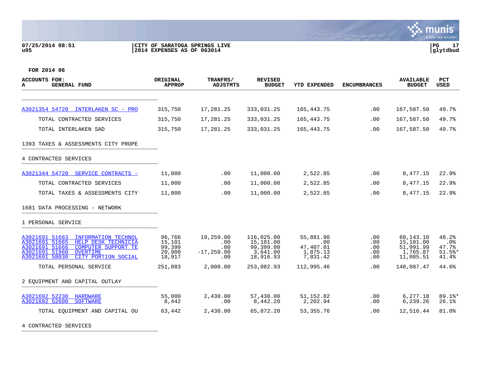### **07/25/2014 08:51 |CITY OF SARATOGA SPRINGS LIVE |PG 17 u05 |2014 EXPENSES AS OF 063014 |glytdbud**



**FOR 2014 06**

| ACCOUNTS FOR:<br><b>GENERAL FUND</b><br>A                                                                                                                                                                    | ORIGINAL<br><b>APPROP</b>                      | TRANFRS/<br><b>ADJSTMTS</b>                     | <b>REVISED</b><br><b>BUDGET</b>                               | YTD EXPENDED                                          | <b>ENCUMBRANCES</b>                       | <b>AVAILABLE</b><br><b>BUDGET</b>                            | <b>PCT</b><br><b>USED</b>                  |
|--------------------------------------------------------------------------------------------------------------------------------------------------------------------------------------------------------------|------------------------------------------------|-------------------------------------------------|---------------------------------------------------------------|-------------------------------------------------------|-------------------------------------------|--------------------------------------------------------------|--------------------------------------------|
|                                                                                                                                                                                                              |                                                |                                                 |                                                               |                                                       |                                           |                                                              |                                            |
| A3021354 54720<br>INTERLAKEN SC - PRO                                                                                                                                                                        | 315,750                                        | 17,281.25                                       | 333,031.25                                                    | 165,443.75                                            | .00                                       | 167,587.50                                                   | 49.7%                                      |
| TOTAL CONTRACTED SERVICES                                                                                                                                                                                    | 315,750                                        | 17,281.25                                       | 333,031.25                                                    | 165,443.75                                            | .00                                       | 167,587.50                                                   | 49.7%                                      |
| TOTAL INTERLAKEN SAD                                                                                                                                                                                         | 315,750                                        | 17,281.25                                       | 333,031.25                                                    | 165, 443. 75                                          | .00                                       | 167,587.50                                                   | 49.7%                                      |
| 1393 TAXES & ASSESSMENTS CITY PROPE                                                                                                                                                                          |                                                |                                                 |                                                               |                                                       |                                           |                                                              |                                            |
| 4 CONTRACTED SERVICES                                                                                                                                                                                        |                                                |                                                 |                                                               |                                                       |                                           |                                                              |                                            |
| A3021344 54720 SERVICE CONTRACTS -                                                                                                                                                                           | 11,000                                         | .00                                             | 11,000.00                                                     | 2,522.85                                              | .00                                       | 8,477.15                                                     | 22.9%                                      |
| TOTAL CONTRACTED SERVICES                                                                                                                                                                                    | 11,000                                         | .00.                                            | 11,000.00                                                     | 2,522.85                                              | .00                                       | 8,477.15                                                     | 22.9%                                      |
| TOTAL TAXES & ASSESSMENTS CITY                                                                                                                                                                               | 11,000                                         | .00                                             | 11,000.00                                                     | 2,522.85                                              | .00                                       | 8,477.15                                                     | 22.9%                                      |
| 1681 DATA PROCESSING - NETWORK                                                                                                                                                                               |                                                |                                                 |                                                               |                                                       |                                           |                                                              |                                            |
| 1 PERSONAL SERVICE                                                                                                                                                                                           |                                                |                                                 |                                                               |                                                       |                                           |                                                              |                                            |
| A3021691 51663<br>INFORMATION TECHNOL<br>A3021691 51665<br>HELP DESK TECHNICIA<br>A3021691 51666<br><b>COMPUTER SUPPORT TE</b><br>A3021691 51960<br><b>OVERTIME</b><br>A3021691 58030<br>CITY PORTION SOCIAL | 96,766<br>15,101<br>99,399<br>20,900<br>18,917 | 19,259.00<br>.00<br>.00<br>$-17, 259.00$<br>.00 | 116,025.00<br>15,101.00<br>99,399.00<br>3,641.00<br>18,916.93 | 55,881.90<br>.00<br>47,407.01<br>1,875.13<br>7,831.42 | $.00 \,$<br>.00<br>.00<br>$.00 \,$<br>.00 | 60,143.10<br>15,101.00<br>51,991.99<br>1,765.87<br>11,085.51 | 48.2%<br>.0%<br>47.7%<br>$51.5$ *<br>41.4% |
| TOTAL PERSONAL SERVICE                                                                                                                                                                                       | 251,083                                        | 2,000.00                                        | 253,082.93                                                    | 112,995.46                                            | .00                                       | 140,087.47                                                   | 44.6%                                      |
| 2 EOUIPMENT AND CAPITAL OUTLAY                                                                                                                                                                               |                                                |                                                 |                                                               |                                                       |                                           |                                                              |                                            |
| A3021692 52230<br><b>HARDWARE</b><br>A3021692 52600<br><b>SOFTWARE</b>                                                                                                                                       | 55,000<br>8,442                                | 2,430.00<br>.00                                 | 57,430.00<br>8,442.20                                         | 51, 152.82<br>2,202.94                                | .00<br>.00                                | 6,277.18<br>6,239.26                                         | 89.1%*<br>26.1%                            |
| TOTAL EOUIPMENT AND CAPITAL OU                                                                                                                                                                               | 63,442                                         | 2,430.00                                        | 65,872.20                                                     | 53, 355. 76                                           | .00                                       | 12,516.44                                                    | 81.0%                                      |

4 CONTRACTED SERVICES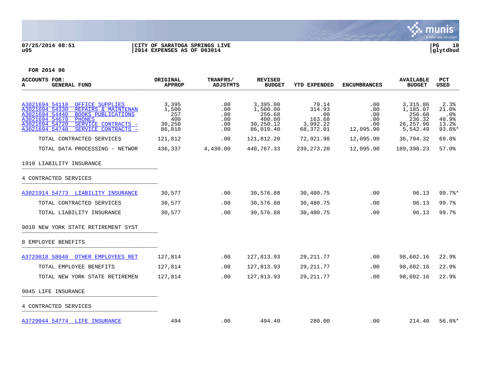

# **07/25/2014 08:51 |CITY OF SARATOGA SPRINGS LIVE |PG 18 u05 |2014 EXPENSES AS OF 063014 |glytdbud**



| ACCOUNTS FOR:<br><b>GENERAL FUND</b><br>A                                                                                                                    | ORIGINAL<br><b>APPROP</b>    | <b>TRANFRS/</b><br>ADJSTMTS | <b>REVISED</b><br><b>BUDGET</b>          | YTD EXPENDED                     | <b>ENCUMBRANCES</b>      | <b>AVAILABLE</b><br><b>BUDGET</b>        | <b>PCT</b><br><b>USED</b>     |
|--------------------------------------------------------------------------------------------------------------------------------------------------------------|------------------------------|-----------------------------|------------------------------------------|----------------------------------|--------------------------|------------------------------------------|-------------------------------|
| A3021694 54110<br>OFFICE SUPPLIES<br>A3021694 54330<br>REPAIRS & MAINTENAN<br>A3021694 54440<br><b>BOOKS PUBLICATIONS</b><br>A3021694 54670<br><b>PHONES</b> | 3,395<br>1,500<br>257<br>400 | .00<br>.00<br>.00<br>.00    | 3,395.00<br>1,500.00<br>256.68<br>400.00 | 79.14<br>314.93<br>.00<br>163.68 | .00<br>.00<br>.00<br>.00 | 3,315.86<br>1,185.07<br>256.68<br>236.32 | 2.3%<br>21.0%<br>.0%<br>40.9% |
| A3021694 54720<br>SERVICE CONTRACTS -<br>A3021694 54740<br>SERVICE CONTRACTS -                                                                               | 30,250<br>86,010             | .00<br>.00                  | 30,250.12<br>86,010.40                   | 3,992.22<br>68,372.01            | .00<br>12,095.90         | 26, 257.90<br>5,542.49                   | 13.2%<br>$93.6$ *             |
| TOTAL CONTRACTED SERVICES                                                                                                                                    | 121,812                      | .00                         | 121,812.20                               | 72,921.98                        | 12,095.90                | 36,794.32                                | 69.8%                         |
| TOTAL DATA PROCESSING - NETWOR                                                                                                                               | 436,337                      | 4,430.00                    | 440,767.33                               | 239, 273. 20                     | 12,095.90                | 189,398.23                               | 57.0%                         |
| 1910 LIABILITY INSURANCE                                                                                                                                     |                              |                             |                                          |                                  |                          |                                          |                               |
| 4 CONTRACTED SERVICES                                                                                                                                        |                              |                             |                                          |                                  |                          |                                          |                               |
| A3021914 54773 LIABILITY INSURANCE                                                                                                                           | 30,577                       | .00                         | 30,576.88                                | 30,480.75                        | .00                      | 96.13                                    | 99.7%                         |
| TOTAL CONTRACTED SERVICES                                                                                                                                    | 30,577                       | .00                         | 30,576.88                                | 30,480.75                        | .00                      | 96.13                                    | 99.7%                         |
| TOTAL LIABILITY INSURANCE                                                                                                                                    | 30,577                       | .00                         | 30,576.88                                | 30,480.75                        | .00                      | 96.13                                    | 99.7%                         |
| 9010 NEW YORK STATE RETIREMENT SYST                                                                                                                          |                              |                             |                                          |                                  |                          |                                          |                               |
| 8 EMPLOYEE BENEFITS                                                                                                                                          |                              |                             |                                          |                                  |                          |                                          |                               |
| A3729018 58040<br>OTHER EMPLOYEES RET                                                                                                                        | 127,814                      | .00                         | 127,813.93                               | 29, 211.77                       | .00                      | 98,602.16                                | 22.9%                         |
| TOTAL EMPLOYEE BENEFITS                                                                                                                                      | 127,814                      | $.00 \,$                    | 127,813.93                               | 29, 211.77                       | .00                      | 98,602.16                                | 22.9%                         |
| TOTAL NEW YORK STATE RETIREMEN                                                                                                                               | 127,814                      | .00                         | 127,813.93                               | 29, 211.77                       | .00                      | 98,602.16                                | 22.9%                         |
| 9045 LIFE INSURANCE                                                                                                                                          |                              |                             |                                          |                                  |                          |                                          |                               |
| 4 CONTRACTED SERVICES                                                                                                                                        |                              |                             |                                          |                                  |                          |                                          |                               |
| A3729044 54774 LIFE INSURANCE                                                                                                                                | 494                          | $.00 \,$                    | 494.40                                   | 280.00                           | .00                      | 214.40                                   | $56.6$ $*$                    |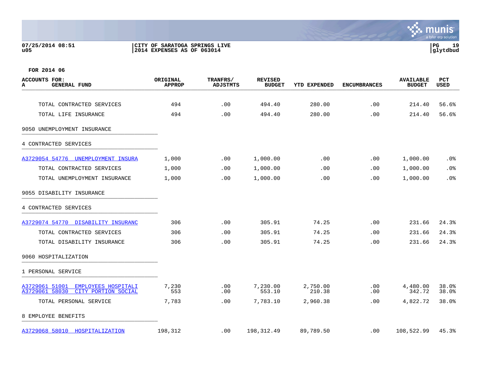## **07/25/2014 08:51 |CITY OF SARATOGA SPRINGS LIVE |PG 19 u05 |2014 EXPENSES AS OF 063014 |glytdbud**



| <b>ACCOUNTS FOR:</b><br><b>GENERAL FUND</b><br>А                               | ORIGINAL<br><b>APPROP</b> | <b>TRANFRS/</b><br><b>ADJSTMTS</b> | <b>REVISED</b><br><b>BUDGET</b> | YTD EXPENDED       | <b>ENCUMBRANCES</b> | <b>AVAILABLE</b><br><b>BUDGET</b> | PCT<br>USED    |
|--------------------------------------------------------------------------------|---------------------------|------------------------------------|---------------------------------|--------------------|---------------------|-----------------------------------|----------------|
|                                                                                |                           |                                    |                                 |                    |                     |                                   |                |
| TOTAL CONTRACTED SERVICES                                                      | 494                       | .00                                | 494.40                          | 280.00             | .00                 | 214.40                            | 56.6%          |
| TOTAL LIFE INSURANCE                                                           | 494                       | .00                                | 494.40                          | 280.00             | .00                 | 214.40                            | 56.6%          |
| 9050 UNEMPLOYMENT INSURANCE                                                    |                           |                                    |                                 |                    |                     |                                   |                |
| 4 CONTRACTED SERVICES                                                          |                           |                                    |                                 |                    |                     |                                   |                |
| A3729054 54776 UNEMPLOYMENT INSURA                                             | 1,000                     | .00                                | 1,000.00                        | .00                | .00                 | 1,000.00                          | .0%            |
| TOTAL CONTRACTED SERVICES                                                      | 1,000                     | $.00 \,$                           | 1,000.00                        | .00                | .00.                | 1,000.00                          | .0%            |
| TOTAL UNEMPLOYMENT INSURANCE                                                   | 1,000                     | .00                                | 1,000.00                        | .00                | .00                 | 1,000.00                          | .0%            |
| 9055 DISABILITY INSURANCE                                                      |                           |                                    |                                 |                    |                     |                                   |                |
| 4 CONTRACTED SERVICES                                                          |                           |                                    |                                 |                    |                     |                                   |                |
| A3729074 54770 DISABILITY INSURANC                                             | 306                       | .00                                | 305.91                          | 74.25              | .00                 | 231.66                            | 24.3%          |
| TOTAL CONTRACTED SERVICES                                                      | 306                       | .00                                | 305.91                          | 74.25              | .00                 | 231.66                            | 24.3%          |
| TOTAL DISABILITY INSURANCE                                                     | 306                       | .00                                | 305.91                          | 74.25              | .00                 | 231.66                            | 24.3%          |
| 9060 HOSPITALIZATION                                                           |                           |                                    |                                 |                    |                     |                                   |                |
| 1 PERSONAL SERVICE                                                             |                           |                                    |                                 |                    |                     |                                   |                |
| A3729061 51001<br>EMPLOYEES HOSPITALI<br>A3729061 58030<br>CITY PORTION SOCIAL | 7,230<br>553              | .00<br>.00                         | 7,230.00<br>553.10              | 2,750.00<br>210.38 | .00<br>.00          | 4,480.00<br>342.72                | 38.0%<br>38.0% |
| TOTAL PERSONAL SERVICE                                                         | 7,783                     | .00                                | 7,783.10                        | 2,960.38           | .00                 | 4,822.72                          | 38.0%          |
| 8 EMPLOYEE BENEFITS                                                            |                           |                                    |                                 |                    |                     |                                   |                |
| A3729068 58010 HOSPITALIZATION                                                 | 198,312                   | $.00 \,$                           | 198,312.49                      | 89,789.50          | .00                 | 108,522.99                        | 45.3%          |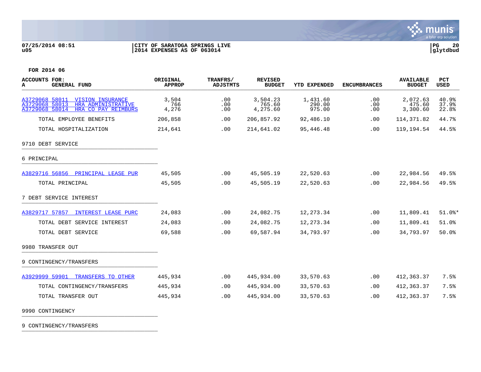

## **07/25/2014 08:51 |CITY OF SARATOGA SPRINGS LIVE |PG 20 u05 |2014 EXPENSES AS OF 063014 |glytdbud**



**FOR 2014 06**

| <b>ACCOUNTS FOR:</b><br><b>GENERAL FUND</b><br>A                                                                 | <b>ORIGINAL</b><br><b>APPROP</b> | TRANFRS/<br><b>ADJSTMTS</b> | <b>REVISED</b><br><b>BUDGET</b> | <b>YTD EXPENDED</b>          | <b>ENCUMBRANCES</b> | <b>AVAILABLE</b><br><b>BUDGET</b> | PCT<br>USED             |
|------------------------------------------------------------------------------------------------------------------|----------------------------------|-----------------------------|---------------------------------|------------------------------|---------------------|-----------------------------------|-------------------------|
| A3729068 58011 VISION INSURANCE<br>A3729068 58013<br>HRA ADMINISTRATIVE<br>HRA CO PAY REIMBURS<br>A3729068 58014 | 3,504<br>766<br>4,276            | .00<br>.00<br>.00           | 3,504.23<br>765.60<br>4,275.60  | 1,431.60<br>290.00<br>975.00 | .00<br>.00<br>.00   | 2,072.63<br>475.60<br>3,300.60    | 40.9%<br>37.9%<br>22.8% |
| TOTAL EMPLOYEE BENEFITS                                                                                          | 206,858                          | .00                         | 206,857.92                      | 92,486.10                    | .00                 | 114,371.82                        | 44.7%                   |
| TOTAL HOSPITALIZATION                                                                                            | 214,641                          | .00                         | 214,641.02                      | 95,446.48                    | .00                 | 119,194.54                        | 44.5%                   |
| 9710 DEBT SERVICE                                                                                                |                                  |                             |                                 |                              |                     |                                   |                         |
| 6 PRINCIPAL                                                                                                      |                                  |                             |                                 |                              |                     |                                   |                         |
| A3829716 56856 PRINCIPAL LEASE PUR                                                                               | 45,505                           | .00                         | 45,505.19                       | 22,520.63                    | .00                 | 22,984.56                         | 49.5%                   |
| TOTAL PRINCIPAL                                                                                                  | 45,505                           | .00                         | 45,505.19                       | 22,520.63                    | .00                 | 22,984.56                         | 49.5%                   |
| 7 DEBT SERVICE INTEREST                                                                                          |                                  |                             |                                 |                              |                     |                                   |                         |
| A3829717 57857<br><b>INTEREST LEASE PURC</b>                                                                     | 24,083                           | .00                         | 24,082.75                       | 12, 273.34                   | .00                 | 11,809.41                         | $51.0$ $*$              |
| TOTAL DEBT SERVICE INTEREST                                                                                      | 24,083                           | .00                         | 24,082.75                       | 12, 273.34                   | .00                 | 11,809.41                         | 51.0%                   |
| TOTAL DEBT SERVICE                                                                                               | 69,588                           | $.00 \,$                    | 69,587.94                       | 34,793.97                    | .00                 | 34,793.97                         | 50.0%                   |
| 9980 TRANSFER OUT                                                                                                |                                  |                             |                                 |                              |                     |                                   |                         |
| 9 CONTINGENCY/TRANSFERS                                                                                          |                                  |                             |                                 |                              |                     |                                   |                         |
| A3929999 59901 TRANSFERS TO OTHER                                                                                | 445,934                          | .00                         | 445,934.00                      | 33,570.63                    | .00                 | 412,363.37                        | 7.5%                    |
| TOTAL CONTINGENCY/TRANSFERS                                                                                      | 445,934                          | .00                         | 445,934.00                      | 33,570.63                    | .00                 | 412,363.37                        | 7.5%                    |
| TOTAL TRANSFER OUT                                                                                               | 445,934                          | .00                         | 445,934.00                      | 33,570.63                    | .00                 | 412, 363. 37                      | 7.5%                    |
| 9990 CONTINGENCY                                                                                                 |                                  |                             |                                 |                              |                     |                                   |                         |

9 CONTINGENCY/TRANSFERS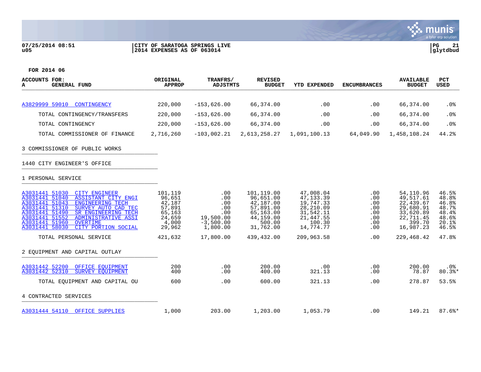## **07/25/2014 08:51 |CITY OF SARATOGA SPRINGS LIVE |PG 21 u05 |2014 EXPENSES AS OF 063014 |glytdbud**



| <b>ACCOUNTS FOR:</b><br><b>GENERAL FUND</b><br>А                                                                                                                                                                                                                                                                                             | ORIGINAL<br><b>APPROP</b>                                                    | TRANFRS/<br><b>ADJSTMTS</b>                                             | <b>REVISED</b><br><b>BUDGET</b>                                                                    | <b>YTD EXPENDED</b>                                                                                | <b>ENCUMBRANCES</b>                                  | <b>AVAILABLE</b><br><b>BUDGET</b>                                                                 | <b>PCT</b><br><b>USED</b>                                            |
|----------------------------------------------------------------------------------------------------------------------------------------------------------------------------------------------------------------------------------------------------------------------------------------------------------------------------------------------|------------------------------------------------------------------------------|-------------------------------------------------------------------------|----------------------------------------------------------------------------------------------------|----------------------------------------------------------------------------------------------------|------------------------------------------------------|---------------------------------------------------------------------------------------------------|----------------------------------------------------------------------|
|                                                                                                                                                                                                                                                                                                                                              |                                                                              |                                                                         |                                                                                                    |                                                                                                    |                                                      |                                                                                                   |                                                                      |
| A3829999 59010 CONTINGENCY                                                                                                                                                                                                                                                                                                                   | 220,000                                                                      | $-153,626.00$                                                           | 66,374.00                                                                                          | .00                                                                                                | .00                                                  | 66,374.00                                                                                         | .0%                                                                  |
| TOTAL CONTINGENCY/TRANSFERS                                                                                                                                                                                                                                                                                                                  | 220,000                                                                      | $-153,626.00$                                                           | 66,374.00                                                                                          | .00                                                                                                | .00                                                  | 66,374.00                                                                                         | .0%                                                                  |
| TOTAL CONTINGENCY                                                                                                                                                                                                                                                                                                                            | 220,000                                                                      | $-153,626.00$                                                           | 66,374.00                                                                                          | .00                                                                                                | .00                                                  | 66,374.00                                                                                         | .0%                                                                  |
| TOTAL COMMISSIONER OF FINANCE                                                                                                                                                                                                                                                                                                                | 2,716,260                                                                    | $-103,002.21$                                                           | 2,613,258.27                                                                                       | 1,091,100.13                                                                                       | 64,049.90                                            | 1,458,108.24                                                                                      | 44.2%                                                                |
| 3 COMMISSIONER OF PUBLIC WORKS                                                                                                                                                                                                                                                                                                               |                                                                              |                                                                         |                                                                                                    |                                                                                                    |                                                      |                                                                                                   |                                                                      |
| 1440 CITY ENGINEER'S OFFICE                                                                                                                                                                                                                                                                                                                  |                                                                              |                                                                         |                                                                                                    |                                                                                                    |                                                      |                                                                                                   |                                                                      |
| 1 PERSONAL SERVICE                                                                                                                                                                                                                                                                                                                           |                                                                              |                                                                         |                                                                                                    |                                                                                                    |                                                      |                                                                                                   |                                                                      |
| A3031441 51030<br><b>CITY ENGINEER</b><br>A3031441 51040<br>ASSISTANT CITY ENGI<br>A3031441 51043<br><b>ENGINEERING TECH</b><br>A3031441 51310<br>SURVEY AUTO CAD TEC<br>A3031441 51490<br>SR ENGINEERING TECH<br>A3031441 51552<br><b>ADMINISTRATIVE ASSI</b><br>A3031441 51960<br><b>OVERTIME</b><br>A3031441 58030<br>CITY PORTION SOCIAL | 101,119<br>96,651<br>42,187<br>57,891<br>65,163<br>24,659<br>4,000<br>29,962 | .00<br>.00<br>.00<br>.00<br>.00<br>19,500.00<br>$-3,500.00$<br>1,800.00 | 101,119.00<br>96,651.00<br>42,187.00<br>57,891.00<br>65,163.00<br>44,159.00<br>500.00<br>31,762.00 | 47,008.04<br>47, 133.39<br>19,747.33<br>28,210.09<br>31,542.11<br>21,447.55<br>100.30<br>14,774.77 | .00<br>.00<br>.00<br>.00<br>.00<br>.00<br>.00<br>.00 | 54,110.96<br>49,517.61<br>22,439.67<br>29,680.91<br>33,620.89<br>22,711.45<br>399.70<br>16,987.23 | 46.5%<br>48.8%<br>46.8%<br>48.7%<br>48.4%<br>48.6%<br>20.1%<br>46.5% |
| TOTAL PERSONAL SERVICE                                                                                                                                                                                                                                                                                                                       | 421,632                                                                      | 17,800.00                                                               | 439,432.00                                                                                         | 209,963.58                                                                                         | .00                                                  | 229,468.42                                                                                        | 47.8%                                                                |
| 2 EQUIPMENT AND CAPITAL OUTLAY                                                                                                                                                                                                                                                                                                               |                                                                              |                                                                         |                                                                                                    |                                                                                                    |                                                      |                                                                                                   |                                                                      |
| A3031442 52200<br>OFFICE EOUIPMENT<br>A3031442 52310<br><b>SURVEY EOUIPMENT</b>                                                                                                                                                                                                                                                              | 200<br>400                                                                   | .00<br>.00                                                              | 200.00<br>400.00                                                                                   | .00<br>321.13                                                                                      | .00<br>.00                                           | 200.00<br>78.87                                                                                   | .0%<br>$80.3$ $*$                                                    |
| TOTAL EOUIPMENT AND CAPITAL OU                                                                                                                                                                                                                                                                                                               | 600                                                                          | .00                                                                     | 600.00                                                                                             | 321.13                                                                                             | .00                                                  | 278.87                                                                                            | 53.5%                                                                |
| 4 CONTRACTED SERVICES                                                                                                                                                                                                                                                                                                                        |                                                                              |                                                                         |                                                                                                    |                                                                                                    |                                                      |                                                                                                   |                                                                      |
| A3031444 54110 OFFICE SUPPLIES                                                                                                                                                                                                                                                                                                               | 1,000                                                                        | 203.00                                                                  | 1,203.00                                                                                           | 1,053.79                                                                                           | .00                                                  | 149.21                                                                                            | $87.6$ *                                                             |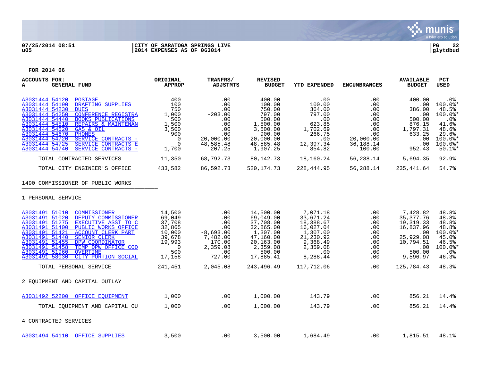

## **07/25/2014 08:51 |CITY OF SARATOGA SPRINGS LIVE |PG 22 u05 |2014 EXPENSES AS OF 063014 |glytdbud**



| ACCOUNTS FOR:<br><b>GENERAL FUND</b><br>A                                                                                                                                                                                                                                                                                                                                                                                                     | ORIGINAL<br><b>APPROP</b>                                                                             | TRANFRS/<br><b>ADJSTMTS</b>                                                                     | <b>REVISED</b><br><b>BUDGET</b>                                                                                           | YTD EXPENDED                                                                                                        | <b>ENCUMBRANCES</b>                                                                                     | <b>AVAILABLE</b><br><b>BUDGET</b>                                                                                 | <b>PCT</b><br><b>USED</b>                                                                                                 |
|-----------------------------------------------------------------------------------------------------------------------------------------------------------------------------------------------------------------------------------------------------------------------------------------------------------------------------------------------------------------------------------------------------------------------------------------------|-------------------------------------------------------------------------------------------------------|-------------------------------------------------------------------------------------------------|---------------------------------------------------------------------------------------------------------------------------|---------------------------------------------------------------------------------------------------------------------|---------------------------------------------------------------------------------------------------------|-------------------------------------------------------------------------------------------------------------------|---------------------------------------------------------------------------------------------------------------------------|
| A3031444 54120<br><b>POSTAGE</b><br>A3031444 54190<br>DRAFTING SUPPLIES<br>A3031444 54230<br><b>DUES</b><br>A3031444 54250<br><b>CONFERENCE REGISTRA</b><br>A3031444 54440<br><b>BOOKS PUBLICATIONS</b><br>A3031444 54510<br>REPAIRS & MAINTENAN<br>A3031444 54520<br>GAS & OIL<br>A3031444 54670<br><b>PHONES</b><br>A3031444 54720<br>SERVICE CONTRACTS -<br>A3031444 54725<br>SERVICE CONTRACTS E<br>A3031444 54740<br>SERVICE CONTRACTS - | 400<br>100<br>750<br>1,000<br>500<br>1,500<br>3,500<br>900<br>$\overline{0}$<br>0<br>1,700            | .00<br>.00<br>.00<br>$-203.00$<br>.00<br>.00<br>.00<br>.00<br>20,000.00<br>48,585.48<br>207.25  | 400.00<br>100.00<br>750.00<br>797.00<br>500.00<br>1,500.00<br>3,500.00<br>900.00<br>20,000.00<br>48,585.48<br>1,907.25    | .00<br>100.00<br>364.00<br>797.00<br>.00<br>623.85<br>1,702.69<br>266.75<br>.00<br>12,397.34<br>854.82              | .00<br>.00<br>$.00 \,$<br>.00<br>$.00 \,$<br>$.00 \,$<br>.00<br>.00<br>20,000.00<br>36,188.14<br>100.00 | 400.00<br>.00<br>386.00<br>.00<br>500.00<br>876.15<br>1,797.31<br>633.25<br>.00<br>.00<br>952.43                  | .0%<br>$100.0$ *<br>48.5%<br>100.0%*<br>.0 <sub>8</sub><br>41.6%<br>48.6%<br>29.6%<br>$100.0$ *<br>$100.0$ *<br>$50.1$ %* |
| TOTAL CONTRACTED SERVICES                                                                                                                                                                                                                                                                                                                                                                                                                     | 11,350                                                                                                | 68,792.73                                                                                       | 80, 142. 73                                                                                                               | 18,160.24                                                                                                           | 56,288.14                                                                                               | 5,694.35                                                                                                          | 92.9%                                                                                                                     |
| TOTAL CITY ENGINEER'S OFFICE                                                                                                                                                                                                                                                                                                                                                                                                                  | 433,582                                                                                               | 86,592.73                                                                                       | 520, 174.73                                                                                                               | 228,444.95                                                                                                          | 56,288.14                                                                                               | 235,441.64                                                                                                        | 54.7%                                                                                                                     |
| 1490 COMMISSIONER OF PUBLIC WORKS<br>1 PERSONAL SERVICE                                                                                                                                                                                                                                                                                                                                                                                       |                                                                                                       |                                                                                                 |                                                                                                                           |                                                                                                                     |                                                                                                         |                                                                                                                   |                                                                                                                           |
| A3031491 51010<br>COMMISSIONER<br>A3031491 51020<br>DEPUTY COMMISSIONER<br>A3031491 51275<br>EXECUTIVE ASST TO C<br>A3031491 51400<br>PUBLIC WORKS OFFICE<br>A3031491 51421<br><b>ACCOUNT CLERK PART</b><br>A3031491 51440<br>SENIOR CLERK<br>A3031491 51455<br>DPW COORDINATOR<br>A3031491 51458<br>TEMP DPW OFFICE COO<br>A3031491 51960<br><b>OVERTIME</b><br>A3031491 58030<br>CITY PORTION SOCIAL                                        | 14,500<br>69,049<br>37,708<br>32,865<br>10,000<br>39,678<br>19,993<br>$\overline{0}$<br>500<br>17,158 | $.00 \,$<br>.00<br>.00<br>.00<br>$-8,693.00$<br>7,482.00<br>170.00<br>2,359.08<br>.00<br>727.00 | 14,500.00<br>69,049.00<br>37,708.00<br>32,865.00<br>1,307.00<br>47,160.00<br>20,163.00<br>2,359.08<br>500.00<br>17,885.41 | 7,071.18<br>33,671.24<br>18,388.67<br>16,027.04<br>1,307.00<br>21,230.92<br>9,368.49<br>2,359.08<br>.00<br>8,288.44 | .00<br>.00<br>.00<br>.00<br>.00<br>.00<br>$.00 \,$<br>.00<br>.00<br>.00                                 | 7,428.82<br>35, 377. 76<br>19, 319. 33<br>16,837.96<br>.00<br>25,929.08<br>10,794.51<br>.00<br>500.00<br>9,596.97 | 48.8%<br>48.8%<br>48.8%<br>48.8%<br>100.0%*<br>45.0%<br>46.5%<br>$100.0$ *<br>$.0\%$<br>46.3%                             |
| TOTAL PERSONAL SERVICE                                                                                                                                                                                                                                                                                                                                                                                                                        | 241,451                                                                                               | 2,045.08                                                                                        | 243,496.49                                                                                                                | 117,712.06                                                                                                          | .00                                                                                                     | 125,784.43                                                                                                        | 48.3%                                                                                                                     |
| 2 EQUIPMENT AND CAPITAL OUTLAY                                                                                                                                                                                                                                                                                                                                                                                                                |                                                                                                       |                                                                                                 |                                                                                                                           |                                                                                                                     |                                                                                                         |                                                                                                                   |                                                                                                                           |
| A3031492 52200 OFFICE EQUIPMENT                                                                                                                                                                                                                                                                                                                                                                                                               | 1,000                                                                                                 | $.00 \,$                                                                                        | 1,000.00                                                                                                                  | 143.79                                                                                                              | .00                                                                                                     | 856.21                                                                                                            | 14.4%                                                                                                                     |
| TOTAL EQUIPMENT AND CAPITAL OU                                                                                                                                                                                                                                                                                                                                                                                                                | 1,000                                                                                                 | .00                                                                                             | 1,000.00                                                                                                                  | 143.79                                                                                                              | .00                                                                                                     | 856.21                                                                                                            | 14.4%                                                                                                                     |
| 4 CONTRACTED SERVICES                                                                                                                                                                                                                                                                                                                                                                                                                         |                                                                                                       |                                                                                                 |                                                                                                                           |                                                                                                                     |                                                                                                         |                                                                                                                   |                                                                                                                           |
| A3031494 54110 OFFICE SUPPLIES                                                                                                                                                                                                                                                                                                                                                                                                                | 3,500                                                                                                 | .00                                                                                             | 3,500.00                                                                                                                  | 1,684.49                                                                                                            | .00                                                                                                     | 1,815.51                                                                                                          | 48.1%                                                                                                                     |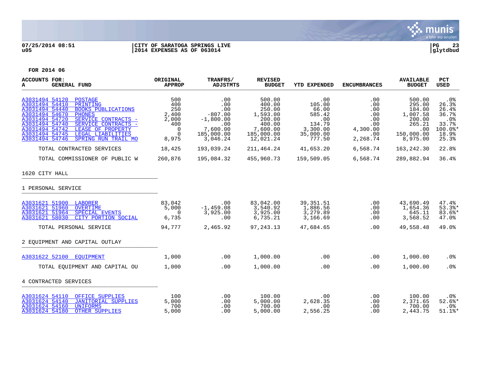

# **07/25/2014 08:51 |CITY OF SARATOGA SPRINGS LIVE |PG 23 u05 |2014 EXPENSES AS OF 063014 |glytdbud**



| <b>ACCOUNTS FOR:</b><br><b>GENERAL FUND</b><br>A                                                                                                                                                                                                                                                                                                          | ORIGINAL<br><b>APPROP</b>                                                   | TRANFRS/<br><b>ADJSTMTS</b>                                                                | <b>REVISED</b><br><b>BUDGET</b>                                                                   | <b>YTD EXPENDED</b>                                                                  | <b>ENCUMBRANCES</b>                                                   | <b>AVAILABLE</b><br><b>BUDGET</b>                                                           | <b>PCT</b><br><b>USED</b>                                                                 |
|-----------------------------------------------------------------------------------------------------------------------------------------------------------------------------------------------------------------------------------------------------------------------------------------------------------------------------------------------------------|-----------------------------------------------------------------------------|--------------------------------------------------------------------------------------------|---------------------------------------------------------------------------------------------------|--------------------------------------------------------------------------------------|-----------------------------------------------------------------------|---------------------------------------------------------------------------------------------|-------------------------------------------------------------------------------------------|
| A3031494 54120<br><b>POSTAGE</b><br>A3031494 54410<br>PRINTING<br>A3031494 54440<br><b>BOOKS PUBLICATIONS</b><br>A3031494 54670<br><b>PHONES</b><br>A3031494 54720<br>SERVICE CONTRACTS -<br>A3031494 54740<br>SERVICE CONTRACTS -<br>A3031494 54742<br>LEASE OF PROPERTY<br>A3031494 54745<br>LEGAL LIABILITIES<br>A3031494 54746<br>SPRING RUN TRAIL MO | 500<br>400<br>250<br>2,400<br>2,000<br>400<br>$\Omega$<br>$\Omega$<br>8,975 | .00<br>.00<br>.00<br>$-807.00$<br>$-1,800.00$<br>.00<br>7,600.00<br>185,000.00<br>3,046.24 | 500.00<br>400.00<br>250.00<br>1,593.00<br>200.00<br>400.00<br>7,600.00<br>185,000.00<br>12,021.24 | .00<br>105.00<br>66.00<br>585.42<br>.00<br>134.79<br>3,300.00<br>35,000.00<br>777.50 | .00<br>.00<br>.00<br>.00<br>.00<br>.00<br>4,300.00<br>.00<br>2,268.74 | 500.00<br>295.00<br>184.00<br>1,007.58<br>200.00<br>265.21<br>.00<br>150,000.00<br>8,975.00 | .0 <sub>8</sub><br>26.3%<br>26.4%<br>36.7%<br>.0%<br>33.7%<br>$100.0$ *<br>18.9%<br>25.3% |
| TOTAL CONTRACTED SERVICES                                                                                                                                                                                                                                                                                                                                 | 18,425                                                                      | 193,039.24                                                                                 | 211,464.24                                                                                        | 41,653.20                                                                            | 6,568.74                                                              | 163,242.30                                                                                  | 22.8%                                                                                     |
| TOTAL COMMISSIONER OF PUBLIC W                                                                                                                                                                                                                                                                                                                            | 260,876                                                                     | 195,084.32                                                                                 | 455,960.73                                                                                        | 159,509.05                                                                           | 6,568.74                                                              | 289,882.94                                                                                  | 36.4%                                                                                     |
| 1620 CITY HALL                                                                                                                                                                                                                                                                                                                                            |                                                                             |                                                                                            |                                                                                                   |                                                                                      |                                                                       |                                                                                             |                                                                                           |
| 1 PERSONAL SERVICE                                                                                                                                                                                                                                                                                                                                        |                                                                             |                                                                                            |                                                                                                   |                                                                                      |                                                                       |                                                                                             |                                                                                           |
| A3031621 51900 LABORER<br>A3031621 51960<br>OVERTIME<br>A3031621 51964<br>SPECIAL EVENTS<br>CITY PORTION SOCIAL<br>A3031621 58030                                                                                                                                                                                                                         | 83,042<br>5,000<br>$\Omega$<br>6,735                                        | .00<br>$-1,459.08$<br>3,925.00<br>.00                                                      | 83,042.00<br>3,540.92<br>3,925.00<br>6,735.21                                                     | 39, 351.51<br>1,886.56<br>3,279.89<br>3,166.69                                       | .00<br>.00<br>.00<br>.00                                              | 43,690.49<br>1,654.36<br>645.11<br>3,568.52                                                 | 47.4%<br>$53.3$ <sup>*</sup><br>$83.6$ *<br>47.0%                                         |
| TOTAL PERSONAL SERVICE                                                                                                                                                                                                                                                                                                                                    | 94,777                                                                      | 2,465.92                                                                                   | 97, 243. 13                                                                                       | 47,684.65                                                                            | .00                                                                   | 49,558.48                                                                                   | 49.0%                                                                                     |
| 2 EOUIPMENT AND CAPITAL OUTLAY                                                                                                                                                                                                                                                                                                                            |                                                                             |                                                                                            |                                                                                                   |                                                                                      |                                                                       |                                                                                             |                                                                                           |
| A3031622 52100 EOUIPMENT                                                                                                                                                                                                                                                                                                                                  | 1,000                                                                       | .00                                                                                        | 1,000.00                                                                                          | .00                                                                                  | .00                                                                   | 1,000.00                                                                                    | .0%                                                                                       |
| TOTAL EQUIPMENT AND CAPITAL OU                                                                                                                                                                                                                                                                                                                            | 1,000                                                                       | .00                                                                                        | 1,000.00                                                                                          | .00                                                                                  | .00                                                                   | 1,000.00                                                                                    | .0%                                                                                       |
| 4 CONTRACTED SERVICES                                                                                                                                                                                                                                                                                                                                     |                                                                             |                                                                                            |                                                                                                   |                                                                                      |                                                                       |                                                                                             |                                                                                           |
| A3031624 54110 OFFICE SUPPLIES<br>A3031624 54140 JANITORIAL SUPPLIES<br>A3031624 54160<br><b>UNIFORMS</b><br>A3031624 54180<br><b>OTHER SUPPLIES</b>                                                                                                                                                                                                      | 100<br>5,000<br>700<br>5,000                                                | .00<br>.00<br>.00<br>.00                                                                   | 100.00<br>5,000.00<br>700.00<br>5,000.00                                                          | .00<br>2,628.35<br>.00<br>2,556.25                                                   | .00<br>.00<br>.00<br>.00                                              | 100.00<br>2,371.65<br>700.00<br>2,443.75                                                    | $.0\%$<br>$52.6$ $*$<br>$.0\%$<br>$51.1$ %*                                               |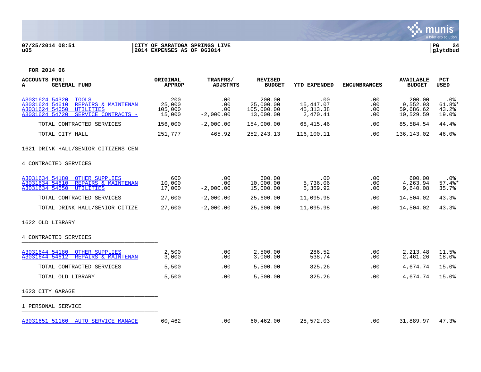

# **07/25/2014 08:51 |CITY OF SARATOGA SPRINGS LIVE |PG 24 u05 |2014 EXPENSES AS OF 063014 |glytdbud**



| <b>ACCOUNTS FOR:</b><br><b>GENERAL FUND</b><br>А                                                                                                       | ORIGINAL<br><b>APPROP</b>          | TRANFRS/<br>ADJSTMTS             | <b>REVISED</b><br><b>BUDGET</b>                | YTD EXPENDED                                | <b>ENCUMBRANCES</b>      | <b>AVAILABLE</b><br><b>BUDGET</b>            | <b>PCT</b><br><b>USED</b>          |
|--------------------------------------------------------------------------------------------------------------------------------------------------------|------------------------------------|----------------------------------|------------------------------------------------|---------------------------------------------|--------------------------|----------------------------------------------|------------------------------------|
| A3031624 54320<br><b>TOOLS</b><br>A3031624 54610<br>REPAIRS & MAINTENAN<br>A3031624 54650<br><b>UTILITIES</b><br>A3031624 54720<br>SERVICE CONTRACTS - | 200<br>25,000<br>105,000<br>15,000 | .00<br>.00<br>.00<br>$-2,000.00$ | 200.00<br>25,000.00<br>105,000.00<br>13,000.00 | .00<br>15,447.07<br>45, 313. 38<br>2,470.41 | .00<br>.00<br>.00<br>.00 | 200.00<br>9,552.93<br>59,686.62<br>10,529.59 | $.0\%$<br>61.8%*<br>43.2%<br>19.0% |
| TOTAL CONTRACTED SERVICES                                                                                                                              | 156,000                            | $-2,000.00$                      | 154,000.00                                     | 68,415.46                                   | .00                      | 85,584.54                                    | 44.4%                              |
| TOTAL CITY HALL                                                                                                                                        | 251,777                            | 465.92                           | 252, 243. 13                                   | 116,100.11                                  | .00                      | 136,143.02                                   | 46.0%                              |
| 1621 DRINK HALL/SENIOR CITIZENS CEN                                                                                                                    |                                    |                                  |                                                |                                             |                          |                                              |                                    |
| 4 CONTRACTED SERVICES                                                                                                                                  |                                    |                                  |                                                |                                             |                          |                                              |                                    |
| A3031634 54180 OTHER SUPPLIES<br>A3031634 54610 REPAIRS & MAINTENAN<br>A3031634 54650<br>UTILITIES                                                     | 600<br>10,000<br>17,000            | .00<br>.00<br>$-2,000.00$        | 600.00<br>10,000.00<br>15,000.00               | $\,.\,00$<br>5,736.06<br>5,359.92           | $.00 \,$<br>.00<br>.00   | 600.00<br>4,263.94<br>9,640.08               | .0%<br>$57.4$ $*$<br>35.7%         |
| TOTAL CONTRACTED SERVICES                                                                                                                              | 27,600                             | $-2,000.00$                      | 25,600.00                                      | 11,095.98                                   | .00                      | 14,504.02                                    | 43.3%                              |
| TOTAL DRINK HALL/SENIOR CITIZE                                                                                                                         | 27,600                             | $-2,000.00$                      | 25,600.00                                      | 11,095.98                                   | .00                      | 14,504.02                                    | 43.3%                              |
| 1622 OLD LIBRARY                                                                                                                                       |                                    |                                  |                                                |                                             |                          |                                              |                                    |
| 4 CONTRACTED SERVICES                                                                                                                                  |                                    |                                  |                                                |                                             |                          |                                              |                                    |
| A3031644 54180<br><b>OTHER SUPPLIES</b><br>A3031644 54612<br>REPAIRS & MAINTENAN                                                                       | 2,500<br>3,000                     | .00<br>.00                       | 2,500.00<br>3,000.00                           | 286.52<br>538.74                            | $.00 \,$<br>.00          | 2,213.48<br>2,461.26                         | 11.5%<br>18.0%                     |
| TOTAL CONTRACTED SERVICES                                                                                                                              | 5,500                              | .00                              | 5,500.00                                       | 825.26                                      | .00                      | 4,674.74                                     | 15.0%                              |
| TOTAL OLD LIBRARY                                                                                                                                      | 5,500                              | .00                              | 5,500.00                                       | 825.26                                      | $.00 \,$                 | 4,674.74                                     | 15.0%                              |
| 1623 CITY GARAGE                                                                                                                                       |                                    |                                  |                                                |                                             |                          |                                              |                                    |
| 1 PERSONAL SERVICE                                                                                                                                     |                                    |                                  |                                                |                                             |                          |                                              |                                    |
| A3031651 51160 AUTO SERVICE MANAGE                                                                                                                     | 60,462                             | $.00 \,$                         | 60,462.00                                      | 28,572.03                                   | $.00 \,$                 | 31,889.97                                    | 47.3%                              |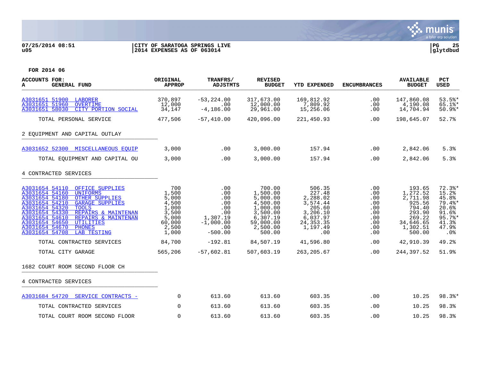

## **07/25/2014 08:51 |CITY OF SARATOGA SPRINGS LIVE |PG 25 u05 |2014 EXPENSES AS OF 063014 |glytdbud**



| <b>ACCOUNTS FOR:</b><br>A<br><b>GENERAL FUND</b>                                                                                                                                                                                                                                                                                                                                            | ORIGINAL<br><b>APPROP</b>                                                             | TRANFRS/<br><b>ADJSTMTS</b>                                                           | <b>REVISED</b><br><b>BUDGET</b>                                                                                   | <b>YTD EXPENDED</b>                                                                                          | <b>ENCUMBRANCES</b>                                                     | <b>AVAILABLE</b><br><b>BUDGET</b>                                                                         | <b>PCT</b><br><b>USED</b>                                                                  |
|---------------------------------------------------------------------------------------------------------------------------------------------------------------------------------------------------------------------------------------------------------------------------------------------------------------------------------------------------------------------------------------------|---------------------------------------------------------------------------------------|---------------------------------------------------------------------------------------|-------------------------------------------------------------------------------------------------------------------|--------------------------------------------------------------------------------------------------------------|-------------------------------------------------------------------------|-----------------------------------------------------------------------------------------------------------|--------------------------------------------------------------------------------------------|
| A3031651 51900 LABORER<br>A3031651 51960<br><b>OVERTIME</b><br>A3031651 58030<br>CITY PORTION SOCIAL                                                                                                                                                                                                                                                                                        | 370,897<br>12,000<br>34,147                                                           | $-53, 224.00$<br>.00<br>$-4, 186.00$                                                  | 317,673.00<br>12,000.00<br>29,961.00                                                                              | 169,812.92<br>7,809.92<br>15,256.06                                                                          | .00<br>.00<br>.00                                                       | 147,860.08<br>4,190.08<br>14,704.94                                                                       | 53.5%<br>$65.1$ $*$<br>$50.9$ %*                                                           |
| TOTAL PERSONAL SERVICE                                                                                                                                                                                                                                                                                                                                                                      | 477,506                                                                               | $-57,410.00$                                                                          | 420,096.00                                                                                                        | 221,450.93                                                                                                   | .00                                                                     | 198,645.07                                                                                                | 52.7%                                                                                      |
| 2 EQUIPMENT AND CAPITAL OUTLAY                                                                                                                                                                                                                                                                                                                                                              |                                                                                       |                                                                                       |                                                                                                                   |                                                                                                              |                                                                         |                                                                                                           |                                                                                            |
| A3031652 52300 MISCELLANEOUS EQUIP                                                                                                                                                                                                                                                                                                                                                          | 3,000                                                                                 | .00                                                                                   | 3,000.00                                                                                                          | 157.94                                                                                                       | .00                                                                     | 2,842.06                                                                                                  | 5.3%                                                                                       |
| TOTAL EOUIPMENT AND CAPITAL OU                                                                                                                                                                                                                                                                                                                                                              | 3,000                                                                                 | .00                                                                                   | 3,000.00                                                                                                          | 157.94                                                                                                       | .00                                                                     | 2,842.06                                                                                                  | 5.3%                                                                                       |
| 4 CONTRACTED SERVICES                                                                                                                                                                                                                                                                                                                                                                       |                                                                                       |                                                                                       |                                                                                                                   |                                                                                                              |                                                                         |                                                                                                           |                                                                                            |
| A3031654 54110<br>OFFICE SUPPLIES<br>A3031654 54160<br><b>UNIFORMS</b><br>A3031654 54180<br><b>OTHER SUPPLIES</b><br>A3031654 54210<br><b>GARAGE SUPPLIES</b><br>A3031654 54320<br><b>TOOLS</b><br>A3031654 54330<br>REPAIRS & MAINTENAN<br>A3031654 54610<br>REPAIRS & MAINTENAN<br>A3031654 54650<br>UTILITIES<br>A3031654 54670<br><b>PHONES</b><br>A3031654 54708<br><b>LAB TESTING</b> | 700<br>1,500<br>5,000<br>4,500<br>1,000<br>3,500<br>5,000<br>60,000<br>2,500<br>1,000 | .00<br>.00<br>.00<br>.00<br>.00<br>.00<br>1,307.19<br>$-1,000.00$<br>.00<br>$-500.00$ | 700.00<br>1,500.00<br>5,000.00<br>4,500.00<br>1,000.00<br>3,500.00<br>6,307.19<br>59,000.00<br>2,500.00<br>500.00 | 506.35<br>227.48<br>2,288.02<br>3,574.44<br>205.60<br>3,206.10<br>6,037.97<br>24, 353. 35<br>1,197.49<br>.00 | .00<br>.00<br>.00<br>.00<br>.00<br>.00<br>.00<br>.00<br>.00<br>$.00 \,$ | 193.65<br>1,272.52<br>2,711.98<br>925.56<br>794.40<br>293.90<br>269.22<br>34,646.65<br>1,302.51<br>500.00 | $72.3$ $*$<br>15.2%<br>45.8%<br>79.4%*<br>20.6%<br>91.6%<br>95.7%<br>41.3%<br>47.9%<br>.0% |
| TOTAL CONTRACTED SERVICES                                                                                                                                                                                                                                                                                                                                                                   | 84,700                                                                                | $-192.81$                                                                             | 84,507.19                                                                                                         | 41,596.80                                                                                                    | $.00 \,$                                                                | 42,910.39                                                                                                 | 49.2%                                                                                      |
| TOTAL CITY GARAGE                                                                                                                                                                                                                                                                                                                                                                           | 565,206                                                                               | $-57,602.81$                                                                          | 507,603.19                                                                                                        | 263, 205.67                                                                                                  | .00                                                                     | 244,397.52                                                                                                | 51.9%                                                                                      |
| 1682 COURT ROOM SECOND FLOOR CH                                                                                                                                                                                                                                                                                                                                                             |                                                                                       |                                                                                       |                                                                                                                   |                                                                                                              |                                                                         |                                                                                                           |                                                                                            |
| 4 CONTRACTED SERVICES                                                                                                                                                                                                                                                                                                                                                                       |                                                                                       |                                                                                       |                                                                                                                   |                                                                                                              |                                                                         |                                                                                                           |                                                                                            |
| A3031684 54720 SERVICE CONTRACTS -                                                                                                                                                                                                                                                                                                                                                          | $\mathbf 0$                                                                           | 613.60                                                                                | 613.60                                                                                                            | 603.35                                                                                                       | .00                                                                     | 10.25                                                                                                     | 98.3%*                                                                                     |
| TOTAL CONTRACTED SERVICES                                                                                                                                                                                                                                                                                                                                                                   | $\Omega$                                                                              | 613.60                                                                                | 613.60                                                                                                            | 603.35                                                                                                       | .00                                                                     | 10.25                                                                                                     | 98.3%                                                                                      |
| TOTAL COURT ROOM SECOND FLOOR                                                                                                                                                                                                                                                                                                                                                               | $\Omega$                                                                              | 613.60                                                                                | 613.60                                                                                                            | 603.35                                                                                                       | .00                                                                     | 10.25                                                                                                     | 98.3%                                                                                      |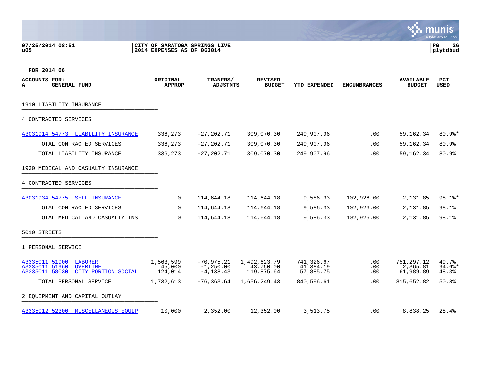## **07/25/2014 08:51 |CITY OF SARATOGA SPRINGS LIVE |PG 26 u05 |2014 EXPENSES AS OF 063014 |glytdbud**



| <b>ACCOUNTS FOR:</b><br><b>GENERAL FUND</b><br>А                                                        | ORIGINAL<br><b>APPROP</b>      | TRANFRS/<br>ADJSTMTS                          | <b>REVISED</b><br><b>BUDGET</b>         | <b>YTD EXPENDED</b>                  | <b>ENCUMBRANCES</b> | <b>AVAILABLE</b><br><b>BUDGET</b>   | <b>PCT</b><br><b>USED</b>  |
|---------------------------------------------------------------------------------------------------------|--------------------------------|-----------------------------------------------|-----------------------------------------|--------------------------------------|---------------------|-------------------------------------|----------------------------|
| 1910 LIABILITY INSURANCE                                                                                |                                |                                               |                                         |                                      |                     |                                     |                            |
| 4 CONTRACTED SERVICES                                                                                   |                                |                                               |                                         |                                      |                     |                                     |                            |
| A3031914 54773<br>LIABILITY INSURANCE                                                                   | 336,273                        | $-27, 202, 71$                                | 309,070.30                              | 249,907.96                           | .00                 | 59,162.34                           | $80.9$ %*                  |
| TOTAL CONTRACTED SERVICES                                                                               | 336,273                        | $-27, 202.71$                                 | 309,070.30                              | 249,907.96                           | .00                 | 59, 162. 34                         | 80.9%                      |
| TOTAL LIABILITY INSURANCE                                                                               | 336,273                        | $-27, 202.71$                                 | 309,070.30                              | 249,907.96                           | .00                 | 59, 162. 34                         | 80.9%                      |
| 1930 MEDICAL AND CASUALTY INSURANCE                                                                     |                                |                                               |                                         |                                      |                     |                                     |                            |
| 4 CONTRACTED SERVICES                                                                                   |                                |                                               |                                         |                                      |                     |                                     |                            |
| A3031934 54775<br><b>SELF INSURANCE</b>                                                                 | $\mathbf 0$                    | 114,644.18                                    | 114,644.18                              | 9,586.33                             | 102,926.00          | 2,131.85                            | 98.1%*                     |
| TOTAL CONTRACTED SERVICES                                                                               | $\Omega$                       | 114,644.18                                    | 114,644.18                              | 9,586.33                             | 102,926.00          | 2,131.85                            | 98.1%                      |
| TOTAL MEDICAL AND CASUALTY INS                                                                          | $\Omega$                       | 114,644.18                                    | 114,644.18                              | 9,586.33                             | 102,926.00          | 2,131.85                            | 98.1%                      |
| 5010 STREETS                                                                                            |                                |                                               |                                         |                                      |                     |                                     |                            |
| 1 PERSONAL SERVICE                                                                                      |                                |                                               |                                         |                                      |                     |                                     |                            |
| A3335011 51900<br>LABORER<br>A3335011 51960<br><b>OVERTIME</b><br>A3335011 58030<br>CITY PORTION SOCIAL | 1,563,599<br>45,000<br>124,014 | $-70, 975.21$<br>$-1, 250.00$<br>$-4, 138.43$ | 1,492,623.79<br>43,750.00<br>119,875.64 | 741,326.67<br>41,384.19<br>57,885.75 | .00<br>.00<br>.00   | 751,297.12<br>2,365.81<br>61,989.89 | 49.7%<br>$94.6$ *<br>48.3% |
| TOTAL PERSONAL SERVICE                                                                                  | 1,732,613                      | $-76, 363.64$                                 | 1,656,249.43                            | 840,596.61                           | .00                 | 815,652.82                          | 50.8%                      |
| 2 EOUIPMENT AND CAPITAL OUTLAY                                                                          |                                |                                               |                                         |                                      |                     |                                     |                            |
| A3335012 52300 MISCELLANEOUS EOUIP                                                                      | 10,000                         | 2,352.00                                      | 12,352.00                               | 3,513.75                             | .00                 | 8,838.25                            | 28.4%                      |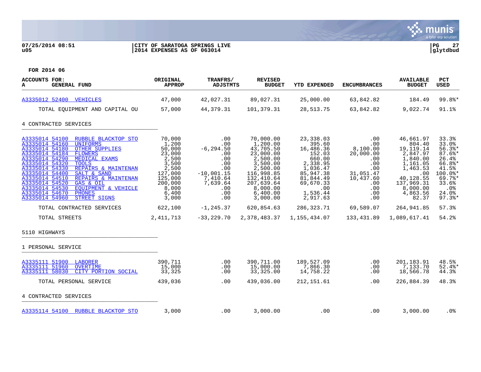

# **07/25/2014 08:51 |CITY OF SARATOGA SPRINGS LIVE |PG 27 u05 |2014 EXPENSES AS OF 063014 |glytdbud**



| <b>ACCOUNTS FOR:</b><br>А<br><b>GENERAL FUND</b>                                                                                                                                                                                                                                                                                                                                                                                                                                                             | ORIGINAL<br><b>APPROP</b>                                                                                                  | TRANFRS/<br><b>ADJSTMTS</b>                                                                                         | <b>REVISED</b><br><b>BUDGET</b>                                                                                                                                   | YTD EXPENDED                                                                                                                                       | <b>ENCUMBRANCES</b>                                                                                            | <b>AVAILABLE</b><br><b>BUDGET</b>                                                                                                                     | PCT<br><b>USED</b>                                                                                                                |
|--------------------------------------------------------------------------------------------------------------------------------------------------------------------------------------------------------------------------------------------------------------------------------------------------------------------------------------------------------------------------------------------------------------------------------------------------------------------------------------------------------------|----------------------------------------------------------------------------------------------------------------------------|---------------------------------------------------------------------------------------------------------------------|-------------------------------------------------------------------------------------------------------------------------------------------------------------------|----------------------------------------------------------------------------------------------------------------------------------------------------|----------------------------------------------------------------------------------------------------------------|-------------------------------------------------------------------------------------------------------------------------------------------------------|-----------------------------------------------------------------------------------------------------------------------------------|
| A3335012 52400 VEHICLES                                                                                                                                                                                                                                                                                                                                                                                                                                                                                      | 47,000                                                                                                                     | 42,027.31                                                                                                           | 89,027.31                                                                                                                                                         | 25,000.00                                                                                                                                          | 63,842.82                                                                                                      | 184.49                                                                                                                                                | 99.8%*                                                                                                                            |
| TOTAL EQUIPMENT AND CAPITAL OU                                                                                                                                                                                                                                                                                                                                                                                                                                                                               | 57,000                                                                                                                     | 44,379.31                                                                                                           | 101,379.31                                                                                                                                                        | 28,513.75                                                                                                                                          | 63,842.82                                                                                                      | 9,022.74                                                                                                                                              | 91.1%                                                                                                                             |
| 4 CONTRACTED SERVICES                                                                                                                                                                                                                                                                                                                                                                                                                                                                                        |                                                                                                                            |                                                                                                                     |                                                                                                                                                                   |                                                                                                                                                    |                                                                                                                |                                                                                                                                                       |                                                                                                                                   |
| A3335014 54100<br>RUBBLE BLACKTOP STO<br>A3335014 54160<br><b>UNIFORMS</b><br>A3335014 54180<br><b>OTHER SUPPLIES</b><br>A3335014 54184<br><b>FLOWERS</b><br>A3335014 54290<br><b>MEDICAL EXAMS</b><br>A3335014 54320<br><b>TOOLS</b><br>A3335014 54330<br>REPAIRS & MAINTENAN<br>A3335014 54400<br>SALT & SAND<br>A3335014 54510<br>REPAIRS & MAINTENAN<br>A3335014 54520<br>GAS & OIL<br>A3335014 54530<br>EOUIPMENT & VEHICLE<br>A3335014 54670<br><b>PHONES</b><br>A3335014 54960<br><b>STREET SIGNS</b> | 70,000<br>1,200<br>50,000<br>23,000<br>2,500<br>3,500<br>2,500<br>127,000<br>125,000<br>200,000<br>8,000<br>6,400<br>3,000 | .00<br>.00<br>$-6, 294.50$<br>.00<br>.00<br>.00<br>.00<br>$-10,001.15$<br>7,410.64<br>7,639.64<br>.00<br>.00<br>.00 | 70,000.00<br>1,200.00<br>43,705.50<br>23,000.00<br>2,500.00<br>3,500.00<br>2,500.00<br>116,998.85<br>132,410.64<br>207,639.64<br>8,000.00<br>6,400.00<br>3,000.00 | 23,338.03<br>395.60<br>16,486.36<br>152.03<br>660.00<br>2,338.95<br>1,036.47<br>85,947.38<br>81,844.49<br>69,670.33<br>.00<br>1,536.44<br>2,917.63 | .00<br>.00<br>8,100.00<br>20,000.00<br>.00<br>.00<br>.00<br>31,051.47<br>10,437.60<br>.00<br>.00<br>.00<br>.00 | 46,661.97<br>804.40<br>19, 119. 14<br>2,847.97<br>1,840.00<br>1,161.05<br>1,463.53<br>.00<br>40,128.55<br>137,969.31<br>8,000.00<br>4,863.56<br>82.37 | 33.3%<br>33.0%<br>$56.3$ $*$<br>$87.6$ *<br>26.4%<br>66.8%*<br>41.5%<br>$100.0$ *<br>69.7%<br>33.6%<br>.0%<br>24.0%<br>$97.3$ $*$ |
| TOTAL CONTRACTED SERVICES                                                                                                                                                                                                                                                                                                                                                                                                                                                                                    | 622,100                                                                                                                    | $-1, 245.37$                                                                                                        | 620,854.63                                                                                                                                                        | 286,323.71                                                                                                                                         | 69,589.07                                                                                                      | 264,941.85                                                                                                                                            | 57.3%                                                                                                                             |
| TOTAL STREETS                                                                                                                                                                                                                                                                                                                                                                                                                                                                                                | 2, 411, 713                                                                                                                | $-33,229.70$                                                                                                        | 2,378,483.37                                                                                                                                                      | 1,155,434.07                                                                                                                                       | 133,431.89                                                                                                     | 1,089,617.41                                                                                                                                          | 54.2%                                                                                                                             |
| 5110 HIGHWAYS                                                                                                                                                                                                                                                                                                                                                                                                                                                                                                |                                                                                                                            |                                                                                                                     |                                                                                                                                                                   |                                                                                                                                                    |                                                                                                                |                                                                                                                                                       |                                                                                                                                   |
| 1 PERSONAL SERVICE                                                                                                                                                                                                                                                                                                                                                                                                                                                                                           |                                                                                                                            |                                                                                                                     |                                                                                                                                                                   |                                                                                                                                                    |                                                                                                                |                                                                                                                                                       |                                                                                                                                   |
| A3335111 51900 LABORER<br>A3335111 51960<br><b>OVERTIME</b><br>A3335111 58030<br>CITY PORTION SOCIAL                                                                                                                                                                                                                                                                                                                                                                                                         | 390,711<br>15,000<br>33,325                                                                                                | .00<br>.00<br>.00                                                                                                   | 390,711.00<br>15,000.00<br>33,325.00                                                                                                                              | 189,527.09<br>7,866.30<br>14,758.22                                                                                                                | .00<br>.00<br>.00                                                                                              | 201,183.91<br>7,133.70<br>18,566.78                                                                                                                   | 48.5%<br>$52.4$ *<br>44.3%                                                                                                        |
| TOTAL PERSONAL SERVICE                                                                                                                                                                                                                                                                                                                                                                                                                                                                                       | 439,036                                                                                                                    | .00                                                                                                                 | 439,036.00                                                                                                                                                        | 212, 151.61                                                                                                                                        | .00                                                                                                            | 226,884.39                                                                                                                                            | 48.3%                                                                                                                             |
| 4 CONTRACTED SERVICES                                                                                                                                                                                                                                                                                                                                                                                                                                                                                        |                                                                                                                            |                                                                                                                     |                                                                                                                                                                   |                                                                                                                                                    |                                                                                                                |                                                                                                                                                       |                                                                                                                                   |
| A3335114 54100 RUBBLE BLACKTOP STO                                                                                                                                                                                                                                                                                                                                                                                                                                                                           | 3,000                                                                                                                      | .00                                                                                                                 | 3,000.00                                                                                                                                                          | .00                                                                                                                                                | .00                                                                                                            | 3,000.00                                                                                                                                              | $.0\%$                                                                                                                            |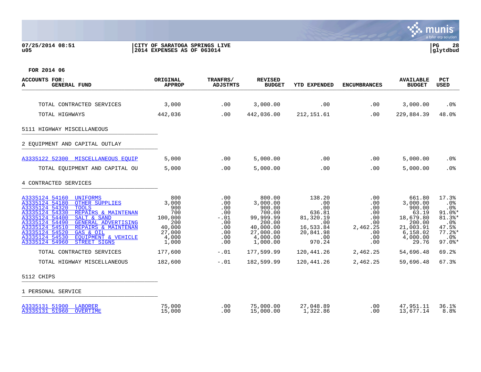## **07/25/2014 08:51 |CITY OF SARATOGA SPRINGS LIVE |PG 28 u05 |2014 EXPENSES AS OF 063014 |glytdbud**

| <b>ACCOUNTS FOR:</b><br><b>GENERAL FUND</b><br>А                                                                                                                                                                                                                                                                                                                                            | <b>ORIGINAL</b><br><b>APPROP</b>                                                   | TRANFRS/<br><b>ADJSTMTS</b>                                           | <b>REVISED</b><br><b>BUDGET</b>                                                                                 | <b>YTD EXPENDED</b>                                                                           | <b>ENCUMBRANCES</b>                                                          | <b>AVAILABLE</b><br><b>BUDGET</b>                                                                          | <b>PCT</b><br><b>USED</b>                                                                      |
|---------------------------------------------------------------------------------------------------------------------------------------------------------------------------------------------------------------------------------------------------------------------------------------------------------------------------------------------------------------------------------------------|------------------------------------------------------------------------------------|-----------------------------------------------------------------------|-----------------------------------------------------------------------------------------------------------------|-----------------------------------------------------------------------------------------------|------------------------------------------------------------------------------|------------------------------------------------------------------------------------------------------------|------------------------------------------------------------------------------------------------|
| TOTAL CONTRACTED SERVICES                                                                                                                                                                                                                                                                                                                                                                   | 3,000                                                                              | .00                                                                   | 3,000.00                                                                                                        | .00                                                                                           | .00                                                                          | 3,000.00                                                                                                   | $.0\%$                                                                                         |
| TOTAL HIGHWAYS                                                                                                                                                                                                                                                                                                                                                                              | 442,036                                                                            | .00                                                                   | 442,036.00                                                                                                      | 212, 151.61                                                                                   | .00                                                                          | 229,884.39                                                                                                 | 48.0%                                                                                          |
| 5111 HIGHWAY MISCELLANEOUS                                                                                                                                                                                                                                                                                                                                                                  |                                                                                    |                                                                       |                                                                                                                 |                                                                                               |                                                                              |                                                                                                            |                                                                                                |
| 2 EOUIPMENT AND CAPITAL OUTLAY                                                                                                                                                                                                                                                                                                                                                              |                                                                                    |                                                                       |                                                                                                                 |                                                                                               |                                                                              |                                                                                                            |                                                                                                |
| A3335122 52300 MISCELLANEOUS EOUIP                                                                                                                                                                                                                                                                                                                                                          | 5,000                                                                              | .00                                                                   | 5,000.00                                                                                                        | .00                                                                                           | .00                                                                          | 5,000.00                                                                                                   | .0%                                                                                            |
| TOTAL EQUIPMENT AND CAPITAL OU                                                                                                                                                                                                                                                                                                                                                              | 5,000                                                                              | .00                                                                   | 5,000.00                                                                                                        | .00                                                                                           | .00                                                                          | 5,000.00                                                                                                   | .0%                                                                                            |
| 4 CONTRACTED SERVICES                                                                                                                                                                                                                                                                                                                                                                       |                                                                                    |                                                                       |                                                                                                                 |                                                                                               |                                                                              |                                                                                                            |                                                                                                |
| A3335124 54160<br>UNIFORMS<br>A3335124 54180<br><b>OTHER SUPPLIES</b><br>A3335124 54320<br><b>TOOLS</b><br>A3335124 54330<br>REPAIRS & MAINTENAN<br>A3335124 54400<br>SALT & SAND<br>A3335124 54490<br><b>GENERAL ADVERTISING</b><br>A3335124 54510<br>REPAIRS & MAINTENAN<br>GAS & OIL<br>A3335124 54520<br>A3335124 54530<br>EOUIPMENT & VEHICLE<br>A3335124 54960<br><b>STREET SIGNS</b> | 800<br>3,000<br>900<br>700<br>100,000<br>200<br>40,000<br>27,000<br>4,000<br>1,000 | .00<br>.00<br>.00<br>.00<br>$-.01$<br>.00<br>.00<br>.00<br>.00<br>.00 | 800.00<br>3,000.00<br>900.00<br>700.00<br>99,999.99<br>200.00<br>40,000.00<br>27,000.00<br>4,000.00<br>1,000.00 | 138.20<br>.00<br>.00<br>636.81<br>81,320.19<br>.00<br>16,533.84<br>20,841.98<br>.00<br>970.24 | .00<br>$.00 \,$<br>.00<br>.00<br>.00<br>.00<br>2,462.25<br>.00<br>.00<br>.00 | 661.80<br>3,000.00<br>900.00<br>63.19<br>18,679.80<br>200.00<br>21,003.91<br>6,158.02<br>4,000.00<br>29.76 | 17.3%<br>.0%<br>.0%<br>$91.0$ %*<br>$81.3$ $*$<br>.0%<br>47.5%<br>$77.2$ *<br>.0%<br>$97.0$ %* |
| TOTAL CONTRACTED SERVICES                                                                                                                                                                                                                                                                                                                                                                   | 177,600                                                                            | $-.01$                                                                | 177,599.99                                                                                                      | 120,441.26                                                                                    | 2,462.25                                                                     | 54,696.48                                                                                                  | 69.2%                                                                                          |
| TOTAL HIGHWAY MISCELLANEOUS                                                                                                                                                                                                                                                                                                                                                                 | 182,600                                                                            | $-0.01$                                                               | 182,599.99                                                                                                      | 120,441.26                                                                                    | 2,462.25                                                                     | 59,696.48                                                                                                  | 67.3%                                                                                          |
| 5112 CHIPS                                                                                                                                                                                                                                                                                                                                                                                  |                                                                                    |                                                                       |                                                                                                                 |                                                                                               |                                                                              |                                                                                                            |                                                                                                |
| 1 PERSONAL SERVICE                                                                                                                                                                                                                                                                                                                                                                          |                                                                                    |                                                                       |                                                                                                                 |                                                                                               |                                                                              |                                                                                                            |                                                                                                |
| A3335131 51900 LABORER<br>A3335131 51960 OVERTIME                                                                                                                                                                                                                                                                                                                                           | 75,000<br>15,000                                                                   | .00<br>.00                                                            | 75,000.00<br>15,000.00                                                                                          | 27,048.89<br>1,322.86                                                                         | .00<br>.00                                                                   | 47,951.11<br>13,677.14                                                                                     | 36.1%<br>8.8 <sup>°</sup>                                                                      |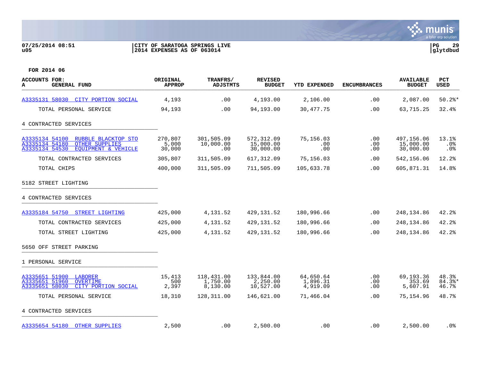## **07/25/2014 08:51 |CITY OF SARATOGA SPRINGS LIVE |PG 29 u05 |2014 EXPENSES AS OF 063014 |glytdbud**



| ACCOUNTS FOR:<br>A<br><b>GENERAL FUND</b>                                                                                 | <b>ORIGINAL</b><br><b>APPROP</b> | TRANFRS/<br>ADJSTMTS               | <b>REVISED</b><br><b>BUDGET</b>      | YTD EXPENDED                      | <b>ENCUMBRANCES</b>    | <b>AVAILABLE</b><br><b>BUDGET</b>    | <b>PCT</b><br>USED              |
|---------------------------------------------------------------------------------------------------------------------------|----------------------------------|------------------------------------|--------------------------------------|-----------------------------------|------------------------|--------------------------------------|---------------------------------|
| A3335131 58030 CITY PORTION SOCIAL                                                                                        | 4,193                            | .00                                | 4,193.00                             | 2,106.00                          | .00                    | 2,087.00                             | $50.2$ *                        |
| TOTAL PERSONAL SERVICE                                                                                                    | 94,193                           | .00                                | 94,193.00                            | 30,477.75                         | .00                    | 63,715.25                            | 32.4%                           |
| 4 CONTRACTED SERVICES                                                                                                     |                                  |                                    |                                      |                                   |                        |                                      |                                 |
| A3335134 54100<br>RUBBLE BLACKTOP STO<br>A3335134 54180<br><b>OTHER SUPPLIES</b><br>A3335134 54530<br>EQUIPMENT & VEHICLE | 270,807<br>5,000<br>30,000       | 301,505.09<br>10,000.00<br>.00     | 572,312.09<br>15,000.00<br>30,000.00 | 75,156.03<br>.00<br>.00           | .00<br>$.00 \,$<br>.00 | 497,156.06<br>15,000.00<br>30,000.00 | 13.1%<br>.0 <sub>8</sub><br>.0% |
| TOTAL CONTRACTED SERVICES                                                                                                 | 305,807                          | 311,505.09                         | 617,312.09                           | 75,156.03                         | .00                    | 542,156.06                           | 12.2%                           |
| TOTAL CHIPS                                                                                                               | 400,000                          | 311,505.09                         | 711,505.09                           | 105,633.78                        | .00                    | 605,871.31                           | 14.8%                           |
| 5182 STREET LIGHTING                                                                                                      |                                  |                                    |                                      |                                   |                        |                                      |                                 |
| 4 CONTRACTED SERVICES                                                                                                     |                                  |                                    |                                      |                                   |                        |                                      |                                 |
| A3335184 54750<br>STREET LIGHTING                                                                                         | 425,000                          | 4,131.52                           | 429, 131.52                          | 180,996.66                        | .00                    | 248,134.86                           | 42.2%                           |
| TOTAL CONTRACTED SERVICES                                                                                                 | 425,000                          | 4,131.52                           | 429, 131.52                          | 180,996.66                        | .00                    | 248, 134.86                          | 42.2                            |
| TOTAL STREET LIGHTING                                                                                                     | 425,000                          | 4, 131.52                          | 429, 131.52                          | 180,996.66                        | .00                    | 248,134.86                           | 42.2%                           |
| 5650 OFF STREET PARKING                                                                                                   |                                  |                                    |                                      |                                   |                        |                                      |                                 |
| 1 PERSONAL SERVICE                                                                                                        |                                  |                                    |                                      |                                   |                        |                                      |                                 |
| A3335651 51900<br>LABORER<br>A3335651 51960<br><b>OVERTIME</b><br>A3335651 58030<br>CITY PORTION SOCIAL                   | 15,413<br>500<br>2,397           | 118,431.00<br>1,750.00<br>8,130.00 | 133,844.00<br>2,250.00<br>10,527.00  | 64,650.64<br>1,896.31<br>4,919.09 | .00<br>.00<br>$.00 \,$ | 69,193.36<br>353.69<br>5,607.91      | 48.3%<br>$84.3$ *<br>46.7%      |
| TOTAL PERSONAL SERVICE                                                                                                    | 18,310                           | 128,311.00                         | 146,621.00                           | 71,466.04                         | .00                    | 75,154.96                            | 48.7%                           |
| 4 CONTRACTED SERVICES                                                                                                     |                                  |                                    |                                      |                                   |                        |                                      |                                 |
| A3335654 54180 OTHER SUPPLIES                                                                                             | 2,500                            | $.00 \,$                           | 2,500.00                             | .00                               | .00                    | 2,500.00                             | . 0%                            |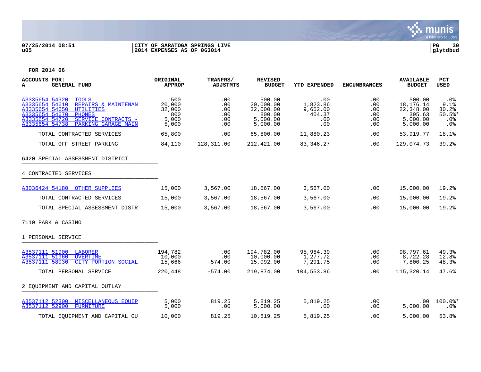

# **07/25/2014 08:51 |CITY OF SARATOGA SPRINGS LIVE |PG 30 u05 |2014 EXPENSES AS OF 063014 |glytdbud**



| <b>ACCOUNTS FOR:</b><br><b>GENERAL FUND</b><br>А                                                                                                                                                                                   | ORIGINAL<br><b>APPROP</b>                        | TRANFRS/<br>ADJSTMTS                   | <b>REVISED</b><br><b>BUDGET</b>                                    | <b>YTD EXPENDED</b>                                 | <b>ENCUMBRANCES</b>                         | <b>AVAILABLE</b><br><b>BUDGET</b>                                    | <b>PCT</b><br><b>USED</b>                            |
|------------------------------------------------------------------------------------------------------------------------------------------------------------------------------------------------------------------------------------|--------------------------------------------------|----------------------------------------|--------------------------------------------------------------------|-----------------------------------------------------|---------------------------------------------|----------------------------------------------------------------------|------------------------------------------------------|
| A3335654 54320<br><b>TOOLS</b><br>A3335654 54610<br>REPAIRS & MAINTENAN<br>A3335654 54650<br><b>UTILITIES</b><br>A3335654 54670<br><b>PHONES</b><br>A3335654 54720<br>SERVICE CONTRACTS -<br>A3335654 54738<br>PARKING GARAGE MAIN | 500<br>20,000<br>32,000<br>800<br>5,000<br>5,000 | .00<br>.00<br>.00<br>.00<br>.00<br>.00 | 500.00<br>20,000.00<br>32,000.00<br>800.00<br>5,000.00<br>5,000.00 | .00<br>1,823.86<br>9,652.00<br>404.37<br>.00<br>.00 | .00<br>.00<br>.00<br>.00<br>$.00 \,$<br>.00 | 500.00<br>18, 176. 14<br>22,348.00<br>395.63<br>5,000.00<br>5,000.00 | $.0\%$<br>9.1%<br>30.2%<br>$50.5$ *<br>$.0\%$<br>.0% |
| TOTAL CONTRACTED SERVICES                                                                                                                                                                                                          | 65,800                                           | .00                                    | 65,800.00                                                          | 11,880.23                                           | .00                                         | 53,919.77                                                            | 18.1%                                                |
| TOTAL OFF STREET PARKING                                                                                                                                                                                                           | 84,110                                           | 128,311.00                             | 212,421.00                                                         | 83,346.27                                           | .00                                         | 129,074.73                                                           | 39.2%                                                |
| 6420 SPECIAL ASSESSMENT DISTRICT                                                                                                                                                                                                   |                                                  |                                        |                                                                    |                                                     |                                             |                                                                      |                                                      |
| 4 CONTRACTED SERVICES                                                                                                                                                                                                              |                                                  |                                        |                                                                    |                                                     |                                             |                                                                      |                                                      |
| A3036424 54180 OTHER SUPPLIES                                                                                                                                                                                                      | 15,000                                           | 3,567.00                               | 18,567.00                                                          | 3,567.00                                            | .00                                         | 15,000.00                                                            | 19.2%                                                |
| TOTAL CONTRACTED SERVICES                                                                                                                                                                                                          | 15,000                                           | 3,567.00                               | 18,567.00                                                          | 3,567.00                                            | .00                                         | 15,000.00                                                            | 19.2%                                                |
| TOTAL SPECIAL ASSESSMENT DISTR                                                                                                                                                                                                     | 15,000                                           | 3,567.00                               | 18,567.00                                                          | 3,567.00                                            | .00                                         | 15,000.00                                                            | 19.2%                                                |
| 7110 PARK & CASINO                                                                                                                                                                                                                 |                                                  |                                        |                                                                    |                                                     |                                             |                                                                      |                                                      |
| 1 PERSONAL SERVICE                                                                                                                                                                                                                 |                                                  |                                        |                                                                    |                                                     |                                             |                                                                      |                                                      |
| A3537111 51900 LABORER<br>A3537111 51960<br><b>OVERTIME</b><br>A3537111 58030<br>CITY PORTION SOCIAL                                                                                                                               | 194,782<br>10,000<br>15,666                      | .00<br>.00<br>$-574.00$                | 194,782.00<br>10,000.00<br>15,092.00                               | 95,984.39<br>1,277.72<br>7,291.75                   | .00<br>.00<br>.00                           | 98,797.61<br>8,722.28<br>7,800.25                                    | 49.3%<br>12.8%<br>48.3%                              |
| TOTAL PERSONAL SERVICE                                                                                                                                                                                                             | 220,448                                          | $-574.00$                              | 219,874.00                                                         | 104,553.86                                          | .00.                                        | 115,320.14                                                           | 47.6%                                                |
| 2 EOUIPMENT AND CAPITAL OUTLAY                                                                                                                                                                                                     |                                                  |                                        |                                                                    |                                                     |                                             |                                                                      |                                                      |
| A3537112 52300 MISCELLANEOUS EOUIP<br>A3537112 52900<br>FURNITURE                                                                                                                                                                  | 5,000<br>5,000                                   | 819.25<br>.00                          | 5,819.25<br>5,000.00                                               | 5,819.25<br>.00                                     | .00<br>.00                                  | .00<br>5,000.00                                                      | 100.0%*<br>$.0\%$                                    |
| TOTAL EOUIPMENT AND CAPITAL OU                                                                                                                                                                                                     | 10,000                                           | 819.25                                 | 10,819.25                                                          | 5,819.25                                            | .00                                         | 5,000.00                                                             | 53.8%                                                |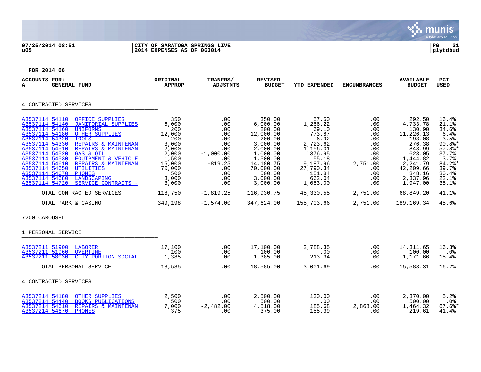## **07/25/2014 08:51 |CITY OF SARATOGA SPRINGS LIVE |PG 31 u05 |2014 EXPENSES AS OF 063014 |glytdbud**



| <b>ACCOUNTS FOR:</b><br>A<br><b>GENERAL FUND</b>                                                                                                                                                                                                                                                                                                                                                                                                                                                                                                   | ORIGINAL<br><b>APPROP</b>                                                                                             | TRANFRS/<br><b>ADJSTMTS</b>                                                                                  | <b>REVISED</b><br><b>BUDGET</b>                                                                                                                                 | <b>YTD EXPENDED</b>                                                                                                                              | <b>ENCUMBRANCES</b>                                                                                 | <b>AVAILABLE</b><br><b>BUDGET</b>                                                                                                                        | <b>PCT</b><br>USED                                                                                                                    |
|----------------------------------------------------------------------------------------------------------------------------------------------------------------------------------------------------------------------------------------------------------------------------------------------------------------------------------------------------------------------------------------------------------------------------------------------------------------------------------------------------------------------------------------------------|-----------------------------------------------------------------------------------------------------------------------|--------------------------------------------------------------------------------------------------------------|-----------------------------------------------------------------------------------------------------------------------------------------------------------------|--------------------------------------------------------------------------------------------------------------------------------------------------|-----------------------------------------------------------------------------------------------------|----------------------------------------------------------------------------------------------------------------------------------------------------------|---------------------------------------------------------------------------------------------------------------------------------------|
| 4 CONTRACTED SERVICES                                                                                                                                                                                                                                                                                                                                                                                                                                                                                                                              |                                                                                                                       |                                                                                                              |                                                                                                                                                                 |                                                                                                                                                  |                                                                                                     |                                                                                                                                                          |                                                                                                                                       |
| A3537114 54110<br>OFFICE SUPPLIES<br><b>JANITORIAL SUPPLIES</b><br>A3537114 54140<br>A3537114 54160<br>UNIFORMS<br>A3537114 54180<br><b>OTHER SUPPLIES</b><br>A3537114 54320<br><b>TOOLS</b><br>A3537114 54330<br>REPAIRS & MAINTENAN<br>A3537114 54510<br>REPAIRS & MAINTENAN<br>A3537114 54520<br>GAS & OIL<br>A3537114 54530<br>EQUIPMENT & VEHICLE<br>A3537114 54610<br>REPAIRS & MAINTENAN<br>A3537114 54650<br><b>UTILITIES</b><br>A3537114 54670<br><b>PHONES</b><br>A3537114 54680<br>LANDSCAPING<br>A3537114 54720<br>SERVICE CONTRACTS - | 350<br>6,000<br>200<br>12,000<br>200<br>3,000<br>2,000<br>2,000<br>1,500<br>15,000<br>70,000<br>500<br>3,000<br>3,000 | .00<br>.00<br>.00<br>.00<br>.00<br>.00<br>.00<br>$-1,000.00$<br>.00<br>$-819.25$<br>.00<br>.00<br>.00<br>.00 | 350.00<br>6,000.00<br>200.00<br>12,000.00<br>200.00<br>3,000.00<br>2,000.00<br>1,000.00<br>1,500.00<br>14,180.75<br>70,000.00<br>500.00<br>3,000.00<br>3,000.00 | 57.50<br>1,266.22<br>69.10<br>773.87<br>6.92<br>2,723.62<br>1,156.01<br>376.95<br>55.18<br>9,187.96<br>27,790.34<br>151.84<br>662.04<br>1,053.00 | .00<br>.00<br>.00<br>.00<br>.00<br>.00<br>.00<br>.00<br>.00<br>2,751.00<br>.00<br>.00<br>.00<br>.00 | 292.50<br>4,733.78<br>130.90<br>11,226.13<br>193.08<br>276.38<br>843.99<br>623.05<br>1,444.82<br>2,241.79<br>42,209.66<br>348.16<br>2,337.96<br>1,947.00 | 16.4%<br>21.1%<br>34.6%<br>6.4%<br>3.5%<br>$90.8$ *<br>$57.8$ *<br>37.7%<br>3.7%<br>$84.2$ *<br>39.7%<br>30.4%<br>$22.1$ $%$<br>35.1% |
| TOTAL CONTRACTED SERVICES                                                                                                                                                                                                                                                                                                                                                                                                                                                                                                                          | 118,750                                                                                                               | $-1,819.25$                                                                                                  | 116,930.75                                                                                                                                                      | 45,330.55                                                                                                                                        | 2,751.00                                                                                            | 68,849.20                                                                                                                                                | 41.1%                                                                                                                                 |
| TOTAL PARK & CASINO                                                                                                                                                                                                                                                                                                                                                                                                                                                                                                                                | 349,198                                                                                                               | $-1,574.00$                                                                                                  | 347,624.00                                                                                                                                                      | 155,703.66                                                                                                                                       | 2,751.00                                                                                            | 189,169.34                                                                                                                                               | 45.6%                                                                                                                                 |
| 7200 CAROUSEL                                                                                                                                                                                                                                                                                                                                                                                                                                                                                                                                      |                                                                                                                       |                                                                                                              |                                                                                                                                                                 |                                                                                                                                                  |                                                                                                     |                                                                                                                                                          |                                                                                                                                       |
| 1 PERSONAL SERVICE                                                                                                                                                                                                                                                                                                                                                                                                                                                                                                                                 |                                                                                                                       |                                                                                                              |                                                                                                                                                                 |                                                                                                                                                  |                                                                                                     |                                                                                                                                                          |                                                                                                                                       |
| A3537211 51900 LABORER<br>A3537211 51960<br><b>OVERTIME</b><br>A3537211 58030<br>CITY PORTION SOCIAL                                                                                                                                                                                                                                                                                                                                                                                                                                               | 17,100<br>100<br>1,385                                                                                                | .00<br>.00<br>.00                                                                                            | 17,100.00<br>100.00<br>1,385.00                                                                                                                                 | 2,788.35<br>.00<br>213.34                                                                                                                        | .00<br>.00<br>.00                                                                                   | 14,311.65<br>100.00<br>1,171.66                                                                                                                          | 16.3%<br>$.0\%$<br>15.4%                                                                                                              |
| TOTAL PERSONAL SERVICE                                                                                                                                                                                                                                                                                                                                                                                                                                                                                                                             | 18,585                                                                                                                | $.00 \,$                                                                                                     | 18,585.00                                                                                                                                                       | 3,001.69                                                                                                                                         | $.00 \,$                                                                                            | 15,583.31                                                                                                                                                | 16.2%                                                                                                                                 |
| 4 CONTRACTED SERVICES                                                                                                                                                                                                                                                                                                                                                                                                                                                                                                                              |                                                                                                                       |                                                                                                              |                                                                                                                                                                 |                                                                                                                                                  |                                                                                                     |                                                                                                                                                          |                                                                                                                                       |
| A3537214 54180 OTHER SUPPLIES<br><b>BOOKS PUBLICATIONS</b><br>A3537214 54440<br>A3537214 54610<br>REPAIRS & MAINTENAN<br>A3537214 54670<br>PHONES                                                                                                                                                                                                                                                                                                                                                                                                  | 2,500<br>500<br>7,000<br>375                                                                                          | .00<br>.00<br>$-2,482.00$<br>.00                                                                             | 2,500.00<br>500.00<br>4,518.00<br>375.00                                                                                                                        | 130.00<br>.00<br>185.68<br>155.39                                                                                                                | .00<br>.00<br>2,868.00<br>.00                                                                       | 2,370.00<br>500.00<br>1,464.32<br>219.61                                                                                                                 | 5.2%<br>$.0\%$<br>$67.6$ *<br>41.4%                                                                                                   |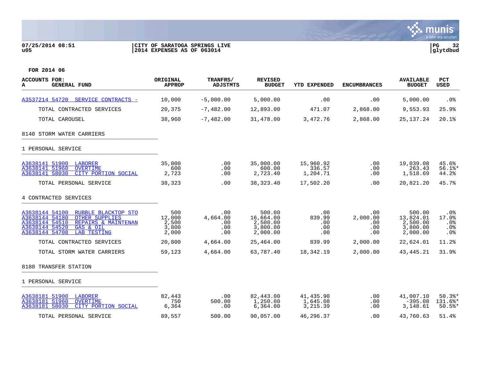## **07/25/2014 08:51 |CITY OF SARATOGA SPRINGS LIVE |PG 32 u05 |2014 EXPENSES AS OF 063014 |glytdbud**



| <b>ACCOUNTS FOR:</b><br>A<br><b>GENERAL FUND</b>                                                                                                                                                 | ORIGINAL<br><b>APPROP</b>                | TRANFRS/<br><b>ADJSTMTS</b>          | <b>REVISED</b><br><b>BUDGET</b>                         | YTD EXPENDED                       | <b>ENCUMBRANCES</b>                       | <b>AVAILABLE</b><br><b>BUDGET</b>                       | PCT<br>USED                          |
|--------------------------------------------------------------------------------------------------------------------------------------------------------------------------------------------------|------------------------------------------|--------------------------------------|---------------------------------------------------------|------------------------------------|-------------------------------------------|---------------------------------------------------------|--------------------------------------|
| A3537214 54720 SERVICE CONTRACTS -                                                                                                                                                               | 10,000                                   | $-5,000.00$                          | 5,000.00                                                | .00                                | .00                                       | 5,000.00                                                | $.0\%$                               |
| TOTAL CONTRACTED SERVICES                                                                                                                                                                        | 20,375                                   | $-7,482.00$                          | 12,893.00                                               | 471.07                             | 2,868.00                                  | 9,553.93                                                | 25.9%                                |
| TOTAL CAROUSEL                                                                                                                                                                                   | 38,960                                   | $-7,482.00$                          | 31,478.00                                               | 3,472.76                           | 2,868.00                                  | 25, 137. 24                                             | 20.1%                                |
| 8140 STORM WATER CARRIERS                                                                                                                                                                        |                                          |                                      |                                                         |                                    |                                           |                                                         |                                      |
| 1 PERSONAL SERVICE                                                                                                                                                                               |                                          |                                      |                                                         |                                    |                                           |                                                         |                                      |
| A3638141 51900 LABORER<br>A3638141 51960<br><b>OVERTIME</b><br>A3638141 58030<br>CITY PORTION SOCIAL                                                                                             | 35,000<br>600<br>2,723                   | .00<br>.00<br>.00                    | 35,000.00<br>600.00<br>2,723.40                         | 15,960.92<br>336.57<br>1,204.71    | $.00 \,$<br>$.00 \,$<br>$.00 \ \rm$       | 19,039.08<br>263.43<br>1,518.69                         | 45.6%<br>$56.1$ $*$<br>44.2%         |
| TOTAL PERSONAL SERVICE                                                                                                                                                                           | 38,323                                   | .00                                  | 38, 323.40                                              | 17,502.20                          | $.00 \,$                                  | 20,821.20                                               | 45.7%                                |
| 4 CONTRACTED SERVICES                                                                                                                                                                            |                                          |                                      |                                                         |                                    |                                           |                                                         |                                      |
| A3638144 54100<br>RUBBLE BLACKTOP STO<br>A3638144 54180<br><b>OTHER SUPPLIES</b><br>REPAIRS & MAINTENAN<br>A3638144 54510<br>A3638144 54520<br>GAS & OIL<br>A3638144 54708<br><b>LAB TESTING</b> | 500<br>12,000<br>2,500<br>3,800<br>2,000 | .00<br>4,664.00<br>.00<br>.00<br>.00 | 500.00<br>16,664.00<br>2,500.00<br>3,800.00<br>2,000.00 | .00<br>839.99<br>.00<br>.00<br>.00 | $.00 \,$<br>2,000.00<br>.00<br>.00<br>.00 | 500.00<br>13,824.01<br>2,500.00<br>3,800.00<br>2,000.00 | $.0\%$<br>17.0%<br>.0%<br>.0%<br>.0% |
| TOTAL CONTRACTED SERVICES                                                                                                                                                                        | 20,800                                   | 4,664.00                             | 25,464.00                                               | 839.99                             | 2,000.00                                  | 22,624.01                                               | 11.2%                                |
| TOTAL STORM WATER CARRIERS                                                                                                                                                                       | 59,123                                   | 4,664.00                             | 63,787.40                                               | 18,342.19                          | 2,000.00                                  | 43, 445. 21                                             | 31.9%                                |
| 8180 TRANSFER STATION                                                                                                                                                                            |                                          |                                      |                                                         |                                    |                                           |                                                         |                                      |
| 1 PERSONAL SERVICE                                                                                                                                                                               |                                          |                                      |                                                         |                                    |                                           |                                                         |                                      |
| A3638181 51900<br>LABORER<br>A3638181 51960<br><b>OVERTIME</b><br>A3638181 58030<br>CITY PORTION SOCIAL                                                                                          | 82,443<br>750<br>6,364                   | .00<br>500.00<br>.00                 | 82,443.00<br>1,250.00<br>6,364.00                       | 41,435.90<br>1,645.08<br>3,215.39  | .00<br>.00<br>$.00 \,$                    | 41,007.10<br>$-395.08$<br>3,148.61                      | $50.3$ $*$<br>131.6%*<br>$50.5$ *    |
| TOTAL PERSONAL SERVICE                                                                                                                                                                           | 89,557                                   | 500.00                               | 90,057.00                                               | 46,296.37                          | .00                                       | 43,760.63                                               | 51.4%                                |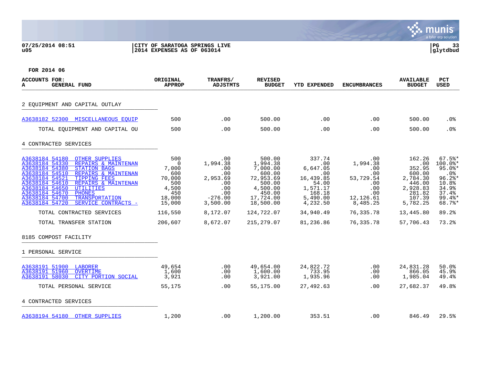## **07/25/2014 08:51 |CITY OF SARATOGA SPRINGS LIVE |PG 33 u05 |2014 EXPENSES AS OF 063014 |glytdbud**



| ACCOUNTS FOR:<br><b>GENERAL FUND</b><br>A                                                                                                                                                                                                                                                                                                                                                                                                                                | ORIGINAL<br><b>APPROP</b>                                                                                        | TRANFRS/<br><b>ADJSTMTS</b>                                                                                          | <b>REVISED</b><br><b>BUDGET</b>                                                                                                             | <b>YTD EXPENDED</b>                                                                                                            | <b>ENCUMBRANCES</b>                                                                                                     | <b>AVAILABLE</b><br><b>BUDGET</b>                                                                                             | <b>PCT</b><br><b>USED</b>                                                                                                           |
|--------------------------------------------------------------------------------------------------------------------------------------------------------------------------------------------------------------------------------------------------------------------------------------------------------------------------------------------------------------------------------------------------------------------------------------------------------------------------|------------------------------------------------------------------------------------------------------------------|----------------------------------------------------------------------------------------------------------------------|---------------------------------------------------------------------------------------------------------------------------------------------|--------------------------------------------------------------------------------------------------------------------------------|-------------------------------------------------------------------------------------------------------------------------|-------------------------------------------------------------------------------------------------------------------------------|-------------------------------------------------------------------------------------------------------------------------------------|
| 2 EQUIPMENT AND CAPITAL OUTLAY                                                                                                                                                                                                                                                                                                                                                                                                                                           |                                                                                                                  |                                                                                                                      |                                                                                                                                             |                                                                                                                                |                                                                                                                         |                                                                                                                               |                                                                                                                                     |
| A3638182 52300 MISCELLANEOUS EOUIP                                                                                                                                                                                                                                                                                                                                                                                                                                       | 500                                                                                                              | $.00 \,$                                                                                                             | 500.00                                                                                                                                      | .00                                                                                                                            | .00                                                                                                                     | 500.00                                                                                                                        | .0 <sub>8</sub>                                                                                                                     |
| TOTAL EQUIPMENT AND CAPITAL OU                                                                                                                                                                                                                                                                                                                                                                                                                                           | 500                                                                                                              | .00                                                                                                                  | 500.00                                                                                                                                      | .00                                                                                                                            | .00                                                                                                                     | 500.00                                                                                                                        | .0%                                                                                                                                 |
| 4 CONTRACTED SERVICES                                                                                                                                                                                                                                                                                                                                                                                                                                                    |                                                                                                                  |                                                                                                                      |                                                                                                                                             |                                                                                                                                |                                                                                                                         |                                                                                                                               |                                                                                                                                     |
| A3638184 54180<br><b>OTHER SUPPLIES</b><br>A3638184 54330<br>REPAIRS & MAINTENAN<br>A3638184 54380<br><b>STATION BAGS</b><br>A3638184 54510<br>REPAIRS & MAINTENAN<br>A3638184 54521<br><b>TIPPING FEES</b><br>A3638184 54610<br>REPAIRS & MAINTENAN<br>A3638184 54650<br><b>UTILITIES</b><br>A3638184 54670<br><b>PHONES</b><br>A3638184 54700<br><b>TRANSPORTATION</b><br>A3638184 54720<br>SERVICE CONTRACTS -<br>TOTAL CONTRACTED SERVICES<br>TOTAL TRANSFER STATION | 500<br>$\overline{0}$<br>7,000<br>600<br>70,000<br>500<br>4,500<br>450<br>18,000<br>15,000<br>116,550<br>206,607 | $.00 \,$<br>1,994.38<br>.00<br>.00<br>2,953.69<br>.00<br>.00<br>.00<br>$-276.00$<br>3,500.00<br>8,172.07<br>8,672.07 | 500.00<br>1,994.38<br>7,000.00<br>600.00<br>72,953.69<br>500.00<br>4,500.00<br>450.00<br>17,724.00<br>18,500.00<br>124,722.07<br>215,279.07 | 337.74<br>.00<br>6,647.05<br>.00<br>16,439.85<br>54.00<br>1,571.17<br>168.18<br>5,490.00<br>4,232.50<br>34,940.49<br>81,236.86 | $.00 \,$<br>1,994.38<br>.00<br>.00<br>53,729.54<br>.00<br>.00<br>.00<br>12,126.61<br>8,485.25<br>76,335.78<br>76,335.78 | 162.26<br>.00<br>352.95<br>600.00<br>2,784.30<br>446.00<br>2,928.83<br>281.82<br>107.39<br>5,782.25<br>13,445.80<br>57,706.43 | $67.5$ *<br>$100.0$ *<br>$95.0$ *<br>.0 <sub>8</sub><br>$96.2$ *<br>10.8%<br>34.9%<br>37.4%<br>$99.4$ *<br>68.7%*<br>89.2%<br>73.2% |
| 8185 COMPOST FACILITY                                                                                                                                                                                                                                                                                                                                                                                                                                                    |                                                                                                                  |                                                                                                                      |                                                                                                                                             |                                                                                                                                |                                                                                                                         |                                                                                                                               |                                                                                                                                     |
| 1 PERSONAL SERVICE                                                                                                                                                                                                                                                                                                                                                                                                                                                       |                                                                                                                  |                                                                                                                      |                                                                                                                                             |                                                                                                                                |                                                                                                                         |                                                                                                                               |                                                                                                                                     |
| A3638191 51900<br>LABORER<br>A3638191 51960<br><b>OVERTIME</b><br>A3638191 58030<br>CITY PORTION SOCIAL                                                                                                                                                                                                                                                                                                                                                                  | 49,654<br>1,600<br>3,921                                                                                         | .00<br>.00<br>.00                                                                                                    | 49,654.00<br>1,600.00<br>3,921.00                                                                                                           | 24,822.72<br>733.95<br>1,935.96                                                                                                | .00<br>$.00 \,$<br>.00                                                                                                  | 24,831.28<br>866.05<br>1,985.04                                                                                               | 50.0%<br>45.9%<br>49.4%                                                                                                             |
| TOTAL PERSONAL SERVICE                                                                                                                                                                                                                                                                                                                                                                                                                                                   | 55,175                                                                                                           | .00.                                                                                                                 | 55,175.00                                                                                                                                   | 27,492.63                                                                                                                      | .00                                                                                                                     | 27,682.37                                                                                                                     | 49.8%                                                                                                                               |
| 4 CONTRACTED SERVICES                                                                                                                                                                                                                                                                                                                                                                                                                                                    |                                                                                                                  |                                                                                                                      |                                                                                                                                             |                                                                                                                                |                                                                                                                         |                                                                                                                               |                                                                                                                                     |
| A3638194 54180 OTHER SUPPLIES                                                                                                                                                                                                                                                                                                                                                                                                                                            | 1,200                                                                                                            | .00                                                                                                                  | 1,200.00                                                                                                                                    | 353.51                                                                                                                         | .00                                                                                                                     | 846.49                                                                                                                        | 29.5%                                                                                                                               |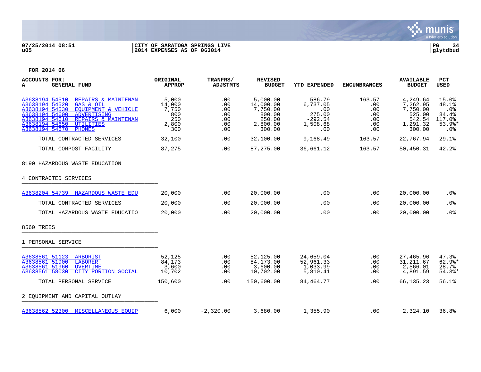

# **07/25/2014 08:51 |CITY OF SARATOGA SPRINGS LIVE |PG 34 u05 |2014 EXPENSES AS OF 063014 |glytdbud**



| <b>ACCOUNTS FOR:</b><br><b>GENERAL FUND</b><br>А                                                                                                                                                                                                          | ORIGINAL<br><b>APPROP</b>                              | TRANFRS/<br><b>ADJSTMTS</b>                   | <b>REVISED</b><br><b>BUDGET</b>                                             | <b>YTD EXPENDED</b>                                                 | <b>ENCUMBRANCES</b>                              | <b>AVAILABLE</b><br><b>BUDGET</b>                                          | <b>PCT</b><br><b>USED</b>                                                |
|-----------------------------------------------------------------------------------------------------------------------------------------------------------------------------------------------------------------------------------------------------------|--------------------------------------------------------|-----------------------------------------------|-----------------------------------------------------------------------------|---------------------------------------------------------------------|--------------------------------------------------|----------------------------------------------------------------------------|--------------------------------------------------------------------------|
| A3638194 54510<br>REPAIRS & MAINTENAN<br>A3638194 54520<br>GAS & OIL<br>EOUIPMENT & VEHICLE<br>A3638194 54530<br>A3638194 54600<br>ADVERTISING<br>A3638194 54610<br>REPAIRS & MAINTENAN<br>A3638194 54650<br>UTILITIES<br>A3638194 54670<br><b>PHONES</b> | 5,000<br>14,000<br>7,750<br>800<br>250<br>2,800<br>300 | .00<br>.00<br>.00<br>.00<br>.00<br>.00<br>.00 | 5,000.00<br>14,000.00<br>7,750.00<br>800.00<br>250.00<br>2,800.00<br>300.00 | 586.79<br>6,737.05<br>.00<br>275.00<br>$-292.54$<br>1,508.68<br>.00 | 163.57<br>.00<br>.00<br>.00<br>.00<br>.00<br>.00 | 4,249.64<br>7,262.95<br>7,750.00<br>525.00<br>542.54<br>1,291.32<br>300.00 | 15.0%<br>48.1%<br>.0%<br>34.4%<br>117.0%<br>$53.9$ %*<br>.0 <sub>8</sub> |
| TOTAL CONTRACTED SERVICES                                                                                                                                                                                                                                 | 32,100                                                 | .00                                           | 32,100.00                                                                   | 9,168.49                                                            | 163.57                                           | 22,767.94                                                                  | 29.1%                                                                    |
| TOTAL COMPOST FACILITY                                                                                                                                                                                                                                    | 87,275                                                 | .00                                           | 87,275.00                                                                   | 36,661.12                                                           | 163.57                                           | 50,450.31                                                                  | 42.2%                                                                    |
| 8190 HAZARDOUS WASTE EDUCATION                                                                                                                                                                                                                            |                                                        |                                               |                                                                             |                                                                     |                                                  |                                                                            |                                                                          |
| 4 CONTRACTED SERVICES                                                                                                                                                                                                                                     |                                                        |                                               |                                                                             |                                                                     |                                                  |                                                                            |                                                                          |
| A3638204 54739 HAZARDOUS WASTE EDU                                                                                                                                                                                                                        | 20,000                                                 | .00                                           | 20,000.00                                                                   | .00                                                                 | .00                                              | 20,000.00                                                                  | .0 <sub>8</sub>                                                          |
| TOTAL CONTRACTED SERVICES                                                                                                                                                                                                                                 | 20,000                                                 | .00                                           | 20,000.00                                                                   | .00                                                                 | .00                                              | 20,000.00                                                                  | .0%                                                                      |
| TOTAL HAZARDOUS WASTE EDUCATIO                                                                                                                                                                                                                            | 20,000                                                 | .00                                           | 20,000.00                                                                   | .00                                                                 | .00                                              | 20,000.00                                                                  | .0%                                                                      |
| 8560 TREES                                                                                                                                                                                                                                                |                                                        |                                               |                                                                             |                                                                     |                                                  |                                                                            |                                                                          |
| 1 PERSONAL SERVICE                                                                                                                                                                                                                                        |                                                        |                                               |                                                                             |                                                                     |                                                  |                                                                            |                                                                          |
| A3638561 51123 ARBORIST<br>A3638561 51900<br><b>LABORER</b><br>A3638561 51960<br>OVERTIME<br>A3638561 58030<br>CITY PORTION SOCIAL                                                                                                                        | 52,125<br>84,173<br>3,600<br>10,702                    | .00<br>.00<br>.00<br>.00                      | 52,125.00<br>84,173.00<br>3,600.00<br>10,702.00                             | 24,659.04<br>52,961.33<br>1,033.99<br>5,810.41                      | .00<br>.00<br>.00<br>.00                         | 27,465.96<br>31, 211.67<br>2,566.01<br>4,891.59                            | 47.3%<br>$62.9$ <sup>*</sup><br>28.7%<br>$54.3$ *                        |
| TOTAL PERSONAL SERVICE                                                                                                                                                                                                                                    | 150,600                                                | .00                                           | 150,600.00                                                                  | 84,464.77                                                           | .00                                              | 66,135.23                                                                  | 56.1%                                                                    |
| 2 EOUIPMENT AND CAPITAL OUTLAY                                                                                                                                                                                                                            |                                                        |                                               |                                                                             |                                                                     |                                                  |                                                                            |                                                                          |
| A3638562 52300 MISCELLANEOUS EOUIP                                                                                                                                                                                                                        | 6,000                                                  | $-2,320.00$                                   | 3,680.00                                                                    | 1,355.90                                                            | .00                                              | 2,324.10                                                                   | 36.8%                                                                    |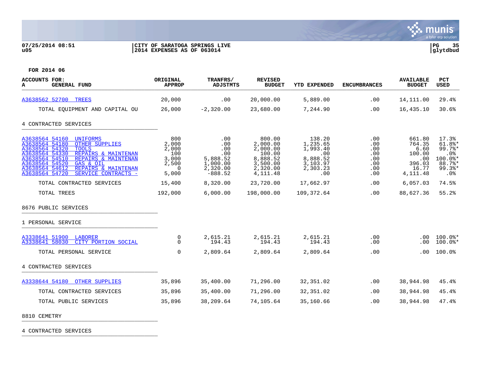

# **07/25/2014 08:51 |CITY OF SARATOGA SPRINGS LIVE |PG 35 u05 |2014 EXPENSES AS OF 063014 |glytdbud**



**FOR 2014 06**

| <b>ACCOUNTS FOR:</b><br><b>GENERAL FUND</b><br>A                                                                                                                                                                                                                                                                  | ORIGINAL<br><b>APPROP</b>                                           | TRANFRS/<br><b>ADJSTMTS</b>                                               | <b>REVISED</b><br><b>BUDGET</b>                                                           | <b>YTD EXPENDED</b>                                                              | <b>ENCUMBRANCES</b>                                  | <b>AVAILABLE</b><br><b>BUDGET</b>                                         | PCT<br><b>USED</b>                                                               |
|-------------------------------------------------------------------------------------------------------------------------------------------------------------------------------------------------------------------------------------------------------------------------------------------------------------------|---------------------------------------------------------------------|---------------------------------------------------------------------------|-------------------------------------------------------------------------------------------|----------------------------------------------------------------------------------|------------------------------------------------------|---------------------------------------------------------------------------|----------------------------------------------------------------------------------|
| A3638562 52700 TREES                                                                                                                                                                                                                                                                                              | 20,000                                                              | .00                                                                       | 20,000.00                                                                                 | 5,889.00                                                                         | .00                                                  | 14,111.00                                                                 | 29.4%                                                                            |
| TOTAL EQUIPMENT AND CAPITAL OU                                                                                                                                                                                                                                                                                    | 26,000                                                              | $-2,320.00$                                                               | 23,680.00                                                                                 | 7,244.90                                                                         | .00                                                  | 16,435.10                                                                 | 30.6%                                                                            |
| 4 CONTRACTED SERVICES                                                                                                                                                                                                                                                                                             |                                                                     |                                                                           |                                                                                           |                                                                                  |                                                      |                                                                           |                                                                                  |
| A3638564 54160<br><b>UNIFORMS</b><br>A3638564 54180<br><b>OTHER SUPPLIES</b><br>A3638564 54320<br><b>TOOLS</b><br>A3638564 54330<br>REPAIRS & MAINTENAN<br>A3638564 54510<br>REPAIRS & MAINTENAN<br>A3638564 54520<br>GAS & OIL<br>A3638564 54612<br>REPAIRS & MAINTENAN<br>A3638564 54720<br>SERVICE CONTRACTS - | 800<br>2,000<br>2,000<br>100<br>3,000<br>2,500<br>$\Omega$<br>5,000 | .00<br>.00<br>.00<br>.00<br>5,888.52<br>1,000.00<br>2,320.00<br>$-888.52$ | 800.00<br>2,000.00<br>2,000.00<br>100.00<br>8,888.52<br>3,500.00<br>2,320.00<br>4, 111.48 | 138.20<br>1,235.65<br>1,993.40<br>.00<br>8,888.52<br>3,103.97<br>2,303.23<br>.00 | .00<br>.00<br>.00<br>.00<br>.00<br>.00<br>.00<br>.00 | 661.80<br>764.35<br>6.60<br>100.00<br>.00<br>396.03<br>16.77<br>4, 111.48 | 17.3%<br>$61.8$ *<br>$99.7$ %*<br>.0%<br>100.0%*<br>88.7%*<br>$99.3$ *<br>$.0\%$ |
| TOTAL CONTRACTED SERVICES                                                                                                                                                                                                                                                                                         | 15,400                                                              | 8,320.00                                                                  | 23,720.00                                                                                 | 17,662.97                                                                        | .00                                                  | 6,057.03                                                                  | 74.5%                                                                            |
| TOTAL TREES                                                                                                                                                                                                                                                                                                       | 192,000                                                             | 6,000.00                                                                  | 198,000.00                                                                                | 109,372.64                                                                       | .00                                                  | 88,627.36                                                                 | 55.2%                                                                            |
| 8676 PUBLIC SERVICES                                                                                                                                                                                                                                                                                              |                                                                     |                                                                           |                                                                                           |                                                                                  |                                                      |                                                                           |                                                                                  |
| 1 PERSONAL SERVICE                                                                                                                                                                                                                                                                                                |                                                                     |                                                                           |                                                                                           |                                                                                  |                                                      |                                                                           |                                                                                  |
| A3338641 51900 LABORER<br>A3338641 58030<br>CITY PORTION SOCIAL                                                                                                                                                                                                                                                   | 0<br>$\Omega$                                                       | 2,615.21<br>194.43                                                        | 2,615.21<br>194.43                                                                        | 2,615.21<br>194.43                                                               | .00<br>.00                                           | .00.<br>.00                                                               | $100.0$ *<br>$100.0$ *                                                           |
| TOTAL PERSONAL SERVICE                                                                                                                                                                                                                                                                                            | $\Omega$                                                            | 2,809.64                                                                  | 2,809.64                                                                                  | 2,809.64                                                                         | .00                                                  | .00                                                                       | 100.0%                                                                           |
| 4 CONTRACTED SERVICES                                                                                                                                                                                                                                                                                             |                                                                     |                                                                           |                                                                                           |                                                                                  |                                                      |                                                                           |                                                                                  |
| A3338644 54180<br><b>OTHER SUPPLIES</b>                                                                                                                                                                                                                                                                           | 35,896                                                              | 35,400.00                                                                 | 71,296.00                                                                                 | 32,351.02                                                                        | .00                                                  | 38,944.98                                                                 | 45.4%                                                                            |
| TOTAL CONTRACTED SERVICES                                                                                                                                                                                                                                                                                         | 35,896                                                              | 35,400.00                                                                 | 71,296.00                                                                                 | 32,351.02                                                                        | .00                                                  | 38,944.98                                                                 | 45.4%                                                                            |
| TOTAL PUBLIC SERVICES                                                                                                                                                                                                                                                                                             | 35,896                                                              | 38,209.64                                                                 | 74,105.64                                                                                 | 35,160.66                                                                        | .00                                                  | 38,944.98                                                                 | 47.4%                                                                            |

8810 CEMETRY \_\_\_\_\_\_\_\_\_\_\_\_\_\_\_\_\_\_\_\_\_\_\_\_\_\_\_\_\_\_\_\_\_\_\_\_\_\_\_\_\_

4 CONTRACTED SERVICES \_\_\_\_\_\_\_\_\_\_\_\_\_\_\_\_\_\_\_\_\_\_\_\_\_\_\_\_\_\_\_\_\_\_\_\_\_\_\_\_\_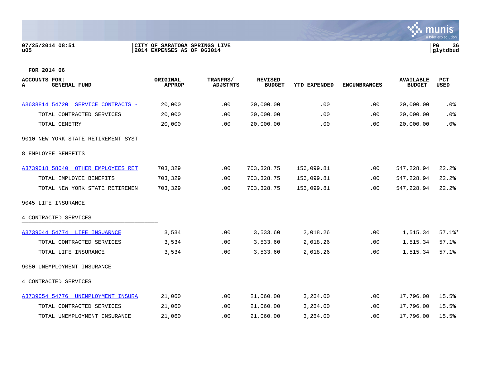## **07/25/2014 08:51 |CITY OF SARATOGA SPRINGS LIVE |PG 36 u05 |2014 EXPENSES AS OF 063014 |glytdbud**



| ACCOUNTS FOR:<br><b>GENERAL FUND</b><br>A | ORIGINAL<br><b>APPROP</b> | TRANFRS/<br><b>ADJSTMTS</b> | <b>REVISED</b><br><b>BUDGET</b> | <b>YTD EXPENDED</b> | <b>ENCUMBRANCES</b> | <b>AVAILABLE</b><br><b>BUDGET</b> | <b>PCT</b><br><b>USED</b> |
|-------------------------------------------|---------------------------|-----------------------------|---------------------------------|---------------------|---------------------|-----------------------------------|---------------------------|
|                                           |                           |                             |                                 |                     |                     |                                   |                           |
| A3638814 54720 SERVICE CONTRACTS -        | 20,000                    | .00                         | 20,000.00                       | .00                 | .00                 | 20,000.00                         | .0%                       |
| TOTAL CONTRACTED SERVICES                 | 20,000                    | .00                         | 20,000.00                       | .00                 | .00                 | 20,000.00                         | .0%                       |
| TOTAL CEMETRY                             | 20,000                    | .00                         | 20,000.00                       | .00                 | .00                 | 20,000.00                         | .0%                       |
| 9010 NEW YORK STATE RETIREMENT SYST       |                           |                             |                                 |                     |                     |                                   |                           |
| 8 EMPLOYEE BENEFITS                       |                           |                             |                                 |                     |                     |                                   |                           |
| A3739018 58040<br>OTHER EMPLOYEES RET     | 703,329                   | .00                         | 703, 328.75                     | 156,099.81          | .00                 | 547,228.94                        | 22.2%                     |
| TOTAL EMPLOYEE BENEFITS                   | 703,329                   | .00                         | 703, 328.75                     | 156,099.81          | .00                 | 547,228.94                        | 22.2%                     |
| TOTAL NEW YORK STATE RETIREMEN            | 703,329                   | .00                         | 703, 328.75                     | 156,099.81          | .00                 | 547,228.94                        | 22.2%                     |
| 9045 LIFE INSURANCE                       |                           |                             |                                 |                     |                     |                                   |                           |
| 4 CONTRACTED SERVICES                     |                           |                             |                                 |                     |                     |                                   |                           |
| A3739044 54774 LIFE INSUARNCE             | 3,534                     | .00                         | 3,533.60                        | 2,018.26            | .00                 | 1,515.34                          | $57.1$ %*                 |
| TOTAL CONTRACTED SERVICES                 | 3,534                     | .00                         | 3,533.60                        | 2,018.26            | .00                 | 1,515.34                          | 57.1%                     |
| TOTAL LIFE INSURANCE                      | 3,534                     | .00                         | 3,533.60                        | 2,018.26            | .00                 | 1,515.34                          | 57.1%                     |
| 9050 UNEMPLOYMENT INSURANCE               |                           |                             |                                 |                     |                     |                                   |                           |
| 4 CONTRACTED SERVICES                     |                           |                             |                                 |                     |                     |                                   |                           |
| A3739054 54776 UNEMPLOYMENT INSURA        | 21,060                    | .00                         | 21,060.00                       | 3,264.00            | .00                 | 17,796.00                         | 15.5%                     |
| TOTAL CONTRACTED SERVICES                 | 21,060                    | .00                         | 21,060.00                       | 3,264.00            | .00                 | 17,796.00                         | 15.5%                     |
| TOTAL UNEMPLOYMENT INSURANCE              | 21,060                    | .00                         | 21,060.00                       | 3,264.00            | .00                 | 17,796.00                         | 15.5%                     |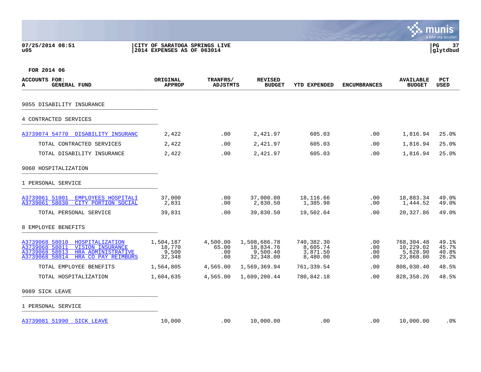| 07/25/2014 08:51 | CITY OF SARATOGA SPRINGS LIVE | ים ה<br>l PG |  |
|------------------|-------------------------------|--------------|--|
| u05              | 2014 EXPENSES AS OF 063014    | glytdbud     |  |



| <b>ACCOUNTS FOR:</b><br>A<br><b>GENERAL FUND</b>                                                                                                                | ORIGINAL<br><b>APPROP</b>              | TRANFRS/<br><b>ADJSTMTS</b>     | <b>REVISED</b><br><b>BUDGET</b>                    | <b>YTD EXPENDED</b>                            | <b>ENCUMBRANCES</b>           | <b>AVAILABLE</b><br><b>BUDGET</b>                | <b>PCT</b><br><b>USED</b>        |
|-----------------------------------------------------------------------------------------------------------------------------------------------------------------|----------------------------------------|---------------------------------|----------------------------------------------------|------------------------------------------------|-------------------------------|--------------------------------------------------|----------------------------------|
| 9055 DISABILITY INSURANCE                                                                                                                                       |                                        |                                 |                                                    |                                                |                               |                                                  |                                  |
| 4 CONTRACTED SERVICES                                                                                                                                           |                                        |                                 |                                                    |                                                |                               |                                                  |                                  |
| A3739074 54770 DISABILITY INSURANC                                                                                                                              | 2,422                                  | .00                             | 2,421.97                                           | 605.03                                         | .00                           | 1,816.94                                         | 25.0%                            |
| TOTAL CONTRACTED SERVICES                                                                                                                                       | 2,422                                  | .00                             | 2,421.97                                           | 605.03                                         | .00                           | 1,816.94                                         | 25.0%                            |
| TOTAL DISABILITY INSURANCE                                                                                                                                      | 2,422                                  | .00                             | 2,421.97                                           | 605.03                                         | .00                           | 1,816.94                                         | 25.0%                            |
| 9060 HOSPITALIZATION                                                                                                                                            |                                        |                                 |                                                    |                                                |                               |                                                  |                                  |
| 1 PERSONAL SERVICE                                                                                                                                              |                                        |                                 |                                                    |                                                |                               |                                                  |                                  |
| A3739061 51001<br>EMPLOYEES HOSPITALI<br>A3739061 58030<br>CITY PORTION SOCIAL                                                                                  | 37,000<br>2,831                        | $.00 \,$<br>.00                 | 37,000.00<br>2,830.50                              | 18,116.66<br>1,385.98                          | .00<br>.00                    | 18,883.34<br>1,444.52                            | 49.0%<br>49.0%                   |
| TOTAL PERSONAL SERVICE                                                                                                                                          | 39,831                                 | .00                             | 39,830.50                                          | 19,502.64                                      | .00                           | 20,327.86                                        | 49.0%                            |
| 8 EMPLOYEE BENEFITS                                                                                                                                             |                                        |                                 |                                                    |                                                |                               |                                                  |                                  |
| A3739068 58010<br>HOSPITALIZATION<br>A3739068 58011<br><b>VISION INSURANCE</b><br>A3739068 58013<br>HRA ADMINISTRATIVE<br>A3739068 58014<br>HRA CO PAY REIMBURS | 1,504,187<br>18,770<br>9,500<br>32,348 | 4,500.00<br>65.00<br>.00<br>.00 | 1,508,686.78<br>18,834.76<br>9,500.40<br>32,348.00 | 740,382.30<br>8,605.74<br>3,871.50<br>8,480.00 | $.00 \,$<br>.00<br>.00<br>.00 | 768,304.48<br>10,229.02<br>5,628.90<br>23,868.00 | 49.1%<br>45.7%<br>40.8%<br>26.2% |
| TOTAL EMPLOYEE BENEFITS                                                                                                                                         | 1,564,805                              | 4,565.00                        | 1,569,369.94                                       | 761,339.54                                     | .00                           | 808,030.40                                       | 48.5%                            |
| TOTAL HOSPITALIZATION                                                                                                                                           | 1,604,635                              | 4,565.00                        | 1,609,200.44                                       | 780,842.18                                     | .00                           | 828, 358. 26                                     | 48.5%                            |
| 9089 SICK LEAVE                                                                                                                                                 |                                        |                                 |                                                    |                                                |                               |                                                  |                                  |
| 1 PERSONAL SERVICE                                                                                                                                              |                                        |                                 |                                                    |                                                |                               |                                                  |                                  |
| A3739081 51990<br><b>SICK LEAVE</b>                                                                                                                             | 10,000                                 | .00                             | 10,000.00                                          | .00                                            | .00                           | 10,000.00                                        | .0%                              |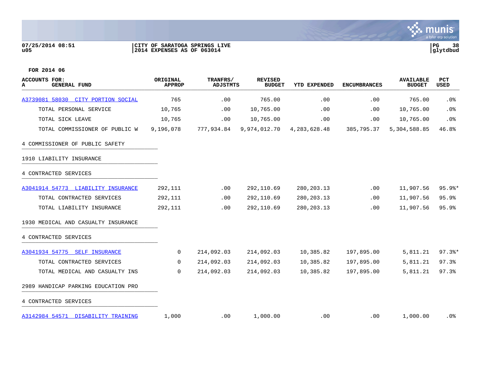## **07/25/2014 08:51 |CITY OF SARATOGA SPRINGS LIVE |PG 38 u05 |2014 EXPENSES AS OF 063014 |glytdbud**



| <b>ACCOUNTS FOR:</b><br><b>GENERAL FUND</b><br>А | ORIGINAL<br><b>APPROP</b> | TRANFRS/<br><b>ADJSTMTS</b> | <b>REVISED</b><br><b>BUDGET</b> | <b>YTD EXPENDED</b> | <b>ENCUMBRANCES</b> | <b>AVAILABLE</b><br><b>BUDGET</b> | PCT<br><b>USED</b>  |
|--------------------------------------------------|---------------------------|-----------------------------|---------------------------------|---------------------|---------------------|-----------------------------------|---------------------|
| A3739081 58030 CITY PORTION SOCIAL               | 765                       | .00                         | 765.00                          | .00                 | .00                 | 765.00                            | .0%                 |
| TOTAL PERSONAL SERVICE                           | 10,765                    | .00                         | 10,765.00                       | .00                 | .00                 | 10,765.00                         | .0%                 |
| TOTAL SICK LEAVE                                 | 10,765                    | .00                         | 10,765.00                       | .00                 | .00                 | 10,765.00                         | .0%                 |
| TOTAL COMMISSIONER OF PUBLIC W                   | 9,196,078                 | 777,934.84                  | 9,974,012.70                    | 4, 283, 628. 48     | 385,795.37          | 5,304,588.85                      | 46.8%               |
| 4 COMMISSIONER OF PUBLIC SAFETY                  |                           |                             |                                 |                     |                     |                                   |                     |
| 1910 LIABILITY INSURANCE                         |                           |                             |                                 |                     |                     |                                   |                     |
| 4 CONTRACTED SERVICES                            |                           |                             |                                 |                     |                     |                                   |                     |
| A3041914 54773 LIABILITY INSURANCE               | 292,111                   | .00                         | 292,110.69                      | 280, 203. 13        | .00                 | 11,907.56                         | $95.9$ *            |
| TOTAL CONTRACTED SERVICES                        | 292,111                   | .00                         | 292,110.69                      | 280, 203. 13        | .00                 | 11,907.56                         | 95.9%               |
| TOTAL LIABILITY INSURANCE                        | 292,111                   | .00                         | 292,110.69                      | 280, 203. 13        | .00                 | 11,907.56                         | 95.9%               |
| 1930 MEDICAL AND CASUALTY INSURANCE              |                           |                             |                                 |                     |                     |                                   |                     |
| 4 CONTRACTED SERVICES                            |                           |                             |                                 |                     |                     |                                   |                     |
| A3041934 54775 SELF INSURANCE                    | 0                         | 214,092.03                  | 214,092.03                      | 10,385.82           | 197,895.00          | 5,811.21                          | $97.3$ <sup>*</sup> |
| TOTAL CONTRACTED SERVICES                        | $\Omega$                  | 214,092.03                  | 214,092.03                      | 10,385.82           | 197,895.00          | 5,811.21                          | 97.3%               |
| TOTAL MEDICAL AND CASUALTY INS                   | 0                         | 214,092.03                  | 214,092.03                      | 10,385.82           | 197,895.00          | 5,811.21                          | 97.3%               |
| 2989 HANDICAP PARKING EDUCATION PRO              |                           |                             |                                 |                     |                     |                                   |                     |
| 4 CONTRACTED SERVICES                            |                           |                             |                                 |                     |                     |                                   |                     |
| A3142984 54571 DISABILITY TRAINING               | 1,000                     | .00                         | 1,000.00                        | .00                 | .00                 | 1,000.00                          | $.0\%$              |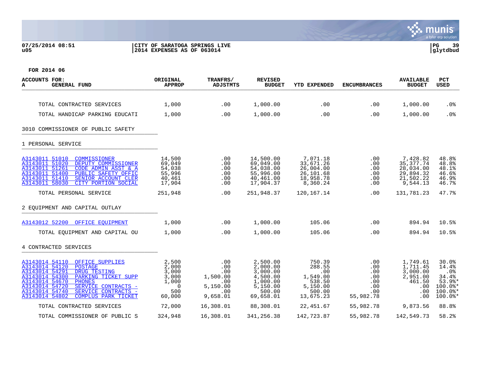## **07/25/2014 08:51 |CITY OF SARATOGA SPRINGS LIVE |PG 39 u05 |2014 EXPENSES AS OF 063014 |glytdbud**



| <b>ACCOUNTS FOR:</b><br><b>GENERAL FUND</b><br>А                                                                                                                                                                                                                                                               | ORIGINAL<br><b>APPROP</b>                                              | TRANFRS/<br><b>ADJSTMTS</b>                                         | <b>REVISED</b><br><b>BUDGET</b>                                                             | <b>YTD EXPENDED</b>                                                              | <b>ENCUMBRANCES</b>                                        | <b>AVAILABLE</b><br><b>BUDGET</b>                                           | <b>PCT</b><br><b>USED</b>                                                       |
|----------------------------------------------------------------------------------------------------------------------------------------------------------------------------------------------------------------------------------------------------------------------------------------------------------------|------------------------------------------------------------------------|---------------------------------------------------------------------|---------------------------------------------------------------------------------------------|----------------------------------------------------------------------------------|------------------------------------------------------------|-----------------------------------------------------------------------------|---------------------------------------------------------------------------------|
| TOTAL CONTRACTED SERVICES                                                                                                                                                                                                                                                                                      | 1,000                                                                  | .00                                                                 | 1,000.00                                                                                    | .00                                                                              | .00                                                        | 1,000.00                                                                    | .0%                                                                             |
| TOTAL HANDICAP PARKING EDUCATI                                                                                                                                                                                                                                                                                 | 1,000                                                                  | .00                                                                 | 1,000.00                                                                                    | .00                                                                              | .00                                                        | 1,000.00                                                                    | .0%                                                                             |
| 3010 COMMISSIONER OF PUBLIC SAFETY                                                                                                                                                                                                                                                                             |                                                                        |                                                                     |                                                                                             |                                                                                  |                                                            |                                                                             |                                                                                 |
| 1 PERSONAL SERVICE                                                                                                                                                                                                                                                                                             |                                                                        |                                                                     |                                                                                             |                                                                                  |                                                            |                                                                             |                                                                                 |
| A3143011 51010<br>COMMISSIONER<br>A3143011 51020<br>DEPUTY COMMISSIONER<br>A3143011 51261<br>CODE ADMIN ASST & A<br>A3143011 51400<br>PUBLIC SAFETY OFFIC<br>A3143011 51410<br>SENIOR ACCOUNT CLER<br>A3143011 58030<br>CITY PORTION SOCIAL                                                                    | 14,500<br>69,049<br>54,038<br>55,996<br>40,461<br>17,904               | .00<br>.00<br>.00<br>.00<br>.00<br>.00                              | 14,500.00<br>69,049.00<br>54,038.00<br>55,996.00<br>40,461.00<br>17,904.37                  | 7,071.18<br>33,671.26<br>26,004.00<br>26,101.68<br>18,958.78<br>8,360.24         | .00<br>.00<br>.00<br>.00<br>.00<br>.00                     | 7,428.82<br>35, 377. 74<br>28,034.00<br>29,894.32<br>21,502.22<br>9,544.13  | 48.8%<br>48.8%<br>48.1%<br>46.6%<br>46.9%<br>46.7%                              |
| TOTAL PERSONAL SERVICE                                                                                                                                                                                                                                                                                         | 251,948                                                                | .00                                                                 | 251,948.37                                                                                  | 120,167.14                                                                       | .00                                                        | 131,781.23                                                                  | 47.7%                                                                           |
| 2 EOUIPMENT AND CAPITAL OUTLAY                                                                                                                                                                                                                                                                                 |                                                                        |                                                                     |                                                                                             |                                                                                  |                                                            |                                                                             |                                                                                 |
| A3143012 52200<br>OFFICE EOUIPMENT                                                                                                                                                                                                                                                                             | 1,000                                                                  | .00                                                                 | 1,000.00                                                                                    | 105.06                                                                           | .00                                                        | 894.94                                                                      | 10.5%                                                                           |
| TOTAL EQUIPMENT AND CAPITAL OU                                                                                                                                                                                                                                                                                 | 1,000                                                                  | .00                                                                 | 1,000.00                                                                                    | 105.06                                                                           | .00                                                        | 894.94                                                                      | 10.5%                                                                           |
| 4 CONTRACTED SERVICES                                                                                                                                                                                                                                                                                          |                                                                        |                                                                     |                                                                                             |                                                                                  |                                                            |                                                                             |                                                                                 |
| A3143014 54110<br>OFFICE SUPPLIES<br>A3143014 54120<br><b>POSTAGE</b><br>A3143014 54291<br>DRUG TESTING<br>A3143014 54300<br>PARKING TICKET SUPP<br>A3143014 54670<br><b>PHONES</b><br>A3143014 54720<br>SERVICE CONTRACTS -<br>A3143014 54740<br>SERVICE CONTRACTS -<br>A3143014 54802<br>COMPLUS PARK TICKET | 2,500<br>2,000<br>3,000<br>3,000<br>1,000<br>$\Omega$<br>500<br>60,000 | .00<br>.00<br>.00<br>1,500.00<br>.00<br>5,150.00<br>.00<br>9,658.01 | 2,500.00<br>2,000.00<br>3,000.00<br>4,500.00<br>1,000.00<br>5,150.00<br>500.00<br>69,658.01 | 750.39<br>288.55<br>.00<br>1,549.00<br>538.50<br>5,150.00<br>500.00<br>13,675.23 | .00<br>.00<br>.00<br>.00<br>.00<br>.00<br>.00<br>55,982.78 | 1,749.61<br>1,711.45<br>3,000.00<br>2,951.00<br>461.50<br>.00<br>.00<br>.00 | 30.0%<br>14.4%<br>.0%<br>34.4%<br>$53.9$ *<br>$100.0$ *<br>$100.0$ *<br>100.0%* |
| TOTAL CONTRACTED SERVICES                                                                                                                                                                                                                                                                                      | 72,000                                                                 | 16,308.01                                                           | 88,308.01                                                                                   | 22,451.67                                                                        | 55,982.78                                                  | 9,873.56                                                                    | 88.8%                                                                           |
| TOTAL COMMISSIONER OF PUBLIC S                                                                                                                                                                                                                                                                                 | 324,948                                                                | 16,308.01                                                           | 341,256.38                                                                                  | 142,723.87                                                                       | 55,982.78                                                  | 142,549.73                                                                  | 58.2%                                                                           |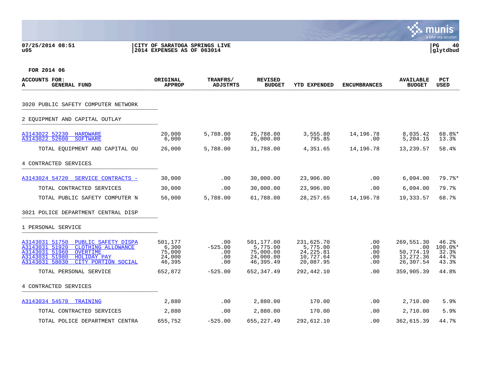## **07/25/2014 08:51 |CITY OF SARATOGA SPRINGS LIVE |PG 40 u05 |2014 EXPENSES AS OF 063014 |glytdbud**



| <b>ACCOUNTS FOR:</b><br><b>GENERAL FUND</b><br>A                          | ORIGINAL<br><b>APPROP</b> | TRANFRS/<br><b>ADJSTMTS</b> | <b>REVISED</b><br><b>BUDGET</b> | <b>YTD EXPENDED</b>    | <b>ENCUMBRANCES</b> | <b>AVAILABLE</b><br><b>BUDGET</b> | <b>PCT</b><br>USED |
|---------------------------------------------------------------------------|---------------------------|-----------------------------|---------------------------------|------------------------|---------------------|-----------------------------------|--------------------|
| 3020 PUBLIC SAFETY COMPUTER NETWORK                                       |                           |                             |                                 |                        |                     |                                   |                    |
|                                                                           |                           |                             |                                 |                        |                     |                                   |                    |
| 2 EQUIPMENT AND CAPITAL OUTLAY                                            |                           |                             |                                 |                        |                     |                                   |                    |
| A3143022 52230<br>HARDWARE<br>A3143022 52600<br><b>SOFTWARE</b>           | 20,000<br>6,000           | 5,788.00<br>.00             | 25,788.00<br>6,000.00           | 3,555.80<br>795.85     | 14,196.78<br>.00    | 8,035.42<br>5,204.15              | 68.8%*<br>13.3%    |
| TOTAL EQUIPMENT AND CAPITAL OU                                            | 26,000                    | 5,788.00                    | 31,788.00                       | 4,351.65               | 14,196.78           | 13,239.57                         | 58.4%              |
| 4 CONTRACTED SERVICES                                                     |                           |                             |                                 |                        |                     |                                   |                    |
| A3143024 54720 SERVICE CONTRACTS -                                        | 30,000                    | .00                         | 30,000.00                       | 23,906.00              | .00                 | 6,094.00                          | $79.7$ %*          |
| TOTAL CONTRACTED SERVICES                                                 | 30,000                    | .00                         | 30,000.00                       | 23,906.00              | .00                 | 6,094.00                          | 79.7%              |
| TOTAL PUBLIC SAFETY COMPUTER N                                            | 56,000                    | 5,788.00                    | 61,788.00                       | 28, 257.65             | 14,196.78           | 19,333.57                         | 68.7%              |
| 3021 POLICE DEPARTMENT CENTRAL DISP                                       |                           |                             |                                 |                        |                     |                                   |                    |
| 1 PERSONAL SERVICE                                                        |                           |                             |                                 |                        |                     |                                   |                    |
| A3143031 51750<br>PUBLIC SAFETY DISPA                                     | 501,177                   | .00                         | 501,177.00                      | 231,625.70             | .00                 | 269,551.30                        | 46.2%              |
| A3143031 51920<br>CLOTHING ALLOWANCE<br>A3143031 51960<br><b>OVERTIME</b> | 6,300<br>75,000           | $-525.00$<br>.00            | 5,775.00<br>75,000.00           | 5,775.00<br>24, 225.81 | .00<br>.00          | .00<br>50,774.19                  | $100.0$ *<br>32.3% |
| A3143031 51980<br>HOLIDAY PAY<br>A3143031 58030<br>CITY PORTION SOCIAL    | 24,000<br>46,395          | .00<br>.00                  | 24,000.00<br>46,395.49          | 10,727.64<br>20,087.95 | .00<br>.00          | 13,272.36<br>26,307.54            | 44.7%<br>43.3%     |
| TOTAL PERSONAL SERVICE                                                    | 652,872                   | $-525.00$                   | 652, 347.49                     | 292,442.10             | .00                 | 359,905.39                        | 44.8%              |
| 4 CONTRACTED SERVICES                                                     |                           |                             |                                 |                        |                     |                                   |                    |
| A3143034 54570 TRAINING                                                   | 2,880                     | .00                         | 2,880.00                        | 170.00                 | .00                 | 2,710.00                          | 5.9%               |
| TOTAL CONTRACTED SERVICES                                                 | 2,880                     | $.00 \,$                    | 2,880.00                        | 170.00                 | .00.                | 2,710.00                          | 5.9%               |
| TOTAL POLICE DEPARTMENT CENTRA                                            | 655,752                   | $-525.00$                   | 655, 227.49                     | 292,612.10             | .00.                | 362,615.39                        | 44.7%              |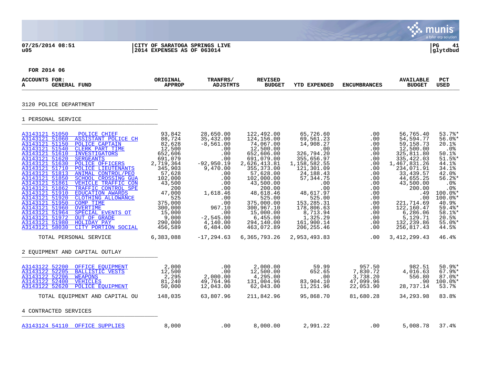# **07/25/2014 08:51 |CITY OF SARATOGA SPRINGS LIVE |PG 41 u05 |2014 EXPENSES AS OF 063014 |glytdbud**



Sive munis

| <b>ACCOUNTS FOR:</b><br><b>GENERAL FUND</b><br>A                                                                                                                                                                                                                                                                                                                                                                                                                                                                                                                                                                                                                                                                                                                                                                                            | ORIGINAL<br><b>APPROP</b>                                                                                                                                                                                             | TRANFRS/<br>ADJSTMTS                                                                                                                                                                                                  | <b>REVISED</b><br><b>BUDGET</b>                                                                                                                                                                                                                                                            | <b>YTD EXPENDED</b>                                                                                                                                                                                                                                                         | <b>ENCUMBRANCES</b>                                                                                                                                                                     | <b>AVAILABLE</b><br><b>BUDGET</b>                                                                                                                                                                                                                                             | PCT<br><b>USED</b>                                                                                                                                                                                                   |
|---------------------------------------------------------------------------------------------------------------------------------------------------------------------------------------------------------------------------------------------------------------------------------------------------------------------------------------------------------------------------------------------------------------------------------------------------------------------------------------------------------------------------------------------------------------------------------------------------------------------------------------------------------------------------------------------------------------------------------------------------------------------------------------------------------------------------------------------|-----------------------------------------------------------------------------------------------------------------------------------------------------------------------------------------------------------------------|-----------------------------------------------------------------------------------------------------------------------------------------------------------------------------------------------------------------------|--------------------------------------------------------------------------------------------------------------------------------------------------------------------------------------------------------------------------------------------------------------------------------------------|-----------------------------------------------------------------------------------------------------------------------------------------------------------------------------------------------------------------------------------------------------------------------------|-----------------------------------------------------------------------------------------------------------------------------------------------------------------------------------------|-------------------------------------------------------------------------------------------------------------------------------------------------------------------------------------------------------------------------------------------------------------------------------|----------------------------------------------------------------------------------------------------------------------------------------------------------------------------------------------------------------------|
| 3120 POLICE DEPARTMENT                                                                                                                                                                                                                                                                                                                                                                                                                                                                                                                                                                                                                                                                                                                                                                                                                      |                                                                                                                                                                                                                       |                                                                                                                                                                                                                       |                                                                                                                                                                                                                                                                                            |                                                                                                                                                                                                                                                                             |                                                                                                                                                                                         |                                                                                                                                                                                                                                                                               |                                                                                                                                                                                                                      |
| 1 PERSONAL SERVICE                                                                                                                                                                                                                                                                                                                                                                                                                                                                                                                                                                                                                                                                                                                                                                                                                          |                                                                                                                                                                                                                       |                                                                                                                                                                                                                       |                                                                                                                                                                                                                                                                                            |                                                                                                                                                                                                                                                                             |                                                                                                                                                                                         |                                                                                                                                                                                                                                                                               |                                                                                                                                                                                                                      |
| A3143121 51050<br>POLICE CHIEF<br>A3143121 51060<br><b>ASSISTANT POLICE CH</b><br>A3143121 51150<br>POLICE CAPTAIN<br>A3143121 51540<br>CLERK PART TIME<br>A3143121 51610<br><b>INVESTIGATORS</b><br>A3143121 51620<br><b>SERGEANTS</b><br>A3143121 51630<br>POLICE OFFICERS<br>A3143121 51710<br>POLICE LIEUTENANTS<br>A3143121 51813<br>ANIMAL CONTROL/PEO<br>A3143121 51850<br><b>SCHOOL CROSSING GUA</b><br>A3143121 51861<br>VEHICLE TRAFFIC CON<br>A3143121 51862<br>TRAFFIC CONTROL SPE<br>A3143121 51910<br><b>EDUCATION AWARDS</b><br>A3143121 51920<br>CLOTHING ALLOWANCE<br>A3143121 51950<br><b>COMP TIME</b><br>A3143121 51960<br><b>OVERTIME</b><br>A3143121 51964<br>SPECIAL EVENTS OT<br>A3143121 51972<br>OUT OF GRADE<br>A3143121 51980<br>HOLIDAY PAY<br>A3143121 58030<br>CITY PORTION SOCIAL<br>TOTAL PERSONAL SERVICE | 93,842<br>88,724<br>82,628<br>12,500<br>652,606<br>691,079<br>2,719,364<br>345,903<br>57,628<br>102,000<br>43,500<br>200<br>47,000<br>525<br>375,000<br>300,000<br>15,000<br>9,000<br>290,000<br>456,589<br>6,383,088 | 28,650.00<br>35,432.00<br>$-8,561.00$<br>.00<br>.00<br>.00<br>$-92,950.19$<br>9,470.00<br>.00<br>.00<br>.00<br>.00<br>1,618.46<br>.00<br>.00<br>967.10<br>.00<br>$-2,545.00$<br>4,140.00<br>6,484.00<br>$-17, 294.63$ | 122,492.00<br>124,156.00<br>74,067.00<br>12,500.00<br>652,606.00<br>691,079.00<br>2,626,413.81<br>355, 373.00<br>57,628.00<br>102,000.00<br>43,500.00<br>200.00<br>48,618.46<br>525.00<br>375,000.00<br>300,967.10<br>15,000.00<br>6,455.00<br>294,140.00<br>463,072.89<br>6, 365, 793. 26 | 65,726.60<br>69,561.23<br>14,908.27<br>.00<br>326,794.20<br>355,656.97<br>1,158,582.55<br>121,301.09<br>24, 188. 43<br>57, 344. 75<br>.00.<br>.00<br>48,617.97<br>525.00<br>153, 285. 31<br>178,806.63<br>8,713.94<br>1,325.29<br>161,900.14<br>206, 255.46<br>2,953,493.83 | .00<br>.00<br>$.00 \,$<br>$.00 \,$<br>.00<br>.00<br>.00<br>.00<br>.00<br>.00<br>$.00 \,$<br>.00<br>.00<br>$.00 \,$<br>.00<br>$.00 \,$<br>.00<br>$.00 \,$<br>$.00 \,$<br>$.00 \,$<br>.00 | 56,765.40<br>54,594.77<br>59,158.73<br>12,500.00<br>325,811.80<br>335, 422.03<br>1,467,831.26<br>234,071.91<br>33, 439.57<br>44,655.25<br>43,500.00<br>200.00<br>.49<br>.00<br>221,714.69<br>122,160.47<br>6,286.06<br>5,129.71<br>132,239.86<br>256,817.43<br>3, 412, 299.43 | $53.7$ %*<br>$56.0$ *<br>20.1%<br>.0%<br>50.1%<br>$51.5$ $*$<br>44.1%<br>34.1%<br>42.0%<br>$56.2$ *<br>$.0\%$<br>.0%<br>$100.0$ *<br>$100.0$ *<br>40.9%<br>$59.4$ *<br>58.1%*<br>20.5%<br>$55.0$ *<br>44.5%<br>46.4% |
| 2 EOUIPMENT AND CAPITAL OUTLAY                                                                                                                                                                                                                                                                                                                                                                                                                                                                                                                                                                                                                                                                                                                                                                                                              |                                                                                                                                                                                                                       |                                                                                                                                                                                                                       |                                                                                                                                                                                                                                                                                            |                                                                                                                                                                                                                                                                             |                                                                                                                                                                                         |                                                                                                                                                                                                                                                                               |                                                                                                                                                                                                                      |
| A3143122 52200<br>OFFICE EQUIPMENT<br>A3143122 52205<br><b>BALLISTIC VESTS</b><br>A3143122 52206<br><b>WEAPONS</b><br>A3143122 52400<br><b>VEHICLES</b><br>A3143122 52620<br><b>POLICE EOUIPMENT</b><br>TOTAL EQUIPMENT AND CAPITAL OU                                                                                                                                                                                                                                                                                                                                                                                                                                                                                                                                                                                                      | 2,000<br>12,500<br>2,295<br>81,240<br>50,000<br>148,035                                                                                                                                                               | .00<br>.00<br>2,000.00<br>49,764.96<br>12,043.00<br>63,807.96                                                                                                                                                         | 2,000.00<br>12,500.00<br>4,295.00<br>131,004.96<br>62,043.00<br>211,842.96                                                                                                                                                                                                                 | 59.99<br>652.65<br>.00<br>83,904.10<br>11,251.96<br>95,868.70                                                                                                                                                                                                               | 957.50<br>7,830.72<br>3,738.20<br>47,099.96<br>22,053.90<br>81,680.28                                                                                                                   | 982.51<br>4,016.63<br>556.80<br>.90<br>28,737.14<br>34,293.98                                                                                                                                                                                                                 | $50.9$ %*<br>$67.9$ <sup>*</sup><br>$87.0$ %*<br>$100.0$ *<br>53.7%<br>83.8%                                                                                                                                         |
| 4 CONTRACTED SERVICES                                                                                                                                                                                                                                                                                                                                                                                                                                                                                                                                                                                                                                                                                                                                                                                                                       |                                                                                                                                                                                                                       |                                                                                                                                                                                                                       |                                                                                                                                                                                                                                                                                            |                                                                                                                                                                                                                                                                             |                                                                                                                                                                                         |                                                                                                                                                                                                                                                                               |                                                                                                                                                                                                                      |
| A3143124 54110 OFFICE SUPPLIES                                                                                                                                                                                                                                                                                                                                                                                                                                                                                                                                                                                                                                                                                                                                                                                                              | 8,000                                                                                                                                                                                                                 | .00                                                                                                                                                                                                                   | 8,000.00                                                                                                                                                                                                                                                                                   | 2,991.22                                                                                                                                                                                                                                                                    | .00                                                                                                                                                                                     | 5,008.78                                                                                                                                                                                                                                                                      | 37.4%                                                                                                                                                                                                                |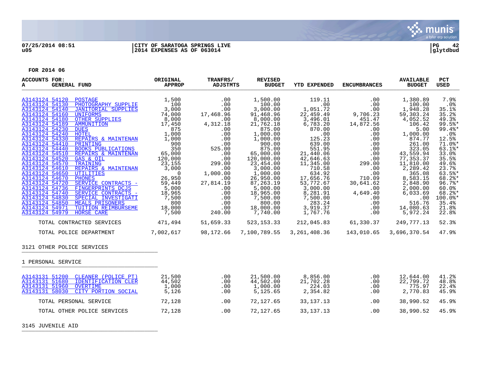

## **07/25/2014 08:51 |CITY OF SARATOGA SPRINGS LIVE |PG 42 u05 |2014 EXPENSES AS OF 063014 |glytdbud**

| <b>ACCOUNTS FOR:</b><br><b>GENERAL FUND</b><br>A                                                                                                                                                                                                                                                                                                                                                                                                                                                                                                                                                                                                                                                                                                                                                                                                                                                                                                                                                                                                                                                                                                                                                                                       | ORIGINAL<br><b>APPROP</b>                                                                                                                                                                                                                                | TRANFRS/<br>ADJSTMTS                                                                                                                                                                | <b>REVISED</b><br><b>BUDGET</b>                                                                                                                                                                                                                                                               | <b>YTD EXPENDED</b>                                                                                                                                                                                                                                                                   | <b>ENCUMBRANCES</b>                                                                                                           | <b>AVAILABLE</b><br><b>BUDGET</b>                                                                                                                                                                                                                                            | <b>PCT</b><br><b>USED</b>                                                                                                                                                                                                                |
|----------------------------------------------------------------------------------------------------------------------------------------------------------------------------------------------------------------------------------------------------------------------------------------------------------------------------------------------------------------------------------------------------------------------------------------------------------------------------------------------------------------------------------------------------------------------------------------------------------------------------------------------------------------------------------------------------------------------------------------------------------------------------------------------------------------------------------------------------------------------------------------------------------------------------------------------------------------------------------------------------------------------------------------------------------------------------------------------------------------------------------------------------------------------------------------------------------------------------------------|----------------------------------------------------------------------------------------------------------------------------------------------------------------------------------------------------------------------------------------------------------|-------------------------------------------------------------------------------------------------------------------------------------------------------------------------------------|-----------------------------------------------------------------------------------------------------------------------------------------------------------------------------------------------------------------------------------------------------------------------------------------------|---------------------------------------------------------------------------------------------------------------------------------------------------------------------------------------------------------------------------------------------------------------------------------------|-------------------------------------------------------------------------------------------------------------------------------|------------------------------------------------------------------------------------------------------------------------------------------------------------------------------------------------------------------------------------------------------------------------------|------------------------------------------------------------------------------------------------------------------------------------------------------------------------------------------------------------------------------------------|
| A3143124 54120<br>POSTAGE<br>$\begin{tabular}{l c c c} \multicolumn{1}{c }{\textbf{\textcolor{red}{PHOTOGRAPHY SUPPLIE}}} & \multicolumn{1}{c }{\textbf{1,500}} \\ \hline JANTORIAL SUPPLIES & \multicolumn{1}{c }{\textbf{3,000}} \\ \hline \multicolumn{1}{c }{\textbf{UNIFORMS}} & \multicolumn{1}{c }{\textbf{74,000}} \\ \hline \multicolumn{1}{c }{\textbf{ONIFORMS}} & \multicolumn{1}{c }{\textbf{74,000}} \\ \hline \multicolumn{1}{c }{\textbf{MMMUNITION}} & \multicolumn{1}{c }{\textbf$<br>A3143124 54130<br>A3143124 54140<br>A3143124 54160<br>A3143124 54180<br>A3143124 54189<br>A3143124 54230<br>A3143124 54240<br>A3143124 54330<br>PRINTING<br>A3143124 54410<br>A3143124 54440<br><b>BOOKS PUBLICATIONS</b><br>A3143124 54510<br>REPAIRS & MAINTENAN<br>A3143124 54520<br>GAS & OIL<br>A3143124 54570<br>TRAINING<br>A3143124 54610<br>REPAIRS & MAINTENAN<br>A3143124 54650<br>UTILITIES<br>A3143124 54670<br><b>PHONES</b><br>A3143124 54720<br>SERVICE CONTRACTS -<br>A3143124 54736 FINGERPRINTS DCJS<br>A3143124 54740<br>SERVICE CONTRACTS -<br>A3143124 54830<br>SPECIAL INVESTIGATI<br>A3143124 54850<br>MEALS PRISONERS<br>A3143124 54971<br>TUITION REIMBURSEME<br>A3143124 54979<br><b>HORSE CARE</b> | 1,500<br>1,000 .00<br>1,000 .00<br>1,000 .00<br>900 .00<br>1,000 .00<br>900 .00<br>900 .00<br>525.00<br>120,000 .00<br>23,155 299.00<br>NINTENAN 3,000 .00<br>00<br>23,000 .00<br>26,950<br>59,449<br>5,000<br>18,965<br>7,500<br>800<br>18,000<br>7,500 | .00<br>.00<br>$\begin{array}{r} .00\ .00\ .00\ .00\ .00\ .00\ 4\ .312.18\ 0\ \end{array}$<br>$\frac{.00}{.00}$<br>.00<br>27,814.19<br>$.00$<br>$.00$<br>.00<br>.00<br>.00<br>240.00 | 1,500.00<br>100.00<br>3,000.00<br>91,468.96<br>8,000.00<br>21,762.18<br>875.00<br>1,000.00<br>1,000.00<br>900.00<br>875.00<br>65,000.00<br>120,000.00<br>23,454.00<br>3,000.00<br>1,000.00<br>26,950.00<br>87, 263.19<br>5,000.00<br>18,965.00<br>7,500.00<br>800.00<br>18,000.00<br>7,740.00 | 119.11<br>.00<br>1,051.72<br>22,459.49<br>22,459.49<br>3,496.01<br>6,783.20<br>870.00<br>.00<br>125.23<br>639.00<br>551.95<br>21,440.06<br>42,646.63<br>11,345.00<br>710.58<br>634.92<br>17,656.76<br>53,772.67<br>3,000.00<br>8,281.91<br>7,500.00<br>283.24<br>3,919.37<br>1,767.76 | .00<br>.00<br>00.<br>00.<br>9,706.23<br>451.47<br>4,872.56.<br>00.<br>.00<br>.00<br>.00<br>.00<br>.00<br>.00<br>.00<br>299.00 | 1,380.89<br>100.00<br>1,948.28<br>59,303.24<br>4,052.52<br>106.42<br>5.00<br>1,000.00<br>874.77<br>261.00<br>323.05<br>43,559.94<br>77, 353.37<br>11,810.00<br>2, 289.42<br>365.08<br>8,583.15<br>2,848.90<br>2,000.00<br>6,033.69<br>.00<br>516.76<br>14,080.63<br>5,972.24 | 7.9%<br>$.0\%$<br>35.1%<br>35.2%<br>49.3%<br>$99.5$ *<br>99.4%*<br>.0%<br>12.5%<br>71.0%*<br>$63.1$ %*<br>33.0%<br>35.5%<br>49.6%<br>23.7%<br>$63.5$ *<br>68.2%*<br>$96.7$ %*<br>60.0%<br>68.2%*<br>$100.0$ *<br>35.4%<br>21.8%<br>22.8% |
| TOTAL CONTRACTED SERVICES 471,494                                                                                                                                                                                                                                                                                                                                                                                                                                                                                                                                                                                                                                                                                                                                                                                                                                                                                                                                                                                                                                                                                                                                                                                                      |                                                                                                                                                                                                                                                          | 51,659.33                                                                                                                                                                           | 523,153.33                                                                                                                                                                                                                                                                                    | 212,045.83 61,330.37 249,777.13                                                                                                                                                                                                                                                       |                                                                                                                               |                                                                                                                                                                                                                                                                              | 52.3%                                                                                                                                                                                                                                    |
| TOTAL POLICE DEPARTMENT                                                                                                                                                                                                                                                                                                                                                                                                                                                                                                                                                                                                                                                                                                                                                                                                                                                                                                                                                                                                                                                                                                                                                                                                                | 7,002,617                                                                                                                                                                                                                                                | 98,172.66                                                                                                                                                                           | 7,100,789.55                                                                                                                                                                                                                                                                                  | 3, 261, 408.36 143, 010.65                                                                                                                                                                                                                                                            |                                                                                                                               | 3,696,370.54                                                                                                                                                                                                                                                                 | 47.9%                                                                                                                                                                                                                                    |
| 3121 OTHER POLICE SERVICES                                                                                                                                                                                                                                                                                                                                                                                                                                                                                                                                                                                                                                                                                                                                                                                                                                                                                                                                                                                                                                                                                                                                                                                                             |                                                                                                                                                                                                                                                          |                                                                                                                                                                                     |                                                                                                                                                                                                                                                                                               |                                                                                                                                                                                                                                                                                       |                                                                                                                               |                                                                                                                                                                                                                                                                              |                                                                                                                                                                                                                                          |
| 1 PERSONAL SERVICE                                                                                                                                                                                                                                                                                                                                                                                                                                                                                                                                                                                                                                                                                                                                                                                                                                                                                                                                                                                                                                                                                                                                                                                                                     |                                                                                                                                                                                                                                                          |                                                                                                                                                                                     |                                                                                                                                                                                                                                                                                               |                                                                                                                                                                                                                                                                                       |                                                                                                                               |                                                                                                                                                                                                                                                                              |                                                                                                                                                                                                                                          |
| A3143131 51200 CLEANER (POLICE PT)<br>A3143131 51680<br>IDENTIFICATION CLER<br>A3143131 51960<br><b>OVERTIME</b><br>CITY PORTION SOCIAL<br>A3143131 58030                                                                                                                                                                                                                                                                                                                                                                                                                                                                                                                                                                                                                                                                                                                                                                                                                                                                                                                                                                                                                                                                              | 21,500<br>44,502<br>1,000<br>5,126                                                                                                                                                                                                                       | .00<br>.00<br>.00<br>.00                                                                                                                                                            | 21,500.00<br>44,502.00<br>1,000.00<br>5,125.65                                                                                                                                                                                                                                                | 8,856.00<br>21,702.28<br>224.03<br>2,354.82                                                                                                                                                                                                                                           | .00<br>.00<br>.00<br>.00                                                                                                      | 12,644.00<br>22,799.72<br>775.97<br>2,770.83                                                                                                                                                                                                                                 | 41.2%<br>48.8%<br>22.4%<br>45.9%                                                                                                                                                                                                         |
| TOTAL PERSONAL SERVICE                                                                                                                                                                                                                                                                                                                                                                                                                                                                                                                                                                                                                                                                                                                                                                                                                                                                                                                                                                                                                                                                                                                                                                                                                 | 72,128                                                                                                                                                                                                                                                   | .00                                                                                                                                                                                 | 72,127.65                                                                                                                                                                                                                                                                                     | 33, 137. 13                                                                                                                                                                                                                                                                           | .00                                                                                                                           | 38,990.52                                                                                                                                                                                                                                                                    | 45.9%                                                                                                                                                                                                                                    |
| TOTAL OTHER POLICE SERVICES                                                                                                                                                                                                                                                                                                                                                                                                                                                                                                                                                                                                                                                                                                                                                                                                                                                                                                                                                                                                                                                                                                                                                                                                            | 72,128                                                                                                                                                                                                                                                   | .00                                                                                                                                                                                 | 72,127.65                                                                                                                                                                                                                                                                                     | 33, 137. 13                                                                                                                                                                                                                                                                           | .00                                                                                                                           | 38,990.52                                                                                                                                                                                                                                                                    | 45.9%                                                                                                                                                                                                                                    |
| 3145 JUVENILE AID                                                                                                                                                                                                                                                                                                                                                                                                                                                                                                                                                                                                                                                                                                                                                                                                                                                                                                                                                                                                                                                                                                                                                                                                                      |                                                                                                                                                                                                                                                          |                                                                                                                                                                                     |                                                                                                                                                                                                                                                                                               |                                                                                                                                                                                                                                                                                       |                                                                                                                               |                                                                                                                                                                                                                                                                              |                                                                                                                                                                                                                                          |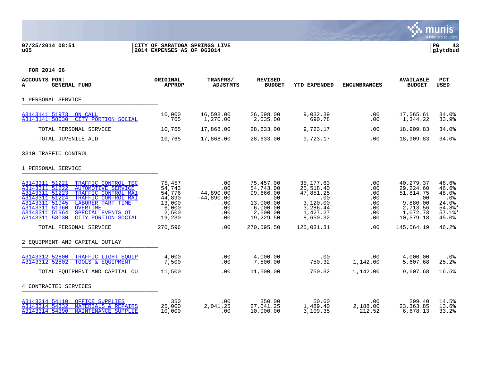## **07/25/2014 08:51 |CITY OF SARATOGA SPRINGS LIVE |PG 43 u05 |2014 EXPENSES AS OF 063014 |glytdbud**



| <b>ACCOUNTS FOR:</b><br>А<br><b>GENERAL FUND</b>                                                                                                                                                                                                                                                                            | ORIGINAL<br><b>APPROP</b>                                                  | TRANFRS/<br><b>ADJSTMTS</b>                                         | <b>REVISED</b><br><b>BUDGET</b>                                                              | <b>YTD EXPENDED</b>                                                                         | <b>ENCUMBRANCES</b>                                       | <b>AVAILABLE</b><br><b>BUDGET</b>                                                           | <b>PCT</b><br><b>USED</b>                                                           |
|-----------------------------------------------------------------------------------------------------------------------------------------------------------------------------------------------------------------------------------------------------------------------------------------------------------------------------|----------------------------------------------------------------------------|---------------------------------------------------------------------|----------------------------------------------------------------------------------------------|---------------------------------------------------------------------------------------------|-----------------------------------------------------------|---------------------------------------------------------------------------------------------|-------------------------------------------------------------------------------------|
| 1 PERSONAL SERVICE                                                                                                                                                                                                                                                                                                          |                                                                            |                                                                     |                                                                                              |                                                                                             |                                                           |                                                                                             |                                                                                     |
| A3143141 51973 ON CALL<br>A3143141 58030<br>CITY PORTION SOCIAL                                                                                                                                                                                                                                                             | 10,000<br>765                                                              | 16,598.00<br>1,270.00                                               | 26,598.00<br>2,035.00                                                                        | 9,032.39<br>690.78                                                                          | .00<br>.00                                                | 17,565.61<br>1,344.22                                                                       | 34.0%<br>33.9%                                                                      |
| TOTAL PERSONAL SERVICE                                                                                                                                                                                                                                                                                                      | 10,765                                                                     | 17,868.00                                                           | 28,633.00                                                                                    | 9,723.17                                                                                    | .00                                                       | 18,909.83                                                                                   | 34.0%                                                                               |
| TOTAL JUVENILE AID                                                                                                                                                                                                                                                                                                          | 10,765                                                                     | 17,868.00                                                           | 28,633.00                                                                                    | 9,723.17                                                                                    | .00                                                       | 18,909.83                                                                                   | 34.0%                                                                               |
| 3310 TRAFFIC CONTROL                                                                                                                                                                                                                                                                                                        |                                                                            |                                                                     |                                                                                              |                                                                                             |                                                           |                                                                                             |                                                                                     |
| 1 PERSONAL SERVICE                                                                                                                                                                                                                                                                                                          |                                                                            |                                                                     |                                                                                              |                                                                                             |                                                           |                                                                                             |                                                                                     |
| A3143311 51221<br>TRAFFIC CONTROL TEC<br>A3143311 51222<br><b>AUTOMOTIVE SERVICE</b><br>A3143311 51223<br>TRAFFIC CONTROL MAI<br>A3143311 51224<br>TRAFFIC CONTROL MAI<br>A3143311 51945<br>LABORER PART TIME<br>A3143311 51960<br>OVERTIME<br>A3143311 51964<br>SPECIAL EVENTS OT<br>CITY PORTION SOCIAL<br>A3143311 58030 | 75,457<br>54,743<br>54,776<br>44,890<br>13,000<br>6,000<br>2,500<br>19,230 | .00<br>.00<br>44,890.00<br>$-44,890.00$<br>.00<br>.00<br>.00<br>.00 | 75,457.00<br>54,743.00<br>99,666.00<br>.00<br>13,000.00<br>6,000.00<br>2,500.00<br>19,229.50 | 35, 177.63<br>25,518.40<br>47,851.25<br>.00<br>3,120.00<br>3,286.44<br>1,427.27<br>8,650.32 | .00<br>.00<br>.00<br>.00<br>.00<br>$.00 \,$<br>.00<br>.00 | 40,279.37<br>29,224.60<br>51,814.75<br>.00<br>9,880.00<br>2,713.56<br>1,072.73<br>10,579.18 | 46.6%<br>46.6%<br>48.0%<br>.0%<br>24.0%<br>$54.8$ *<br>$57.1$ <sup>*</sup><br>45.0% |
| TOTAL PERSONAL SERVICE                                                                                                                                                                                                                                                                                                      | 270,596                                                                    | .00                                                                 | 270,595.50                                                                                   | 125,031.31                                                                                  | .00                                                       | 145,564.19                                                                                  | 46.2%                                                                               |
| 2 EOUIPMENT AND CAPITAL OUTLAY                                                                                                                                                                                                                                                                                              |                                                                            |                                                                     |                                                                                              |                                                                                             |                                                           |                                                                                             |                                                                                     |
| A3143312 52800<br>TRAFFIC LIGHT EOUIP<br>A3143312 52802<br>TOOLS & EOUIPMENT                                                                                                                                                                                                                                                | 4,000<br>7,500                                                             | .00<br>.00                                                          | 4,000.00<br>7,500.00                                                                         | .00<br>750.32                                                                               | .00<br>1,142.00                                           | 4,000.00<br>5,607.68                                                                        | $.0\%$<br>25.2%                                                                     |
| TOTAL EQUIPMENT AND CAPITAL OU                                                                                                                                                                                                                                                                                              | 11,500                                                                     | .00                                                                 | 11,500.00                                                                                    | 750.32                                                                                      | 1,142.00                                                  | 9,607.68                                                                                    | 16.5%                                                                               |
| 4 CONTRACTED SERVICES                                                                                                                                                                                                                                                                                                       |                                                                            |                                                                     |                                                                                              |                                                                                             |                                                           |                                                                                             |                                                                                     |
| A3143314 54110 OFFICE SUPPLIES<br>MATERIALS & REPAIRS<br>A3143314 54332<br>A3143314 54390<br><b>MAINTENANCE SUPPLIE</b>                                                                                                                                                                                                     | 350<br>25,000<br>10,000                                                    | $.00 \,$<br>2,041.25<br>.00                                         | 350.00<br>27,041.25<br>10,000.00                                                             | 50.60<br>1,489.40<br>3,109.35                                                               | .00<br>2,188.00<br>212.52                                 | 299.40<br>23, 363.85<br>6,678.13                                                            | 14.5%<br>13.6%<br>33.2%                                                             |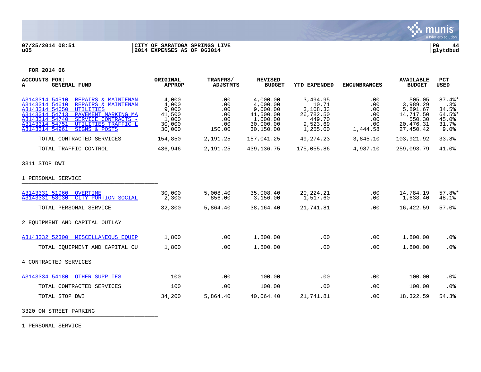

## **07/25/2014 08:51 |CITY OF SARATOGA SPRINGS LIVE |PG 44 u05 |2014 EXPENSES AS OF 063014 |glytdbud**



**FOR 2014 06**

| <b>ACCOUNTS FOR:</b><br><b>GENERAL FUND</b><br>A                                                                                                                                                                                                                                   | ORIGINAL<br><b>APPROP</b>                                      | TRANFRS/<br><b>ADJSTMTS</b>                      | <b>REVISED</b><br><b>BUDGET</b>                                                     | <b>YTD EXPENDED</b>                                                          | <b>ENCUMBRANCES</b>                                | <b>AVAILABLE</b><br><b>BUDGET</b>                                               | <b>PCT</b><br><b>USED</b>                                    |
|------------------------------------------------------------------------------------------------------------------------------------------------------------------------------------------------------------------------------------------------------------------------------------|----------------------------------------------------------------|--------------------------------------------------|-------------------------------------------------------------------------------------|------------------------------------------------------------------------------|----------------------------------------------------|---------------------------------------------------------------------------------|--------------------------------------------------------------|
| A3143314 54510<br>REPAIRS & MAINTENAN<br>A3143314 54610<br>REPAIRS & MAINTENAN<br>A3143314 54650<br><b>UTILITIES</b><br>A3143314 54713<br>PAVEMENT MARKING MA<br>A3143314 54740<br>SERVICE CONTRACTS -<br>UTILITIES TRAFFIC L<br>A3143314 54751<br>A3143314 54961<br>SIGNS & POSTS | 4,000<br>4,000<br>9,000<br>41,500<br>1,000<br>30,000<br>30,000 | .00<br>.00<br>.00<br>.00<br>.00<br>.00<br>150.00 | 4,000.00<br>4,000.00<br>9,000.00<br>41,500.00<br>1,000.00<br>30,000.00<br>30,150.00 | 3,494.95<br>10.71<br>3,108.33<br>26,782.50<br>449.70<br>9,523.69<br>1,255.00 | .00<br>.00<br>.00<br>.00<br>.00<br>.00<br>1,444.58 | 505.05<br>3,989.29<br>5,891.67<br>14,717.50<br>550.30<br>20,476.31<br>27,450.42 | $87.4$ %*<br>.3%<br>34.5%<br>64.5%<br>45.0%<br>31.7%<br>9.0% |
| TOTAL CONTRACTED SERVICES                                                                                                                                                                                                                                                          | 154,850                                                        | 2,191.25                                         | 157,041.25                                                                          | 49, 274. 23                                                                  | 3,845.10                                           | 103,921.92                                                                      | 33.8%                                                        |
| TOTAL TRAFFIC CONTROL                                                                                                                                                                                                                                                              | 436,946                                                        | 2,191.25                                         | 439, 136. 75                                                                        | 175,055.86                                                                   | 4,987.10                                           | 259,093.79                                                                      | 41.0%                                                        |
| 3311 STOP DWI                                                                                                                                                                                                                                                                      |                                                                |                                                  |                                                                                     |                                                                              |                                                    |                                                                                 |                                                              |
| 1 PERSONAL SERVICE                                                                                                                                                                                                                                                                 |                                                                |                                                  |                                                                                     |                                                                              |                                                    |                                                                                 |                                                              |
| A3143331 51960<br><b>OVERTIME</b><br>A3143331 58030<br>CITY PORTION SOCIAL                                                                                                                                                                                                         | 30,000<br>2,300                                                | 5,008.40<br>856.00                               | 35,008.40<br>3,156.00                                                               | 20, 224. 21<br>1,517.60                                                      | .00<br>.00                                         | 14,784.19<br>1,638.40                                                           | $57.8$ *<br>48.1%                                            |
| TOTAL PERSONAL SERVICE                                                                                                                                                                                                                                                             | 32,300                                                         | 5,864.40                                         | 38,164.40                                                                           | 21,741.81                                                                    | .00                                                | 16,422.59                                                                       | 57.0%                                                        |
| 2 EOUIPMENT AND CAPITAL OUTLAY                                                                                                                                                                                                                                                     |                                                                |                                                  |                                                                                     |                                                                              |                                                    |                                                                                 |                                                              |
| A3143332 52300 MISCELLANEOUS EOUIP                                                                                                                                                                                                                                                 | 1,800                                                          | .00                                              | 1,800.00                                                                            | .00                                                                          | .00                                                | 1,800.00                                                                        | $.0\%$                                                       |
| TOTAL EQUIPMENT AND CAPITAL OU                                                                                                                                                                                                                                                     | 1,800                                                          | .00                                              | 1,800.00                                                                            | .00                                                                          | .00                                                | 1,800.00                                                                        | .0%                                                          |
| 4 CONTRACTED SERVICES                                                                                                                                                                                                                                                              |                                                                |                                                  |                                                                                     |                                                                              |                                                    |                                                                                 |                                                              |
| A3143334 54180 OTHER SUPPLIES                                                                                                                                                                                                                                                      | 100                                                            | .00                                              | 100.00                                                                              | .00                                                                          | .00                                                | 100.00                                                                          | .0 <sub>8</sub>                                              |
| TOTAL CONTRACTED SERVICES                                                                                                                                                                                                                                                          | 100                                                            | .00                                              | 100.00                                                                              | .00                                                                          | .00                                                | 100.00                                                                          | .0%                                                          |
| TOTAL STOP DWI                                                                                                                                                                                                                                                                     | 34,200                                                         | 5,864.40                                         | 40,064.40                                                                           | 21,741.81                                                                    | .00                                                | 18,322.59                                                                       | 54.3%                                                        |

3320 ON STREET PARKING \_\_\_\_\_\_\_\_\_\_\_\_\_\_\_\_\_\_\_\_\_\_\_\_\_\_\_\_\_\_\_\_\_\_\_\_\_\_\_\_\_

1 PERSONAL SERVICE \_\_\_\_\_\_\_\_\_\_\_\_\_\_\_\_\_\_\_\_\_\_\_\_\_\_\_\_\_\_\_\_\_\_\_\_\_\_\_\_\_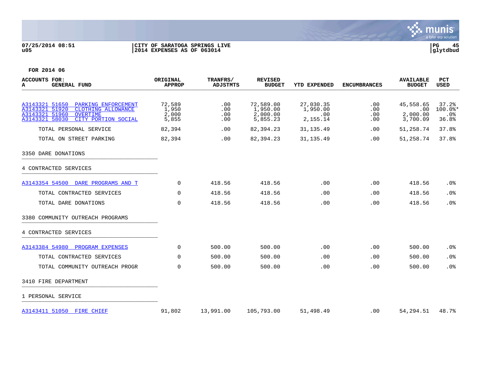

# **07/25/2014 08:51 |CITY OF SARATOGA SPRINGS LIVE |PG 45 u05 |2014 EXPENSES AS OF 063014 |glytdbud**



| ACCOUNTS FOR:<br>A<br><b>GENERAL FUND</b>                                                                                                                | ORIGINAL<br><b>APPROP</b>         | TRANFRS/<br>ADJSTMTS     | <b>REVISED</b><br><b>BUDGET</b>               | <b>YTD EXPENDED</b>                      | <b>ENCUMBRANCES</b>              | <b>AVAILABLE</b><br><b>BUDGET</b>        | <b>PCT</b><br>USED                             |
|----------------------------------------------------------------------------------------------------------------------------------------------------------|-----------------------------------|--------------------------|-----------------------------------------------|------------------------------------------|----------------------------------|------------------------------------------|------------------------------------------------|
| A3143321 51650 PARKING ENFORCEMENT<br>A3143321 51920<br>CLOTHING ALLOWANCE<br>A3143321 51960<br><b>OVERTIME</b><br>A3143321 58030<br>CITY PORTION SOCIAL | 72,589<br>1,950<br>2,000<br>5,855 | .00<br>.00<br>.00<br>.00 | 72,589.00<br>1,950.00<br>2,000.00<br>5,855.23 | 27,030.35<br>1,950.00<br>.00<br>2,155.14 | .00<br>.00<br>.00<br>$.00 \ \rm$ | 45,558.65<br>.00<br>2,000.00<br>3,700.09 | 37.2%<br>$100.0$ *<br>.0 <sub>8</sub><br>36.8% |
| TOTAL PERSONAL SERVICE                                                                                                                                   | 82,394                            | .00                      | 82,394.23                                     | 31, 135.49                               | .00                              | 51,258.74                                | 37.8%                                          |
| TOTAL ON STREET PARKING                                                                                                                                  | 82,394                            | .00                      | 82, 394.23                                    | 31, 135.49                               | .00                              | 51,258.74                                | 37.8%                                          |
| 3350 DARE DONATIONS                                                                                                                                      |                                   |                          |                                               |                                          |                                  |                                          |                                                |
| 4 CONTRACTED SERVICES                                                                                                                                    |                                   |                          |                                               |                                          |                                  |                                          |                                                |
| A3143354 54500 DARE PROGRAMS AND T                                                                                                                       | 0                                 | 418.56                   | 418.56                                        | .00                                      | .00                              | 418.56                                   | .0%                                            |
| TOTAL CONTRACTED SERVICES                                                                                                                                | $\Omega$                          | 418.56                   | 418.56                                        | .00                                      | $.00 \,$                         | 418.56                                   | .0%                                            |
| TOTAL DARE DONATIONS                                                                                                                                     | $\mathbf 0$                       | 418.56                   | 418.56                                        | .00                                      | .00                              | 418.56                                   | .0%                                            |
| 3380 COMMUNITY OUTREACH PROGRAMS                                                                                                                         |                                   |                          |                                               |                                          |                                  |                                          |                                                |
| 4 CONTRACTED SERVICES                                                                                                                                    |                                   |                          |                                               |                                          |                                  |                                          |                                                |
| A3143384 54980 PROGRAM EXPENSES                                                                                                                          | 0                                 | 500.00                   | 500.00                                        | .00                                      | .00                              | 500.00                                   | .0%                                            |
| TOTAL CONTRACTED SERVICES                                                                                                                                | $\Omega$                          | 500.00                   | 500.00                                        | .00                                      | .00                              | 500.00                                   | .0%                                            |
| TOTAL COMMUNITY OUTREACH PROGR                                                                                                                           | 0                                 | 500.00                   | 500.00                                        | .00                                      | .00                              | 500.00                                   | .0%                                            |
| 3410 FIRE DEPARTMENT                                                                                                                                     |                                   |                          |                                               |                                          |                                  |                                          |                                                |
| 1 PERSONAL SERVICE                                                                                                                                       |                                   |                          |                                               |                                          |                                  |                                          |                                                |
| A3143411 51050 FIRE CHIEF                                                                                                                                | 91,802                            | 13,991.00                | 105,793.00                                    | 51,498.49                                | .00                              | 54, 294. 51                              | 48.7%                                          |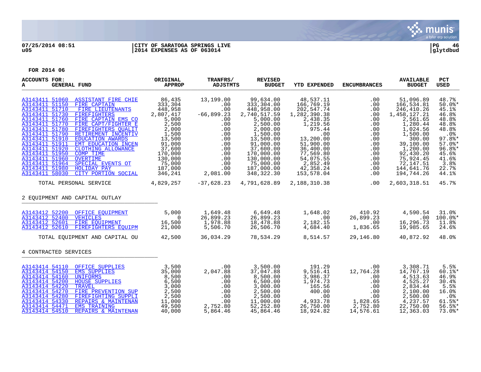

# **07/25/2014 08:51 |CITY OF SARATOGA SPRINGS LIVE |PG 46 u05 |2014 EXPENSES AS OF 063014 |glytdbud**

| <b>ACCOUNTS FOR:</b><br><b>GENERAL FUND</b><br>A                                                                                                                                                                                                                                                                                                                                                                                                                                                                                                                                                                                           | ORIGINAL<br><b>APPROP</b>                                                                                                                                         | TRANFRS/<br>ADJSTMTS                                                                                                             | <b>REVISED</b><br><b>BUDGET</b>                                                                                                                                                                                    | <b>YTD EXPENDED</b>                                                                                                                                                                                    | <b>ENCUMBRANCES</b>                                                                                          | <b>AVAILABLE</b><br><b>BUDGET</b>                                                                                                                                                                           | <b>PCT</b><br><b>USED</b>                                                                                                                              |
|--------------------------------------------------------------------------------------------------------------------------------------------------------------------------------------------------------------------------------------------------------------------------------------------------------------------------------------------------------------------------------------------------------------------------------------------------------------------------------------------------------------------------------------------------------------------------------------------------------------------------------------------|-------------------------------------------------------------------------------------------------------------------------------------------------------------------|----------------------------------------------------------------------------------------------------------------------------------|--------------------------------------------------------------------------------------------------------------------------------------------------------------------------------------------------------------------|--------------------------------------------------------------------------------------------------------------------------------------------------------------------------------------------------------|--------------------------------------------------------------------------------------------------------------|-------------------------------------------------------------------------------------------------------------------------------------------------------------------------------------------------------------|--------------------------------------------------------------------------------------------------------------------------------------------------------|
| A3143411 51060 ASSISTANT FIRE CHIE<br>A3143411 51150<br>FIRE CAPTAIN<br>A3143411 51710<br>FIRE LIEUTENANTS<br>A3143411 51730<br><b>FIREFIGHTERS</b><br>A3143411 51760<br>FIRE CAPTAIN EMS CO<br>FIRE CAPT/FIGHTER E<br>A3143411 51770<br>A3143411 51780<br>FIREFIGHTERS OUALIT<br>A3143411 51790<br>RETIREMENT INCENTIV<br>A3143411 51910<br><b>EDUCATION AWARDS</b><br>A3143411 51911<br>EMT EDUCATION INCEN<br>A3143411 51920<br>CLOTHING ALLOWANCE<br>A3143411 51950<br>COMP TIME<br>A3143411 51960<br><b>OVERTIME</b><br>A3143411 51964<br>SPECIAL EVENTS OT<br>A3143411 51980<br>HOLIDAY PAY<br>A3143411 58030<br>CITY PORTION SOCIAL | 86,435<br>333,304<br>448,958<br>2,807,417<br>5,000<br>2,500<br>2,000<br>1,500<br>13,500<br>91,000<br>37,600<br>170,000<br>130,000<br>75,000<br>187,000<br>346,241 | 13,199.00<br>.00<br>.00<br>$-66,899.23$<br>.00<br>.00<br>.00<br>.00<br>.00<br>.00<br>.00<br>.00<br>.00<br>.00<br>.00<br>2,081.00 | 99,634.00<br>333,304.00<br>448,958.00<br>2,740,517.59<br>5,000.00<br>2,500.00<br>2,000.00<br>1,500.00<br>13,500.00<br>91,000.00<br>37,600.00<br>170,000.00<br>130,000.00<br>75,000.00<br>187,000.00<br>348, 322.30 | 48,537.11<br>166,769.19<br>202,547.74<br>1,282,390.38<br>2,438.35<br>1,219.56<br>975.44<br>.00<br>13,200.00<br>51,900.00<br>36,400.00<br>77,569.80<br>54,075.55<br>2,852.49<br>42,358.24<br>153,578.04 | .00<br>.00<br>.00<br>.00<br>.00<br>.00<br>.00<br>.00<br>.00<br>.00<br>.00<br>.00<br>.00<br>.00<br>.00<br>.00 | 51,096.89<br>166,534.81<br>246,410.26<br>1,458,127.21<br>2,561.65<br>1,280.44<br>1,024.56<br>1,500.00<br>300.00<br>39,100.00<br>1,200.00<br>92,430.20<br>75,924.45<br>72,147.51<br>144,641.76<br>194,744.26 | 48.7%<br>$50.0$ *<br>45.1%<br>46.8%<br>48.8%<br>48.8%<br>48.8%<br>.0%<br>$97.8$ *<br>$57.0$ %*<br>$96.8$ *<br>45.6%<br>41.6%<br>3.8%<br>22.7%<br>44.1% |
| TOTAL PERSONAL SERVICE                                                                                                                                                                                                                                                                                                                                                                                                                                                                                                                                                                                                                     | 4,829,257                                                                                                                                                         | -37,628.23                                                                                                                       | 4,791,628.89                                                                                                                                                                                                       | 2,188,310.38                                                                                                                                                                                           | .00                                                                                                          | 2,603,318.51                                                                                                                                                                                                | 45.7%                                                                                                                                                  |
| 2 EQUIPMENT AND CAPITAL OUTLAY                                                                                                                                                                                                                                                                                                                                                                                                                                                                                                                                                                                                             |                                                                                                                                                                   |                                                                                                                                  |                                                                                                                                                                                                                    |                                                                                                                                                                                                        |                                                                                                              |                                                                                                                                                                                                             |                                                                                                                                                        |
| A3143412 52200<br>OFFICE EOUIPMENT<br>A3143412 52400<br><b>VEHICLES</b><br>A3143412 52601 FIRE EOUIPMENT<br>A3143412 52610 FIREFIGHTERS EOUIPM<br>TOTAL EOUIPMENT AND CAPITAL OU                                                                                                                                                                                                                                                                                                                                                                                                                                                           | 5,000<br>$\Omega$<br>16,500<br>21,000<br>42,500                                                                                                                   | 1,649.48<br>26,899.23<br>1,978.88<br>5,506.70<br>36,034.29                                                                       | 6,649.48<br>26,899.23<br>18,478.88<br>26,506.70<br>78,534.29                                                                                                                                                       | 1,648.02<br>.00<br>2,182.15<br>4,684.40<br>8,514.57                                                                                                                                                    | 410.92<br>26,899.23<br>.00<br>1,836.65<br>29,146.80                                                          | 4,590.54<br>$.00 \,$<br>16,296.73<br>19,985.65<br>40,872.92                                                                                                                                                 | 31.0%<br>$100.0$ *<br>11.8%<br>24.6%<br>48.0%                                                                                                          |
| 4 CONTRACTED SERVICES                                                                                                                                                                                                                                                                                                                                                                                                                                                                                                                                                                                                                      |                                                                                                                                                                   |                                                                                                                                  |                                                                                                                                                                                                                    |                                                                                                                                                                                                        |                                                                                                              |                                                                                                                                                                                                             |                                                                                                                                                        |
| A3143414 54110<br>OFFICE SUPPLIES<br>A3143414 54150<br><b>EMS SUPPLIES</b><br>A3143414 54160<br><b>UNIFORMS</b><br>A3143414 54200<br><b>HOUSE SUPPLIES</b><br>A3143414 54220<br><b>TRAVEL</b><br>A3143414 54270<br>FIRE PREVENTION SUP<br>A3143414 54280<br>FIREFIGHTING SUPPLI<br>A3143414 54330<br>REPAIRS & MAINTENAN<br>A3143414 54471<br><b>EMS TRAINING</b><br>A3143414 54510<br>REPAIRS & MAINTENAN                                                                                                                                                                                                                                 | 3,500<br>35,000<br>8,500<br>6,500<br>3,000<br>2,500<br>2,500<br>11,000<br>49,500<br>40,000                                                                        | .00<br>2,047.88<br>.00<br>.00<br>.00<br>.00<br>.00<br>.00<br>2,752.80<br>5,864.46                                                | 3,500.00<br>37,047.88<br>8,500.00<br>6,500.00<br>3,000.00<br>2,500.00<br>2,500.00<br>11,000.00<br>52,252.80<br>45,864.46                                                                                           | 191.29<br>9,516.41<br>3,986.37<br>1,974.73<br>165.56<br>400.00<br>.00<br>4,933.78<br>26,750.00<br>18,924.82                                                                                            | .00<br>12,764.28<br>.00<br>.00<br>.00<br>.00<br>.00<br>1,828.65<br>2,752.80<br>14,576.61                     | 3,308.71<br>14,767.19<br>4,513.63<br>4,525.27<br>2,834.44<br>2,100.00<br>2,500.00<br>4,237.57<br>22,750.00<br>12,363.03                                                                                     | 5.5%<br>$60.1$ %*<br>46.9%<br>30.4%<br>5.5%<br>16.0%<br>$.0\%$<br>$61.5$ *<br>56.5%<br>$73.0$ %*                                                       |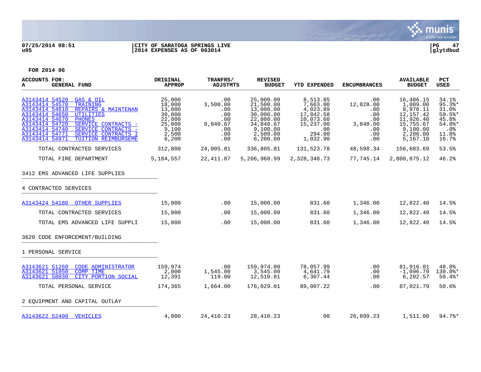

# **07/25/2014 08:51 |CITY OF SARATOGA SPRINGS LIVE |PG 47 u05 |2014 EXPENSES AS OF 063014 |glytdbud**



| <b>ACCOUNTS FOR:</b><br><b>GENERAL FUND</b><br>A                                                                                                                                                                                                                                                                                                       | ORIGINAL<br><b>APPROP</b>                                                           | TRANFRS/<br><b>ADJSTMTS</b>                                           | <b>REVISED</b><br><b>BUDGET</b>                                                                                 | <b>YTD EXPENDED</b>                                                                                  | <b>ENCUMBRANCES</b>                                                              | <b>AVAILABLE</b><br><b>BUDGET</b>                                                                              | PCT<br><b>USED</b>                                                           |
|--------------------------------------------------------------------------------------------------------------------------------------------------------------------------------------------------------------------------------------------------------------------------------------------------------------------------------------------------------|-------------------------------------------------------------------------------------|-----------------------------------------------------------------------|-----------------------------------------------------------------------------------------------------------------|------------------------------------------------------------------------------------------------------|----------------------------------------------------------------------------------|----------------------------------------------------------------------------------------------------------------|------------------------------------------------------------------------------|
| A3143414 54520<br>GAS & OIL<br>A3143414 54570<br>TRAINING<br>A3143414 54610<br>REPAIRS & MAINTENAN<br>A3143414 54650<br><b>UTILITIES</b><br>A3143414 54670<br><b>PHONES</b><br>A3143414 54720<br>SERVICE CONTRACTS -<br>A3143414 54740<br>SERVICE CONTRACTS -<br>A3143414 54771<br>SERVICE CONTRACTS I<br>A3143414 54971<br><b>TUITION REIMBURSEME</b> | 25,000<br>18,000<br>13,000<br>30,000<br>22,000<br>25,000<br>9,100<br>2,500<br>6,200 | .00<br>3,500.00<br>.00<br>.00<br>.00<br>9,840.67<br>.00<br>.00<br>.00 | 25,000.00<br>21,500.00<br>13,000.00<br>30,000.00<br>22,000.00<br>34,840.67<br>9,100.00<br>2,500.00<br>6, 200.00 | 8,513.85<br>7,663.00<br>4,023.89<br>17,842.58<br>10,073.60<br>15,237.00<br>.00<br>294.00<br>1,032.90 | .00<br>12,828.00<br>$.00 \,$<br>$.00 \,$<br>.00<br>3,848.00<br>.00<br>.00<br>.00 | 16,486.15<br>1,009.00<br>8,976.11<br>12, 157. 42<br>11,926.40<br>15,755.67<br>9,100.00<br>2,206.00<br>5,167.10 | 34.1%<br>95.3%<br>31.0%<br>59.5%<br>45.8%<br>54.8%*<br>.0%<br>11.8%<br>16.7% |
| TOTAL CONTRACTED SERVICES                                                                                                                                                                                                                                                                                                                              | 312,800                                                                             | 24,005.81                                                             | 336,805.81                                                                                                      | 131,523.78                                                                                           | 48,598.34                                                                        | 156,683.69                                                                                                     | 53.5%                                                                        |
| TOTAL FIRE DEPARTMENT                                                                                                                                                                                                                                                                                                                                  | 5,184,557                                                                           | 22,411.87                                                             | 5,206,968.99                                                                                                    | 2,328,348.73                                                                                         | 77,745.14                                                                        | 2,800,875.12                                                                                                   | 46.2%                                                                        |
| 3412 EMS ADVANCED LIFE SUPPLIES                                                                                                                                                                                                                                                                                                                        |                                                                                     |                                                                       |                                                                                                                 |                                                                                                      |                                                                                  |                                                                                                                |                                                                              |
| 4 CONTRACTED SERVICES                                                                                                                                                                                                                                                                                                                                  |                                                                                     |                                                                       |                                                                                                                 |                                                                                                      |                                                                                  |                                                                                                                |                                                                              |
| A3143424 54180 OTHER SUPPLIES                                                                                                                                                                                                                                                                                                                          | 15,000                                                                              | .00                                                                   | 15,000.00                                                                                                       | 831.60                                                                                               | 1,346.00                                                                         | 12,822.40                                                                                                      | 14.5%                                                                        |
| TOTAL CONTRACTED SERVICES                                                                                                                                                                                                                                                                                                                              | 15,000                                                                              | .00                                                                   | 15,000.00                                                                                                       | 831.60                                                                                               | 1,346.00                                                                         | 12,822.40                                                                                                      | 14.5%                                                                        |
| TOTAL EMS ADVANCED LIFE SUPPLI                                                                                                                                                                                                                                                                                                                         | 15,000                                                                              | .00                                                                   | 15,000.00                                                                                                       | 831.60                                                                                               | 1,346.00                                                                         | 12,822.40                                                                                                      | 14.5%                                                                        |
| 3620 CODE ENFORCEMENT/BUILDING                                                                                                                                                                                                                                                                                                                         |                                                                                     |                                                                       |                                                                                                                 |                                                                                                      |                                                                                  |                                                                                                                |                                                                              |
| 1 PERSONAL SERVICE                                                                                                                                                                                                                                                                                                                                     |                                                                                     |                                                                       |                                                                                                                 |                                                                                                      |                                                                                  |                                                                                                                |                                                                              |
| A3143621 51260<br><b>CODE ADMINISTRATOR</b><br>A3143621 51950<br><b>COMP TIME</b><br>A3143621 58030<br>CITY PORTION SOCIAL                                                                                                                                                                                                                             | 159,974<br>2,000<br>12,391                                                          | .00<br>1,545.00<br>119.00                                             | 159,974.00<br>3,545.00<br>12,510.01                                                                             | 78,057.99<br>4,641.79<br>6,307.44                                                                    | .00<br>.00<br>.00                                                                | 81,916.01<br>$-1,096.79$<br>6,202.57                                                                           | 48.8%<br>130.9%*<br>$50.4$ $*$                                               |
| TOTAL PERSONAL SERVICE                                                                                                                                                                                                                                                                                                                                 | 174,365                                                                             | 1,664.00                                                              | 176,029.01                                                                                                      | 89,007.22                                                                                            | .00                                                                              | 87,021.79                                                                                                      | 50.6%                                                                        |
| 2 EOUIPMENT AND CAPITAL OUTLAY                                                                                                                                                                                                                                                                                                                         |                                                                                     |                                                                       |                                                                                                                 |                                                                                                      |                                                                                  |                                                                                                                |                                                                              |
| A3143622 52400 VEHICLES                                                                                                                                                                                                                                                                                                                                | 4,000                                                                               | 24,410.23                                                             | 28, 410.23                                                                                                      | .00                                                                                                  | 26,899.23                                                                        | 1,511.00                                                                                                       | 94.7%                                                                        |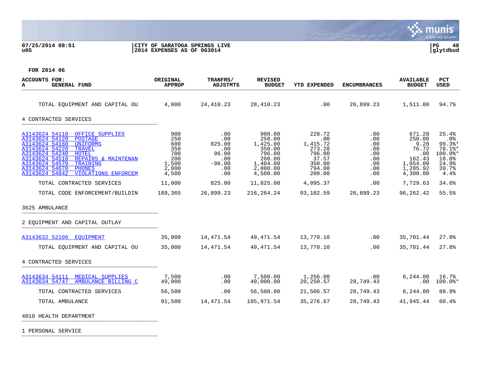## **07/25/2014 08:51 |CITY OF SARATOGA SPRINGS LIVE |PG 48 u05 |2014 EXPENSES AS OF 063014 |glytdbud**



**FOR 2014 06**

| <b>ACCOUNTS FOR:</b><br>GENERAL FUND<br>А                                                                                                                                                                                                                                                                                          | ORIGINAL<br><b>APPROP</b>                                         | TRANFRS/<br>ADJSTMTS                                                  | <b>REVISED</b><br><b>BUDGET</b>                                                                | <b>YTD EXPENDED</b>                                                                  | <b>ENCUMBRANCES</b>                                          | <b>AVAILABLE</b><br><b>BUDGET</b>                                                      | <b>PCT</b><br>USED                                                                                        |
|------------------------------------------------------------------------------------------------------------------------------------------------------------------------------------------------------------------------------------------------------------------------------------------------------------------------------------|-------------------------------------------------------------------|-----------------------------------------------------------------------|------------------------------------------------------------------------------------------------|--------------------------------------------------------------------------------------|--------------------------------------------------------------|----------------------------------------------------------------------------------------|-----------------------------------------------------------------------------------------------------------|
| TOTAL EOUIPMENT AND CAPITAL OU                                                                                                                                                                                                                                                                                                     | 4,000                                                             | 24,410.23                                                             | 28,410.23                                                                                      | .00                                                                                  | 26,899.23                                                    | 1,511.00                                                                               | 94.7%                                                                                                     |
| 4 CONTRACTED SERVICES                                                                                                                                                                                                                                                                                                              |                                                                   |                                                                       |                                                                                                |                                                                                      |                                                              |                                                                                        |                                                                                                           |
| A3143624 54110<br>OFFICE SUPPLIES<br>A3143624 54120<br><b>POSTAGE</b><br>A3143624 54160<br><b>UNIFORMS</b><br>A3143624 54220<br><b>TRAVEL</b><br>A3143624 54240<br>HOTEL<br>A3143624 54510<br>REPAIRS & MAINTENAN<br>A3143624 54570<br>TRAINING<br>A3143624 54670<br><b>PHONES</b><br>A3143624 54842<br><b>VIOLATIONS ENFORCEM</b> | 900<br>250<br>600<br>350<br>700<br>200<br>1,500<br>2,000<br>4,500 | .00<br>.00<br>825.00<br>.00<br>96.00<br>.00<br>$-96.00$<br>.00<br>.00 | 900.00<br>250.00<br>1,425.00<br>350.00<br>796.00<br>200.00<br>1,404.00<br>2,000.00<br>4,500.00 | 228.72<br>.00<br>1,415.72<br>273.28<br>796.00<br>37.57<br>350.00<br>794.08<br>200.00 | .00<br>.00<br>.00<br>.00<br>.00<br>.00.<br>.00<br>.00<br>.00 | 671.28<br>250.00<br>9.28<br>76.72<br>.00<br>162.43<br>1,054.00<br>1,205.92<br>4,300.00 | 25.4%<br>.0 <sub>8</sub><br>$99.3$ <sup>*</sup><br>78.1%*<br>$100.0$ *<br>18.8%<br>24.9%<br>39.7%<br>4.4% |
| TOTAL CONTRACTED SERVICES                                                                                                                                                                                                                                                                                                          | 11,000                                                            | 825.00                                                                | 11,825.00                                                                                      | 4,095.37                                                                             | .00.                                                         | 7,729.63                                                                               | 34.6%                                                                                                     |
| TOTAL CODE ENFORCEMENT/BUILDIN                                                                                                                                                                                                                                                                                                     | 189,365                                                           | 26,899.23                                                             | 216,264.24                                                                                     | 93,102.59                                                                            | 26,899.23                                                    | 96, 262.42                                                                             | 55.5%                                                                                                     |
| 3625 AMBULANCE                                                                                                                                                                                                                                                                                                                     |                                                                   |                                                                       |                                                                                                |                                                                                      |                                                              |                                                                                        |                                                                                                           |
| 2 EOUIPMENT AND CAPITAL OUTLAY                                                                                                                                                                                                                                                                                                     |                                                                   |                                                                       |                                                                                                |                                                                                      |                                                              |                                                                                        |                                                                                                           |
| A3143632 52100 EOUIPMENT                                                                                                                                                                                                                                                                                                           | 35,000                                                            | 14,471.54                                                             | 49,471.54                                                                                      | 13,770.10                                                                            | .00                                                          | 35,701.44                                                                              | 27.8%                                                                                                     |
| TOTAL EQUIPMENT AND CAPITAL OU                                                                                                                                                                                                                                                                                                     | 35,000                                                            | 14,471.54                                                             | 49,471.54                                                                                      | 13,770.10                                                                            | .00                                                          | 35,701.44                                                                              | 27.8%                                                                                                     |
| 4 CONTRACTED SERVICES                                                                                                                                                                                                                                                                                                              |                                                                   |                                                                       |                                                                                                |                                                                                      |                                                              |                                                                                        |                                                                                                           |
| A3143634 54111 MEDICAL SUPPLIES<br>AMBULANCE BILLING C<br>A3143634 54747                                                                                                                                                                                                                                                           | 7,500<br>49,000                                                   | .00<br>.00                                                            | 7,500.00<br>49,000.00                                                                          | 1,256.00<br>20,250.57                                                                | .00<br>28,749.43                                             | 6,244.00<br>.00                                                                        | 16.7%<br>$100.0$ *                                                                                        |
| TOTAL CONTRACTED SERVICES                                                                                                                                                                                                                                                                                                          | 56,500                                                            | .00                                                                   | 56,500.00                                                                                      | 21,506.57                                                                            | 28,749.43                                                    | 6, 244.00                                                                              | 88.9%                                                                                                     |
| TOTAL AMBULANCE                                                                                                                                                                                                                                                                                                                    | 91,500                                                            | 14,471.54                                                             | 105,971.54                                                                                     | 35,276.67                                                                            | 28,749.43                                                    | 41,945.44                                                                              | 60.4%                                                                                                     |
| 4010 HEALTH DEPARTMENT                                                                                                                                                                                                                                                                                                             |                                                                   |                                                                       |                                                                                                |                                                                                      |                                                              |                                                                                        |                                                                                                           |

1 PERSONAL SERVICE \_\_\_\_\_\_\_\_\_\_\_\_\_\_\_\_\_\_\_\_\_\_\_\_\_\_\_\_\_\_\_\_\_\_\_\_\_\_\_\_\_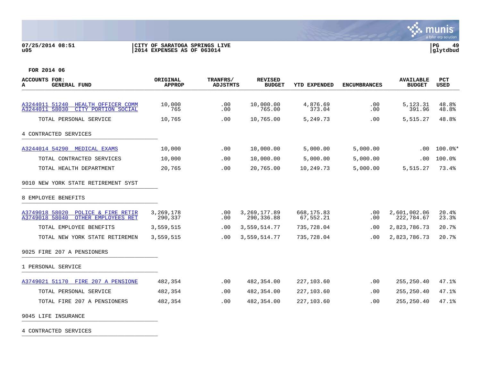## **07/25/2014 08:51 |CITY OF SARATOGA SPRINGS LIVE |PG 49 u05 |2014 EXPENSES AS OF 063014 |glytdbud**



**FOR 2014 06**

| ACCOUNTS FOR:<br><b>GENERAL FUND</b><br>A                                                 | ORIGINAL<br><b>APPROP</b> | <b>TRANFRS/</b><br><b>ADJSTMTS</b> | <b>REVISED</b><br><b>BUDGET</b> | <b>YTD EXPENDED</b>      | <b>ENCUMBRANCES</b> | <b>AVAILABLE</b><br><b>BUDGET</b> | <b>PCT</b><br><b>USED</b> |
|-------------------------------------------------------------------------------------------|---------------------------|------------------------------------|---------------------------------|--------------------------|---------------------|-----------------------------------|---------------------------|
|                                                                                           |                           |                                    |                                 |                          |                     |                                   |                           |
| A3244011 51240<br>HEALTH OFFICER COMM<br>A3244011 58030<br>CITY PORTION SOCIAL            | 10,000<br>765             | $.00 \,$<br>.00                    | 10,000.00<br>765.00             | 4,876.69<br>373.04       | .00<br>.00          | 5,123.31<br>391.96                | 48.8%<br>48.8%            |
| TOTAL PERSONAL SERVICE                                                                    | 10,765                    | .00                                | 10,765.00                       | 5,249.73                 | .00                 | 5,515.27                          | 48.8%                     |
| 4 CONTRACTED SERVICES                                                                     |                           |                                    |                                 |                          |                     |                                   |                           |
| A3244014 54290 MEDICAL EXAMS                                                              | 10,000                    | .00                                | 10,000.00                       | 5,000.00                 | 5,000.00            | .00                               | $100.0$ *                 |
| TOTAL CONTRACTED SERVICES                                                                 | 10,000                    | .00                                | 10,000.00                       | 5,000.00                 | 5,000.00            | .00                               | 100.0%                    |
| TOTAL HEALTH DEPARTMENT                                                                   | 20,765                    | .00                                | 20,765.00                       | 10,249.73                | 5,000.00            | 5,515.27                          | 73.4%                     |
| 9010 NEW YORK STATE RETIREMENT SYST                                                       |                           |                                    |                                 |                          |                     |                                   |                           |
| 8 EMPLOYEE BENEFITS                                                                       |                           |                                    |                                 |                          |                     |                                   |                           |
| A3749018 58020<br><b>POLICE &amp; FIRE RETIR</b><br>OTHER EMPLOYEES RET<br>A3749018 58040 | 3,269,178<br>290,337      | .00<br>.00                         | 3, 269, 177.89<br>290,336.88    | 668, 175.83<br>67,552.21 | .00<br>.00          | 2,601,002.06<br>222,784.67        | 20.4%<br>23.3%            |
| TOTAL EMPLOYEE BENEFITS                                                                   | 3,559,515                 | .00                                | 3,559,514.77                    | 735,728.04               | .00                 | 2,823,786.73                      | 20.7%                     |
| TOTAL NEW YORK STATE RETIREMEN                                                            | 3,559,515                 | .00                                | 3,559,514.77                    | 735,728.04               | .00                 | 2,823,786.73                      | 20.7%                     |
| 9025 FIRE 207 A PENSIONERS                                                                |                           |                                    |                                 |                          |                     |                                   |                           |
| 1 PERSONAL SERVICE                                                                        |                           |                                    |                                 |                          |                     |                                   |                           |
| A3749021 51170<br>FIRE 207 A PENSIONE                                                     | 482,354                   | .00                                | 482,354.00                      | 227,103.60               | .00                 | 255, 250.40                       | 47.1%                     |
| TOTAL PERSONAL SERVICE                                                                    | 482,354                   | .00                                | 482,354.00                      | 227,103.60               | .00                 | 255,250.40                        | 47.1%                     |
| TOTAL FIRE 207 A PENSIONERS                                                               | 482,354                   | .00                                | 482,354.00                      | 227,103.60               | .00                 | 255,250.40                        | 47.1%                     |
| 9045 LIFE INSURANCE                                                                       |                           |                                    |                                 |                          |                     |                                   |                           |

4 CONTRACTED SERVICES \_\_\_\_\_\_\_\_\_\_\_\_\_\_\_\_\_\_\_\_\_\_\_\_\_\_\_\_\_\_\_\_\_\_\_\_\_\_\_\_\_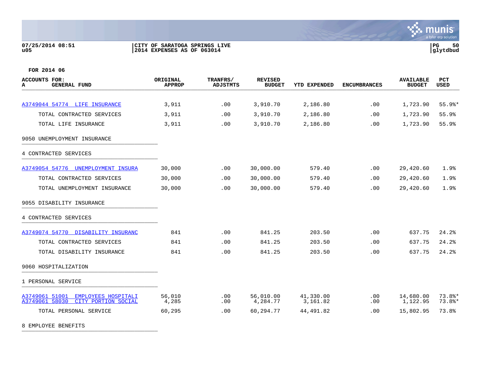## **07/25/2014 08:51 |CITY OF SARATOGA SPRINGS LIVE |PG 50 u05 |2014 EXPENSES AS OF 063014 |glytdbud**



**FOR 2014 06**

| ACCOUNTS FOR:<br><b>GENERAL FUND</b><br>A                                      | ORIGINAL<br><b>APPROP</b> | TRANFRS/<br><b>ADJSTMTS</b> | <b>REVISED</b><br><b>BUDGET</b> | <b>YTD EXPENDED</b>   | <b>ENCUMBRANCES</b> | <b>AVAILABLE</b><br><b>BUDGET</b> | <b>PCT</b><br><b>USED</b> |
|--------------------------------------------------------------------------------|---------------------------|-----------------------------|---------------------------------|-----------------------|---------------------|-----------------------------------|---------------------------|
|                                                                                |                           |                             |                                 |                       |                     |                                   |                           |
| A3749044 54774 LIFE INSURANCE                                                  | 3,911                     | .00                         | 3,910.70                        | 2,186.80              | .00                 | 1,723.90                          | $55.9$ %*                 |
| TOTAL CONTRACTED SERVICES                                                      | 3,911                     | .00                         | 3,910.70                        | 2,186.80              | .00                 | 1,723.90                          | 55.9%                     |
| TOTAL LIFE INSURANCE                                                           | 3,911                     | .00                         | 3,910.70                        | 2,186.80              | .00                 | 1,723.90                          | 55.9%                     |
| 9050 UNEMPLOYMENT INSURANCE                                                    |                           |                             |                                 |                       |                     |                                   |                           |
| 4 CONTRACTED SERVICES                                                          |                           |                             |                                 |                       |                     |                                   |                           |
| A3749054 54776 UNEMPLOYMENT INSURA                                             | 30,000                    | .00                         | 30,000.00                       | 579.40                | .00                 | 29,420.60                         | 1.9%                      |
| TOTAL CONTRACTED SERVICES                                                      | 30,000                    | .00                         | 30,000.00                       | 579.40                | .00                 | 29,420.60                         | 1.9%                      |
| TOTAL UNEMPLOYMENT INSURANCE                                                   | 30,000                    | .00                         | 30,000.00                       | 579.40                | .00                 | 29,420.60                         | 1.9%                      |
| 9055 DISABILITY INSURANCE                                                      |                           |                             |                                 |                       |                     |                                   |                           |
| 4 CONTRACTED SERVICES                                                          |                           |                             |                                 |                       |                     |                                   |                           |
| A3749074 54770 DISABILITY INSURANC                                             | 841                       | .00                         | 841.25                          | 203.50                | .00                 | 637.75                            | 24.2%                     |
| TOTAL CONTRACTED SERVICES                                                      | 841                       | .00                         | 841.25                          | 203.50                | .00                 | 637.75                            | 24.2%                     |
| TOTAL DISABILITY INSURANCE                                                     | 841                       | .00                         | 841.25                          | 203.50                | .00                 | 637.75                            | 24.2%                     |
| 9060 HOSPITALIZATION                                                           |                           |                             |                                 |                       |                     |                                   |                           |
| 1 PERSONAL SERVICE                                                             |                           |                             |                                 |                       |                     |                                   |                           |
| A3749061 51001<br>EMPLOYEES HOSPITALI<br>A3749061 58030<br>CITY PORTION SOCIAL | 56,010<br>4,285           | .00<br>.00                  | 56,010.00<br>4,284.77           | 41,330.00<br>3,161.82 | .00<br>.00          | 14,680.00<br>1,122.95             | 73.8%*<br>73.8%*          |
| TOTAL PERSONAL SERVICE                                                         | 60,295                    | .00                         | 60,294.77                       | 44,491.82             | .00                 | 15,802.95                         | 73.8%                     |

8 EMPLOYEE BENEFITS \_\_\_\_\_\_\_\_\_\_\_\_\_\_\_\_\_\_\_\_\_\_\_\_\_\_\_\_\_\_\_\_\_\_\_\_\_\_\_\_\_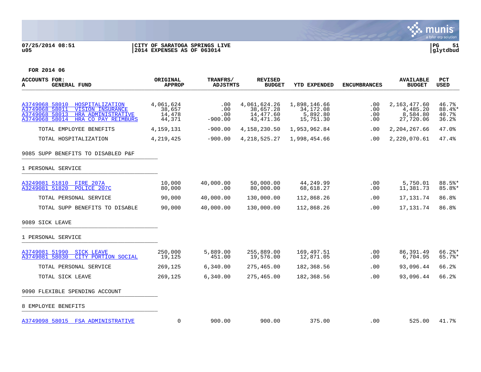## **07/25/2014 08:51 |CITY OF SARATOGA SPRINGS LIVE |PG 51 u05 |2014 EXPENSES AS OF 063014 |glytdbud**



| <b>ACCOUNTS FOR:</b><br>A<br><b>GENERAL FUND</b>                                                                                                                | ORIGINAL<br><b>APPROP</b>               | TRANFRS/<br><b>ADJSTMTS</b>    | <b>REVISED</b><br><b>BUDGET</b>                      | <b>YTD EXPENDED</b>                                | <b>ENCUMBRANCES</b>      | <b>AVAILABLE</b><br><b>BUDGET</b>                 | PCT<br><b>USED</b>                |
|-----------------------------------------------------------------------------------------------------------------------------------------------------------------|-----------------------------------------|--------------------------------|------------------------------------------------------|----------------------------------------------------|--------------------------|---------------------------------------------------|-----------------------------------|
|                                                                                                                                                                 |                                         |                                |                                                      |                                                    |                          |                                                   |                                   |
| A3749068 58010<br>HOSPITALIZATION<br>A3749068 58011<br><b>VISION INSURANCE</b><br>A3749068 58013<br>HRA ADMINISTRATIVE<br>A3749068 58014<br>HRA CO PAY REIMBURS | 4,061,624<br>38,657<br>14,478<br>44,371 | .00<br>.00<br>.00<br>$-900.00$ | 4,061,624.26<br>38,657.28<br>14,477.60<br>43, 471.36 | 1,898,146.66<br>34,172.08<br>5,892.80<br>15,751.30 | .00<br>.00<br>.00<br>.00 | 2,163,477.60<br>4,485.20<br>8,584.80<br>27,720.06 | 46.7%<br>88.4%*<br>40.7%<br>36.2% |
| TOTAL EMPLOYEE BENEFITS                                                                                                                                         | 4,159,131                               | $-900.00$                      | 4,158,230.50                                         | 1,953,962.84                                       | $.00 \,$                 | 2,204,267.66                                      | 47.0%                             |
| TOTAL HOSPITALIZATION                                                                                                                                           | 4,219,425                               | $-900.00$                      | 4, 218, 525. 27                                      | 1,998,454.66                                       | $.00 \,$                 | 2,220,070.61                                      | 47.4%                             |
| 9085 SUPP BENEFITS TO DISABLED P&F                                                                                                                              |                                         |                                |                                                      |                                                    |                          |                                                   |                                   |
| 1 PERSONAL SERVICE                                                                                                                                              |                                         |                                |                                                      |                                                    |                          |                                                   |                                   |
| A3249081 51810 FIRE 207A<br>A3249081 51820<br>POLICE 207C                                                                                                       | 10,000<br>80,000                        | 40,000.00<br>.00               | 50,000.00<br>80,000.00                               | 44,249.99<br>68,618.27                             | .00<br>.00               | 5,750.01<br>11,381.73                             | 88.5%*<br>$85.8$ *                |
| TOTAL PERSONAL SERVICE                                                                                                                                          | 90,000                                  | 40,000.00                      | 130,000.00                                           | 112,868.26                                         | .00                      | 17, 131. 74                                       | 86.8%                             |
| TOTAL SUPP BENEFITS TO DISABLE                                                                                                                                  | 90,000                                  | 40,000.00                      | 130,000.00                                           | 112,868.26                                         | $.00 \,$                 | 17, 131. 74                                       | 86.8%                             |
| 9089 SICK LEAVE                                                                                                                                                 |                                         |                                |                                                      |                                                    |                          |                                                   |                                   |
| 1 PERSONAL SERVICE                                                                                                                                              |                                         |                                |                                                      |                                                    |                          |                                                   |                                   |
| A3749081 51990<br><b>SICK LEAVE</b><br>A3749081 58030<br>CITY PORTION SOCIAL                                                                                    | 250,000<br>19,125                       | 5,889.00<br>451.00             | 255,889.00<br>19,576.00                              | 169,497.51<br>12,871.05                            | $.00 \,$<br>.00          | 86, 391.49<br>6,704.95                            | $66.2$ *<br>$65.7$ %*             |
| TOTAL PERSONAL SERVICE                                                                                                                                          | 269,125                                 | 6,340.00                       | 275,465.00                                           | 182,368.56                                         | .00                      | 93,096.44                                         | 66.2%                             |
| TOTAL SICK LEAVE                                                                                                                                                | 269,125                                 | 6,340.00                       | 275,465.00                                           | 182,368.56                                         | .00                      | 93,096.44                                         | 66.2%                             |
| 9090 FLEXIBLE SPENDING ACCOUNT                                                                                                                                  |                                         |                                |                                                      |                                                    |                          |                                                   |                                   |
| 8 EMPLOYEE BENEFITS                                                                                                                                             |                                         |                                |                                                      |                                                    |                          |                                                   |                                   |
| A3749098 58015 FSA ADMINISTRATIVE                                                                                                                               | 0                                       | 900.00                         | 900.00                                               | 375.00                                             | $.00 \,$                 | 525.00                                            | 41.7%                             |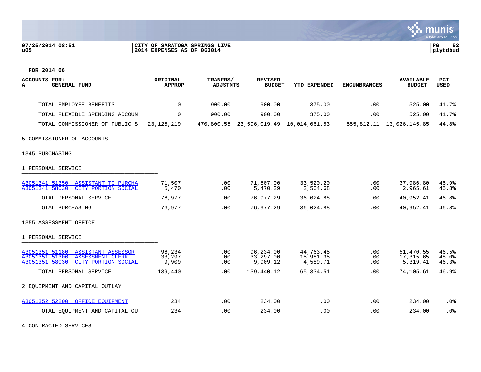## **07/25/2014 08:51 |CITY OF SARATOGA SPRINGS LIVE |PG 52 u05 |2014 EXPENSES AS OF 063014 |glytdbud**



**FOR 2014 06**

| <b>ACCOUNTS FOR:</b><br><b>GENERAL FUND</b><br>A                                                              | ORIGINAL<br><b>APPROP</b> | TRANFRS/<br><b>ADJSTMTS</b> | <b>REVISED</b><br><b>BUDGET</b>        | <b>YTD EXPENDED</b>                | <b>ENCUMBRANCES</b> | <b>AVAILABLE</b><br><b>BUDGET</b>  | <b>PCT</b><br><b>USED</b> |
|---------------------------------------------------------------------------------------------------------------|---------------------------|-----------------------------|----------------------------------------|------------------------------------|---------------------|------------------------------------|---------------------------|
| TOTAL EMPLOYEE BENEFITS                                                                                       | $\Omega$                  | 900.00                      | 900.00                                 | 375.00                             | .00                 | 525.00                             | 41.7%                     |
|                                                                                                               |                           |                             |                                        |                                    |                     |                                    |                           |
| TOTAL FLEXIBLE SPENDING ACCOUN                                                                                | $\mathbf 0$               | 900.00                      | 900.00                                 | 375.00                             | .00                 | 525.00                             | 41.7%                     |
| TOTAL COMMISSIONER OF PUBLIC S                                                                                | 23, 125, 219              |                             | 470,800.55 23,596,019.49 10,014,061.53 |                                    |                     | 555, 812.11 13, 026, 145.85        | 44.8%                     |
| 5 COMMISSIONER OF ACCOUNTS                                                                                    |                           |                             |                                        |                                    |                     |                                    |                           |
| 1345 PURCHASING                                                                                               |                           |                             |                                        |                                    |                     |                                    |                           |
| 1 PERSONAL SERVICE                                                                                            |                           |                             |                                        |                                    |                     |                                    |                           |
| A3051341 51350 ASSISTANT TO PURCHA<br>A3051341 58030<br>CITY PORTION SOCIAL                                   | 71,507<br>5,470           | .00<br>.00                  | 71,507.00<br>5,470.29                  | 33,520.20<br>2,504.68              | .00<br>.00          | 37,986.80<br>2,965.61              | 46.9%<br>45.8%            |
| TOTAL PERSONAL SERVICE                                                                                        | 76,977                    | .00.                        | 76,977.29                              | 36,024.88                          | .00                 | 40,952.41                          | 46.8%                     |
| TOTAL PURCHASING                                                                                              | 76,977                    | .00.                        | 76,977.29                              | 36,024.88                          | .00                 | 40,952.41                          | 46.8%                     |
| 1355 ASSESSMENT OFFICE                                                                                        |                           |                             |                                        |                                    |                     |                                    |                           |
| 1 PERSONAL SERVICE                                                                                            |                           |                             |                                        |                                    |                     |                                    |                           |
| A3051351 51180 ASSISTANT ASSESSOR<br>A3051351 51306 ASSESSMENT CLERK<br>A3051351 58030<br>CITY PORTION SOCIAL | 96,234<br>33,297<br>9,909 | .00<br>.00<br>.00           | 96,234.00<br>33,297.00<br>9,909.12     | 44,763.45<br>15,981.35<br>4,589.71 | .00<br>.00<br>.00   | 51,470.55<br>17,315.65<br>5,319.41 | 46.5%<br>48.0%<br>46.3%   |
| TOTAL PERSONAL SERVICE                                                                                        | 139,440                   | .00                         | 139,440.12                             | 65,334.51                          | .00                 | 74,105.61                          | 46.9%                     |
| 2 EQUIPMENT AND CAPITAL OUTLAY                                                                                |                           |                             |                                        |                                    |                     |                                    |                           |
| A3051352 52200 OFFICE EOUIPMENT                                                                               | 234                       | .00.                        | 234.00                                 | .00                                | .00                 | 234.00                             | .0%                       |
| TOTAL EQUIPMENT AND CAPITAL OU                                                                                | 234                       | .00                         | 234.00                                 | .00                                | .00                 | 234.00                             | .0%                       |

4 CONTRACTED SERVICES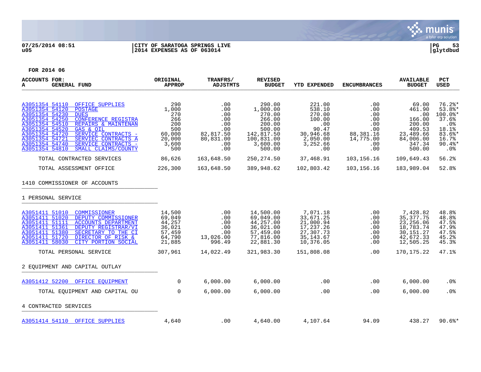

# **07/25/2014 08:51 |CITY OF SARATOGA SPRINGS LIVE |PG 53 u05 |2014 EXPENSES AS OF 063014 |glytdbud**



| <b>ACCOUNTS FOR:</b><br><b>GENERAL FUND</b><br>А                                                                                                                                                                                                                                                                                                                                                   | ORIGINAL<br><b>APPROP</b>                                                    | TRANFRS/<br><b>ADJSTMTS</b>                                                         | <b>REVISED</b><br><b>BUDGET</b>                                                                              | <b>YTD EXPENDED</b>                                                                              | <b>ENCUMBRANCES</b>                                                            | <b>AVAILABLE</b><br><b>BUDGET</b>                                                                  | PCT<br>USED                                                                                                |
|----------------------------------------------------------------------------------------------------------------------------------------------------------------------------------------------------------------------------------------------------------------------------------------------------------------------------------------------------------------------------------------------------|------------------------------------------------------------------------------|-------------------------------------------------------------------------------------|--------------------------------------------------------------------------------------------------------------|--------------------------------------------------------------------------------------------------|--------------------------------------------------------------------------------|----------------------------------------------------------------------------------------------------|------------------------------------------------------------------------------------------------------------|
| A3051354 54110<br>OFFICE SUPPLIES<br>A3051354 54120<br><b>POSTAGE</b><br>A3051354 54230<br><b>DUES</b><br>A3051354 54250<br><b>CONFERENCE REGISTRA</b><br>A3051354 54510<br>REPAIRS & MAINTENAN<br>A3051354 54520<br>GAS & OIL<br>A3051354 54720<br>SERVICE CONTRACTS -<br>A3051354 54721<br>SERVIEC CONTRACTS A<br>A3051354 54740<br>SERVICE CONTRACTS -<br>A3051354 54810<br>SMALL CLAIMS/COUNTY | 290<br>1,000<br>270<br>266<br>200<br>500<br>60,000<br>20,000<br>3,600<br>500 | .00<br>.00<br>.00<br>$.00 \,$<br>.00<br>.00<br>82,817.50<br>80,831.00<br>.00<br>.00 | 290.00<br>1,000.00<br>270.00<br>266.00<br>200.00<br>500.00<br>142,817.50<br>100,831.00<br>3,600.00<br>500.00 | 221.00<br>538.10<br>270.00<br>100.00<br>.00<br>90.47<br>30,946.68<br>2,050.00<br>3,252.66<br>.00 | .00<br>.00<br>.00<br>.00<br>.00<br>.00<br>88,381.16<br>14,775.00<br>.00<br>.00 | 69.00<br>461.90<br>.00<br>166.00<br>200.00<br>409.53<br>23,489.66<br>84,006.00<br>347.34<br>500.00 | $76.2$ $*$<br>$53.8$ *<br>100.0%*<br>37.6%<br>$.0\%$<br>18.1%<br>$83.6$ *<br>16.7%<br>$90.4$ $*$<br>$.0\%$ |
| TOTAL CONTRACTED SERVICES                                                                                                                                                                                                                                                                                                                                                                          | 86,626                                                                       | 163,648.50                                                                          | 250, 274.50                                                                                                  | 37,468.91                                                                                        | 103,156.16                                                                     | 109,649.43                                                                                         | 56.2%                                                                                                      |
| TOTAL ASSESSMENT OFFICE                                                                                                                                                                                                                                                                                                                                                                            | 226,300                                                                      | 163,648.50                                                                          | 389,948.62                                                                                                   | 102,803.42                                                                                       | 103,156.16                                                                     | 183,989.04                                                                                         | 52.8%                                                                                                      |
| 1410 COMMISSIONER OF ACCOUNTS<br>1 PERSONAL SERVICE                                                                                                                                                                                                                                                                                                                                                |                                                                              |                                                                                     |                                                                                                              |                                                                                                  |                                                                                |                                                                                                    |                                                                                                            |
| A3051411 51010<br>COMMISSIONER<br>A3051411 51020<br>DEPUTY COMMISSIONER<br>A3051411 51111<br><b>ACCOUNTS DEPARTMENT</b><br>A3051411 51361<br>DEPUTY REGISTRAR/VI<br>A3051411 51380<br>SECRETARY TO THE CI<br>A3051411 51720<br><b>DIRECTOR OF RISK &amp;</b><br>A3051411 58030<br>CITY PORTION SOCIAL                                                                                              | 14,500<br>69,049<br>44,257<br>36,021<br>57,459<br>64,790<br>21,885           | .00<br>.00<br>.00<br>.00<br>.00<br>13,026.00<br>996.49                              | 14,500.00<br>69,049.00<br>44,257.00<br>36,021.00<br>57,459.00<br>77,816.00<br>22,881.30                      | 7,071.18<br>33,671.25<br>21,000.94<br>17,237.26<br>27,307.73<br>35, 143.67<br>10,376.05          | .00<br>.00<br>.00<br>.00<br>.00<br>.00<br>.00                                  | 7,428.82<br>35, 377. 75<br>23, 256.06<br>18,783.74<br>30, 151. 27<br>42,672.33<br>12,505.25        | 48.8%<br>48.8%<br>47.5%<br>47.9%<br>47.5%<br>45.2%<br>45.3%                                                |
| TOTAL PERSONAL SERVICE                                                                                                                                                                                                                                                                                                                                                                             | 307,961                                                                      | 14,022.49                                                                           | 321,983.30                                                                                                   | 151,808.08                                                                                       | .00                                                                            | 170, 175. 22                                                                                       | 47.1%                                                                                                      |
| 2 EQUIPMENT AND CAPITAL OUTLAY                                                                                                                                                                                                                                                                                                                                                                     |                                                                              |                                                                                     |                                                                                                              |                                                                                                  |                                                                                |                                                                                                    |                                                                                                            |
| A3051412 52200<br>OFFICE EOUIPMENT                                                                                                                                                                                                                                                                                                                                                                 | $\overline{0}$                                                               | 6,000.00                                                                            | 6,000.00                                                                                                     | .00                                                                                              | .00                                                                            | 6,000.00                                                                                           | $.0\%$                                                                                                     |
| TOTAL EQUIPMENT AND CAPITAL OU                                                                                                                                                                                                                                                                                                                                                                     | $\mathbf 0$                                                                  | 6,000.00                                                                            | 6,000.00                                                                                                     | .00                                                                                              | .00                                                                            | 6,000.00                                                                                           | .0%                                                                                                        |
| 4 CONTRACTED SERVICES                                                                                                                                                                                                                                                                                                                                                                              |                                                                              |                                                                                     |                                                                                                              |                                                                                                  |                                                                                |                                                                                                    |                                                                                                            |
| A3051414 54110 OFFICE SUPPLIES                                                                                                                                                                                                                                                                                                                                                                     | 4,640                                                                        | $.00 \,$                                                                            | 4,640.00                                                                                                     | 4,107.64                                                                                         | 94.09                                                                          | 438.27                                                                                             | $90.6$ $*$                                                                                                 |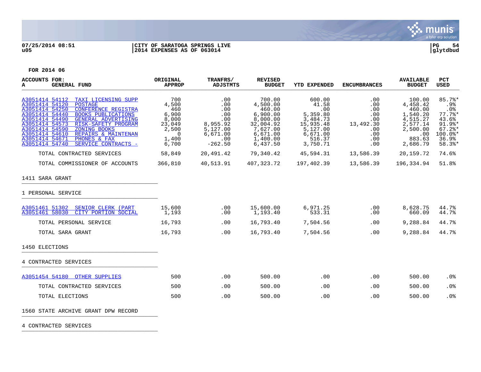

## **07/25/2014 08:51 |CITY OF SARATOGA SPRINGS LIVE |PG 54 u05 |2014 EXPENSES AS OF 063014 |glytdbud**



**FOR 2014 06**

| <b>ACCOUNTS FOR:</b><br>A<br><b>GENERAL FUND</b>                                                                                                                                                                                                                                                                                                                                                              | ORIGINAL<br><b>APPROP</b>                                                                      | TRANFRS/<br><b>ADJSTMTS</b>                                                             | <b>REVISED</b><br><b>BUDGET</b>                                                                                   | <b>YTD EXPENDED</b>                                                                                       | <b>ENCUMBRANCES</b>                                                                     | <b>AVAILABLE</b><br><b>BUDGET</b>                                                                         | <b>PCT</b><br><b>USED</b>                                                                            |
|---------------------------------------------------------------------------------------------------------------------------------------------------------------------------------------------------------------------------------------------------------------------------------------------------------------------------------------------------------------------------------------------------------------|------------------------------------------------------------------------------------------------|-----------------------------------------------------------------------------------------|-------------------------------------------------------------------------------------------------------------------|-----------------------------------------------------------------------------------------------------------|-----------------------------------------------------------------------------------------|-----------------------------------------------------------------------------------------------------------|------------------------------------------------------------------------------------------------------|
| A3051414 54112 TAXI LICENSING SUPP<br>A3051414 54120<br><b>POSTAGE</b><br>A3051414 54250<br>CONFERENCE REGISTRA<br>A3051414 54440<br><b>BOOKS PUBLICATIONS</b><br>A3051414 54490<br><b>GENERAL ADVERTISING</b><br>A3051414 54573<br>RISK-SAFETY PROGRAM<br>A3051414 54590<br>ZONING BOOKS<br>A3051414 54610<br>REPAIRS & MAINTENAN<br>A3051414 54671<br>PHONES & FAX<br>A3051414 54740<br>SERVICE CONTRACTS - | 700<br>4,500<br>- 460<br>6,900<br>8,000<br>23,049<br>2,500<br>$\overline{0}$<br>1,400<br>6,700 | .00<br>.00<br>.00<br>.00<br>.00<br>8,955.92<br>5,127.00<br>6,671.00<br>.00<br>$-262.50$ | 700.00<br>4,500.00<br>460.00<br>6,900.00<br>8,000.00<br>32,004.92<br>7,627.00<br>6,671.00<br>1,400.00<br>6,437.50 | 600.00<br>41.58<br>.00<br>5,359.80<br>3,484.73<br>15,935.48<br>5,127.00<br>6,671.00<br>516.37<br>3,750.71 | .00<br>.00<br>$.00 \,$<br>.00<br>.00<br>13,492.30<br>.00<br>.00<br>$.00 \,$<br>$.00 \,$ | 100.00<br>4,458.42<br>460.00<br>1,540.20<br>4,515.27<br>2,577.14<br>2,500.00<br>.00<br>883.63<br>2,686.79 | 85.7%<br>.9%<br>$.0\%$<br>$77.7$ %*<br>43.6%<br>91.9%*<br>$67.2$ $*$<br>$100.0$ *<br>36.9%<br>58.3%* |
| TOTAL CONTRACTED SERVICES                                                                                                                                                                                                                                                                                                                                                                                     | 58,849                                                                                         | 20,491.42                                                                               | 79,340.42                                                                                                         | 45,594.31                                                                                                 | 13,586.39                                                                               | 20,159.72                                                                                                 | 74.6%                                                                                                |
| TOTAL COMMISSIONER OF ACCOUNTS                                                                                                                                                                                                                                                                                                                                                                                | 366,810                                                                                        | 40,513.91                                                                               | 407,323.72                                                                                                        | 197,402.39                                                                                                | 13,586.39                                                                               | 196,334.94                                                                                                | 51.8%                                                                                                |
| 1411 SARA GRANT                                                                                                                                                                                                                                                                                                                                                                                               |                                                                                                |                                                                                         |                                                                                                                   |                                                                                                           |                                                                                         |                                                                                                           |                                                                                                      |
| 1 PERSONAL SERVICE                                                                                                                                                                                                                                                                                                                                                                                            |                                                                                                |                                                                                         |                                                                                                                   |                                                                                                           |                                                                                         |                                                                                                           |                                                                                                      |
| A3051461 51302 SENIOR CLERK (PART<br>A3051461 58030<br>CITY PORTION SOCIAL                                                                                                                                                                                                                                                                                                                                    | 15,600<br>1,193                                                                                | .00<br>.00                                                                              | 15,600.00<br>1,193.40                                                                                             | 6,971.25<br>533.31                                                                                        | .00<br>.00                                                                              | 8,628.75<br>660.09                                                                                        | 44.7%<br>44.7%                                                                                       |
| TOTAL PERSONAL SERVICE                                                                                                                                                                                                                                                                                                                                                                                        | 16,793                                                                                         | .00                                                                                     | 16,793.40                                                                                                         | 7,504.56                                                                                                  | .00                                                                                     | 9,288.84                                                                                                  | 44.7%                                                                                                |
| TOTAL SARA GRANT                                                                                                                                                                                                                                                                                                                                                                                              | 16,793                                                                                         | .00                                                                                     | 16,793.40                                                                                                         | 7,504.56                                                                                                  | .00                                                                                     | 9,288.84                                                                                                  | 44.7%                                                                                                |
| 1450 ELECTIONS                                                                                                                                                                                                                                                                                                                                                                                                |                                                                                                |                                                                                         |                                                                                                                   |                                                                                                           |                                                                                         |                                                                                                           |                                                                                                      |
| 4 CONTRACTED SERVICES                                                                                                                                                                                                                                                                                                                                                                                         |                                                                                                |                                                                                         |                                                                                                                   |                                                                                                           |                                                                                         |                                                                                                           |                                                                                                      |
| A3051454 54180 OTHER SUPPLIES                                                                                                                                                                                                                                                                                                                                                                                 | 500                                                                                            | .00                                                                                     | 500.00                                                                                                            | .00                                                                                                       | .00                                                                                     | 500.00                                                                                                    | .0%                                                                                                  |
| TOTAL CONTRACTED SERVICES                                                                                                                                                                                                                                                                                                                                                                                     | 500                                                                                            | .00                                                                                     | 500.00                                                                                                            | .00                                                                                                       | .00                                                                                     | 500.00                                                                                                    | .0 <sub>8</sub>                                                                                      |
| TOTAL ELECTIONS                                                                                                                                                                                                                                                                                                                                                                                               | 500                                                                                            | .00                                                                                     | 500.00                                                                                                            | .00                                                                                                       | .00                                                                                     | 500.00                                                                                                    | .0%                                                                                                  |
| 1560 STATE ARCHIVE GRANT DPW RECORD                                                                                                                                                                                                                                                                                                                                                                           |                                                                                                |                                                                                         |                                                                                                                   |                                                                                                           |                                                                                         |                                                                                                           |                                                                                                      |

4 CONTRACTED SERVICES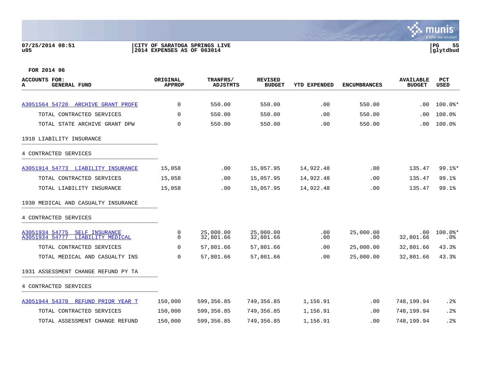## **07/25/2014 08:51 |CITY OF SARATOGA SPRINGS LIVE |PG 55 u05 |2014 EXPENSES AS OF 063014 |glytdbud**

| <b>ACCOUNTS FOR:</b><br><b>GENERAL FUND</b><br>А                        | ORIGINAL<br><b>APPROP</b> | TRANFRS/<br><b>ADJSTMTS</b> | <b>REVISED</b><br><b>BUDGET</b> | YTD EXPENDED | <b>ENCUMBRANCES</b> | <b>AVAILABLE</b><br><b>BUDGET</b> | PCT<br><b>USED</b> |
|-------------------------------------------------------------------------|---------------------------|-----------------------------|---------------------------------|--------------|---------------------|-----------------------------------|--------------------|
|                                                                         |                           |                             |                                 |              |                     |                                   |                    |
| A3051564 54720 ARCHIVE GRANT PROFE                                      | 0                         | 550.00                      | 550.00                          | .00          | 550.00              | .00                               | $100.0$ $*$        |
| TOTAL CONTRACTED SERVICES                                               | $\Omega$                  | 550.00                      | 550.00                          | .00          | 550.00              | .00.                              | 100.0%             |
| TOTAL STATE ARCHIVE GRANT DPW                                           | $\Omega$                  | 550.00                      | 550.00                          | .00          | 550.00              | .00                               | 100.0%             |
| 1910 LIABILITY INSURANCE                                                |                           |                             |                                 |              |                     |                                   |                    |
| 4 CONTRACTED SERVICES                                                   |                           |                             |                                 |              |                     |                                   |                    |
| A3051914 54773 LIABILITY INSURANCE                                      | 15,058                    | .00                         | 15,057.95                       | 14,922.48    | .00                 | 135.47                            | $99.1$ %*          |
| TOTAL CONTRACTED SERVICES                                               | 15,058                    | .00                         | 15,057.95                       | 14,922.48    | .00                 | 135.47                            | 99.1%              |
| TOTAL LIABILITY INSURANCE                                               | 15,058                    | .00                         | 15,057.95                       | 14,922.48    | .00                 | 135.47                            | 99.1%              |
| 1930 MEDICAL AND CASUALTY INSURANCE                                     |                           |                             |                                 |              |                     |                                   |                    |
| 4 CONTRACTED SERVICES                                                   |                           |                             |                                 |              |                     |                                   |                    |
| A3051934 54775<br>SELF INSURANCE<br>LIABILITY MEDICAL<br>A3051934 54777 | 0<br>0                    | 25,000.00<br>32,801.66      | 25,000.00<br>32,801.66          | .00<br>.00   | 25,000.00<br>.00    | $.00 \,$<br>32,801.66             | 100.0%*<br>$.0\%$  |
| TOTAL CONTRACTED SERVICES                                               | 0                         | 57,801.66                   | 57,801.66                       | .00          | 25,000.00           | 32,801.66                         | 43.3%              |
| TOTAL MEDICAL AND CASUALTY INS                                          | 0                         | 57,801.66                   | 57,801.66                       | .00          | 25,000.00           | 32,801.66                         | 43.3%              |
| 1931 ASSESSMENT CHANGE REFUND PY TA                                     |                           |                             |                                 |              |                     |                                   |                    |
| 4 CONTRACTED SERVICES                                                   |                           |                             |                                 |              |                     |                                   |                    |
| A3051944 54370<br>REFUND PRIOR YEAR T                                   | 150,000                   | 599,356.85                  | 749,356.85                      | 1,156.91     | .00                 | 748,199.94                        | .2%                |
| TOTAL CONTRACTED SERVICES                                               | 150,000                   | 599,356.85                  | 749,356.85                      | 1,156.91     | .00.                | 748,199.94                        | .2%                |
| TOTAL ASSESSMENT CHANGE REFUND                                          | 150,000                   | 599,356.85                  | 749,356.85                      | 1,156.91     | .00                 | 748,199.94                        | .2%                |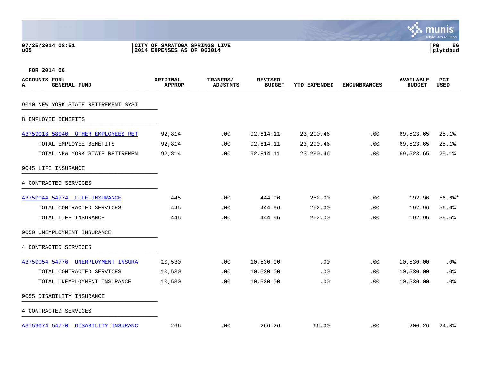**07/25/2014 08:51 |CITY OF SARATOGA SPRINGS LIVE |PG 56 u05 |2014 EXPENSES AS OF 063014 |glytdbud**



| ACCOUNTS FOR:<br><b>GENERAL FUND</b><br>A | ORIGINAL<br><b>APPROP</b> | TRANFRS/<br>ADJSTMTS | <b>REVISED</b><br><b>BUDGET</b> | <b>YTD EXPENDED</b> | <b>ENCUMBRANCES</b> | <b>AVAILABLE</b><br><b>BUDGET</b> | PCT<br><b>USED</b> |
|-------------------------------------------|---------------------------|----------------------|---------------------------------|---------------------|---------------------|-----------------------------------|--------------------|
| 9010 NEW YORK STATE RETIREMENT SYST       |                           |                      |                                 |                     |                     |                                   |                    |
| 8 EMPLOYEE BENEFITS                       |                           |                      |                                 |                     |                     |                                   |                    |
| A3759018 58040 OTHER EMPLOYEES RET        | 92,814                    | .00                  | 92,814.11                       | 23,290.46           | .00                 | 69,523.65                         | 25.1%              |
| TOTAL EMPLOYEE BENEFITS                   | 92,814                    | $.00 \,$             | 92,814.11                       | 23, 290.46          | .00                 | 69,523.65                         | 25.1%              |
| TOTAL NEW YORK STATE RETIREMEN            | 92,814                    | .00                  | 92,814.11                       | 23, 290.46          | .00                 | 69,523.65                         | 25.1%              |
| 9045 LIFE INSURANCE                       |                           |                      |                                 |                     |                     |                                   |                    |
| 4 CONTRACTED SERVICES                     |                           |                      |                                 |                     |                     |                                   |                    |
| A3759044 54774 LIFE INSURANCE             | 445                       | $.00 \,$             | 444.96                          | 252.00              | .00                 | 192.96                            | $56.6$ %*          |
| TOTAL CONTRACTED SERVICES                 | 445                       | .00                  | 444.96                          | 252.00              | .00                 | 192.96                            | 56.6%              |
| TOTAL LIFE INSURANCE                      | 445                       | .00                  | 444.96                          | 252.00              | .00                 | 192.96                            | 56.6%              |
| 9050 UNEMPLOYMENT INSURANCE               |                           |                      |                                 |                     |                     |                                   |                    |
| 4 CONTRACTED SERVICES                     |                           |                      |                                 |                     |                     |                                   |                    |
| A3759054 54776 UNEMPLOYMENT INSURA        | 10,530                    | .00                  | 10,530.00                       | .00                 | .00                 | 10,530.00                         | .0%                |
| TOTAL CONTRACTED SERVICES                 | 10,530                    | .00                  | 10,530.00                       | .00                 | .00                 | 10,530.00                         | .0%                |
| TOTAL UNEMPLOYMENT INSURANCE              | 10,530                    | .00                  | 10,530.00                       | .00                 | .00                 | 10,530.00                         | .0%                |
| 9055 DISABILITY INSURANCE                 |                           |                      |                                 |                     |                     |                                   |                    |
| 4 CONTRACTED SERVICES                     |                           |                      |                                 |                     |                     |                                   |                    |
| A3759074 54770 DISABILITY INSURANC        | 266                       | .00                  | 266.26                          | 66.00               | .00                 | 200.26                            | 24.8%              |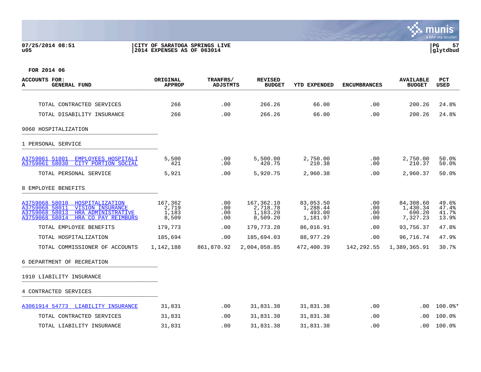## **07/25/2014 08:51 |CITY OF SARATOGA SPRINGS LIVE |PG 57 u05 |2014 EXPENSES AS OF 063014 |glytdbud**



| <b>ACCOUNTS FOR:</b><br>А<br><b>GENERAL FUND</b>                                                                                                                | ORIGINAL<br><b>APPROP</b>          | TRANFRS/<br><b>ADJSTMTS</b> | <b>REVISED</b><br><b>BUDGET</b>                | YTD EXPENDED                                | <b>ENCUMBRANCES</b>       | <b>AVAILABLE</b><br><b>BUDGET</b>           | <b>PCT</b><br>USED               |
|-----------------------------------------------------------------------------------------------------------------------------------------------------------------|------------------------------------|-----------------------------|------------------------------------------------|---------------------------------------------|---------------------------|---------------------------------------------|----------------------------------|
| TOTAL CONTRACTED SERVICES                                                                                                                                       | 266                                | .00                         | 266.26                                         | 66.00                                       | .00                       | 200.26                                      | 24.8%                            |
| TOTAL DISABILITY INSURANCE                                                                                                                                      | 266                                | .00                         | 266.26                                         | 66.00                                       | .00                       | 200.26                                      | 24.8%                            |
| 9060 HOSPITALIZATION                                                                                                                                            |                                    |                             |                                                |                                             |                           |                                             |                                  |
| 1 PERSONAL SERVICE                                                                                                                                              |                                    |                             |                                                |                                             |                           |                                             |                                  |
| A3759061 51001<br>EMPLOYEES HOSPITALI<br>A3759061 58030<br>CITY PORTION SOCIAL                                                                                  | 5,500<br>421                       | .00<br>.00                  | 5,500.00<br>420.75                             | 2,750.00<br>210.38                          | .00<br>.00                | 2,750.00<br>210.37                          | 50.0%<br>50.0%                   |
| TOTAL PERSONAL SERVICE                                                                                                                                          | 5,921                              | .00                         | 5,920.75                                       | 2,960.38                                    | .00.                      | 2,960.37                                    | 50.0%                            |
| 8 EMPLOYEE BENEFITS                                                                                                                                             |                                    |                             |                                                |                                             |                           |                                             |                                  |
| A3759068 58010<br>HOSPITALIZATION<br>A3759068 58011<br><b>VISION INSURANCE</b><br>A3759068 58013<br>HRA ADMINISTRATIVE<br>A3759068 58014<br>HRA CO PAY REIMBURS | 167,362<br>2,719<br>1,183<br>8,509 | .00<br>.00<br>.00<br>.00    | 167,362.10<br>2,718.78<br>1,183.20<br>8,509.20 | 83,053.50<br>1,288.44<br>493.00<br>1,181.97 | .00<br>.00.<br>.00<br>.00 | 84,308.60<br>1,430.34<br>690.20<br>7,327.23 | 49.6%<br>47.4%<br>41.7%<br>13.9% |
| TOTAL EMPLOYEE BENEFITS                                                                                                                                         | 179,773                            | .00                         | 179,773.28                                     | 86,016.91                                   | .00                       | 93,756.37                                   | 47.8%                            |
| TOTAL HOSPITALIZATION                                                                                                                                           | 185,694                            | .00                         | 185,694.03                                     | 88,977.29                                   | .00                       | 96,716.74                                   | 47.9%                            |
| TOTAL COMMISSIONER OF ACCOUNTS                                                                                                                                  | 1,142,188                          | 861,870.92                  | 2,004,058.85                                   | 472,400.39                                  | 142, 292.55               | 1,389,365.91                                | 30.7%                            |
| 6 DEPARTMENT OF RECREATION                                                                                                                                      |                                    |                             |                                                |                                             |                           |                                             |                                  |
| 1910 LIABILITY INSURANCE                                                                                                                                        |                                    |                             |                                                |                                             |                           |                                             |                                  |
| 4 CONTRACTED SERVICES                                                                                                                                           |                                    |                             |                                                |                                             |                           |                                             |                                  |
| A3061914 54773 LIABILITY INSURANCE                                                                                                                              | 31,831                             | .00                         | 31,831.38                                      | 31,831.38                                   | .00                       | .00                                         | $100.0$ *                        |
| TOTAL CONTRACTED SERVICES                                                                                                                                       | 31,831                             | .00                         | 31,831.38                                      | 31,831.38                                   | .00.                      | .00                                         | 100.0%                           |
| TOTAL LIABILITY INSURANCE                                                                                                                                       | 31,831                             | .00                         | 31,831.38                                      | 31,831.38                                   | .00                       | .00                                         | 100.0%                           |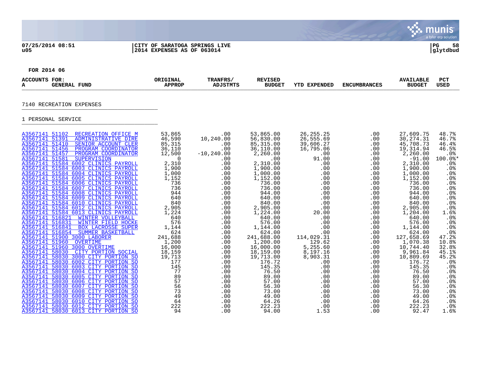## **07/25/2014 08:51 |CITY OF SARATOGA SPRINGS LIVE |PG 58 u05 |2014 EXPENSES AS OF 063014 |glytdbud**



**∵∴** munis

| <b>ACCOUNTS FOR:</b><br>A                                                                                                    | <b>GENERAL FUND</b>                                                                                                                                                                                                                                                                                                                                                                                                                                                                                                                                                                                                                                                                                                                                                                                                                                                          | ORIGINAL<br><b>APPROP</b>                                                                                                                                                                                                                    | TRANFRS/<br><b>ADJSTMTS</b>                                                                                                                                                                      | <b>REVISED</b><br><b>BUDGET</b>                                                                                                                                                                                                                                                              | <b>YTD EXPENDED</b>                                                                                                                                                                                                           | <b>ENCUMBRANCES</b>                                                                                                                                                         | <b>AVAILABLE</b><br><b>BUDGET</b>                                                                                                                                                                                                                                                                 | <b>PCT</b><br><b>USED</b>                                                                                                                                                                                                                       |
|------------------------------------------------------------------------------------------------------------------------------|------------------------------------------------------------------------------------------------------------------------------------------------------------------------------------------------------------------------------------------------------------------------------------------------------------------------------------------------------------------------------------------------------------------------------------------------------------------------------------------------------------------------------------------------------------------------------------------------------------------------------------------------------------------------------------------------------------------------------------------------------------------------------------------------------------------------------------------------------------------------------|----------------------------------------------------------------------------------------------------------------------------------------------------------------------------------------------------------------------------------------------|--------------------------------------------------------------------------------------------------------------------------------------------------------------------------------------------------|----------------------------------------------------------------------------------------------------------------------------------------------------------------------------------------------------------------------------------------------------------------------------------------------|-------------------------------------------------------------------------------------------------------------------------------------------------------------------------------------------------------------------------------|-----------------------------------------------------------------------------------------------------------------------------------------------------------------------------|---------------------------------------------------------------------------------------------------------------------------------------------------------------------------------------------------------------------------------------------------------------------------------------------------|-------------------------------------------------------------------------------------------------------------------------------------------------------------------------------------------------------------------------------------------------|
|                                                                                                                              | 7140 RECREATION EXPENSES                                                                                                                                                                                                                                                                                                                                                                                                                                                                                                                                                                                                                                                                                                                                                                                                                                                     |                                                                                                                                                                                                                                              |                                                                                                                                                                                                  |                                                                                                                                                                                                                                                                                              |                                                                                                                                                                                                                               |                                                                                                                                                                             |                                                                                                                                                                                                                                                                                                   |                                                                                                                                                                                                                                                 |
|                                                                                                                              | 1 PERSONAL SERVICE                                                                                                                                                                                                                                                                                                                                                                                                                                                                                                                                                                                                                                                                                                                                                                                                                                                           |                                                                                                                                                                                                                                              |                                                                                                                                                                                                  |                                                                                                                                                                                                                                                                                              |                                                                                                                                                                                                                               |                                                                                                                                                                             |                                                                                                                                                                                                                                                                                                   |                                                                                                                                                                                                                                                 |
| A3567141 51391<br>A3567141 51410<br>A3567141 51456<br>A3567141 51457<br>A3567141 51581<br>A3567141 516831<br>A3567141 516841 | A3567141 51102 RECREATION OFFICE M<br><b>ADMINISTRATIVE DIRE</b><br>SENIOR ACCOUNT CLER<br>PROGRAM COORDINATOR<br>PROGRAM COORDINATOR<br><b>SUPERVISION</b><br>A3567141 51584 6002 CLINICS PAYROLL<br>A3567141 51584 6003 CLINICS PAYROLL<br>A3567141 51584 6004 CLINICS PAYROLL<br>A3567141 51584 6005 CLINICS PAYROLL<br>A3567141 51584 6006 CLINICS PAYROLL<br>A3567141 51584 6007 CLINICS PAYROLL<br>A3567141 51584 6008 CLINICS PAYROLL<br>A3567141 51584 6009 CLINICS PAYROLL<br>A3567141 51584 6010 CLINICS PAYROLL<br>A3567141 51584 6012 CLINICS PAYROLL<br>A3567141 51584 6013 CLINICS PAYROLL<br>A3567141 516821 WINTER VOLLEYBALL<br><b>WINTER FIELD HOCKE</b><br><b>BOX LACROSSE SUPER</b><br>A3567141 516854 SUMMER BASKETBALL<br>A3567141 51900 3000 LABORER<br>A3567141 51960 OVERTIME<br>A3567141 51960 3000 OVERTIME<br>A3567141 58030 CITY PORTION SOCIAL | 53,865<br>46,590<br>85,315<br>36,110<br>12,500<br>$\overline{0}$<br>2,310<br>1,900<br>$1,900$<br>$1,000$<br>1,152<br>736<br>736<br>944<br>640<br>840<br>2,905<br>1,224<br>640<br>576<br>1,144<br>624<br>241,688<br>1,200<br>16,000<br>18,159 | $.00 \,$<br>10,240.00<br>.00<br>.00<br>$-10, 240.00$<br>.00<br>.00<br>.00<br>.00<br>.00<br>.00<br>.00<br>.00<br>.00<br>.00<br>.00<br>.00<br>.00<br>.00<br>.00<br>.00<br>.00<br>.00<br>.00<br>.00 | 53,865.00<br>56,830.00<br>85, 315.00<br>36,110.00<br>2,260.00<br>.00<br>2,310.00<br>1,900.00<br>1,000.00<br>1,152.00<br>736.00<br>736.00<br>944.00<br>640.00<br>840.00<br>2,905.00<br>1,224.00<br>640.00<br>576.00<br>1,144.00<br>624.00<br>241,688.00<br>1,200.00<br>16,000.00<br>18,159.00 | 26, 255. 25<br>26,555.69<br>39,606.27<br>16,795.06<br>.00<br>91.00<br>.00<br>.00<br>.00<br>.00<br>.00<br>.00<br>.00<br>.00<br>.00<br>.00<br>20.00<br>.00<br>.00<br>.00<br>.00<br>114,029.31<br>129.62<br>5,255.60<br>8,197.16 | .00<br>.00<br>.00<br>.00<br>.00<br>.00<br>.00<br>.00<br>.00<br>.00<br>.00<br>.00<br>.00<br>.00<br>.00<br>.00<br>.00<br>.00<br>.00<br>.00<br>.00<br>.00<br>.00<br>.00<br>.00 | 27,609.75<br>30, 274. 31<br>45,708.73<br>19,314.94<br>2,260.00<br>$-91.00$<br>2,310.00<br>1,900.00<br>1,000.00<br>1,152.00<br>736.00<br>736.00<br>944.00<br>640.00<br>840.00<br>2,905.00<br>1,204.00<br>640.00<br>576.00<br>1,144.00<br>624.00<br>127,658.69<br>1,070.38<br>10,744.40<br>9,961.84 | 48.7%<br>46.7%<br>46.4%<br>46.5%<br>.0%<br>$100.0$ *<br>.0%<br>.0 <sub>8</sub><br>$.0\%$<br>.0%<br>.0%<br>$.0\%$<br>.0 <sub>8</sub><br>$.0\%$<br>.0%<br>.0%<br>1.6%<br>.0%<br>.0%<br>.0%<br>.0 <sub>8</sub><br>47.2%<br>10.8%<br>32.8%<br>45.1% |
|                                                                                                                              | A3567141 58030 3000 CITY PORTION SO<br>A3567141 58030 6002 CITY PORTION SO<br>A3567141 58030 6003 CITY PORTION SO<br>A3567141 58030 6004 CITY PORTION SO<br>A3567141 58030 6005 CITY PORTION SO                                                                                                                                                                                                                                                                                                                                                                                                                                                                                                                                                                                                                                                                              | 19,713<br>177<br>145<br>77<br>89                                                                                                                                                                                                             | .00<br>.00<br>.00<br>.00<br>.00                                                                                                                                                                  | 19,713.00<br>176.72<br>145.35<br>76.50<br>89.00                                                                                                                                                                                                                                              | 8,903.31<br>.00<br>.00<br>.00<br>.00                                                                                                                                                                                          | .00<br>.00<br>.00<br>.00<br>.00                                                                                                                                             | 10,809.69<br>176.72<br>145.35<br>76.50<br>89.00                                                                                                                                                                                                                                                   | 45.2%<br>.0%<br>.0 <sub>8</sub><br>.0%<br>.0%                                                                                                                                                                                                   |
|                                                                                                                              | A3567141 58030 6006 CITY PORTION SO<br>A3567141 58030 6007 CITY PORTION SO<br>A3567141 58030 6008 CITY PORTION SO<br>A3567141 58030 6009 CITY PORTION SO<br>A3567141 58030 6010 CITY PORTION SO<br>A3567141 58030 6012 CITY PORTION SO<br>A3567141 58030 6013 CITY PORTION SO                                                                                                                                                                                                                                                                                                                                                                                                                                                                                                                                                                                                | 57<br>56<br>73<br>49<br>64<br>222<br>94                                                                                                                                                                                                      | .00<br>.00<br>.00<br>.00<br>.00<br>.00<br>.00                                                                                                                                                    | 57.00<br>56.30<br>73.00<br>49.00<br>64.26<br>222.23<br>94.00                                                                                                                                                                                                                                 | .00<br>.00<br>.00<br>.00<br>.00<br>.00<br>1.53                                                                                                                                                                                | .00<br>.00<br>.00<br>.00<br>.00<br>.00<br>.00                                                                                                                               | 57.00<br>56.30<br>73.00<br>49.00<br>64.26<br>222.23<br>92.47                                                                                                                                                                                                                                      | .0%<br>.0 <sub>8</sub><br>.0 <sub>8</sub><br>.0%<br>.0%<br>.0%<br>1.6%                                                                                                                                                                          |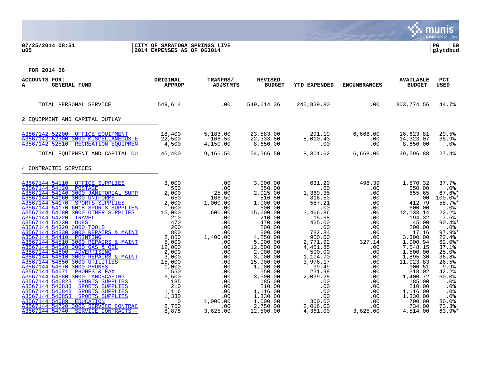## **07/25/2014 08:51 |CITY OF SARATOGA SPRINGS LIVE |PG 59 u05 |2014 EXPENSES AS OF 063014 |glytdbud**



| ACCOUNTS FOR:<br><b>GENERAL FUND</b><br>А                                                                                                                                                                                                                                                                                                                                                                                                                                                                                                                                         | ORIGINAL<br><b>APPROP</b>                                                                                                        | TRANFRS/<br><b>ADJSTMTS</b>                                                                                                       | <b>REVISED</b><br><b>BUDGET</b>                                                                                                                                                  | YTD EXPENDED                                                                                                                                                 | <b>ENCUMBRANCES</b>                                                                                                | <b>AVAILABLE</b><br><b>BUDGET</b>                                                                                                                                        | PCT<br><b>USED</b>                                                                                                                                                |
|-----------------------------------------------------------------------------------------------------------------------------------------------------------------------------------------------------------------------------------------------------------------------------------------------------------------------------------------------------------------------------------------------------------------------------------------------------------------------------------------------------------------------------------------------------------------------------------|----------------------------------------------------------------------------------------------------------------------------------|-----------------------------------------------------------------------------------------------------------------------------------|----------------------------------------------------------------------------------------------------------------------------------------------------------------------------------|--------------------------------------------------------------------------------------------------------------------------------------------------------------|--------------------------------------------------------------------------------------------------------------------|--------------------------------------------------------------------------------------------------------------------------------------------------------------------------|-------------------------------------------------------------------------------------------------------------------------------------------------------------------|
| TOTAL PERSONAL SERVICE                                                                                                                                                                                                                                                                                                                                                                                                                                                                                                                                                            | 549,614                                                                                                                          | .00                                                                                                                               | 549,614.36                                                                                                                                                                       | 245,839.80                                                                                                                                                   | .00                                                                                                                | 303,774.56                                                                                                                                                               | 44.7%                                                                                                                                                             |
| 2 EOUIPMENT AND CAPITAL OUTLAY                                                                                                                                                                                                                                                                                                                                                                                                                                                                                                                                                    |                                                                                                                                  |                                                                                                                                   |                                                                                                                                                                                  |                                                                                                                                                              |                                                                                                                    |                                                                                                                                                                          |                                                                                                                                                                   |
| A3567142 52200<br>OFFICE EOUIPMENT<br>A3567142 52300 3000 MISCELLANEOUS E<br>A3567142 52510<br>RECREATION EOUIPMEN                                                                                                                                                                                                                                                                                                                                                                                                                                                                | 18,400<br>22,500<br>4,500                                                                                                        | 5,183.00<br>$-166.50$<br>4,150.00                                                                                                 | 23,583.00<br>22,333.50<br>8,650.00                                                                                                                                               | 291.19<br>8,010.43<br>.00                                                                                                                                    | 6,668.00<br>.00<br>.00                                                                                             | 16,623.81<br>14,323.07<br>8,650.00                                                                                                                                       | 29.5%<br>35.9%<br>.0 <sub>8</sub>                                                                                                                                 |
| TOTAL EQUIPMENT AND CAPITAL OU                                                                                                                                                                                                                                                                                                                                                                                                                                                                                                                                                    | 45,400                                                                                                                           | 9,166.50                                                                                                                          | 54,566.50                                                                                                                                                                        | 8,301.62                                                                                                                                                     | 6,668.00                                                                                                           | 39,596.88                                                                                                                                                                | 27.4%                                                                                                                                                             |
| 4 CONTRACTED SERVICES                                                                                                                                                                                                                                                                                                                                                                                                                                                                                                                                                             |                                                                                                                                  |                                                                                                                                   |                                                                                                                                                                                  |                                                                                                                                                              |                                                                                                                    |                                                                                                                                                                          |                                                                                                                                                                   |
| A3567144 54110<br>OFFICE SUPPLIES<br>A3567144 54120<br><b>POSTAGE</b><br>A3567144 54140 3000 JANITORIAL SUPP<br>A3567144 54160 3000 UNIFORMS<br>A3567144 54170 SPORTS SUPPLIES<br>A3567144 54170 6018 SPORTS SUPPLIES<br>A3567144 54180 3000 OTHER SUPPLIES<br>A3567144 54220<br><b>TRAVEL</b><br>A3567144 54230<br><b>DUES</b><br>A3567144 54320 3000 TOOLS<br>A3567144 54330 3000 REPAIRS & MAINT<br>A3567144 54410<br>PRINTING<br>A3567144 54510 3000 REPAIRS & MAINT<br>A3567144 54520 3000 GAS & OIL<br>A3567144 54600<br>ADVERTISING<br>A3567144 54610 3000 REPAIRS & MAINT | 3,000<br>550<br>2,000<br>650<br>2,000<br>600<br>15,000<br>210<br>470<br>200<br>800<br>2,850<br>5,000<br>12,000<br>2,000<br>3,000 | .00<br>.00<br>25.00<br>166.50<br>$-1,000.00$<br>.00<br>600.00<br>.00<br>.00<br>.00<br>.00<br>1,400.00<br>.00<br>.00<br>.00<br>.00 | 3,000.00<br>550.00<br>2,025.00<br>816.50<br>1,000.00<br>600.00<br>15,600.00<br>210.00<br>470.00<br>200.00<br>800.00<br>4,250.00<br>5,000.00<br>12,000.00<br>2,000.00<br>3,000.00 | 631.29<br>.00<br>1,369.35<br>816.50<br>587.21<br>.00<br>3,466.86<br>15.68<br>425.00<br>.00<br>782.84<br>950.00<br>2,771.92<br>4,451.85<br>500.00<br>1,104.70 | 498.39<br>.00<br>.00<br>.00<br>.00<br>.00<br>.00<br>.00<br>.00<br>.00<br>.00<br>.00<br>327.14<br>.00<br>.00<br>.00 | 1,870.32<br>550.00<br>655.65<br>.00<br>412.79<br>600.00<br>12, 133. 14<br>194.32<br>45.00<br>200.00<br>17.16<br>3,300.00<br>1,900.94<br>7,548.15<br>1,500.00<br>1,895.30 | 37.7%<br>.0%<br>$67.6$ *<br>100.0%*<br>58.7%<br>.0%<br>22.2%<br>7.5%<br>$90.4$ %*<br>.0%<br>$97.9$ <sup>*</sup><br>22.4%<br>$62.0$ $*$<br>37.1%<br>25.0%<br>36.8% |
| A3567144 54650 3000 UTILITIES<br>A3567144 54670<br>3000 PHONES<br>A3567144 54671<br>PHONES & FAX<br>A3567144 54680 3000 LANDSCAPING<br>A3567144 546823<br>SPORTS SUPPLIES<br>SPORTS SUPPLIES<br>A3567144 546833<br>A3567144 546843<br>SPORTS SUPPLIES<br>A3567144 546853<br>SPORTS SUPPLIES<br>A3567144 54689<br><b>EDUCATION</b><br>3000 SERVICE CONTRAC<br>A3567144 54720<br>A3567144 54740<br>SERVICE CONTRACTS -                                                                                                                                                              | 15,000<br>1,000<br>550<br>3,500<br>185<br>210<br>1,116<br>1,330<br>$\Omega$<br>2,750<br>8,875                                    | .00<br>.00<br>.00<br>.00<br>.00<br>.00<br>.00<br>.00<br>1,000.00<br>.00<br>3,625.00                                               | 15,000.00<br>1,000.00<br>550.00<br>3,500.00<br>185.00<br>210.00<br>1,116.00<br>1,330.00<br>1,000.00<br>2,750.00<br>12,500.00                                                     | 3,976.17<br>99.49<br>231.98<br>2,099.28<br>.00<br>.00<br>.00<br>.00<br>300.00<br>2,016.00<br>4,361.00                                                        | .00<br>.00<br>.00<br>.00<br>.00<br>.00<br>.00<br>.00<br>.00<br>$.00 \,$<br>3,625.00                                | 11,023.83<br>900.51<br>318.02<br>1,400.72<br>185.00<br>210.00<br>1,116.00<br>1,330.00<br>700.00<br>734.00<br>4,514.00                                                    | 26.5%<br>9.9%<br>42.2%<br>60.0%<br>.0%<br>$.0\%$<br>.0%<br>.0%<br>30.0%<br>73.3%<br>$63.9$ %*                                                                     |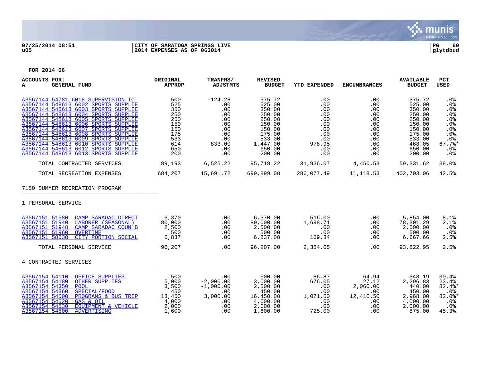

# **07/25/2014 08:51 |CITY OF SARATOGA SPRINGS LIVE |PG 60 u05 |2014 EXPENSES AS OF 063014 |glytdbud**



| <b>ACCOUNTS FOR:</b><br><b>GENERAL FUND</b><br>А                                                                                                                                                                                                                                                                                                                                                                                                                                | ORIGINAL<br><b>APPROP</b>                                                        | TRANFRS/<br><b>ADJSTMTS</b>                                                               | <b>REVISED</b><br><b>BUDGET</b>                                                                                        | <b>YTD EXPENDED</b>                                                                 | <b>ENCUMBRANCES</b>                                                              | <b>AVAILABLE</b><br><b>BUDGET</b>                                                                                    | <b>PCT</b><br><b>USED</b>                                                                                     |
|---------------------------------------------------------------------------------------------------------------------------------------------------------------------------------------------------------------------------------------------------------------------------------------------------------------------------------------------------------------------------------------------------------------------------------------------------------------------------------|----------------------------------------------------------------------------------|-------------------------------------------------------------------------------------------|------------------------------------------------------------------------------------------------------------------------|-------------------------------------------------------------------------------------|----------------------------------------------------------------------------------|----------------------------------------------------------------------------------------------------------------------|---------------------------------------------------------------------------------------------------------------|
| A3567144 54781 6018 SUPERVISION IC<br>A3567144 548613 6002 SPORTS SUPPLIE<br>A3567144 548613 6003 SPORTS SUPPLIE<br>A3567144 548613 6004 SPORTS SUPPLIE<br>A3567144 548613 6005 SPORTS SUPPLIE<br>A3567144 548613 6006 SPORTS SUPPLIE<br>A3567144 548613 6007 SPORTS SUPPLIE<br>A3567144 548613 6008 SPORTS SUPPLIE<br>A3567144 548613 6009 SPORTS SUPPLIE<br>A3567144 548613 6010 SPORTS SUPPLIE<br>A3567144 548613 6012 SPORTS SUPPLIE<br>A3567144 548613 6013 SPORTS SUPPLIE | 500<br>525<br>350<br>250<br>250<br>150<br>150<br>175<br>533<br>614<br>650<br>200 | $-124.28$<br>.00<br>.00<br>.00<br>.00<br>.00<br>.00<br>.00<br>.00<br>833.00<br>.00<br>.00 | 375.72<br>525.00<br>350.00<br>250.00<br>250.00<br>150.00<br>150.00<br>175.00<br>533.00<br>1,447.00<br>650.00<br>200.00 | .00<br>.00<br>.00<br>.00<br>.00<br>.00<br>.00<br>.00<br>.00<br>978.95<br>.00<br>.00 | .00<br>.00<br>.00<br>.00<br>.00<br>.00<br>.00<br>.00<br>.00<br>.00<br>.00<br>.00 | 375.72<br>525.00<br>350.00<br>250.00<br>250.00<br>150.00<br>150.00<br>175.00<br>533.00<br>468.05<br>650.00<br>200.00 | .0 <sub>8</sub><br>.0%<br>.0%<br>.0%<br>.0%<br>.0 <sub>8</sub><br>.0%<br>.0%<br>.0%<br>67.7%<br>$.0\%$<br>.0% |
| TOTAL CONTRACTED SERVICES                                                                                                                                                                                                                                                                                                                                                                                                                                                       | 89,193                                                                           | 6,525.22                                                                                  | 95,718.22                                                                                                              |                                                                                     | 31,936.07 4,450.53 59,331.62                                                     |                                                                                                                      | 38.0%                                                                                                         |
| TOTAL RECREATION EXPENSES                                                                                                                                                                                                                                                                                                                                                                                                                                                       | 684,207                                                                          | 15,691.72 699,899.08                                                                      |                                                                                                                        |                                                                                     | 286,077.49    11,118.53                                                          | 402,703.06                                                                                                           | 42.5%                                                                                                         |
| 7150 SUMMER RECREATION PROGRAM                                                                                                                                                                                                                                                                                                                                                                                                                                                  |                                                                                  |                                                                                           |                                                                                                                        |                                                                                     |                                                                                  |                                                                                                                      |                                                                                                               |
| 1 PERSONAL SERVICE                                                                                                                                                                                                                                                                                                                                                                                                                                                              |                                                                                  |                                                                                           |                                                                                                                        |                                                                                     |                                                                                  |                                                                                                                      |                                                                                                               |
| CAMP SARADAC DIRECT<br>A3567151 51580<br>A3567151 51940<br>LABORER (SEASONAL)<br>A3567151 51948<br>CAMP SARADAC COUN B<br>A3567151 51960<br><b>OVERTIME</b><br>A3567151 58030<br>CITY PORTION SOCIAL                                                                                                                                                                                                                                                                            | 6,370<br>80,000<br>2,500<br>500<br>6,837                                         | .00<br>.00<br>.00<br>.00<br>.00                                                           | 6,370.00<br>80,000.00<br>2,500.00<br>500.00<br>6,837.00                                                                | 516.00<br>1,698.71<br>.00<br>.00<br>169.34                                          | .00<br>.00<br>.00<br>.00<br>.00                                                  | 5,854.00<br>78,301.29<br>2,500.00<br>500.00<br>6,667.66                                                              | 8.1%<br>2.1%<br>$.0\%$<br>$.0\%$<br>2.5%                                                                      |
| TOTAL PERSONAL SERVICE                                                                                                                                                                                                                                                                                                                                                                                                                                                          | 96,207                                                                           | .00                                                                                       | 96,207.00                                                                                                              | 2,384.05                                                                            | .00                                                                              | 93,822.95                                                                                                            | 2.5%                                                                                                          |
| 4 CONTRACTED SERVICES                                                                                                                                                                                                                                                                                                                                                                                                                                                           |                                                                                  |                                                                                           |                                                                                                                        |                                                                                     |                                                                                  |                                                                                                                      |                                                                                                               |
| A3567154 54110 OFFICE SUPPLIES<br>A3567154 54180<br><b>OTHER SUPPLIES</b><br>A3567154 54350<br><b>POOL</b><br>A3567154 54360<br>SPECIAL/FOOD<br>A3567154 54500<br>PROGRAMS & BUS TRIP<br>A3567154 54520<br>GAS & OIL<br>A3567154 54530<br>EOUIPMENT & VEHICLE<br>A3567154 54600<br><b>ADVERTISING</b>                                                                                                                                                                           | 500<br>5,000<br>3,500<br>450<br>13,450<br>4,000<br>2,000<br>1,600                | .00<br>$-2,000.00$<br>$-1,000.00$<br>.00<br>3,000.00<br>.00<br>.00<br>.00                 | 500.00<br>3,000.00<br>2,500.00<br>450.00<br>16,450.00<br>4,000.00<br>2,000.00<br>1,600.00                              | 86.87<br>676.05<br>.00<br>.00<br>1,071.50<br>.00<br>.00<br>725.00                   | 64.94<br>27.12<br>2,060.00<br>$.00 \,$<br>12,410.50<br>.00<br>.00<br>.00         | 348.19<br>2,296.83<br>440.00<br>450.00<br>2,968.00<br>4,000.00<br>2,000.00<br>875.00                                 | 30.4%<br>23.4%<br>82.4%*<br>$.0\%$<br>$82.0$ %*<br>.0%<br>.0%<br>45.3%                                        |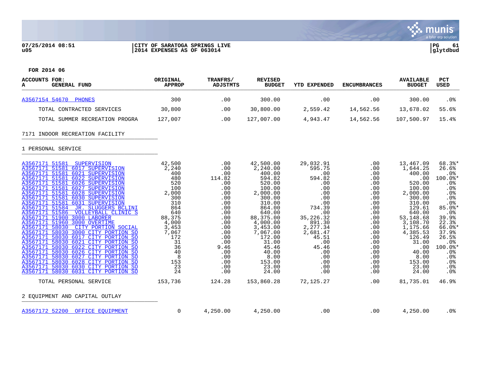

## **07/25/2014 08:51 |CITY OF SARATOGA SPRINGS LIVE |PG 61 u05 |2014 EXPENSES AS OF 063014 |glytdbud**



| ACCOUNTS FOR:<br>GENERAL FUND<br>A                                                                                                                                                                                                                                                                                                                                                                                                                                                                                                                                                                                                                                                                                                                                                                                                                                 | ORIGINAL<br><b>APPROP</b>                                                                                                                                              | TRANFRS/<br>ADJSTMTS                                                                                                                                                   | <b>REVISED</b><br><b>BUDGET</b>                                                                                                                                                                                                             | YTD EXPENDED                                                                                                                                                                                          | <b>ENCUMBRANCES</b>                                                                                                                                                          | <b>AVAILABLE</b><br><b>BUDGET</b>                                                                                                                                                                                                      | <b>PCT</b><br><b>USED</b>                                                                                                                                                                                                                       |
|--------------------------------------------------------------------------------------------------------------------------------------------------------------------------------------------------------------------------------------------------------------------------------------------------------------------------------------------------------------------------------------------------------------------------------------------------------------------------------------------------------------------------------------------------------------------------------------------------------------------------------------------------------------------------------------------------------------------------------------------------------------------------------------------------------------------------------------------------------------------|------------------------------------------------------------------------------------------------------------------------------------------------------------------------|------------------------------------------------------------------------------------------------------------------------------------------------------------------------|---------------------------------------------------------------------------------------------------------------------------------------------------------------------------------------------------------------------------------------------|-------------------------------------------------------------------------------------------------------------------------------------------------------------------------------------------------------|------------------------------------------------------------------------------------------------------------------------------------------------------------------------------|----------------------------------------------------------------------------------------------------------------------------------------------------------------------------------------------------------------------------------------|-------------------------------------------------------------------------------------------------------------------------------------------------------------------------------------------------------------------------------------------------|
| A3567154 54670 PHONES                                                                                                                                                                                                                                                                                                                                                                                                                                                                                                                                                                                                                                                                                                                                                                                                                                              | 300                                                                                                                                                                    | .00                                                                                                                                                                    | 300.00                                                                                                                                                                                                                                      | .00                                                                                                                                                                                                   | .00                                                                                                                                                                          | 300.00                                                                                                                                                                                                                                 | .0%                                                                                                                                                                                                                                             |
| TOTAL CONTRACTED SERVICES                                                                                                                                                                                                                                                                                                                                                                                                                                                                                                                                                                                                                                                                                                                                                                                                                                          | 30,800                                                                                                                                                                 | .00                                                                                                                                                                    | 30,800.00                                                                                                                                                                                                                                   | 2,559.42                                                                                                                                                                                              | 14,562.56                                                                                                                                                                    | 13,678.02                                                                                                                                                                                                                              | 55.6%                                                                                                                                                                                                                                           |
| TOTAL SUMMER RECREATION PROGRA                                                                                                                                                                                                                                                                                                                                                                                                                                                                                                                                                                                                                                                                                                                                                                                                                                     | 127,007                                                                                                                                                                | .00                                                                                                                                                                    | 127,007.00                                                                                                                                                                                                                                  | 4,943.47                                                                                                                                                                                              | 14,562.56                                                                                                                                                                    | 107,500.97                                                                                                                                                                                                                             | 15.4%                                                                                                                                                                                                                                           |
| 7171 INDOOR RECREATION FACILITY                                                                                                                                                                                                                                                                                                                                                                                                                                                                                                                                                                                                                                                                                                                                                                                                                                    |                                                                                                                                                                        |                                                                                                                                                                        |                                                                                                                                                                                                                                             |                                                                                                                                                                                                       |                                                                                                                                                                              |                                                                                                                                                                                                                                        |                                                                                                                                                                                                                                                 |
| 1 PERSONAL SERVICE                                                                                                                                                                                                                                                                                                                                                                                                                                                                                                                                                                                                                                                                                                                                                                                                                                                 |                                                                                                                                                                        |                                                                                                                                                                        |                                                                                                                                                                                                                                             |                                                                                                                                                                                                       |                                                                                                                                                                              |                                                                                                                                                                                                                                        |                                                                                                                                                                                                                                                 |
| A3567171 51581 SUPERVISION<br>A3567171 51581 6017 SUPERVISION<br>A3567171 51581 6021 SUPERVISION<br>A3567171 51581 6022 SUPERVISION<br>A3567171 51581 6026 SUPERVISION<br>A3567171 51581 6027 SUPERVISION<br>A3567171 51581 6028 SUPERVISION<br>A3567171 51581 6030 SUPERVISION<br>A3567171 51581 6031 SUPERVISION<br>A3567171 51584 JR. SLUGGERS BCLINI<br>A3567171 51586 VOLLEYBALL CLINIC S<br>A3567171 51900 3000 LABORER<br>A3567171 51960 3000 OVERTIME<br>A3567171 58030 CITY PORTION SOCIAL<br>A3567171 58030 3000 CITY PORTION SO<br>A3567171 58030 6017 CITY PORTION SO<br>A3567171 58030 6021 CITY PORTION SO<br>A3567171 58030 6022 CITY PORTION SO<br>A3567171 58030 6026 CITY PORTION SO<br>A3567171 58030 6027 CITY PORTION SO<br>A3567171 58030 6028 CITY PORTION SO<br>A3567171 58030 6030 CITY PORTION SO<br>A3567171 58030 6031 CITY PORTION SO | 42,500<br>2,240<br>400<br>480<br>520<br>100<br>2,000<br>300<br>310<br>864<br>640<br>88,375<br>4,000<br>3,453<br>7,067<br>172<br>31<br>36<br>40<br>8<br>153<br>23<br>24 | $.00 \,$<br>.00<br>.00<br>114.82<br>.00<br>.00<br>.00<br>.00<br>.00<br>.00<br>.00<br>.00<br>.00<br>.00<br>.00<br>.00<br>.00<br>9.46<br>.00<br>.00<br>.00<br>.00<br>.00 | 42,500.00<br>2,240.00<br>400.00<br>594.82<br>520.00<br>100.00<br>2,000.00<br>300.00<br>310.00<br>864.00<br>640.00<br>88,375.00<br>4,000.00<br>3,453.00<br>7,067.00<br>172.00<br>31.00<br>45.46<br>40.00<br>8.00<br>153.00<br>23.00<br>24.00 | 29,032.91<br>595.75<br>.00<br>594.82<br>.00<br>.00<br>.00<br>.00<br>.00<br>734.39<br>.00<br>35, 226. 32<br>891.30<br>2,277.34<br>2,681.47<br>45.51<br>.00<br>45.46<br>.00<br>.00<br>.00<br>.00<br>.00 | .00<br>.00<br>.00<br>.00<br>.00<br>.00<br>.00<br>.00<br>.00<br>.00<br>.00<br>.00<br>.00<br>.00<br>$.00 \,$<br>.00<br>.00<br>.00<br>.00<br>.00<br>.00<br>$.00 \,$<br>$.00 \,$ | 13,467.09<br>1,644.25<br>400.00<br>.00<br>520.00<br>100.00<br>2,000.00<br>300.00<br>310.00<br>129.61<br>640.00<br>53,148.68<br>3,108.70<br>1,175.66<br>4,385.53<br>126.49<br>31.00<br>.00<br>40.00<br>8.00<br>153.00<br>23.00<br>24.00 | 68.3%*<br>26.6%<br>.0%<br>100.0%*<br>.0%<br>.0 <sub>8</sub><br>.0 <sub>8</sub><br>.0%<br>.0%<br>$85.0$ %*<br>.0%<br>39.9%<br>22.3%<br>$66.0$ *<br>37.9%<br>26.5%<br>.0%<br>$100.0$ *<br>.0%<br>.0%<br>.0%<br>.0 <sub>8</sub><br>.0 <sub>8</sub> |
| TOTAL PERSONAL SERVICE                                                                                                                                                                                                                                                                                                                                                                                                                                                                                                                                                                                                                                                                                                                                                                                                                                             | 153,736                                                                                                                                                                | 124.28                                                                                                                                                                 | 153,860.28                                                                                                                                                                                                                                  | 72,125.27                                                                                                                                                                                             | .00                                                                                                                                                                          | 81,735.01                                                                                                                                                                                                                              | 46.9%                                                                                                                                                                                                                                           |
| 2 EQUIPMENT AND CAPITAL OUTLAY                                                                                                                                                                                                                                                                                                                                                                                                                                                                                                                                                                                                                                                                                                                                                                                                                                     |                                                                                                                                                                        |                                                                                                                                                                        |                                                                                                                                                                                                                                             |                                                                                                                                                                                                       |                                                                                                                                                                              |                                                                                                                                                                                                                                        |                                                                                                                                                                                                                                                 |
| A3567172 52200 OFFICE EOUIPMENT                                                                                                                                                                                                                                                                                                                                                                                                                                                                                                                                                                                                                                                                                                                                                                                                                                    | $\mathbf 0$                                                                                                                                                            | 4,250.00                                                                                                                                                               | 4,250.00                                                                                                                                                                                                                                    | .00                                                                                                                                                                                                   | .00                                                                                                                                                                          | 4,250.00                                                                                                                                                                                                                               | $.0\%$                                                                                                                                                                                                                                          |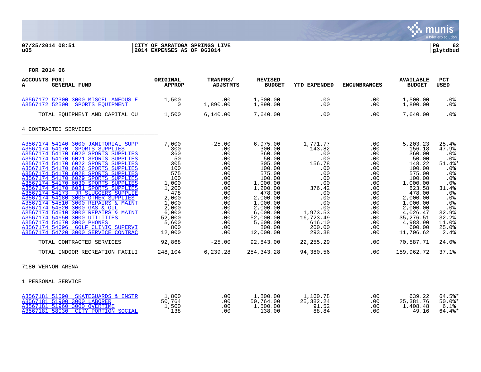

# **07/25/2014 08:51 |CITY OF SARATOGA SPRINGS LIVE |PG 62 u05 |2014 EXPENSES AS OF 063014 |glytdbud**



| ACCOUNTS FOR:<br><b>GENERAL FUND</b><br>A                                                                                                                                                                                                                                                                                                                                                                                                                                                                                                                                                                                                                                                                                                                                                              | ORIGINAL<br><b>APPROP</b>                                                                                                                                                   | TRANFRS/<br><b>ADJSTMTS</b>                                                                                                                                    | <b>REVISED</b><br><b>BUDGET</b>                                                                                                                                                                                                            | <b>YTD EXPENDED</b>                                                                                                                                                                             | <b>ENCUMBRANCES</b>                                                                                                                                  | <b>AVAILABLE</b><br><b>BUDGET</b>                                                                                                                                                                                                         | PCT<br><b>USED</b>                                                                                                                                                       |
|--------------------------------------------------------------------------------------------------------------------------------------------------------------------------------------------------------------------------------------------------------------------------------------------------------------------------------------------------------------------------------------------------------------------------------------------------------------------------------------------------------------------------------------------------------------------------------------------------------------------------------------------------------------------------------------------------------------------------------------------------------------------------------------------------------|-----------------------------------------------------------------------------------------------------------------------------------------------------------------------------|----------------------------------------------------------------------------------------------------------------------------------------------------------------|--------------------------------------------------------------------------------------------------------------------------------------------------------------------------------------------------------------------------------------------|-------------------------------------------------------------------------------------------------------------------------------------------------------------------------------------------------|------------------------------------------------------------------------------------------------------------------------------------------------------|-------------------------------------------------------------------------------------------------------------------------------------------------------------------------------------------------------------------------------------------|--------------------------------------------------------------------------------------------------------------------------------------------------------------------------|
| A3567172 52300 3000 MISCELLANEOUS E<br>A3567172 52500<br>SPORTS EQUIPMENT                                                                                                                                                                                                                                                                                                                                                                                                                                                                                                                                                                                                                                                                                                                              | 1,500<br>$\Omega$                                                                                                                                                           | .00<br>1,890.00                                                                                                                                                | 1,500.00<br>1,890.00                                                                                                                                                                                                                       | .00<br>.00                                                                                                                                                                                      | .00<br>.00                                                                                                                                           | 1,500.00<br>1,890.00                                                                                                                                                                                                                      | $.0\%$<br>.0%                                                                                                                                                            |
| TOTAL EQUIPMENT AND CAPITAL OU                                                                                                                                                                                                                                                                                                                                                                                                                                                                                                                                                                                                                                                                                                                                                                         | 1,500                                                                                                                                                                       | 6,140.00                                                                                                                                                       | 7,640.00                                                                                                                                                                                                                                   | .00                                                                                                                                                                                             | .00                                                                                                                                                  | 7,640.00                                                                                                                                                                                                                                  | .0%                                                                                                                                                                      |
| 4 CONTRACTED SERVICES                                                                                                                                                                                                                                                                                                                                                                                                                                                                                                                                                                                                                                                                                                                                                                                  |                                                                                                                                                                             |                                                                                                                                                                |                                                                                                                                                                                                                                            |                                                                                                                                                                                                 |                                                                                                                                                      |                                                                                                                                                                                                                                           |                                                                                                                                                                          |
| A3567174 54140 3000 JANITORIAL SUPP<br>A3567174 54170 SPORTS SUPPLIES<br>A3567174 54170 6020 SPORTS SUPPLIES<br>A3567174 54170 6021 SPORTS SUPPLIES<br>A3567174 54170 6022 SPORTS SUPPLIES<br>A3567174 54170 6026 SPORTS SUPPLIES<br>A3567174 54170 6028 SPORTS SUPPLIES<br>A3567174 54170 6029 SPORTS SUPPLIES<br>A3567174 54170 6030 SPORTS SUPPLIES<br>A3567174 54170 6031 SPORTS SUPPLIES<br>A3567174 54173<br>JR SLUGGERS SUPPLIE<br>A3567174 54180 3000 OTHER SUPPLIES<br>A3567174 54510 3000 REPAIRS & MAINT<br>A3567174 54520 3000 GAS & OIL<br>A3567174 54610 3000 REPAIRS & MAINT<br>A3567174 54650 3000 UTILITIES<br>A3567174 54670 3000 PHONES<br>A3567174 54696 GOLF CLINIC SUPERVI<br>A3567174 54720 3000 SERVICE CONTRAC<br>TOTAL CONTRACTED SERVICES<br>TOTAL INDOOR RECREATION FACILI | 7,000<br>300<br>360<br>50<br>305<br>100<br>575<br>100<br>1,000<br>1,200<br>478<br>2,000<br>1,000<br>2,000<br>6,000<br>52,000<br>5,600<br>800<br>12,000<br>92,868<br>248,104 | $-25.00$<br>.00<br>.00<br>.00<br>.00<br>.00<br>.00<br>.00<br>.00<br>.00<br>.00<br>.00<br>.00<br>.00<br>.00<br>.00<br>.00<br>.00<br>.00<br>$-25.00$<br>6,239.28 | 6,975.00<br>300.00<br>360.00<br>50.00<br>305.00<br>100.00<br>575.00<br>100.00<br>1,000.00<br>1,200.00<br>478.00<br>2,000.00<br>1,000.00<br>2,000.00<br>6,000.00<br>52,000.00<br>5,600.00<br>800.00<br>12,000.00<br>92,843.00<br>254,343.28 | 1,771.77<br>143.82<br>.00<br>.00<br>156.78<br>.00<br>.00<br>.00<br>.00<br>376.42<br>.00<br>.00<br>.00<br>.00<br>1,973.53<br>16,723.49<br>616.10<br>200.00<br>293.38<br>22, 255. 29<br>94,380.56 | .00<br>.00<br>.00<br>.00<br>.00<br>.00<br>.00<br>.00<br>.00<br>.00<br>.00<br>.00<br>.00<br>.00<br>.00<br>.00<br>.00<br>.00<br>$.00 \,$<br>.00<br>.00 | 5,203.23<br>156.18<br>360.00<br>50.00<br>148.22<br>100.00<br>575.00<br>100.00<br>1,000.00<br>823.58<br>478.00<br>2,000.00<br>1,000.00<br>2,000.00<br>4,026.47<br>35, 276.51<br>4,983.90<br>600.00<br>11,706.62<br>70,587.71<br>159,962.72 | 25.4%<br>47.9%<br>.0%<br>$.0\%$<br>51.4%*<br>.0%<br>.0%<br>.0%<br>.0%<br>31.4%<br>.0%<br>.0%<br>.0%<br>.0%<br>32.9%<br>32.2%<br>11.0%<br>25.0%<br>2.4%<br>24.0%<br>37.1% |
| 7180 VERNON ARENA                                                                                                                                                                                                                                                                                                                                                                                                                                                                                                                                                                                                                                                                                                                                                                                      |                                                                                                                                                                             |                                                                                                                                                                |                                                                                                                                                                                                                                            |                                                                                                                                                                                                 |                                                                                                                                                      |                                                                                                                                                                                                                                           |                                                                                                                                                                          |
| 1 PERSONAL SERVICE                                                                                                                                                                                                                                                                                                                                                                                                                                                                                                                                                                                                                                                                                                                                                                                     |                                                                                                                                                                             |                                                                                                                                                                |                                                                                                                                                                                                                                            |                                                                                                                                                                                                 |                                                                                                                                                      |                                                                                                                                                                                                                                           |                                                                                                                                                                          |
| A3567181 51590 SKATEGUARDS & INSTR<br>A3567181 51900 3000 LABORER<br>A3567181 51960 3000 OVERTIME<br>A3567181 58030<br>CITY PORTION SOCIAL                                                                                                                                                                                                                                                                                                                                                                                                                                                                                                                                                                                                                                                             | 1,800<br>50,764<br>1,500<br>138                                                                                                                                             | .00<br>.00<br>.00<br>.00                                                                                                                                       | 1,800.00<br>50,764.00<br>1,500.00<br>138.00                                                                                                                                                                                                | 1,160.78<br>25,382.24<br>91.52<br>88.84                                                                                                                                                         | .00<br>.00<br>.00<br>.00                                                                                                                             | 639.22<br>25, 381.76<br>1,408.48<br>49.16                                                                                                                                                                                                 | $64.5$ *<br>$50.0$ *<br>6.1%<br>$64.4$ %*                                                                                                                                |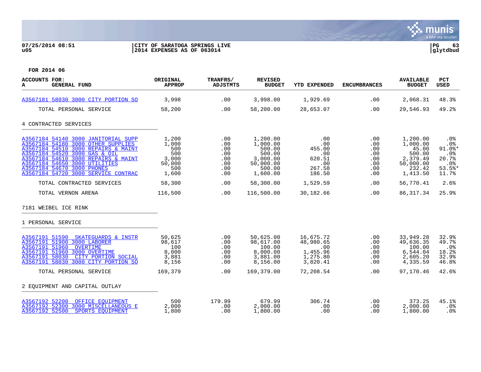

# **07/25/2014 08:51 |CITY OF SARATOGA SPRINGS LIVE |PG 63 u05 |2014 EXPENSES AS OF 063014 |glytdbud**



| <b>ACCOUNTS FOR:</b><br><b>GENERAL FUND</b><br>A                                                                                                                                                                                                                                               | ORIGINAL<br><b>APPROP</b>                                       | TRANFRS/<br><b>ADJSTMTS</b>                          | <b>REVISED</b><br><b>BUDGET</b>                                                         | <b>YTD EXPENDED</b>                                                            | <b>ENCUMBRANCES</b>                                  | <b>AVAILABLE</b><br><b>BUDGET</b>                                                      | <b>PCT</b><br>USED                                                         |
|------------------------------------------------------------------------------------------------------------------------------------------------------------------------------------------------------------------------------------------------------------------------------------------------|-----------------------------------------------------------------|------------------------------------------------------|-----------------------------------------------------------------------------------------|--------------------------------------------------------------------------------|------------------------------------------------------|----------------------------------------------------------------------------------------|----------------------------------------------------------------------------|
| A3567181 58030 3000 CITY PORTION SO                                                                                                                                                                                                                                                            | 3,998                                                           | .00                                                  | 3,998.00                                                                                | 1,929.69                                                                       | .00                                                  | 2,068.31                                                                               | 48.3%                                                                      |
| TOTAL PERSONAL SERVICE                                                                                                                                                                                                                                                                         | 58,200                                                          | .00                                                  | 58,200.00                                                                               | 28,653.07                                                                      | .00                                                  | 29,546.93                                                                              | 49.2%                                                                      |
| 4 CONTRACTED SERVICES                                                                                                                                                                                                                                                                          |                                                                 |                                                      |                                                                                         |                                                                                |                                                      |                                                                                        |                                                                            |
| A3567184 54140 3000 JANITORIAL SUPP<br>A3567184 54180 3000 OTHER SUPPLIES<br>A3567184 54510 3000 REPAIRS & MAINT<br>A3567184 54520 3000 GAS & OIL<br>A3567184 54610 3000 REPAIRS & MAINT<br>A3567184 54650 3000 UTILITIES<br>A3567184 54670 3000 PHONES<br>A3567184 54720 3000 SERVICE CONTRAC | 1,200<br>1,000<br>500<br>500<br>3,000<br>50,000<br>500<br>1,600 | .00<br>.00<br>.00<br>.00<br>.00<br>.00<br>.00<br>.00 | 1,200.00<br>1,000.00<br>500.00<br>500.00<br>3,000.00<br>50,000.00<br>500.00<br>1,600.00 | .00<br>.00<br>455.00<br>.00<br>620.51<br>.00<br>267.58<br>186.50               | .00<br>.00<br>.00<br>.00<br>.00<br>.00<br>.00<br>.00 | 1,200.00<br>1,000.00<br>45.00<br>500.00<br>2,379.49<br>50,000.00<br>232.42<br>1,413.50 | $.0\%$<br>.0%<br>$91.0$ $*$<br>$.0\%$<br>20.7%<br>.0%<br>$53.5$ *<br>11.7% |
| TOTAL CONTRACTED SERVICES                                                                                                                                                                                                                                                                      | 58,300                                                          | .00                                                  | 58,300.00                                                                               | 1,529.59                                                                       | .00                                                  | 56,770.41                                                                              | 2.6%                                                                       |
| TOTAL VERNON ARENA                                                                                                                                                                                                                                                                             | 116,500                                                         | .00                                                  | 116,500.00                                                                              | 30,182.66                                                                      | .00                                                  | 86, 317.34                                                                             | 25.9%                                                                      |
| 7181 WEIBEL ICE RINK                                                                                                                                                                                                                                                                           |                                                                 |                                                      |                                                                                         |                                                                                |                                                      |                                                                                        |                                                                            |
| 1 PERSONAL SERVICE                                                                                                                                                                                                                                                                             |                                                                 |                                                      |                                                                                         |                                                                                |                                                      |                                                                                        |                                                                            |
| A3567191 51590 SKATEGUARDS & INSTR<br>A3567191 51900 3000 LABORER<br>A3567191 51960 OVERTIME<br>A3567191 51960 3000 OVERTIME<br>A3567191 58030<br>CITY PORTION SOCIAL<br>A3567191 58030 3000 CITY PORTION SO<br>TOTAL PERSONAL SERVICE                                                         | 50,625<br>98,617<br>100<br>8,000<br>3,881<br>8,156<br>169,379   | .00<br>.00<br>.00<br>.00<br>.00<br>.00<br>.00        | 50,625.00<br>98,617.00<br>100.00<br>8,000.00<br>3,881.00<br>8,156.00<br>169,379.00      | 16,675.72<br>48,980.65<br>.00<br>1,455.96<br>1,275.80<br>3,820.41<br>72,208.54 | .00<br>.00<br>.00<br>.00<br>.00<br>.00<br>.00        | 33,949.28<br>49,636.35<br>100.00<br>6,544.04<br>2,605.20<br>4,335.59<br>97,170.46      | 32.9%<br>49.7%<br>.0%<br>18.2%<br>32.9%<br>46.8%<br>42.6%                  |
|                                                                                                                                                                                                                                                                                                |                                                                 |                                                      |                                                                                         |                                                                                |                                                      |                                                                                        |                                                                            |
| 2 EQUIPMENT AND CAPITAL OUTLAY                                                                                                                                                                                                                                                                 |                                                                 |                                                      |                                                                                         |                                                                                |                                                      |                                                                                        |                                                                            |
| A3567192 52200 OFFICE EQUIPMENT<br>A3567192 52300 3000 MISCELLANEOUS E<br>A3567192 52500 SPORTS EQUIPMENT                                                                                                                                                                                      | 500<br>2,000<br>1,800                                           | 179.99<br>.00<br>.00                                 | 679.99<br>2,000.00<br>1,800.00                                                          | 306.74<br>.00<br>.00                                                           | .00<br>.00<br>.00                                    | 373.25<br>2,000.00<br>1,800.00                                                         | 45.1%<br>.0%<br>.0%                                                        |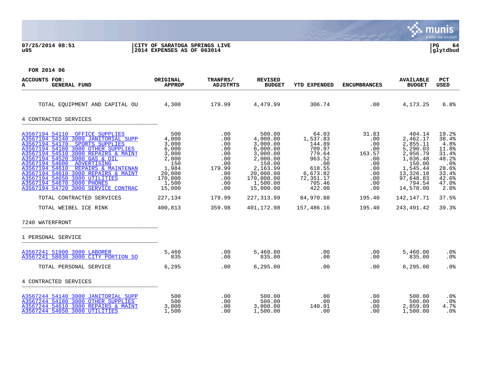S. munis a tyler erp solution

## **07/25/2014 08:51 |CITY OF SARATOGA SPRINGS LIVE |PG 64 u05 |2014 EXPENSES AS OF 063014 |glytdbud**



| ACCOUNTS FOR:<br><b>GENERAL FUND</b><br>A                                                                                                                                                                                                                                                                                                                                                                                                                           | ORIGINAL<br><b>APPROP</b>                                                                                           | TRANFRS/<br><b>ADJSTMTS</b>                                                                   | <b>REVISED</b><br><b>BUDGET</b>                                                                                                                             | <b>YTD EXPENDED</b>                                                                                                                  | <b>ENCUMBRANCES</b>                                                                             | <b>AVAILABLE</b><br><b>BUDGET</b>                                                                                                                         | <b>PCT</b><br><b>USED</b>                                                                                     |
|---------------------------------------------------------------------------------------------------------------------------------------------------------------------------------------------------------------------------------------------------------------------------------------------------------------------------------------------------------------------------------------------------------------------------------------------------------------------|---------------------------------------------------------------------------------------------------------------------|-----------------------------------------------------------------------------------------------|-------------------------------------------------------------------------------------------------------------------------------------------------------------|--------------------------------------------------------------------------------------------------------------------------------------|-------------------------------------------------------------------------------------------------|-----------------------------------------------------------------------------------------------------------------------------------------------------------|---------------------------------------------------------------------------------------------------------------|
| TOTAL EOUIPMENT AND CAPITAL OU $4,300$ 179.99 $4,479.99$                                                                                                                                                                                                                                                                                                                                                                                                            |                                                                                                                     |                                                                                               |                                                                                                                                                             | 306.74                                                                                                                               | .00                                                                                             | 4,173.25                                                                                                                                                  | 6.8%                                                                                                          |
| 4 CONTRACTED SERVICES                                                                                                                                                                                                                                                                                                                                                                                                                                               |                                                                                                                     |                                                                                               |                                                                                                                                                             |                                                                                                                                      |                                                                                                 |                                                                                                                                                           |                                                                                                               |
| A3567194 54110 OFFICE SUPPLIES<br>A3567194 54140 3000 JANITORIAL SUPP<br>A3567194 54170 SPORTS SUPPLIES<br>A3567194 54180 3000 OTHER SUPPLIES<br>A3567194 54510 3000 REPAIRS & MAINT<br>A3567194 54520 3000 GAS & OIL<br>A3567194 54600 ADVERTISING<br>A3567194 54610 REPAIRS & MAINTENAN<br>A3567194 54610 3000 REPAIRS & MAINT<br>A3567194 54650 3000 UTILITIES<br>A3567194 54670 3000 PHONES<br>A3567194 54720 3000 SERVICE CONTRAC<br>TOTAL CONTRACTED SERVICES | 500<br>4,000<br>3,000<br>6,000<br>3,000<br>2,000<br>150<br>1,984<br>20,000<br>170,000<br>1,500<br>15,000<br>227,134 | .00<br>.00<br>.00<br>.00<br>.00<br>.00<br>.00<br>179.99<br>.00<br>.00<br>.00<br>.00<br>179.99 | 500.00<br>4,000.00<br>3,000.00<br>6,000.00<br>3,000.00<br>2,000.00<br>150.00<br>2,163.99<br>20,000.00<br>170,000.00<br>1,500.00<br>15,000.00<br>227, 313.99 | 64.03<br>1,537.83<br>144.89<br>709.97<br>779.64<br>963.52<br>.00<br>618.55<br>6,673.82<br>72,351.17<br>705.46<br>422.00<br>84,970.88 | 31.83<br>.00<br>.00<br>.00<br>163.57<br>.00<br>.00<br>.00<br>.00<br>.00<br>.00<br>.00<br>195.40 | 404.14<br>2,462.17<br>2,855.11<br>5,290.03<br>2,056.79<br>1,036.48<br>150.00<br>1,545.44<br>13,326.18<br>97,648.83<br>794.54<br>14,578.00<br>142, 147. 71 | 19.2%<br>38.4%<br>4.8%<br>11.8%<br>31.4%<br>48.2%<br>.0%<br>28.6%<br>33.4%<br>42.6%<br>47.0%<br>2.8%<br>37.5% |
| TOTAL WEIBEL ICE RINK                                                                                                                                                                                                                                                                                                                                                                                                                                               | 400,813                                                                                                             | 359.98                                                                                        | 401,172.98                                                                                                                                                  | 157,486.16                                                                                                                           | 195.40                                                                                          | 243,491.42                                                                                                                                                | 39.3%                                                                                                         |
| 7240 WATERFRONT                                                                                                                                                                                                                                                                                                                                                                                                                                                     |                                                                                                                     |                                                                                               |                                                                                                                                                             |                                                                                                                                      |                                                                                                 |                                                                                                                                                           |                                                                                                               |
| 1 PERSONAL SERVICE                                                                                                                                                                                                                                                                                                                                                                                                                                                  |                                                                                                                     |                                                                                               |                                                                                                                                                             |                                                                                                                                      |                                                                                                 |                                                                                                                                                           |                                                                                                               |
| A3567241 51900 3000 LABORER<br>A3567241 58030 3000 CITY PORTION SO                                                                                                                                                                                                                                                                                                                                                                                                  | 5,460<br>835                                                                                                        | .00<br>.00                                                                                    | 5,460.00<br>835.00                                                                                                                                          | .00<br>.00                                                                                                                           | .00<br>.00                                                                                      | 5,460.00<br>835.00                                                                                                                                        | $.0\%$<br>.0%                                                                                                 |
| TOTAL PERSONAL SERVICE                                                                                                                                                                                                                                                                                                                                                                                                                                              | 6,295                                                                                                               | .00                                                                                           | 6, 295.00                                                                                                                                                   | .00                                                                                                                                  | .00                                                                                             | 6.295.00                                                                                                                                                  | .0%                                                                                                           |
| 4 CONTRACTED SERVICES                                                                                                                                                                                                                                                                                                                                                                                                                                               |                                                                                                                     |                                                                                               |                                                                                                                                                             |                                                                                                                                      |                                                                                                 |                                                                                                                                                           |                                                                                                               |
| A3567244 54140 3000 JANITORIAL SUPP<br>A3567244 54180 3000 OTHER SUPPLIES<br>A3567244 54610 3000 REPAIRS & MAINT<br>A3567244 54650 3000 UTILITIES                                                                                                                                                                                                                                                                                                                   | 500<br>500<br>3,000<br>1,500                                                                                        | .00<br>.00<br>.00<br>.00                                                                      | 500.00<br>500.00<br>3,000.00<br>1,500.00                                                                                                                    | .00<br>.00<br>140.91<br>.00                                                                                                          | .00<br>.00<br>.00<br>.00                                                                        | 500.00<br>500.00<br>2,859.09<br>1,500.00                                                                                                                  | $.0\%$<br>.0%<br>4.7%<br>$.0\%$                                                                               |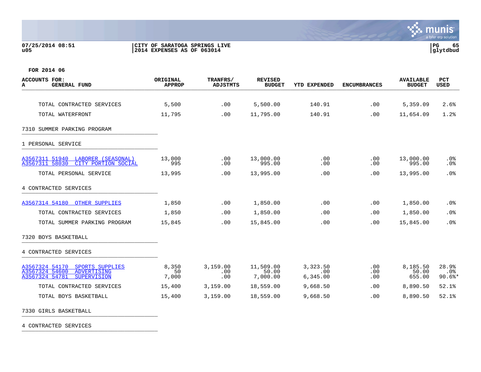## **07/25/2014 08:51 |CITY OF SARATOGA SPRINGS LIVE |PG 65 u05 |2014 EXPENSES AS OF 063014 |glytdbud**



**FOR 2014 06**

| <b>ACCOUNTS FOR:</b><br><b>GENERAL FUND</b><br>A                                                           | ORIGINAL<br><b>APPROP</b> | TRANFRS/<br><b>ADJSTMTS</b> | <b>REVISED</b><br><b>BUDGET</b> | YTD EXPENDED                | <b>ENCUMBRANCES</b> | <b>AVAILABLE</b><br><b>BUDGET</b> | <b>PCT</b><br>USED          |
|------------------------------------------------------------------------------------------------------------|---------------------------|-----------------------------|---------------------------------|-----------------------------|---------------------|-----------------------------------|-----------------------------|
|                                                                                                            |                           |                             |                                 |                             |                     |                                   |                             |
| TOTAL CONTRACTED SERVICES                                                                                  | 5,500                     | .00                         | 5,500.00                        | 140.91                      | .00                 | 5,359.09                          | 2.6%                        |
| TOTAL WATERFRONT                                                                                           | 11,795                    | .00                         | 11,795.00                       | 140.91                      | .00                 | 11,654.09                         | 1.2%                        |
| 7310 SUMMER PARKING PROGRAM                                                                                |                           |                             |                                 |                             |                     |                                   |                             |
| 1 PERSONAL SERVICE                                                                                         |                           |                             |                                 |                             |                     |                                   |                             |
| A3567311 51940 LABORER (SEASONAL)<br>A3567311 58030<br>CITY PORTION SOCIAL                                 | 13,000<br>995             | .00<br>.00                  | 13,000.00<br>995.00             | .00<br>.00                  | .00<br>.00          | 13,000.00<br>995.00               | $.0\%$<br>.0%               |
| TOTAL PERSONAL SERVICE                                                                                     | 13,995                    | .00                         | 13,995.00                       | .00                         | .00                 | 13,995.00                         | .0%                         |
| 4 CONTRACTED SERVICES                                                                                      |                           |                             |                                 |                             |                     |                                   |                             |
| A3567314 54180 OTHER SUPPLIES                                                                              | 1,850                     | .00                         | 1,850.00                        | .00                         | .00                 | 1,850.00                          | .0%                         |
| TOTAL CONTRACTED SERVICES                                                                                  | 1,850                     | .00                         | 1,850.00                        | .00                         | .00                 | 1,850.00                          | .0%                         |
| TOTAL SUMMER PARKING PROGRAM                                                                               | 15,845                    | .00                         | 15,845.00                       | .00                         | .00                 | 15,845.00                         | .0%                         |
| 7320 BOYS BASKETBALL                                                                                       |                           |                             |                                 |                             |                     |                                   |                             |
| 4 CONTRACTED SERVICES                                                                                      |                           |                             |                                 |                             |                     |                                   |                             |
| A3567324 54170<br>SPORTS SUPPLIES<br>A3567324 54600<br>ADVERTISING<br>A3567324 54781<br><b>SUPERVISION</b> | 8,350<br>50<br>7,000      | 3,159.00<br>.00<br>.00      | 11,509.00<br>50.00<br>7,000.00  | 3,323.50<br>.00<br>6,345.00 | .00<br>.00<br>.00   | 8,185.50<br>50.00<br>655.00       | 28.9%<br>$.0\%$<br>$90.6$ * |
| TOTAL CONTRACTED SERVICES                                                                                  | 15,400                    | 3,159.00                    | 18,559.00                       | 9,668.50                    | .00                 | 8,890.50                          | 52.1%                       |
| TOTAL BOYS BASKETBALL                                                                                      | 15,400                    | 3,159.00                    | 18,559.00                       | 9,668.50                    | .00                 | 8,890.50                          | 52.1%                       |

7330 GIRLS BASKETBALL \_\_\_\_\_\_\_\_\_\_\_\_\_\_\_\_\_\_\_\_\_\_\_\_\_\_\_\_\_\_\_\_\_\_\_\_\_\_\_\_\_

4 CONTRACTED SERVICES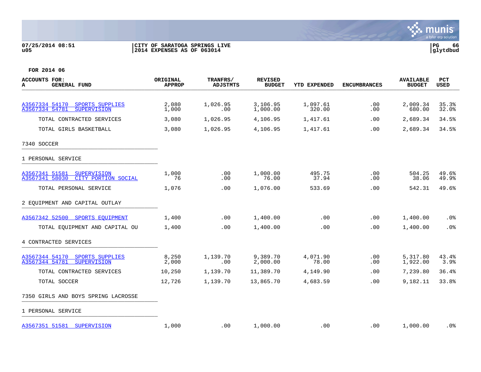

## **07/25/2014 08:51 |CITY OF SARATOGA SPRINGS LIVE |PG 66 u05 |2014 EXPENSES AS OF 063014 |glytdbud**



| <b>ACCOUNTS FOR:</b><br><b>GENERAL FUND</b><br>А                              | <b>ORIGINAL</b><br><b>APPROP</b> | TRANFRS/<br><b>ADJSTMTS</b> | <b>REVISED</b><br><b>BUDGET</b> | <b>YTD EXPENDED</b> | <b>ENCUMBRANCES</b> | <b>AVAILABLE</b><br><b>BUDGET</b> | <b>PCT</b><br>USED |
|-------------------------------------------------------------------------------|----------------------------------|-----------------------------|---------------------------------|---------------------|---------------------|-----------------------------------|--------------------|
|                                                                               |                                  |                             |                                 |                     |                     |                                   |                    |
| A3567334 54170<br>SPORTS SUPPLIES<br>A3567334 54781<br><b>SUPERVISION</b>     | 2,080<br>1,000                   | 1,026.95<br>.00.            | 3,106.95<br>1,000.00            | 1,097.61<br>320.00  | .00<br>.00          | 2,009.34<br>680.00                | 35.3%<br>32.0%     |
| TOTAL CONTRACTED SERVICES                                                     | 3,080                            | 1,026.95                    | 4,106.95                        | 1,417.61            | .00.                | 2,689.34                          | 34.5%              |
| TOTAL GIRLS BASKETBALL                                                        | 3,080                            | 1,026.95                    | 4,106.95                        | 1,417.61            | .00.                | 2,689.34                          | 34.5%              |
| 7340 SOCCER                                                                   |                                  |                             |                                 |                     |                     |                                   |                    |
| 1 PERSONAL SERVICE                                                            |                                  |                             |                                 |                     |                     |                                   |                    |
| A3567341 51581<br><b>SUPERVISION</b><br>CITY PORTION SOCIAL<br>A3567341 58030 | 1,000<br>76                      | .00<br>.00                  | 1,000.00<br>76.00               | 495.75<br>37.94     | .00<br>.00          | 504.25<br>38.06                   | 49.6%<br>49.9%     |
| TOTAL PERSONAL SERVICE                                                        | 1,076                            | .00                         | 1,076.00                        | 533.69              | .00                 | 542.31                            | 49.6%              |
| 2 EQUIPMENT AND CAPITAL OUTLAY                                                |                                  |                             |                                 |                     |                     |                                   |                    |
| A3567342 52500 SPORTS EOUIPMENT                                               | 1,400                            | .00                         | 1,400.00                        | .00                 | .00                 | 1,400.00                          | .0%                |
| TOTAL EQUIPMENT AND CAPITAL OU                                                | 1,400                            | .00                         | 1,400.00                        | .00                 | .00                 | 1,400.00                          | .0%                |
| 4 CONTRACTED SERVICES                                                         |                                  |                             |                                 |                     |                     |                                   |                    |
| A3567344 54170<br>SPORTS SUPPLIES<br>A3567344 54781<br><b>SUPERVISION</b>     | 8,250<br>2,000                   | 1,139.70<br>.00             | 9,389.70<br>2,000.00            | 4,071.90<br>78.00   | .00<br>.00          | 5,317.80<br>1,922.00              | 43.4%<br>3.9%      |
| TOTAL CONTRACTED SERVICES                                                     | 10,250                           | 1,139.70                    | 11,389.70                       | 4,149.90            | .00                 | 7,239.80                          | 36.4%              |
| TOTAL SOCCER                                                                  | 12,726                           | 1,139.70                    | 13,865.70                       | 4,683.59            | .00                 | 9,182.11                          | 33.8%              |
| 7350 GIRLS AND BOYS SPRING LACROSSE                                           |                                  |                             |                                 |                     |                     |                                   |                    |
| 1 PERSONAL SERVICE                                                            |                                  |                             |                                 |                     |                     |                                   |                    |
| A3567351 51581<br>SUPERVISION                                                 | 1,000                            | .00                         | 1,000.00                        | .00                 | .00                 | 1,000.00                          | .0%                |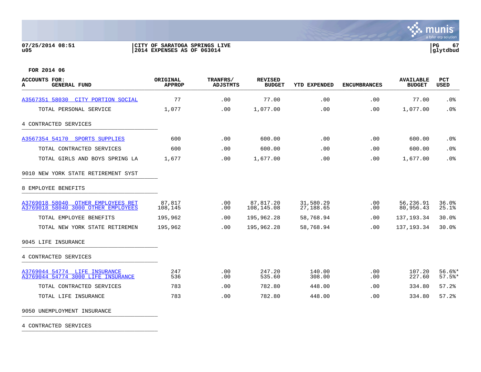## **07/25/2014 08:51 |CITY OF SARATOGA SPRINGS LIVE |PG 67 u05 |2014 EXPENSES AS OF 063014 |glytdbud**



**FOR 2014 06**

| <b>ACCOUNTS FOR:</b><br><b>GENERAL FUND</b><br>A                          | ORIGINAL<br><b>APPROP</b> | TRANFRS/<br><b>ADJSTMTS</b> | <b>REVISED</b><br><b>BUDGET</b> | <b>YTD EXPENDED</b>    | <b>ENCUMBRANCES</b> | <b>AVAILABLE</b><br><b>BUDGET</b> | <b>PCT</b><br><b>USED</b> |
|---------------------------------------------------------------------------|---------------------------|-----------------------------|---------------------------------|------------------------|---------------------|-----------------------------------|---------------------------|
| A3567351 58030 CITY PORTION SOCIAL                                        | 77                        | .00                         | 77.00                           | .00                    | .00                 | 77.00                             | .0%                       |
| TOTAL PERSONAL SERVICE                                                    | 1,077                     | .00                         | 1,077.00                        | .00                    | .00                 | 1,077.00                          | .0%                       |
| 4 CONTRACTED SERVICES                                                     |                           |                             |                                 |                        |                     |                                   |                           |
| A3567354 54170 SPORTS SUPPLIES                                            | 600                       | .00                         | 600.00                          | .00                    | .00                 | 600.00                            | $.0\%$                    |
| TOTAL CONTRACTED SERVICES                                                 | 600                       | .00                         | 600.00                          | .00                    | .00                 | 600.00                            | .0%                       |
| TOTAL GIRLS AND BOYS SPRING LA                                            | 1,677                     | .00                         | 1,677.00                        | .00                    | .00                 | 1,677.00                          | .0%                       |
| 9010 NEW YORK STATE RETIREMENT SYST                                       |                           |                             |                                 |                        |                     |                                   |                           |
| 8 EMPLOYEE BENEFITS                                                       |                           |                             |                                 |                        |                     |                                   |                           |
| A3769018 58040 OTHER EMPLOYEES RET<br>A3769018 58040 3000 OTHER EMPLOYEES | 87,817<br>108,145         | .00<br>.00                  | 87,817.20<br>108,145.08         | 31,580.29<br>27,188.65 | .00<br>.00          | 56,236.91<br>80,956.43            | 36.0%<br>25.1%            |
| TOTAL EMPLOYEE BENEFITS                                                   | 195,962                   | .00                         | 195,962.28                      | 58,768.94              | .00                 | 137, 193.34                       | 30.0%                     |
| TOTAL NEW YORK STATE RETIREMEN                                            | 195,962                   | .00                         | 195,962.28                      | 58,768.94              | .00                 | 137, 193.34                       | 30.0%                     |
| 9045 LIFE INSURANCE                                                       |                           |                             |                                 |                        |                     |                                   |                           |
| 4 CONTRACTED SERVICES                                                     |                           |                             |                                 |                        |                     |                                   |                           |
| A3769044 54774 LIFE INSURANCE<br>A3769044 54774 3000 LIFE INSURANCE       | 247<br>536                | .00<br>.00                  | 247.20<br>535.60                | 140.00<br>308.00       | .00<br>.00          | 107.20<br>227.60                  | $56.6$ %*<br>57.5%        |
| TOTAL CONTRACTED SERVICES                                                 | 783                       | .00                         | 782.80                          | 448.00                 | .00                 | 334.80                            | 57.2%                     |
| TOTAL LIFE INSURANCE                                                      | 783                       | .00                         | 782.80                          | 448.00                 | .00                 | 334.80                            | 57.2%                     |

9050 UNEMPLOYMENT INSURANCE

4 CONTRACTED SERVICES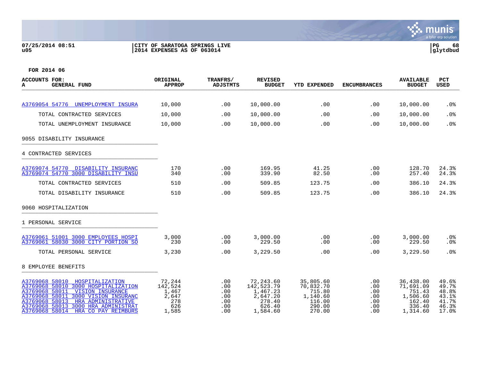## **07/25/2014 08:51 |CITY OF SARATOGA SPRINGS LIVE |PG 68 u05 |2014 EXPENSES AS OF 063014 |glytdbud**



| ACCOUNTS FOR:<br><b>GENERAL FUND</b><br>A                                                                                                                                                                                                                                      | ORIGINAL<br><b>APPROP</b>                                  | TRANFRS/<br><b>ADJSTMTS</b>                   | <b>REVISED</b><br><b>BUDGET</b>                                                 | <b>YTD EXPENDED</b>                                                        | <b>ENCUMBRANCES</b>                           | <b>AVAILABLE</b><br><b>BUDGET</b>                                            | <b>PCT</b><br><b>USED</b>                                   |
|--------------------------------------------------------------------------------------------------------------------------------------------------------------------------------------------------------------------------------------------------------------------------------|------------------------------------------------------------|-----------------------------------------------|---------------------------------------------------------------------------------|----------------------------------------------------------------------------|-----------------------------------------------|------------------------------------------------------------------------------|-------------------------------------------------------------|
|                                                                                                                                                                                                                                                                                |                                                            |                                               |                                                                                 |                                                                            |                                               |                                                                              |                                                             |
| A3769054 54776 UNEMPLOYMENT INSURA                                                                                                                                                                                                                                             | 10,000                                                     | .00                                           | 10,000.00                                                                       | .00                                                                        | .00                                           | 10,000.00                                                                    | .0%                                                         |
| TOTAL CONTRACTED SERVICES                                                                                                                                                                                                                                                      | 10,000                                                     | .00                                           | 10,000.00                                                                       | .00                                                                        | .00                                           | 10,000.00                                                                    | .0%                                                         |
| TOTAL UNEMPLOYMENT INSURANCE                                                                                                                                                                                                                                                   | 10,000                                                     | .00                                           | 10,000.00                                                                       | .00                                                                        | .00                                           | 10,000.00                                                                    | .0%                                                         |
| 9055 DISABILITY INSURANCE                                                                                                                                                                                                                                                      |                                                            |                                               |                                                                                 |                                                                            |                                               |                                                                              |                                                             |
| 4 CONTRACTED SERVICES                                                                                                                                                                                                                                                          |                                                            |                                               |                                                                                 |                                                                            |                                               |                                                                              |                                                             |
| A3769074 54770 DISABILITY INSURANC<br>A3769074 54770 3000 DISABILITY INSU                                                                                                                                                                                                      | 170<br>340                                                 | .00<br>.00                                    | 169.95<br>339.90                                                                | 41.25<br>82.50                                                             | .00<br>.00                                    | 128.70<br>257.40                                                             | 24.3%<br>24.3%                                              |
| TOTAL CONTRACTED SERVICES                                                                                                                                                                                                                                                      | 510                                                        | .00                                           | 509.85                                                                          | 123.75                                                                     | .00.                                          | 386.10                                                                       | 24.3%                                                       |
| TOTAL DISABILITY INSURANCE                                                                                                                                                                                                                                                     | 510                                                        | $.00 \,$                                      | 509.85                                                                          | 123.75                                                                     | .00                                           | 386.10                                                                       | 24.3%                                                       |
| 9060 HOSPITALIZATION                                                                                                                                                                                                                                                           |                                                            |                                               |                                                                                 |                                                                            |                                               |                                                                              |                                                             |
| 1 PERSONAL SERVICE                                                                                                                                                                                                                                                             |                                                            |                                               |                                                                                 |                                                                            |                                               |                                                                              |                                                             |
| A3769061 51001 3000 EMPLOYEES HOSPI<br>A3769061 58030 3000 CITY PORTION SO                                                                                                                                                                                                     | 3,000<br>230                                               | .00<br>$.00 \,$                               | 3,000.00<br>229.50                                                              | .00<br>.00                                                                 | .00<br>.00                                    | 3,000.00<br>229.50                                                           | $.0\%$<br>.0 <sub>8</sub>                                   |
| TOTAL PERSONAL SERVICE                                                                                                                                                                                                                                                         | 3,230                                                      | .00                                           | 3,229.50                                                                        | .00                                                                        | .00                                           | 3,229.50                                                                     | .0%                                                         |
| 8 EMPLOYEE BENEFITS                                                                                                                                                                                                                                                            |                                                            |                                               |                                                                                 |                                                                            |                                               |                                                                              |                                                             |
| A3769068 58010<br>HOSPITALIZATION<br>A3769068 58010 3000 HOSPITALIZATION<br>A3769068 58011<br><b>VISION INSURANCE</b><br>A3769068 58011 3000 VISION INSURANC<br>A3769068 58013 HRA ADMINISTRATIVE<br>A3769068 58013 3000 HRA ADMINISTRAT<br>A3769068 58014 HRA CO PAY REIMBURS | 72,244<br>142,524<br>1,467<br>2,647<br>278<br>626<br>1,585 | .00<br>.00<br>.00<br>.00<br>.00<br>.00<br>.00 | 72,243.60<br>142,523.79<br>1,467.23<br>2,647.20<br>278.40<br>626.40<br>1,584.60 | 35,805.60<br>70,832.70<br>715.80<br>1,140.60<br>116.00<br>290.00<br>270.00 | .00<br>.00<br>.00<br>.00<br>.00<br>.00<br>.00 | 36,438.00<br>71,691.09<br>751.43<br>1,506.60<br>162.40<br>336.40<br>1,314.60 | 49.6%<br>49.7%<br>48.8%<br>43.1%<br>41.7%<br>46.3%<br>17.0% |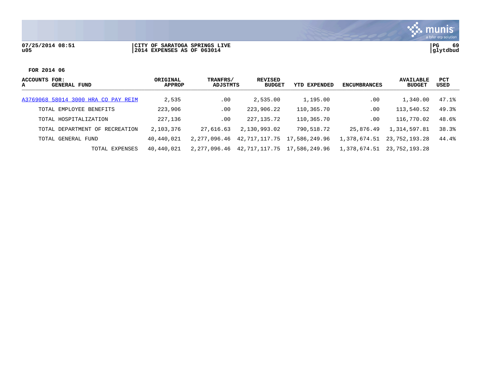## **07/25/2014 08:51 |CITY OF SARATOGA SPRINGS LIVE |PG 69 u05 |2014 EXPENSES AS OF 063014 |glytdbud**



S. munis

| ACCOUNTS FOR:<br>GENERAL FUND<br>A  | ORIGINAL<br><b>APPROP</b> | TRANFRS/<br>ADJSTMTS | <b>REVISED</b><br><b>BUDGET</b>   | YTD EXPENDED | <b>ENCUMBRANCES</b> | <b>AVAILABLE</b><br><b>BUDGET</b> | PCT<br>USED |
|-------------------------------------|---------------------------|----------------------|-----------------------------------|--------------|---------------------|-----------------------------------|-------------|
| A3769068 58014 3000 HRA CO PAY REIM | 2,535                     | $.00 \,$             | 2,535.00                          | 1,195.00     | .00                 | 1,340.00                          | 47.1%       |
| TOTAL EMPLOYEE BENEFITS             | 223,906                   | .00                  | 223,906.22                        | 110,365.70   | .00                 | 113,540.52                        | 49.3%       |
| TOTAL HOSPITALIZATION               | 227,136                   | .00                  | 227,135.72                        | 110,365.70   | .00                 | 116,770.02                        | 48.6%       |
| TOTAL DEPARTMENT OF RECREATION      | 2,103,376                 | 27,616.63            | 2,130,993.02                      | 790,518.72   | 25,876.49           | 1,314,597.81                      | 38.3%       |
| TOTAL GENERAL FUND                  | 40,440,021                | 2,277,096.46         | 42, 717, 117, 75 17, 586, 249, 96 |              | 1,378,674.51        | 23,752,193.28                     | 44.4%       |
| TOTAL EXPENSES                      | 40,440,021                | 2,277,096.46         | 42.717.117.75 17.586.249.96       |              | 1,378,674.51        | 23,752,193.28                     |             |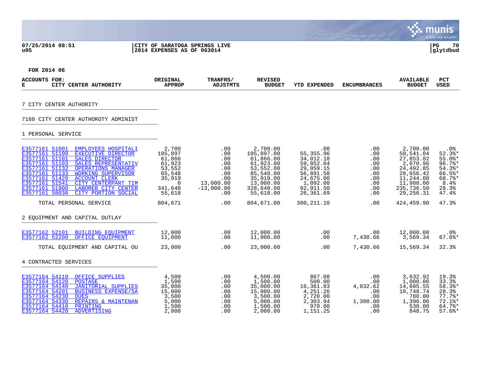## **07/25/2014 08:51 |CITY OF SARATOGA SPRINGS LIVE |PG 70 u05 |2014 EXPENSES AS OF 063014 |glytdbud**



| <b>ACCOUNTS FOR:</b><br>CITY CENTER AUTHORITY<br>Е                                                                                                                                                                                                                                                                                                                                                                   | ORIGINAL<br><b>APPROP</b>                                                                    | TRANFRS/<br><b>ADJSTMTS</b>                                                       | <b>REVISED</b><br><b>BUDGET</b>                                                                                                 | <b>YTD EXPENDED</b>                                                                                                     | <b>ENCUMBRANCES</b>                                                           | <b>AVAILABLE</b><br><b>BUDGET</b>                                                                                               | <b>PCT</b><br><b>USED</b>                                                                              |
|----------------------------------------------------------------------------------------------------------------------------------------------------------------------------------------------------------------------------------------------------------------------------------------------------------------------------------------------------------------------------------------------------------------------|----------------------------------------------------------------------------------------------|-----------------------------------------------------------------------------------|---------------------------------------------------------------------------------------------------------------------------------|-------------------------------------------------------------------------------------------------------------------------|-------------------------------------------------------------------------------|---------------------------------------------------------------------------------------------------------------------------------|--------------------------------------------------------------------------------------------------------|
| 7 CITY CENTER AUTHORITY                                                                                                                                                                                                                                                                                                                                                                                              |                                                                                              |                                                                                   |                                                                                                                                 |                                                                                                                         |                                                                               |                                                                                                                                 |                                                                                                        |
| 7160 CITY CENTER AUTHOROTY ADMINIST                                                                                                                                                                                                                                                                                                                                                                                  |                                                                                              |                                                                                   |                                                                                                                                 |                                                                                                                         |                                                                               |                                                                                                                                 |                                                                                                        |
| 1 PERSONAL SERVICE                                                                                                                                                                                                                                                                                                                                                                                                   |                                                                                              |                                                                                   |                                                                                                                                 |                                                                                                                         |                                                                               |                                                                                                                                 |                                                                                                        |
| E3577161 51001 EMPLOYEES HOSPITALI<br>E3577161 51100 EXECUTIVE DIRECTOR<br>E3577161 51101<br><b>SALES DIRECTOR</b><br>E3577161 51103<br>SALES REPRESENTATIV<br>E3577161 51132<br><b>OPERATIONS MANAGER</b><br>E3577161 51133<br><b>WORKING SUPERVISOR</b><br>E3577161 51420 ACCOUNT CLERK<br>E3577161 51541<br>CITY CENTERPART TIM<br>E3577161 51900<br>LABORER CITY CENTER<br>E3577161 58030<br>CITY PORTION SOCIAL | 2,700<br>105,897<br>61,866<br>61,923<br>53,552<br>85,548<br>35,919<br>0<br>341,648<br>55,618 | .00<br>.00<br>.00<br>.00<br>.00<br>.00<br>.00<br>13,000.00<br>$-13,000.00$<br>.00 | 2,700.00<br>105,897.00<br>61,866.00<br>61,923.00<br>53,552.00<br>85,548.00<br>35,919.00<br>13,000.00<br>328,648.00<br>55,618.00 | .00<br>55,355.96<br>34,012.18<br>59,852.04<br>29,059.15<br>56,891.58<br>24,675.00<br>1,092.00<br>92,911.50<br>26,361.69 | .00<br>.00<br>.00<br>.00<br>.00<br>.00<br>.00<br>.00<br>$.00 \,$<br>$.00 \,$  | 2,700.00<br>50,541.04<br>27,853.82<br>2,070.96<br>24,492.85<br>28,656.42<br>11,244.00<br>11,908.00<br>235,736.50<br>29, 256. 31 | $.0\%$<br>$52.3$ $*$<br>$55.0$ *<br>$96.7$ *<br>$54.3$ *<br>66.5%*<br>68.7%*<br>8.4%<br>28.3%<br>47.4% |
| TOTAL PERSONAL SERVICE                                                                                                                                                                                                                                                                                                                                                                                               | 804,671                                                                                      | .00                                                                               | 804,671.00                                                                                                                      | 380, 211.10                                                                                                             | .00                                                                           | 424,459.90                                                                                                                      | 47.3%                                                                                                  |
| 2 EOUIPMENT AND CAPITAL OUTLAY                                                                                                                                                                                                                                                                                                                                                                                       |                                                                                              |                                                                                   |                                                                                                                                 |                                                                                                                         |                                                                               |                                                                                                                                 |                                                                                                        |
| E3577162 52101 BUILDING EQUIPMENT<br>E3577162 52200 OFFICE EQUIPMENT                                                                                                                                                                                                                                                                                                                                                 | 12,000<br>11,000                                                                             | .00<br>.00                                                                        | 12,000.00<br>11,000.00                                                                                                          | .00<br>.00                                                                                                              | $.00 \,$<br>7,430.66                                                          | 12,000.00<br>3,569.34                                                                                                           | .0%<br>$67.6$ $*$                                                                                      |
| TOTAL EOUIPMENT AND CAPITAL OU                                                                                                                                                                                                                                                                                                                                                                                       | 23,000                                                                                       | .00                                                                               | 23,000.00                                                                                                                       | .00                                                                                                                     | 7,430.66                                                                      | 15,569.34                                                                                                                       | 32.3%                                                                                                  |
| 4 CONTRACTED SERVICES                                                                                                                                                                                                                                                                                                                                                                                                |                                                                                              |                                                                                   |                                                                                                                                 |                                                                                                                         |                                                                               |                                                                                                                                 |                                                                                                        |
| E3577164 54110 OFFICE SUPPLIES<br>E3577164 54120<br>POSTAGE<br>E3577164 54140<br>JANITORIAL SUPPLIES<br>E3577164 54201<br><b>BUSINESS EXPENSE/SA</b><br>E3577164 54230<br><b>DUES</b><br>E3577164 54330<br>REPAIRS & MAINTENAN<br>E3577164 54410<br>PRINTING<br>E3577164 54420<br>ADVERTISING                                                                                                                        | 4,500<br>1,500<br>35,000<br>15,000<br>3,500<br>5,000<br>1,500<br>2,000                       | .00<br>.00<br>.00<br>.00<br>.00<br>.00<br>.00<br>.00                              | 4,500.00<br>1,500.00<br>35,000.00<br>15,000.00<br>3,500.00<br>5,000.00<br>1,500.00<br>2,000.00                                  | 867.08<br>500.00<br>16,361.83<br>4,251.26<br>2,720.00<br>2,303.94<br>970.00<br>1,151.25                                 | .00<br>.00<br>4,032.62<br>$.00 \,$<br>$.00 \,$<br>1,300.00<br>$.00 \,$<br>.00 | 3,632.92<br>1,000.00<br>14,605.55<br>10,748.74<br>780.00<br>1,396.06<br>530.00<br>848.75                                        | 19.3%<br>33.3%<br>58.3%*<br>28.3%<br>$77.7%$ *<br>$72.1$ %*<br>64.7%<br>$57.6$ *                       |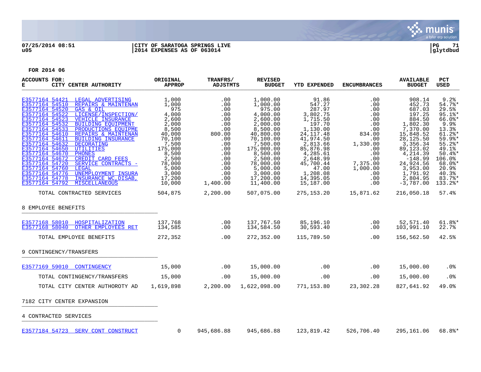

## **07/25/2014 08:51 |CITY OF SARATOGA SPRINGS LIVE |PG 71 u05 |2014 EXPENSES AS OF 063014 |glytdbud**



| <b>ACCOUNTS FOR:</b><br>CITY CENTER AUTHORITY<br>Е                                                                                                                                                                                                                                                                                                                                                                                                                                                                                                                                                                                                                                                                                        | ORIGINAL<br><b>APPROP</b>                                                                                                                                           | TRANFRS/<br><b>ADJSTMTS</b>                                                                                                        | <b>REVISED</b><br><b>BUDGET</b>                                                                                                                                                                                           | <b>YTD EXPENDED</b>                                                                                                                                                                                              | <b>ENCUMBRANCES</b>                                                                                                                               | <b>AVAILABLE</b><br><b>BUDGET</b>                                                                                                                                                                                  | <b>PCT</b><br><b>USED</b>                                                                                                                                                                |
|-------------------------------------------------------------------------------------------------------------------------------------------------------------------------------------------------------------------------------------------------------------------------------------------------------------------------------------------------------------------------------------------------------------------------------------------------------------------------------------------------------------------------------------------------------------------------------------------------------------------------------------------------------------------------------------------------------------------------------------------|---------------------------------------------------------------------------------------------------------------------------------------------------------------------|------------------------------------------------------------------------------------------------------------------------------------|---------------------------------------------------------------------------------------------------------------------------------------------------------------------------------------------------------------------------|------------------------------------------------------------------------------------------------------------------------------------------------------------------------------------------------------------------|---------------------------------------------------------------------------------------------------------------------------------------------------|--------------------------------------------------------------------------------------------------------------------------------------------------------------------------------------------------------------------|------------------------------------------------------------------------------------------------------------------------------------------------------------------------------------------|
| E3577164 54421<br>LEGAL ADVERTISING<br>E3577164 54510<br>REPAIRS & MAINTENAN<br>E3577164 54520<br>GAS & OIL<br>E3577164 54522<br>LICENSE/INSPECTION/<br>E3577164 54523<br><b>VEHICLE INSURANCE</b><br>E3577164 54532<br><b>BUILDING EOUIPMENT</b><br>E3577164 54533<br>PRODUCTIONS EOUIPME<br>E3577164 54610<br>REPAIRS & MAINTENAN<br>E3577164 54611<br><b>BUILDING INSURANCE</b><br>E3577164 54632<br>DECORATING<br>E3577164 54650<br><b>UTILITIES</b><br>E3577164 54670<br><b>PHONES</b><br>E3577164 54672<br>CREDIT CARD FEES<br>E3577164 54720<br>SERVICE CONTRACTS -<br>E3577164 54760<br><b>LEGAL</b><br>E3577164 54776<br>UNEMPLOYMENT INSURA<br>E3577164 54778<br>INSURANCE WC, DISAB,<br>E3577164 54792<br><b>MISCELLANEOUS</b> | 1,000<br>1,000<br>975<br>4,000<br>2,600<br>2,000<br>8,500<br>40,000<br>70,100<br>7,500<br>175,000<br>8,500<br>2,500<br>78,000<br>5,000<br>3,000<br>17,200<br>10,000 | .00<br>.00<br>.00<br>.00<br>.00<br>.00<br>.00<br>800.00<br>.00<br>.00<br>.00<br>.00<br>.00<br>.00<br>.00<br>.00<br>.00<br>1,400.00 | 1,000.00<br>1,000.00<br>975.00<br>4,000.00<br>2,600.00<br>2,000.00<br>8,500.00<br>40,800.00<br>70,100.00<br>7,500.00<br>175,000.00<br>8,500.00<br>2,500.00<br>78,000.00<br>5,000.00<br>3,000.00<br>17,200.00<br>11,400.00 | 91.86<br>547.27<br>287.97<br>3,802.75<br>1,715.50<br>197.70<br>1,130.00<br>24, 117. 48<br>41,974.50<br>2,813.66<br>85,876.98<br>4,285.61<br>2,648.99<br>45,700.44<br>47.00<br>1,208.08<br>14,395.05<br>15,187.00 | .00<br>.00<br>.00<br>.00<br>.00<br>.00<br>.00<br>834.00<br>.00<br>1,330.00<br>.00<br>.00<br>.00<br>7,375.00<br>1,000.00<br>$.00 \,$<br>.00<br>.00 | 908.14<br>452.73<br>687.03<br>197.25<br>884.50<br>1,802.30<br>7,370.00<br>15,848.52<br>28,125.50<br>3,356.34<br>89,123.02<br>4,214.39<br>$-148.99$<br>24,924.56<br>3,953.00<br>1,791.92<br>2,804.95<br>$-3,787.00$ | 9.2%<br>54.7%<br>29.5%<br>$95.1$ %*<br>$66.0$ *<br>9.9%<br>13.3%<br>$61.2$ $*$<br>$59.9$ %*<br>$55.2$ *<br>49.1%<br>$50.4$ *<br>106.0%<br>$68.0$ *<br>20.9%<br>40.3%<br>83.7%<br>133.2%* |
| TOTAL CONTRACTED SERVICES                                                                                                                                                                                                                                                                                                                                                                                                                                                                                                                                                                                                                                                                                                                 | 504,875                                                                                                                                                             | 2,200.00                                                                                                                           | 507,075.00                                                                                                                                                                                                                | 275, 153. 20                                                                                                                                                                                                     | 15,871.62                                                                                                                                         | 216,050.18                                                                                                                                                                                                         | 57.4%                                                                                                                                                                                    |
| 8 EMPLOYEE BENEFITS                                                                                                                                                                                                                                                                                                                                                                                                                                                                                                                                                                                                                                                                                                                       |                                                                                                                                                                     |                                                                                                                                    |                                                                                                                                                                                                                           |                                                                                                                                                                                                                  |                                                                                                                                                   |                                                                                                                                                                                                                    |                                                                                                                                                                                          |
| E3577168 58010 HOSPITALIZATION<br>E3577168 58040<br>OTHER EMPLOYEES RET                                                                                                                                                                                                                                                                                                                                                                                                                                                                                                                                                                                                                                                                   | 137,768<br>134,585                                                                                                                                                  | .00<br>.00                                                                                                                         | 137,767.50<br>134,584.50                                                                                                                                                                                                  | 85,196.10<br>30,593.40                                                                                                                                                                                           | .00<br>.00                                                                                                                                        | 52,571.40<br>103,991.10                                                                                                                                                                                            | $61.8$ $*$<br>22.7%                                                                                                                                                                      |
| TOTAL EMPLOYEE BENEFITS                                                                                                                                                                                                                                                                                                                                                                                                                                                                                                                                                                                                                                                                                                                   | 272,352                                                                                                                                                             | .00                                                                                                                                | 272,352.00                                                                                                                                                                                                                | 115,789.50                                                                                                                                                                                                       | $.00 \,$                                                                                                                                          | 156,562.50                                                                                                                                                                                                         | 42.5%                                                                                                                                                                                    |
| 9 CONTINGENCY/TRANSFERS                                                                                                                                                                                                                                                                                                                                                                                                                                                                                                                                                                                                                                                                                                                   |                                                                                                                                                                     |                                                                                                                                    |                                                                                                                                                                                                                           |                                                                                                                                                                                                                  |                                                                                                                                                   |                                                                                                                                                                                                                    |                                                                                                                                                                                          |
| E3577169 59010 CONTINGENCY                                                                                                                                                                                                                                                                                                                                                                                                                                                                                                                                                                                                                                                                                                                | 15,000                                                                                                                                                              | .00                                                                                                                                | 15,000.00                                                                                                                                                                                                                 | .00                                                                                                                                                                                                              | .00                                                                                                                                               | 15,000.00                                                                                                                                                                                                          | .0%                                                                                                                                                                                      |
| TOTAL CONTINGENCY/TRANSFERS                                                                                                                                                                                                                                                                                                                                                                                                                                                                                                                                                                                                                                                                                                               | 15,000                                                                                                                                                              | .00                                                                                                                                | 15,000.00                                                                                                                                                                                                                 | .00                                                                                                                                                                                                              | .00                                                                                                                                               | 15,000.00                                                                                                                                                                                                          | .0%                                                                                                                                                                                      |
| TOTAL CITY CENTER AUTHOROTY AD                                                                                                                                                                                                                                                                                                                                                                                                                                                                                                                                                                                                                                                                                                            | 1,619,898                                                                                                                                                           | 2,200.00                                                                                                                           | 1,622,098.00                                                                                                                                                                                                              | 771,153.80                                                                                                                                                                                                       | 23,302.28                                                                                                                                         | 827,641.92                                                                                                                                                                                                         | 49.0%                                                                                                                                                                                    |
| 7182 CITY CENTER EXPANSION                                                                                                                                                                                                                                                                                                                                                                                                                                                                                                                                                                                                                                                                                                                |                                                                                                                                                                     |                                                                                                                                    |                                                                                                                                                                                                                           |                                                                                                                                                                                                                  |                                                                                                                                                   |                                                                                                                                                                                                                    |                                                                                                                                                                                          |
| 4 CONTRACTED SERVICES                                                                                                                                                                                                                                                                                                                                                                                                                                                                                                                                                                                                                                                                                                                     |                                                                                                                                                                     |                                                                                                                                    |                                                                                                                                                                                                                           |                                                                                                                                                                                                                  |                                                                                                                                                   |                                                                                                                                                                                                                    |                                                                                                                                                                                          |
| E3577184 54723 SERV CONT CONSTRUCT                                                                                                                                                                                                                                                                                                                                                                                                                                                                                                                                                                                                                                                                                                        | $\mathbf 0$                                                                                                                                                         | 945,686.88                                                                                                                         | 945,686.88                                                                                                                                                                                                                | 123,819.42                                                                                                                                                                                                       | 526,706.40                                                                                                                                        | 295,161.06                                                                                                                                                                                                         | 68.8%*                                                                                                                                                                                   |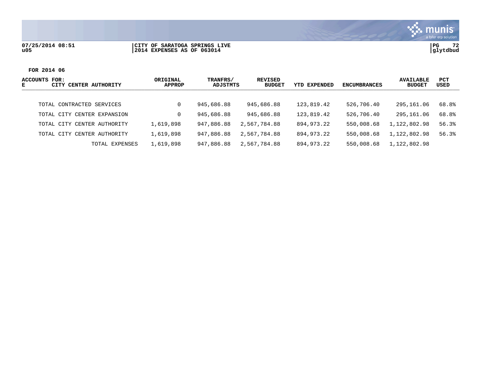## **07/25/2014 08:51 |CITY OF SARATOGA SPRINGS LIVE |PG 72 u05 |2014 EXPENSES AS OF 063014 |glytdbud**



| ACCOUNTS FOR:<br><b>CENTER AUTHORITY</b><br>CITY<br>Е | ORIGINAL<br>APPROP | TRANFRS/<br>ADJSTMTS | REVISED<br><b>BUDGET</b> | <b>YTD EXPENDED</b> | ENCUMBRANCES | <b>AVAILABLE</b><br><b>BUDGET</b> | <b>PCT</b><br>USED |
|-------------------------------------------------------|--------------------|----------------------|--------------------------|---------------------|--------------|-----------------------------------|--------------------|
|                                                       |                    |                      |                          |                     |              |                                   |                    |
| TOTAL CONTRACTED SERVICES                             |                    | 945,686.88           | 945,686.88               | 123,819.42          | 526,706.40   | 295,161.06                        | 68.8%              |
| TOTAL CITY CENTER EXPANSION                           |                    | 945,686.88           | 945,686.88               | 123,819.42          | 526,706.40   | 295,161.06                        | 68.8%              |
| CENTER AUTHORITY<br>TOTAL CITY                        | 1,619,898          | 947,886.88           | 2,567,784.88             | 894,973.22          | 550,008.68   | 1,122,802.98                      | 56.3%              |
| CENTER AUTHORITY<br>TOTAL CITY                        | 1,619,898          | 947,886.88           | 2,567,784.88             | 894,973.22          | 550,008.68   | 1,122,802.98                      | 56.3%              |
| TOTAL EXPENSES                                        | 1,619,898          | 947,886.88           | 2,567,784.88             | 894,973.22          | 550,008.68   | 1,122,802.98                      |                    |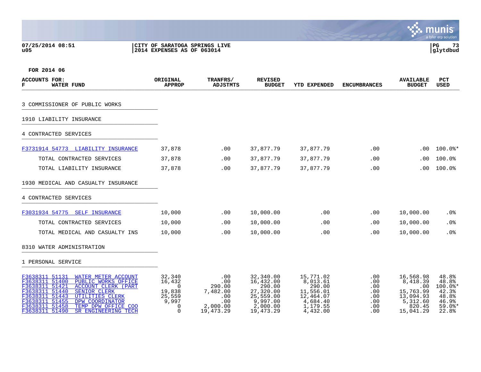**07/25/2014 08:51 |CITY OF SARATOGA SPRINGS LIVE |PG 73**

# **u05 |2014 EXPENSES AS OF 063014 |glytdbud**



| <b>ACCOUNTS FOR:</b><br><b>WATER FUND</b><br>F                                                                                                                                                                                                                                                                                                    | ORIGINAL<br><b>APPROP</b>                                                  | TRANFRS/<br><b>ADJSTMTS</b>                                             | <b>REVISED</b><br><b>BUDGET</b>                                                                   | YTD EXPENDED                                                                                  | <b>ENCUMBRANCES</b>                                  | <b>AVAILABLE</b><br><b>BUDGET</b>                                                         | <b>PCT</b><br><b>USED</b>                                                 |
|---------------------------------------------------------------------------------------------------------------------------------------------------------------------------------------------------------------------------------------------------------------------------------------------------------------------------------------------------|----------------------------------------------------------------------------|-------------------------------------------------------------------------|---------------------------------------------------------------------------------------------------|-----------------------------------------------------------------------------------------------|------------------------------------------------------|-------------------------------------------------------------------------------------------|---------------------------------------------------------------------------|
| 3 COMMISSIONER OF PUBLIC WORKS                                                                                                                                                                                                                                                                                                                    |                                                                            |                                                                         |                                                                                                   |                                                                                               |                                                      |                                                                                           |                                                                           |
| 1910 LIABILITY INSURANCE                                                                                                                                                                                                                                                                                                                          |                                                                            |                                                                         |                                                                                                   |                                                                                               |                                                      |                                                                                           |                                                                           |
| 4 CONTRACTED SERVICES                                                                                                                                                                                                                                                                                                                             |                                                                            |                                                                         |                                                                                                   |                                                                                               |                                                      |                                                                                           |                                                                           |
| F3731914 54773 LIABILITY INSURANCE                                                                                                                                                                                                                                                                                                                | 37,878                                                                     | .00                                                                     | 37,877.79                                                                                         | 37,877.79                                                                                     | .00                                                  | $.00 \,$                                                                                  | $100.0$ $*$                                                               |
| TOTAL CONTRACTED SERVICES                                                                                                                                                                                                                                                                                                                         | 37,878                                                                     | .00                                                                     | 37,877.79                                                                                         | 37,877.79                                                                                     | .00                                                  | .00                                                                                       | 100.0%                                                                    |
| TOTAL LIABILITY INSURANCE                                                                                                                                                                                                                                                                                                                         | 37,878                                                                     | .00                                                                     | 37,877.79                                                                                         | 37,877.79                                                                                     | .00                                                  | .00                                                                                       | 100.0%                                                                    |
| 1930 MEDICAL AND CASUALTY INSURANCE                                                                                                                                                                                                                                                                                                               |                                                                            |                                                                         |                                                                                                   |                                                                                               |                                                      |                                                                                           |                                                                           |
| 4 CONTRACTED SERVICES                                                                                                                                                                                                                                                                                                                             |                                                                            |                                                                         |                                                                                                   |                                                                                               |                                                      |                                                                                           |                                                                           |
| F3031934 54775 SELF INSURANCE                                                                                                                                                                                                                                                                                                                     | 10,000                                                                     | $.00 \,$                                                                | 10,000.00                                                                                         | .00                                                                                           | .00                                                  | 10,000.00                                                                                 | $.0\%$                                                                    |
| TOTAL CONTRACTED SERVICES                                                                                                                                                                                                                                                                                                                         | 10,000                                                                     | .00                                                                     | 10,000.00                                                                                         | .00                                                                                           | .00                                                  | 10,000.00                                                                                 | .0%                                                                       |
| TOTAL MEDICAL AND CASUALTY INS                                                                                                                                                                                                                                                                                                                    | 10,000                                                                     | .00                                                                     | 10,000.00                                                                                         | .00                                                                                           | .00                                                  | 10,000.00                                                                                 | .0%                                                                       |
| 8310 WATER ADMINISTRATION                                                                                                                                                                                                                                                                                                                         |                                                                            |                                                                         |                                                                                                   |                                                                                               |                                                      |                                                                                           |                                                                           |
| 1 PERSONAL SERVICE                                                                                                                                                                                                                                                                                                                                |                                                                            |                                                                         |                                                                                                   |                                                                                               |                                                      |                                                                                           |                                                                           |
| F3638311 51131<br><b>WATER METER ACCOUNT</b><br>F3638311 51400<br>PUBLIC WORKS OFFICE<br>F3638311 51421<br><b>ACCOUNT CLERK (PART</b><br>F3638311 51440<br><b>SENIOR CLERK</b><br>F3638311 51443<br><b>UTILITIES CLERK</b><br>F3638311 51455<br>DPW COORDINATOR<br>F3638311 51458<br>TEMP DPW OFFICE COO<br>F3638311 51490<br>SR ENGINEERING TECH | 32,340<br>16,432<br>$\Omega$<br>19,838<br>25,559<br>9,997<br>0<br>$\Omega$ | .00<br>.00<br>290.00<br>7,482.00<br>.00<br>.00<br>2,000.00<br>19,473.29 | 32,340.00<br>16,432.00<br>290.00<br>27,320.00<br>25,559.00<br>9,997.00<br>2,000.00<br>19, 473. 29 | 15,771.02<br>8,013.61<br>290.00<br>11,556.01<br>12,464.07<br>4,684.40<br>1,179.55<br>4,432.00 | .00<br>.00<br>.00<br>.00<br>.00<br>.00<br>.00<br>.00 | 16,568.98<br>8,418.39<br>.00<br>15,763.99<br>13,094.93<br>5,312.60<br>820.45<br>15,041.29 | 48.8%<br>48.8%<br>100.0%*<br>42.3%<br>48.8%<br>46.9%<br>$59.0$ *<br>22.8% |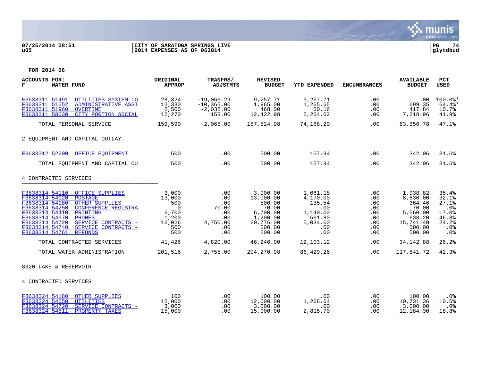

## **07/25/2014 08:51 |CITY OF SARATOGA SPRINGS LIVE |PG 74 u05 |2014 EXPENSES AS OF 063014 |glytdbud**



| <b>ACCOUNTS FOR:</b><br>F<br><b>WATER FUND</b>                                                                                                                                                                                                                                                                                                       | ORIGINAL<br><b>APPROP</b>                                                          | TRANFRS/<br><b>ADJSTMTS</b>                                        | <b>REVISED</b><br><b>BUDGET</b>                                                                   | <b>YTD EXPENDED</b>                                                                   | <b>ENCUMBRANCES</b>                                                 | <b>AVAILABLE</b><br><b>BUDGET</b>                                                              | <b>PCT</b><br><b>USED</b>                                               |
|------------------------------------------------------------------------------------------------------------------------------------------------------------------------------------------------------------------------------------------------------------------------------------------------------------------------------------------------------|------------------------------------------------------------------------------------|--------------------------------------------------------------------|---------------------------------------------------------------------------------------------------|---------------------------------------------------------------------------------------|---------------------------------------------------------------------|------------------------------------------------------------------------------------------------|-------------------------------------------------------------------------|
| F3638311 51491<br>UTILITIES SYSTEM LO<br>F3638311 51552<br><b>ADMINISTRATIVE ASSI</b><br>F3638311 51960<br><b>OVERTIME</b><br>CITY PORTION SOCIAL<br>F3638311 58030                                                                                                                                                                                  | 28,324<br>12,330<br>2,500<br>12,270                                                | $-19,066.29$<br>$-10, 365.00$<br>$-2,032.00$<br>153.00             | 9,257.71<br>1,965.00<br>468.00<br>12,422.98                                                       | 9,257.71<br>1,265.65<br>50.16<br>5,204.02                                             | .00<br>.00<br>.00<br>.00                                            | .00<br>699.35<br>417.84<br>7,218.96                                                            | $100.0$ *<br>$64.4$ %*<br>10.7%<br>41.9%                                |
| TOTAL PERSONAL SERVICE                                                                                                                                                                                                                                                                                                                               | 159,590                                                                            | $-2,065.00$                                                        | 157,524.98                                                                                        | 74,168.20                                                                             | .00                                                                 | 83,356.78                                                                                      | 47.1%                                                                   |
| 2 EOUIPMENT AND CAPITAL OUTLAY                                                                                                                                                                                                                                                                                                                       |                                                                                    |                                                                    |                                                                                                   |                                                                                       |                                                                     |                                                                                                |                                                                         |
| F3638312 52200 OFFICE EOUIPMENT                                                                                                                                                                                                                                                                                                                      | 500                                                                                | .00                                                                | 500.00                                                                                            | 157.94                                                                                | .00                                                                 | 342.06                                                                                         | 31.6%                                                                   |
| TOTAL EOUIPMENT AND CAPITAL OU                                                                                                                                                                                                                                                                                                                       | 500                                                                                | .00                                                                | 500.00                                                                                            | 157.94                                                                                | .00                                                                 | 342.06                                                                                         | 31.6%                                                                   |
| 4 CONTRACTED SERVICES                                                                                                                                                                                                                                                                                                                                |                                                                                    |                                                                    |                                                                                                   |                                                                                       |                                                                     |                                                                                                |                                                                         |
| F3638314 54110 OFFICE SUPPLIES<br>F3638314 54120<br><b>POSTAGE</b><br>F3638314 54180<br><b>OTHER SUPPLIES</b><br>F3638314 54250<br><b>CONFERENCE REGISTRA</b><br>F3638314 54410<br>PRINTING<br>F3638314 54670<br><b>PHONES</b><br>F3638314 54720<br>SERVICE CONTRACTS -<br>F3638314 54740<br>SERVICE CONTRACTS -<br>F3638314 54761<br><b>REFUNDS</b> | 3,000<br>13,000<br>500<br>$\overline{0}$<br>6,700<br>1,200<br>16,026<br>500<br>500 | .00<br>.00<br>.00<br>70.00<br>.00<br>.00<br>4,750.00<br>.00<br>.00 | 3,000.00<br>13,000.00<br>500.00<br>70.00<br>6,700.00<br>1,200.00<br>20,776.00<br>500.00<br>500.00 | 1,061.18<br>4,170.00<br>135.54<br>.00<br>1,140.00<br>561.80<br>5,034.60<br>.00<br>.00 | $.00 \ \rm$<br>.00<br>.00<br>.00<br>.00<br>.00<br>.00<br>.00<br>.00 | 1,938.82<br>8,830.00<br>364.46<br>70.00<br>5,560.00<br>638.20<br>15,741.40<br>500.00<br>500.00 | 35.4%<br>32.1%<br>27.1%<br>.0%<br>17.0%<br>46.8%<br>24.2%<br>.0%<br>.0% |
| TOTAL CONTRACTED SERVICES                                                                                                                                                                                                                                                                                                                            | 41,426                                                                             | 4,820.00                                                           | 46,246.00                                                                                         | 12,103.12                                                                             | .00                                                                 | 34, 142.88                                                                                     | 26.2%                                                                   |
| TOTAL WATER ADMINISTRATION                                                                                                                                                                                                                                                                                                                           | 201,516                                                                            | 2,755.00                                                           | 204, 270.98                                                                                       | 86,429.26                                                                             | .00                                                                 | 117,841.72                                                                                     | 42.3%                                                                   |
| 8320 LAKE & RESERVOIR                                                                                                                                                                                                                                                                                                                                |                                                                                    |                                                                    |                                                                                                   |                                                                                       |                                                                     |                                                                                                |                                                                         |
| 4 CONTRACTED SERVICES                                                                                                                                                                                                                                                                                                                                |                                                                                    |                                                                    |                                                                                                   |                                                                                       |                                                                     |                                                                                                |                                                                         |
| F3638324 54180 OTHER SUPPLIES<br>F3638324 54650<br><b>UTILITIES</b><br>F3638324 54720<br>SERVICE CONTRACTS -<br>F3638324 54811<br>PROPERTY TAXES                                                                                                                                                                                                     | 100<br>12,000<br>3,000<br>15,000                                                   | .00<br>.00<br>.00<br>.00                                           | 100.00<br>12,000.00<br>3,000.00<br>15,000.00                                                      | .00<br>1,268.64<br>.00<br>2,815.70                                                    | .00<br>.00<br>.00<br>.00                                            | 100.00<br>10,731.36<br>3,000.00<br>12,184.30                                                   | $.0\%$<br>10.6%<br>.0%<br>18.8%                                         |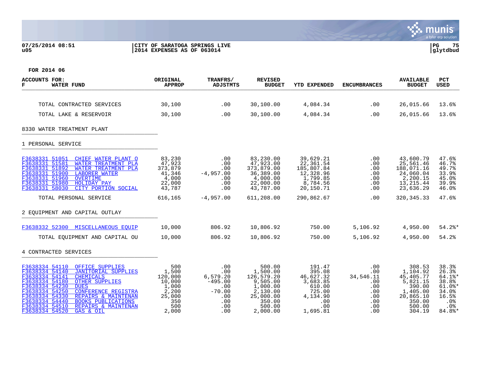## **07/25/2014 08:51 |CITY OF SARATOGA SPRINGS LIVE |PG 75 u05 |2014 EXPENSES AS OF 063014 |glytdbud**



| <b>ACCOUNTS FOR:</b><br><b>WATER FUND</b><br>F                                                                                                                                                                                                                                                                                                                                                                      | ORIGINAL<br><b>APPROP</b>                                                            | TRANFRS/<br><b>ADJSTMTS</b>                                                        | <b>REVISED</b><br><b>BUDGET</b>                                                                                   | <b>YTD EXPENDED</b>                                                                                 | <b>ENCUMBRANCES</b>                                                      | <b>AVAILABLE</b><br><b>BUDGET</b>                                                                              | <b>PCT</b><br><b>USED</b>                                                                |
|---------------------------------------------------------------------------------------------------------------------------------------------------------------------------------------------------------------------------------------------------------------------------------------------------------------------------------------------------------------------------------------------------------------------|--------------------------------------------------------------------------------------|------------------------------------------------------------------------------------|-------------------------------------------------------------------------------------------------------------------|-----------------------------------------------------------------------------------------------------|--------------------------------------------------------------------------|----------------------------------------------------------------------------------------------------------------|------------------------------------------------------------------------------------------|
|                                                                                                                                                                                                                                                                                                                                                                                                                     |                                                                                      |                                                                                    |                                                                                                                   |                                                                                                     |                                                                          |                                                                                                                |                                                                                          |
| TOTAL CONTRACTED SERVICES                                                                                                                                                                                                                                                                                                                                                                                           | 30,100                                                                               | .00                                                                                | 30,100.00                                                                                                         | 4,084.34                                                                                            | .00                                                                      | 26,015.66                                                                                                      | 13.6%                                                                                    |
| TOTAL LAKE & RESERVOIR                                                                                                                                                                                                                                                                                                                                                                                              | 30,100                                                                               | .00                                                                                | 30,100.00                                                                                                         | 4,084.34                                                                                            | .00                                                                      | 26,015.66                                                                                                      | 13.6%                                                                                    |
| 8330 WATER TREATMENT PLANT                                                                                                                                                                                                                                                                                                                                                                                          |                                                                                      |                                                                                    |                                                                                                                   |                                                                                                     |                                                                          |                                                                                                                |                                                                                          |
| 1 PERSONAL SERVICE                                                                                                                                                                                                                                                                                                                                                                                                  |                                                                                      |                                                                                    |                                                                                                                   |                                                                                                     |                                                                          |                                                                                                                |                                                                                          |
| F3638331 51051<br>CHIEF WATER PLANT O<br>F3638331 51581<br>WATER TREATMENT PLA<br>F3638331 51892<br>WATER TREATMENT PLA<br>F3638331 51900<br><b>LABORER WATER</b><br>F3638331 51960<br><b>OVERTIME</b><br>F3638331 51980<br>HOLIDAY PAY<br>F3638331 58030<br>CITY PORTION SOCIAL                                                                                                                                    | 83,230<br>47,923<br>373,879<br>41,346<br>4,000<br>22,000<br>43,787                   | .00<br>.00<br>.00<br>$-4,957.00$<br>.00<br>.00<br>.00                              | 83,230.00<br>47,923.00<br>373,879.00<br>36,389.00<br>4,000.00<br>22,000.00<br>43,787.00                           | 39,629.21<br>22,361.54<br>185,807.84<br>12,328.96<br>1,799.85<br>8,784.56<br>20,150.71              | .00<br>.00<br>.00<br>.00<br>.00<br>.00<br>.00                            | 43,600.79<br>25,561.46<br>188,071.16<br>24,060.04<br>2,200.15<br>13, 215. 44<br>23,636.29                      | 47.6%<br>46.7%<br>49.7%<br>33.9%<br>45.0%<br>39.9 <sub>8</sub><br>46.0%                  |
| TOTAL PERSONAL SERVICE                                                                                                                                                                                                                                                                                                                                                                                              | 616,165                                                                              | $-4.957.00$                                                                        | 611,208.00                                                                                                        | 290,862.67                                                                                          | .00                                                                      | 320, 345. 33                                                                                                   | 47.6%                                                                                    |
| 2 EOUIPMENT AND CAPITAL OUTLAY                                                                                                                                                                                                                                                                                                                                                                                      |                                                                                      |                                                                                    |                                                                                                                   |                                                                                                     |                                                                          |                                                                                                                |                                                                                          |
| F3638332 52300 MISCELLANEOUS EOUIP                                                                                                                                                                                                                                                                                                                                                                                  | 10,000                                                                               | 806.92                                                                             | 10,806.92                                                                                                         | 750.00                                                                                              | 5,106.92                                                                 | 4,950.00                                                                                                       | $54.2$ $*$                                                                               |
| TOTAL EQUIPMENT AND CAPITAL OU                                                                                                                                                                                                                                                                                                                                                                                      | 10,000                                                                               | 806.92                                                                             | 10,806.92                                                                                                         | 750.00                                                                                              | 5,106.92                                                                 | 4,950.00                                                                                                       | 54.2%                                                                                    |
| 4 CONTRACTED SERVICES                                                                                                                                                                                                                                                                                                                                                                                               |                                                                                      |                                                                                    |                                                                                                                   |                                                                                                     |                                                                          |                                                                                                                |                                                                                          |
| F3638334 54110<br>OFFICE SUPPLIES<br>F3638334 54140<br><b>JANITORIAL SUPPLIES</b><br>F3638334 54141<br><b>CHEMICALS</b><br>F3638334 54180<br><b>OTHER SUPPLIES</b><br>F3638334 54230<br><b>DUES</b><br>F3638334 54250<br><b>CONFERENCE REGISTRA</b><br>F3638334 54330<br>REPAIRS & MAINTENAN<br>F3638334 54440<br><b>BOOKS PUBLICATIONS</b><br>F3638334 54510<br>REPAIRS & MAINTENAN<br>F3638334 54520<br>GAS & OIL | 500<br>1,500<br>120,000<br>10,000<br>1,000<br>2,200<br>25,000<br>350<br>500<br>2,000 | .00<br>.00<br>6,579.20<br>$-495.00$<br>.00<br>$-70.00$<br>.00<br>.00<br>.00<br>.00 | 500.00<br>1,500.00<br>126,579.20<br>9,505.00<br>1,000.00<br>2,130.00<br>25,000.00<br>350.00<br>500.00<br>2,000.00 | 191.47<br>395.08<br>46,627.32<br>3,683.85<br>610.00<br>725.00<br>4,134.90<br>.00<br>.00<br>1,695.81 | .00<br>.00<br>34,546.11<br>.00<br>.00<br>.00<br>.00<br>.00<br>.00<br>.00 | 308.53<br>1,104.92<br>45, 405. 77<br>5,821.15<br>390.00<br>1,405.00<br>20,865.10<br>350.00<br>500.00<br>304.19 | 38.3%<br>26.3%<br>64.1%*<br>38.8%<br>$61.0$ %*<br>34.0%<br>16.5%<br>.0%<br>.0%<br>84.8%* |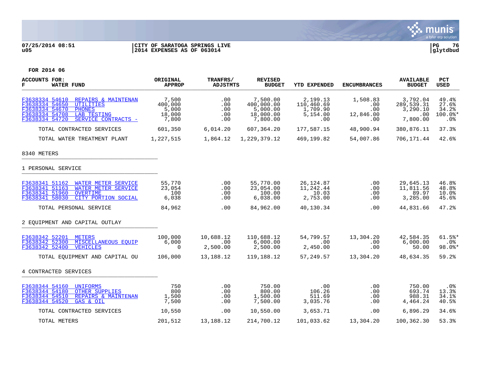

## **07/25/2014 08:51 |CITY OF SARATOGA SPRINGS LIVE |PG 76 u05 |2014 EXPENSES AS OF 063014 |glytdbud**



| <b>ACCOUNTS FOR:</b><br>F<br><b>WATER FUND</b>                                                                                                                                           | <b>ORIGINAL</b><br><b>APPROP</b>             | TRANFRS/<br><b>ADJSTMTS</b>     | <b>REVISED</b><br><b>BUDGET</b>                             | <b>YTD EXPENDED</b>                                   | <b>ENCUMBRANCES</b>                        | <b>AVAILABLE</b><br><b>BUDGET</b>                     | <b>PCT</b><br><b>USED</b>                 |
|------------------------------------------------------------------------------------------------------------------------------------------------------------------------------------------|----------------------------------------------|---------------------------------|-------------------------------------------------------------|-------------------------------------------------------|--------------------------------------------|-------------------------------------------------------|-------------------------------------------|
| F3638334 54610<br>REPAIRS & MAINTENAN<br>F3638334 54650<br><b>UTILITIES</b><br>F3638334 54670<br><b>PHONES</b><br>F3638334 54708<br>LAB TESTING<br>F3638334 54720<br>SERVICE CONTRACTS - | 7,500<br>400,000<br>5,000<br>18,000<br>7,800 | .00<br>.00<br>.00<br>.00<br>.00 | 7,500.00<br>400,000.00<br>5,000.00<br>18,000.00<br>7,800.00 | 2,199.13<br>110,460.69<br>1,709.90<br>5,154.00<br>.00 | 1,508.83<br>.00<br>.00<br>12,846.00<br>.00 | 3,792.04<br>289,539.31<br>3,290.10<br>.00<br>7,800.00 | 49.4%<br>27.6%<br>34.2%<br>100.0%*<br>.0% |
| TOTAL CONTRACTED SERVICES                                                                                                                                                                | 601,350                                      | 6,014.20                        | 607,364.20                                                  | 177,587.15                                            | 48,900.94                                  | 380,876.11                                            | 37.3%                                     |
| TOTAL WATER TREATMENT PLANT                                                                                                                                                              | 1,227,515                                    | 1,864.12                        | 1,229,379.12                                                | 469,199.82                                            | 54,007.86                                  | 706,171.44                                            | 42.6%                                     |
| 8340 METERS                                                                                                                                                                              |                                              |                                 |                                                             |                                                       |                                            |                                                       |                                           |
| 1 PERSONAL SERVICE                                                                                                                                                                       |                                              |                                 |                                                             |                                                       |                                            |                                                       |                                           |
| F3638341 51162<br>WATER METER SERVICE<br>F3638341 51163<br>WATER METER SERVICE<br>F3638341 51960<br><b>OVERTIME</b><br>F3638341 58030<br>CITY PORTION SOCIAL                             | 55,770<br>23,054<br>100<br>6,038             | .00<br>.00<br>.00<br>.00        | 55,770.00<br>23,054.00<br>100.00<br>6,038.00                | 26,124.87<br>11,242.44<br>10.03<br>2,753.00           | .00<br>.00<br>.00<br>$.00 \,$              | 29,645.13<br>11,811.56<br>89.97<br>3,285.00           | 46.8%<br>48.8%<br>10.0%<br>45.6%          |
| TOTAL PERSONAL SERVICE                                                                                                                                                                   | 84,962                                       | .00                             | 84,962.00                                                   | 40.130.34                                             | .00                                        | 44,831.66                                             | 47.2%                                     |
| 2 EOUIPMENT AND CAPITAL OUTLAY                                                                                                                                                           |                                              |                                 |                                                             |                                                       |                                            |                                                       |                                           |
| F3638342 52201<br><b>METERS</b><br>F3638342 52300<br>MISCELLANEOUS EOUIP<br>F3638342 52400<br><b>VEHICLES</b>                                                                            | 100,000<br>6,000<br>$\Omega$                 | 10,688.12<br>.00<br>2,500.00    | 110,688.12<br>6,000.00<br>2,500.00                          | 54,799.57<br>.00<br>2,450.00                          | 13,304.20<br>.00<br>.00                    | 42,584.35<br>6,000.00<br>50.00                        | $61.5$ *<br>.0%<br>$98.0$ *               |
| TOTAL EOUIPMENT AND CAPITAL OU                                                                                                                                                           | 106,000                                      | 13,188.12                       | 119,188.12                                                  | 57,249.57                                             | 13,304.20                                  | 48,634.35                                             | 59.2%                                     |
| 4 CONTRACTED SERVICES                                                                                                                                                                    |                                              |                                 |                                                             |                                                       |                                            |                                                       |                                           |
| F3638344 54160<br>UNIFORMS<br>F3638344 54180<br><b>OTHER SUPPLIES</b><br>F3638344 54510<br>REPAIRS & MAINTENAN<br>F3638344 54520<br>GAS & OIL                                            | 750<br>800<br>1,500<br>7,500                 | .00<br>.00<br>.00<br>.00        | 750.00<br>800.00<br>1,500.00<br>7,500.00                    | .00<br>106.26<br>511.69<br>3,035.76                   | .00<br>.00<br>.00<br>.00                   | 750.00<br>693.74<br>988.31<br>4,464.24                | . 0 %<br>13.3%<br>34.1%<br>40.5%          |
| TOTAL CONTRACTED SERVICES                                                                                                                                                                | 10,550                                       | .00                             | 10,550.00                                                   | 3,653.71                                              | $.00 \,$                                   | 6,896.29                                              | 34.6%                                     |
| TOTAL METERS                                                                                                                                                                             | 201,512                                      | 13,188.12                       | 214,700.12                                                  | 101,033.62                                            | 13,304.20                                  | 100,362.30                                            | 53.3%                                     |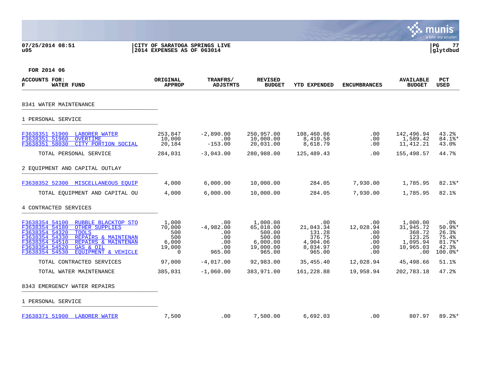## **07/25/2014 08:51 |CITY OF SARATOGA SPRINGS LIVE |PG 77 u05 |2014 EXPENSES AS OF 063014 |glytdbud**



| <b>ACCOUNTS FOR:</b><br><b>WATER FUND</b><br>г                                                                                                                                                                                                                                          | ORIGINAL<br><b>APPROP</b>                                    | TRANFRS/<br>ADJSTMTS                                     | <b>REVISED</b><br><b>BUDGET</b>                                              | <b>YTD EXPENDED</b>                                                    | <b>ENCUMBRANCES</b>                                                 | <b>AVAILABLE</b><br><b>BUDGET</b>                                         | <b>PCT</b><br><b>USED</b>                                          |
|-----------------------------------------------------------------------------------------------------------------------------------------------------------------------------------------------------------------------------------------------------------------------------------------|--------------------------------------------------------------|----------------------------------------------------------|------------------------------------------------------------------------------|------------------------------------------------------------------------|---------------------------------------------------------------------|---------------------------------------------------------------------------|--------------------------------------------------------------------|
| 8341 WATER MAINTENANCE                                                                                                                                                                                                                                                                  |                                                              |                                                          |                                                                              |                                                                        |                                                                     |                                                                           |                                                                    |
| 1 PERSONAL SERVICE                                                                                                                                                                                                                                                                      |                                                              |                                                          |                                                                              |                                                                        |                                                                     |                                                                           |                                                                    |
| F3638351 51900 LABORER WATER<br>F3638351 51960<br>OVERTIME<br>F3638351 58030<br>CITY PORTION SOCIAL                                                                                                                                                                                     | 253,847<br>10,000<br>20,184                                  | $-2,890.00$<br>.00<br>$-153.00$                          | 250,957.00<br>10,000.00<br>20,031.00                                         | 108,460.06<br>8,410.58<br>8,618.79                                     | .00<br>.00<br>.00                                                   | 142,496.94<br>1,589.42<br>11, 412. 21                                     | 43.2%<br>84.1%*<br>43.0%                                           |
| TOTAL PERSONAL SERVICE                                                                                                                                                                                                                                                                  | 284,031                                                      | $-3,043.00$                                              | 280,988.00                                                                   | 125,489.43                                                             | .00                                                                 | 155,498.57                                                                | 44.7%                                                              |
| 2 EOUIPMENT AND CAPITAL OUTLAY                                                                                                                                                                                                                                                          |                                                              |                                                          |                                                                              |                                                                        |                                                                     |                                                                           |                                                                    |
| F3638352 52300 MISCELLANEOUS EQUIP                                                                                                                                                                                                                                                      | 4,000                                                        | 6,000.00                                                 | 10,000.00                                                                    | 284.05                                                                 | 7,930.00                                                            | 1,785.95                                                                  | $82.1$ %*                                                          |
| TOTAL EQUIPMENT AND CAPITAL OU                                                                                                                                                                                                                                                          | 4,000                                                        | 6,000.00                                                 | 10,000.00                                                                    | 284.05                                                                 | 7,930.00                                                            | 1,785.95                                                                  | 82.1%                                                              |
| 4 CONTRACTED SERVICES                                                                                                                                                                                                                                                                   |                                                              |                                                          |                                                                              |                                                                        |                                                                     |                                                                           |                                                                    |
| F3638354 54100<br>RUBBLE BLACKTOP STO<br>F3638354 54180<br><b>OTHER SUPPLIES</b><br>F3638354 54320<br><b>TOOLS</b><br>F3638354 54330<br>REPAIRS & MAINTENAN<br>F3638354 54510<br>REPAIRS & MAINTENAN<br>F3638354 54520<br>GAS & OIL<br>F3638354 54530<br><b>EOUIPMENT &amp; VEHICLE</b> | 1,000<br>70,000<br>500<br>500<br>6,000<br>19,000<br>$\Omega$ | .00<br>$-4,982,00$<br>.00<br>.00<br>.00<br>.00<br>965.00 | 1,000.00<br>65,018.00<br>500.00<br>500.00<br>6,000.00<br>19,000.00<br>965.00 | .00<br>21,043.34<br>131.28<br>376.75<br>4,904.06<br>8,034.97<br>965.00 | $.00 \,$<br>12,028.94<br>$.00 \,$<br>.00.<br>$.00 \,$<br>.00<br>.00 | 1,000.00<br>31,945.72<br>368.72<br>123.25<br>1,095.94<br>10,965.03<br>.00 | .0%<br>$50.9$ %*<br>26.3%<br>75.4%<br>81.7%*<br>42.3%<br>$100.0$ * |
| TOTAL CONTRACTED SERVICES                                                                                                                                                                                                                                                               | 97,000                                                       | $-4,017.00$                                              | 92,983.00                                                                    | 35,455.40                                                              | 12,028.94                                                           | 45,498.66                                                                 | 51.1%                                                              |
| TOTAL WATER MAINTENANCE                                                                                                                                                                                                                                                                 | 385,031                                                      | $-1,060.00$                                              | 383,971.00                                                                   | 161,228.88                                                             | 19,958.94                                                           | 202,783.18                                                                | 47.2%                                                              |
| 8343 EMERGENCY WATER REPAIRS                                                                                                                                                                                                                                                            |                                                              |                                                          |                                                                              |                                                                        |                                                                     |                                                                           |                                                                    |
| 1 PERSONAL SERVICE                                                                                                                                                                                                                                                                      |                                                              |                                                          |                                                                              |                                                                        |                                                                     |                                                                           |                                                                    |
| F3638371 51900 LABORER WATER                                                                                                                                                                                                                                                            | 7,500                                                        | .00                                                      | 7,500.00                                                                     | 6,692.03                                                               | .00.                                                                | 807.97                                                                    | $89.2$ <sup>*</sup>                                                |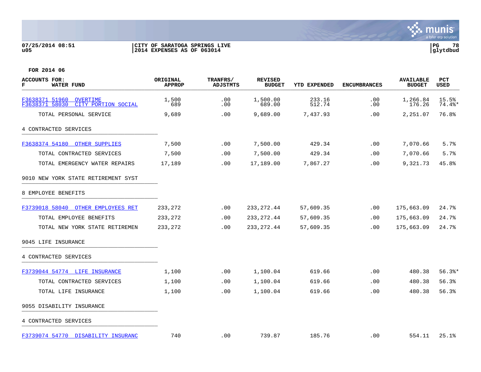## **07/25/2014 08:51 |CITY OF SARATOGA SPRINGS LIVE |PG 78 u05 |2014 EXPENSES AS OF 063014 |glytdbud**



| <b>ACCOUNTS FOR:</b><br>г<br><b>WATER FUND</b>                                | <b>ORIGINAL</b><br><b>APPROP</b> | TRANFRS/<br><b>ADJSTMTS</b> | <b>REVISED</b><br><b>BUDGET</b> | YTD EXPENDED     | <b>ENCUMBRANCES</b> | <b>AVAILABLE</b><br><b>BUDGET</b> | <b>PCT</b><br>USED |
|-------------------------------------------------------------------------------|----------------------------------|-----------------------------|---------------------------------|------------------|---------------------|-----------------------------------|--------------------|
| F3638371 51960<br><b>OVERTIME</b><br>58030<br>CITY PORTION SOCIAL<br>F3638371 | 1,500<br>689                     | .00<br>.00                  | 1,500.00<br>689.00              | 233.16<br>512.74 | .00<br>.00          | 1,266.84<br>176.26                | 15.5%<br>$74.4$ *  |
| TOTAL PERSONAL SERVICE                                                        | 9,689                            | .00                         | 9,689.00                        | 7,437.93         | .00                 | 2,251.07                          | 76.8%              |
| 4 CONTRACTED SERVICES                                                         |                                  |                             |                                 |                  |                     |                                   |                    |
| F3638374 54180 OTHER SUPPLIES                                                 | 7,500                            | .00                         | 7,500.00                        | 429.34           | .00                 | 7,070.66                          | 5.7%               |
| TOTAL CONTRACTED SERVICES                                                     | 7,500                            | .00                         | 7,500.00                        | 429.34           | .00                 | 7,070.66                          | 5.7%               |
| TOTAL EMERGENCY WATER REPAIRS                                                 | 17,189                           | .00                         | 17,189.00                       | 7,867.27         | .00                 | 9,321.73                          | 45.8%              |
| 9010 NEW YORK STATE RETIREMENT SYST                                           |                                  |                             |                                 |                  |                     |                                   |                    |
| 8 EMPLOYEE BENEFITS                                                           |                                  |                             |                                 |                  |                     |                                   |                    |
| F3739018 58040 OTHER EMPLOYEES RET                                            | 233,272                          | .00                         | 233, 272.44                     | 57,609.35        | .00                 | 175,663.09                        | 24.7%              |
| TOTAL EMPLOYEE BENEFITS                                                       | 233, 272                         | .00                         | 233, 272.44                     | 57,609.35        | .00                 | 175,663.09                        | 24.7%              |
| TOTAL NEW YORK STATE RETIREMEN                                                | 233,272                          | .00                         | 233, 272.44                     | 57,609.35        | .00                 | 175,663.09                        | 24.7%              |
| 9045 LIFE INSURANCE                                                           |                                  |                             |                                 |                  |                     |                                   |                    |
| 4 CONTRACTED SERVICES                                                         |                                  |                             |                                 |                  |                     |                                   |                    |
| F3739044 54774 LIFE INSURANCE                                                 | 1,100                            | .00                         | 1,100.04                        | 619.66           | .00                 | 480.38                            | $56.3$ $*$         |
| TOTAL CONTRACTED SERVICES                                                     | 1,100                            | .00                         | 1,100.04                        | 619.66           | .00                 | 480.38                            | 56.3%              |
| TOTAL LIFE INSURANCE                                                          | 1,100                            | .00                         | 1,100.04                        | 619.66           | .00                 | 480.38                            | 56.3%              |
| 9055 DISABILITY INSURANCE                                                     |                                  |                             |                                 |                  |                     |                                   |                    |
| 4 CONTRACTED SERVICES                                                         |                                  |                             |                                 |                  |                     |                                   |                    |
| F3739074 54770 DISABILITY INSURANC                                            | 740                              | .00                         | 739.87                          | 185.76           | .00                 | 554.11                            | 25.1%              |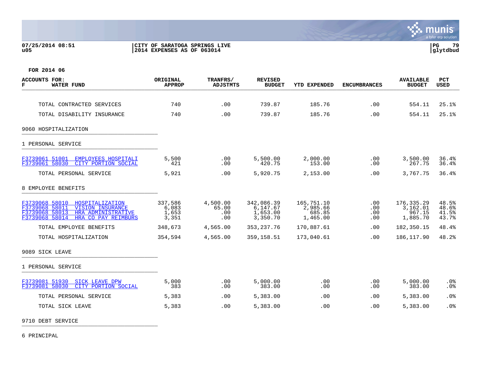## **07/25/2014 08:51 |CITY OF SARATOGA SPRINGS LIVE |PG 79 u05 |2014 EXPENSES AS OF 063014 |glytdbud**



**FOR 2014 06**

| ACCOUNTS FOR:<br>г<br><b>WATER FUND</b>                                                                                                                         | ORIGINAL<br><b>APPROP</b>          | TRANFRS/<br><b>ADJSTMTS</b>     | <b>REVISED</b><br><b>BUDGET</b>                | YTD EXPENDED                                 | <b>ENCUMBRANCES</b>      | <b>AVAILABLE</b><br><b>BUDGET</b>            | <b>PCT</b><br><b>USED</b>        |
|-----------------------------------------------------------------------------------------------------------------------------------------------------------------|------------------------------------|---------------------------------|------------------------------------------------|----------------------------------------------|--------------------------|----------------------------------------------|----------------------------------|
|                                                                                                                                                                 |                                    |                                 |                                                |                                              |                          |                                              |                                  |
| TOTAL CONTRACTED SERVICES                                                                                                                                       | 740                                | .00                             | 739.87                                         | 185.76                                       | .00                      | 554.11                                       | 25.1%                            |
| TOTAL DISABILITY INSURANCE                                                                                                                                      | 740                                | .00                             | 739.87                                         | 185.76                                       | .00                      | 554.11                                       | 25.1%                            |
| 9060 HOSPITALIZATION                                                                                                                                            |                                    |                                 |                                                |                                              |                          |                                              |                                  |
| 1 PERSONAL SERVICE                                                                                                                                              |                                    |                                 |                                                |                                              |                          |                                              |                                  |
| F3739061 51001<br><b>EMPLOYEES HOSPITALI</b><br>F3739061 58030<br>CITY PORTION SOCIAL                                                                           | 5,500<br>421                       | .00<br>.00                      | 5,500.00<br>420.75                             | 2,000.00<br>153.00                           | .00<br>.00               | 3,500.00<br>267.75                           | 36.4%<br>36.4%                   |
| TOTAL PERSONAL SERVICE                                                                                                                                          | 5,921                              | .00                             | 5,920.75                                       | 2,153.00                                     | .00                      | 3,767.75                                     | 36.4%                            |
| 8 EMPLOYEE BENEFITS                                                                                                                                             |                                    |                                 |                                                |                                              |                          |                                              |                                  |
| F3739068 58010<br>HOSPITALIZATION<br>F3739068 58011<br><b>VISION INSURANCE</b><br>F3739068 58013<br>HRA ADMINISTRATIVE<br>F3739068 58014<br>HRA CO PAY REIMBURS | 337,586<br>6,083<br>1,653<br>3,351 | 4,500.00<br>65.00<br>.00<br>.00 | 342,086.39<br>6,147.67<br>1,653.00<br>3,350.70 | 165,751.10<br>2,985.66<br>685.85<br>1,465.00 | .00<br>.00<br>.00<br>.00 | 176,335.29<br>3,162.01<br>967.15<br>1,885.70 | 48.5%<br>48.6%<br>41.5%<br>43.7% |
| TOTAL EMPLOYEE BENEFITS                                                                                                                                         | 348,673                            | 4,565.00                        | 353, 237. 76                                   | 170,887.61                                   | .00                      | 182,350.15                                   | 48.4%                            |
| TOTAL HOSPITALIZATION                                                                                                                                           | 354,594                            | 4,565.00                        | 359, 158.51                                    | 173,040.61                                   | .00                      | 186, 117.90                                  | 48.2%                            |
| 9089 SICK LEAVE                                                                                                                                                 |                                    |                                 |                                                |                                              |                          |                                              |                                  |
| 1 PERSONAL SERVICE                                                                                                                                              |                                    |                                 |                                                |                                              |                          |                                              |                                  |
| F3739081 51930<br><b>SICK LEAVE DPW</b><br>F3739081 58030<br>CITY PORTION SOCIAL                                                                                | 5,000<br>383                       | .00<br>.00                      | 5,000.00<br>383.00                             | .00<br>.00                                   | .00<br>.00               | 5,000.00<br>383.00                           | $.0\%$<br>.0%                    |
| TOTAL PERSONAL SERVICE                                                                                                                                          | 5,383                              | .00                             | 5,383.00                                       | .00                                          | .00                      | 5,383.00                                     | .0%                              |
| TOTAL SICK LEAVE                                                                                                                                                | 5,383                              | .00                             | 5,383.00                                       | .00                                          | .00                      | 5,383.00                                     | .0%                              |

9710 DEBT SERVICE \_\_\_\_\_\_\_\_\_\_\_\_\_\_\_\_\_\_\_\_\_\_\_\_\_\_\_\_\_\_\_\_\_\_\_\_\_\_\_\_\_

6 PRINCIPAL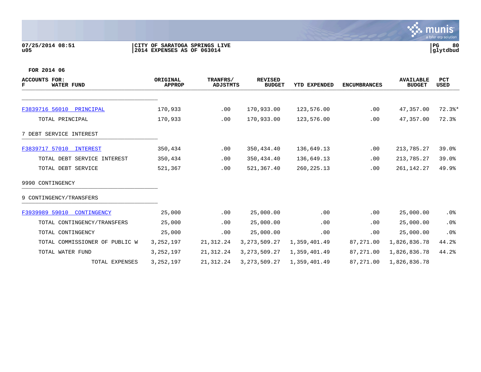## **07/25/2014 08:51 |CITY OF SARATOGA SPRINGS LIVE |PG 80 u05 |2014 EXPENSES AS OF 063014 |glytdbud**



| ACCOUNTS FOR:<br><b>WATER FUND</b><br>г | ORIGINAL<br><b>APPROP</b> | TRANFRS/<br><b>ADJSTMTS</b> | <b>REVISED</b><br><b>BUDGET</b> | YTD EXPENDED | <b>ENCUMBRANCES</b> | <b>AVAILABLE</b><br><b>BUDGET</b> | PCT<br>USED |
|-----------------------------------------|---------------------------|-----------------------------|---------------------------------|--------------|---------------------|-----------------------------------|-------------|
|                                         |                           |                             |                                 |              |                     |                                   |             |
| F3839716 56010 PRINCIPAL                | 170,933                   | .00                         | 170,933.00                      | 123,576.00   | .00                 | 47,357.00                         | $72.3$ $*$  |
| TOTAL PRINCIPAL                         | 170,933                   | .00                         | 170,933.00                      | 123,576.00   | .00                 | 47,357.00                         | 72.3%       |
| 7 DEBT SERVICE INTEREST                 |                           |                             |                                 |              |                     |                                   |             |
| F3839717 57010<br><b>INTEREST</b>       | 350,434                   | .00                         | 350,434.40                      | 136,649.13   | .00                 | 213,785.27                        | 39.0%       |
| TOTAL DEBT SERVICE INTEREST             | 350,434                   | .00                         | 350,434.40                      | 136,649.13   | .00                 | 213,785.27                        | 39.0%       |
| TOTAL DEBT SERVICE                      | 521,367                   | .00                         | 521,367.40                      | 260, 225. 13 | .00                 | 261, 142. 27                      | 49.9%       |
| 9990 CONTINGENCY                        |                           |                             |                                 |              |                     |                                   |             |
| 9 CONTINGENCY/TRANSFERS                 |                           |                             |                                 |              |                     |                                   |             |
| F3939989 59010<br>CONTINGENCY           | 25,000                    | .00                         | 25,000.00                       | .00          | .00                 | 25,000.00                         | $.0\%$      |
| TOTAL CONTINGENCY/TRANSFERS             | 25,000                    | .00                         | 25,000.00                       | .00          | .00                 | 25,000.00                         | .0%         |
| TOTAL CONTINGENCY                       | 25,000                    | .00                         | 25,000.00                       | .00          | .00                 | 25,000.00                         | .0%         |
| TOTAL COMMISSIONER OF PUBLIC W          | 3, 252, 197               | 21, 312. 24                 | 3, 273, 509. 27                 | 1,359,401.49 | 87,271.00           | 1,826,836.78                      | 44.2%       |
| TOTAL WATER FUND                        | 3, 252, 197               | 21, 312. 24                 | 3, 273, 509. 27                 | 1,359,401.49 | 87,271.00           | 1,826,836.78                      | 44.2%       |
| TOTAL EXPENSES                          | 3, 252, 197               | 21,312.24                   | 3, 273, 509. 27                 | 1,359,401.49 | 87,271.00           | 1,826,836.78                      |             |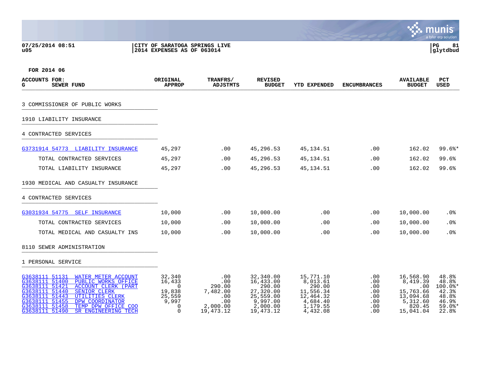**07/25/2014 08:51 |CITY OF SARATOGA SPRINGS LIVE |PG 81**

# **u05 |2014 EXPENSES AS OF 063014 |glytdbud**



| <b>ACCOUNTS FOR:</b><br>SEWER FUND<br>G                                                                                                                                                                                                                                                                                                    | ORIGINAL<br><b>APPROP</b>                                                         | TRANFRS/<br><b>ADJSTMTS</b>                                               | <b>REVISED</b><br><b>BUDGET</b>                                                                   | <b>YTD EXPENDED</b>                                                                           | <b>ENCUMBRANCES</b>                                       | <b>AVAILABLE</b><br><b>BUDGET</b>                                                         | <b>PCT</b><br><b>USED</b>                                                   |
|--------------------------------------------------------------------------------------------------------------------------------------------------------------------------------------------------------------------------------------------------------------------------------------------------------------------------------------------|-----------------------------------------------------------------------------------|---------------------------------------------------------------------------|---------------------------------------------------------------------------------------------------|-----------------------------------------------------------------------------------------------|-----------------------------------------------------------|-------------------------------------------------------------------------------------------|-----------------------------------------------------------------------------|
| 3 COMMISSIONER OF PUBLIC WORKS                                                                                                                                                                                                                                                                                                             |                                                                                   |                                                                           |                                                                                                   |                                                                                               |                                                           |                                                                                           |                                                                             |
| 1910 LIABILITY INSURANCE                                                                                                                                                                                                                                                                                                                   |                                                                                   |                                                                           |                                                                                                   |                                                                                               |                                                           |                                                                                           |                                                                             |
| 4 CONTRACTED SERVICES                                                                                                                                                                                                                                                                                                                      |                                                                                   |                                                                           |                                                                                                   |                                                                                               |                                                           |                                                                                           |                                                                             |
| G3731914 54773 LIABILITY INSURANCE                                                                                                                                                                                                                                                                                                         | 45,297                                                                            | .00                                                                       | 45,296.53                                                                                         | 45, 134.51                                                                                    | .00                                                       | 162.02                                                                                    | $99.6$ <sup>*</sup>                                                         |
| TOTAL CONTRACTED SERVICES                                                                                                                                                                                                                                                                                                                  | 45,297                                                                            | .00                                                                       | 45,296.53                                                                                         | 45, 134.51                                                                                    | .00                                                       | 162.02                                                                                    | 99.6%                                                                       |
| TOTAL LIABILITY INSURANCE                                                                                                                                                                                                                                                                                                                  | 45,297                                                                            | .00                                                                       | 45,296.53                                                                                         | 45, 134.51                                                                                    | .00                                                       | 162.02                                                                                    | 99.6%                                                                       |
| 1930 MEDICAL AND CASUALTY INSURANCE                                                                                                                                                                                                                                                                                                        |                                                                                   |                                                                           |                                                                                                   |                                                                                               |                                                           |                                                                                           |                                                                             |
| 4 CONTRACTED SERVICES                                                                                                                                                                                                                                                                                                                      |                                                                                   |                                                                           |                                                                                                   |                                                                                               |                                                           |                                                                                           |                                                                             |
| G3031934 54775 SELF INSURANCE                                                                                                                                                                                                                                                                                                              | 10,000                                                                            | $.00 \,$                                                                  | 10,000.00                                                                                         | .00                                                                                           | .00                                                       | 10,000.00                                                                                 | $.0\%$                                                                      |
| TOTAL CONTRACTED SERVICES                                                                                                                                                                                                                                                                                                                  | 10,000                                                                            | .00                                                                       | 10,000.00                                                                                         | .00                                                                                           | .00                                                       | 10,000.00                                                                                 | .0%                                                                         |
| TOTAL MEDICAL AND CASUALTY INS                                                                                                                                                                                                                                                                                                             | 10,000                                                                            | .00                                                                       | 10,000.00                                                                                         | .00                                                                                           | .00                                                       | 10,000.00                                                                                 | .0%                                                                         |
| 8110 SEWER ADMINISTRATION                                                                                                                                                                                                                                                                                                                  |                                                                                   |                                                                           |                                                                                                   |                                                                                               |                                                           |                                                                                           |                                                                             |
| 1 PERSONAL SERVICE                                                                                                                                                                                                                                                                                                                         |                                                                                   |                                                                           |                                                                                                   |                                                                                               |                                                           |                                                                                           |                                                                             |
| G3638111 51131<br>WATER METER ACCOUNT<br>G3638111 51400<br>PUBLIC WORKS OFFICE<br>G3638111 51421<br><b>ACCOUNT CLERK (PART</b><br>G3638111 51440<br><b>SENIOR CLERK</b><br>G3638111 51443<br><b>UTILITIES CLERK</b><br>G3638111 51455<br>DPW COORDINATOR<br>G3638111 51458<br>TEMP DPW OFFICE COO<br>G3638111 51490<br>SR ENGINEERING TECH | 32,340<br>16,433<br>$\Omega$<br>19,838<br>25,559<br>9,997<br>$\Omega$<br>$\Omega$ | .00<br>.00<br>290.00<br>7,482.00<br>.00<br>.00<br>2,000.00<br>19, 473. 12 | 32,340.00<br>16,433.00<br>290.00<br>27,320.00<br>25,559.00<br>9,997.00<br>2,000.00<br>19, 473. 12 | 15,771.10<br>8,013.61<br>290.00<br>11,556.34<br>12,464.32<br>4,684.40<br>1,179.55<br>4,432.08 | $.00 \,$<br>.00<br>.00<br>.00<br>.00<br>.00<br>.00<br>.00 | 16,568.90<br>8,419.39<br>.00<br>15,763.66<br>13,094.68<br>5,312.60<br>820.45<br>15,041.04 | 48.8%<br>48.8%<br>$100.0$ *<br>42.3%<br>48.8%<br>46.9%<br>$59.0$ *<br>22.8% |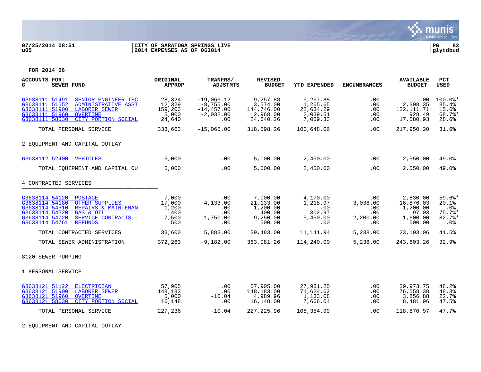

## **07/25/2014 08:51 |CITY OF SARATOGA SPRINGS LIVE |PG 82 u05 |2014 EXPENSES AS OF 063014 |glytdbud**



| ACCOUNTS FOR:<br>G<br><b>SEWER FUND</b>                                                                                                                                                                                          | ORIGINAL<br><b>APPROP</b>                       | TRANFRS/<br><b>ADJSTMTS</b>                                       | <b>REVISED</b><br><b>BUDGET</b>                                   | <b>YTD EXPENDED</b>                                       | <b>ENCUMBRANCES</b>                              | <b>AVAILABLE</b><br><b>BUDGET</b>                                | <b>PCT</b><br><b>USED</b>                         |
|----------------------------------------------------------------------------------------------------------------------------------------------------------------------------------------------------------------------------------|-------------------------------------------------|-------------------------------------------------------------------|-------------------------------------------------------------------|-----------------------------------------------------------|--------------------------------------------------|------------------------------------------------------------------|---------------------------------------------------|
| G3638111 51491<br>SENIOR ENGINEER TEC<br>G3638111 51552<br>ADMINISTRATIVE ASSI<br>51900<br><b>LABORER SEWER</b><br>G3638111<br>G3638111 51960<br>OVERTIME<br>G3638111 58030<br>CITY PORTION SOCIAL                               | 28,324<br>12,329<br>159,203<br>5,000<br>24,640  | $-19,066.12$<br>$-8,755.00$<br>$-14,457.00$<br>$-2,032.00$<br>.00 | 9,257.88<br>3,574.00<br>144,746.00<br>2,968.00<br>24,640.26       | 9,257.88<br>1,265.65<br>22,634.29<br>2,039.51<br>7,059.33 | .00<br>.00<br>.00<br>.00<br>.00                  | .00<br>2,308.35<br>122, 111.71<br>928.49<br>17,580.93            | $100.0$ *<br>35.4%<br>15.6%<br>68.7%*<br>28.6%    |
| TOTAL PERSONAL SERVICE                                                                                                                                                                                                           | 333,663                                         | $-15,065.00$                                                      | 318,598.26                                                        | 100,648.06                                                | .00                                              | 217,950.20                                                       | 31.6%                                             |
| 2 EQUIPMENT AND CAPITAL OUTLAY                                                                                                                                                                                                   |                                                 |                                                                   |                                                                   |                                                           |                                                  |                                                                  |                                                   |
| G3638112 52400 VEHICLES                                                                                                                                                                                                          | 5,000                                           | .00                                                               | 5,000.00                                                          | 2,450.00                                                  | .00                                              | 2,550.00                                                         | 49.0%                                             |
| TOTAL EQUIPMENT AND CAPITAL OU                                                                                                                                                                                                   | 5,000                                           | $.00 \,$                                                          | 5,000.00                                                          | 2,450.00                                                  | .00                                              | 2,550.00                                                         | 49.0%                                             |
| 4 CONTRACTED SERVICES                                                                                                                                                                                                            |                                                 |                                                                   |                                                                   |                                                           |                                                  |                                                                  |                                                   |
| G3638114 54120<br><b>POSTAGE</b><br>G3638114 54180<br><b>OTHER SUPPLIES</b><br>G3638114 54510<br>REPAIRS & MAINTENAN<br>G3638114 54520<br>GAS & OIL<br>G3638114 54720<br>SERVICE CONTRACTS -<br>G3638114 54761<br><b>REFUNDS</b> | 7,000<br>17,000<br>1,200<br>400<br>7,500<br>500 | .00<br>4,133.00<br>.00<br>.00<br>1,750.00<br>.00                  | 7,000.00<br>21,133.00<br>1,200.00<br>400.00<br>9,250.00<br>500.00 | 4,170.00<br>1,218.97<br>.00<br>302.97<br>5,450.00<br>.00  | .00<br>3,038.00<br>.00<br>.00<br>2,200.00<br>.00 | 2,830.00<br>16,876.03<br>1,200.00<br>97.03<br>1,600.00<br>500.00 | $59.6$ *<br>20.1%<br>.0%<br>75.7%<br>82.7%<br>.0% |
| TOTAL CONTRACTED SERVICES                                                                                                                                                                                                        | 33,600                                          | 5,883.00                                                          | 39,483.00                                                         | 11,141.94                                                 | 5,238.00                                         | 23,103.06                                                        | 41.5%                                             |
| TOTAL SEWER ADMINISTRATION                                                                                                                                                                                                       | 372,263                                         | $-9,182.00$                                                       | 363,081.26                                                        | 114,240.00                                                | 5,238.00                                         | 243,603.26                                                       | 32.9%                                             |
| 8120 SEWER PUMPING                                                                                                                                                                                                               |                                                 |                                                                   |                                                                   |                                                           |                                                  |                                                                  |                                                   |
| 1 PERSONAL SERVICE                                                                                                                                                                                                               |                                                 |                                                                   |                                                                   |                                                           |                                                  |                                                                  |                                                   |
| G3638121 51122<br><b>ELECTRICIAN</b><br>G3638121 51900<br><b>LABORER SEWER</b><br>G3638121 51960<br><b>OVERTIME</b><br>G3638121 58030<br>CITY PORTION SOCIAL                                                                     | 57,905<br>148,183<br>5,000<br>16,148            | .00<br>.00<br>$-10.04$<br>.00                                     | 57,905.00<br>148,183.00<br>4,989.96<br>16,148.00                  | 27,931.25<br>71,624.62<br>1,133.08<br>7,666.04            | .00<br>.00<br>.00<br>.00                         | 29,973.75<br>76,558.38<br>3,856.88<br>8,481.96                   | 48.2%<br>48.3%<br>22.7%<br>47.5%                  |
| TOTAL PERSONAL SERVICE                                                                                                                                                                                                           | 227,236                                         | $-10.04$                                                          | 227, 225.96                                                       | 108,354.99                                                | .00                                              | 118,870.97                                                       | 47.7%                                             |
| 2 EQUIPMENT AND CAPITAL OUTLAY                                                                                                                                                                                                   |                                                 |                                                                   |                                                                   |                                                           |                                                  |                                                                  |                                                   |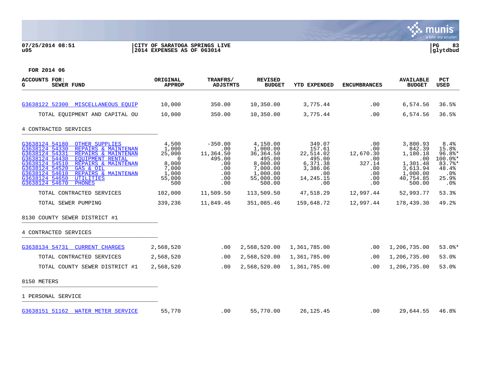## **07/25/2014 08:51 |CITY OF SARATOGA SPRINGS LIVE |PG 83 u05 |2014 EXPENSES AS OF 063014 |glytdbud**



| <b>ACCOUNTS FOR:</b><br>SEWER FUND<br>G.                                                                                                                                                                                                                                                                                                                         | ORIGINAL<br><b>APPROP</b>                                                 | TRANFRS/<br><b>ADJSTMTS</b>                                                | <b>REVISED</b><br><b>BUDGET</b>                                                                         | <b>YTD EXPENDED</b>                                                                        | <b>ENCUMBRANCES</b>                                                       | <b>AVAILABLE</b><br><b>BUDGET</b>                                                                | PCT<br>USED                                                                    |
|------------------------------------------------------------------------------------------------------------------------------------------------------------------------------------------------------------------------------------------------------------------------------------------------------------------------------------------------------------------|---------------------------------------------------------------------------|----------------------------------------------------------------------------|---------------------------------------------------------------------------------------------------------|--------------------------------------------------------------------------------------------|---------------------------------------------------------------------------|--------------------------------------------------------------------------------------------------|--------------------------------------------------------------------------------|
|                                                                                                                                                                                                                                                                                                                                                                  |                                                                           |                                                                            |                                                                                                         |                                                                                            |                                                                           |                                                                                                  |                                                                                |
| G3638122 52300 MISCELLANEOUS EQUIP                                                                                                                                                                                                                                                                                                                               | 10,000                                                                    | 350.00                                                                     | 10,350.00                                                                                               | 3,775.44                                                                                   | .00                                                                       | 6,574.56                                                                                         | 36.5%                                                                          |
| TOTAL EQUIPMENT AND CAPITAL OU                                                                                                                                                                                                                                                                                                                                   | 10,000                                                                    | 350.00                                                                     | 10,350.00                                                                                               | 3,775.44                                                                                   | .00                                                                       | 6,574.56                                                                                         | 36.5%                                                                          |
| 4 CONTRACTED SERVICES                                                                                                                                                                                                                                                                                                                                            |                                                                           |                                                                            |                                                                                                         |                                                                                            |                                                                           |                                                                                                  |                                                                                |
| G3638124 54180<br><b>OTHER SUPPLIES</b><br>G3638124 54330<br>REPAIRS & MAINTENAN<br>G3638124 54331<br>REPAIRS & MAINTENAN<br>G3638124 54430<br><b>EQUIPMENT RENTAL</b><br>G3638124 54510<br>REPAIRS & MAINTENAN<br>G3638124 54520<br>GAS & OIL<br>G3638124 54610<br>REPAIRS & MAINTENAN<br>G3638124 54650<br><b>UTILITIES</b><br>G3638124 54670<br><b>PHONES</b> | 4,500<br>1,000<br>25,000<br>0<br>8,000<br>7,000<br>1,000<br>55,000<br>500 | $-350.00$<br>.00<br>11,364.50<br>495.00<br>.00<br>.00<br>.00<br>.00<br>.00 | 4,150.00<br>1,000.00<br>36, 364.50<br>495.00<br>8,000.00<br>7,000.00<br>1,000.00<br>55,000.00<br>500.00 | 349.07<br>157.61<br>22,514.02<br>495.00<br>6,371.38<br>3,386.06<br>.00<br>14,245.15<br>.00 | .00<br>.00<br>12,670.30<br>.00<br>327.14<br>$.00 \,$<br>.00<br>.00<br>.00 | 3,800.93<br>842.39<br>1,180.18<br>.00<br>1,301.48<br>3,613.94<br>1,000.00<br>40,754.85<br>500.00 | 8.4%<br>15.8%<br>$96.8$ *<br>100.0%*<br>83.7%*<br>48.4%<br>.0%<br>25.9%<br>.0% |
| TOTAL CONTRACTED SERVICES                                                                                                                                                                                                                                                                                                                                        | 102,000                                                                   | 11,509.50                                                                  | 113,509.50                                                                                              | 47,518.29                                                                                  | 12,997.44                                                                 | 52,993.77                                                                                        | 53.3%                                                                          |
| TOTAL SEWER PUMPING                                                                                                                                                                                                                                                                                                                                              | 339,236                                                                   | 11,849.46                                                                  | 351,085.46                                                                                              | 159,648.72                                                                                 | 12,997.44                                                                 | 178,439.30                                                                                       | 49.2%                                                                          |
| 8130 COUNTY SEWER DISTRICT #1                                                                                                                                                                                                                                                                                                                                    |                                                                           |                                                                            |                                                                                                         |                                                                                            |                                                                           |                                                                                                  |                                                                                |
| 4 CONTRACTED SERVICES                                                                                                                                                                                                                                                                                                                                            |                                                                           |                                                                            |                                                                                                         |                                                                                            |                                                                           |                                                                                                  |                                                                                |
| G3638134 54731<br><b>CURRENT CHARGES</b>                                                                                                                                                                                                                                                                                                                         | 2,568,520                                                                 | .00                                                                        | 2,568,520.00                                                                                            | 1,361,785.00                                                                               | .00                                                                       | 1,206,735.00                                                                                     | $53.0$ $*$                                                                     |
| TOTAL CONTRACTED SERVICES                                                                                                                                                                                                                                                                                                                                        | 2,568,520                                                                 | $.00 \,$                                                                   | 2,568,520.00                                                                                            | 1,361,785.00                                                                               | .00.                                                                      | 1,206,735.00                                                                                     | 53.0%                                                                          |
| TOTAL COUNTY SEWER DISTRICT #1                                                                                                                                                                                                                                                                                                                                   | 2,568,520                                                                 | .00                                                                        | 2,568,520.00                                                                                            | 1,361,785.00                                                                               | .00                                                                       | 1,206,735.00                                                                                     | 53.0%                                                                          |
| 8150 METERS                                                                                                                                                                                                                                                                                                                                                      |                                                                           |                                                                            |                                                                                                         |                                                                                            |                                                                           |                                                                                                  |                                                                                |
| 1 PERSONAL SERVICE                                                                                                                                                                                                                                                                                                                                               |                                                                           |                                                                            |                                                                                                         |                                                                                            |                                                                           |                                                                                                  |                                                                                |
| G3638151 51162 WATER METER SERVICE                                                                                                                                                                                                                                                                                                                               | 55,770                                                                    | .00                                                                        | 55,770.00                                                                                               | 26, 125.45                                                                                 | .00                                                                       | 29,644.55                                                                                        | 46.8%                                                                          |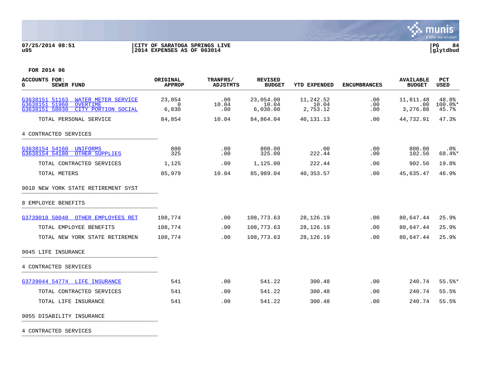

## **07/25/2014 08:51 |CITY OF SARATOGA SPRINGS LIVE |PG 84 u05 |2014 EXPENSES AS OF 063014 |glytdbud**



**FOR 2014 06**

| <b>ACCOUNTS FOR:</b><br>G<br><b>SEWER FUND</b>                                                                             | ORIGINAL<br><b>APPROP</b>   | TRANFRS/<br><b>ADJSTMTS</b> | <b>REVISED</b><br><b>BUDGET</b> | <b>YTD EXPENDED</b>            | <b>ENCUMBRANCES</b> | <b>AVAILABLE</b><br><b>BUDGET</b> | <b>PCT</b><br><b>USED</b>   |
|----------------------------------------------------------------------------------------------------------------------------|-----------------------------|-----------------------------|---------------------------------|--------------------------------|---------------------|-----------------------------------|-----------------------------|
| G3638151 51163<br><b>WATER METER SERVICE</b><br>G3638151 51960<br><b>OVERTIME</b><br>G3638151 58030<br>CITY PORTION SOCIAL | 23,054<br>$\Omega$<br>6,030 | .00<br>10.04<br>.00         | 23,054.00<br>10.04<br>6.030.00  | 11,242.52<br>10.04<br>2,753.12 | .00<br>.00<br>.00   | 11,811.48<br>.00<br>3,276.88      | 48.8%<br>$100.0$ *<br>45.7% |
| TOTAL PERSONAL SERVICE                                                                                                     | 84,854                      | 10.04                       | 84,864.04                       | 40,131.13                      | .00                 | 44,732.91                         | 47.3%                       |
| 4 CONTRACTED SERVICES                                                                                                      |                             |                             |                                 |                                |                     |                                   |                             |
| G3638154 54160 UNIFORMS<br>G3638154 54180 OTHER SUPPLIES                                                                   | 800<br>325                  | .00<br>.00                  | 800.00<br>325.00                | .00<br>222.44                  | .00<br>.00          | 800.00<br>102.56                  | . 0%<br>68.4%*              |
| TOTAL CONTRACTED SERVICES                                                                                                  | 1,125                       | .00                         | 1,125.00                        | 222.44                         | .00                 | 902.56                            | 19.8%                       |
| TOTAL METERS                                                                                                               | 85,979                      | 10.04                       | 85,989.04                       | 40,353.57                      | .00                 | 45,635.47                         | 46.9%                       |
| 9010 NEW YORK STATE RETIREMENT SYST                                                                                        |                             |                             |                                 |                                |                     |                                   |                             |
| 8 EMPLOYEE BENEFITS                                                                                                        |                             |                             |                                 |                                |                     |                                   |                             |
| G3739018 58040 OTHER EMPLOYEES RET                                                                                         | 108,774                     | .00                         | 108,773.63                      | 28,126.19                      | .00                 | 80,647.44                         | 25.9%                       |
| TOTAL EMPLOYEE BENEFITS                                                                                                    | 108,774                     | .00                         | 108,773.63                      | 28, 126. 19                    | .00                 | 80,647.44                         | 25.9%                       |
| TOTAL NEW YORK STATE RETIREMEN                                                                                             | 108,774                     | .00.                        | 108,773.63                      | 28,126.19                      | .00                 | 80,647.44                         | 25.9%                       |
| 9045 LIFE INSURANCE                                                                                                        |                             |                             |                                 |                                |                     |                                   |                             |
| 4 CONTRACTED SERVICES                                                                                                      |                             |                             |                                 |                                |                     |                                   |                             |
| G3739044 54774 LIFE INSURANCE                                                                                              | 541                         | .00                         | 541.22                          | 300.48                         | .00                 | 240.74                            | 55.5%                       |
| TOTAL CONTRACTED SERVICES                                                                                                  | 541                         | .00.                        | 541.22                          | 300.48                         | .00                 | 240.74                            | 55.5%                       |
| TOTAL LIFE INSURANCE                                                                                                       | 541                         | .00                         | 541.22                          | 300.48                         | .00                 | 240.74                            | 55.5%                       |
| 9055 DISABILITY INSURANCE                                                                                                  |                             |                             |                                 |                                |                     |                                   |                             |

4 CONTRACTED SERVICES \_\_\_\_\_\_\_\_\_\_\_\_\_\_\_\_\_\_\_\_\_\_\_\_\_\_\_\_\_\_\_\_\_\_\_\_\_\_\_\_\_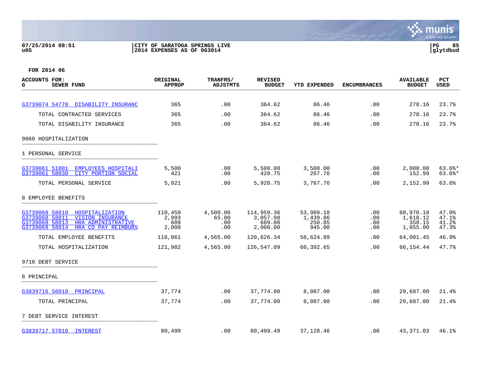## **07/25/2014 08:51 |CITY OF SARATOGA SPRINGS LIVE |PG 85 u05 |2014 EXPENSES AS OF 063014 |glytdbud**



| <b>ACCOUNTS FOR:</b><br>SEWER FUND<br>G                                                                                                                         | ORIGINAL<br><b>APPROP</b>        | <b>TRANFRS/</b><br><b>ADJSTMTS</b> | <b>REVISED</b><br><b>BUDGET</b>              | <b>YTD EXPENDED</b>                       | <b>ENCUMBRANCES</b>      | <b>AVAILABLE</b><br><b>BUDGET</b>           | <b>PCT</b><br><b>USED</b>        |
|-----------------------------------------------------------------------------------------------------------------------------------------------------------------|----------------------------------|------------------------------------|----------------------------------------------|-------------------------------------------|--------------------------|---------------------------------------------|----------------------------------|
|                                                                                                                                                                 |                                  |                                    |                                              |                                           |                          |                                             |                                  |
| G3739074 54770 DISABILITY INSURANC                                                                                                                              | 365                              | .00                                | 364.62                                       | 86.46                                     | .00                      | 278.16                                      | 23.7%                            |
| TOTAL CONTRACTED SERVICES                                                                                                                                       | 365                              | .00                                | 364.62                                       | 86.46                                     | .00                      | 278.16                                      | 23.7%                            |
| TOTAL DISABILITY INSURANCE                                                                                                                                      | 365                              | .00                                | 364.62                                       | 86.46                                     | .00                      | 278.16                                      | 23.7%                            |
| 9060 HOSPITALIZATION                                                                                                                                            |                                  |                                    |                                              |                                           |                          |                                             |                                  |
| 1 PERSONAL SERVICE                                                                                                                                              |                                  |                                    |                                              |                                           |                          |                                             |                                  |
| G3739061 51001<br>EMPLOYEES HOSPITALI<br>G3739061 58030<br>CITY PORTION SOCIAL                                                                                  | 5,500<br>421                     | .00<br>.00                         | 5,500.00<br>420.75                           | 3,500.00<br>267.76                        | .00<br>.00               | 2,000.00<br>152.99                          | $63.6$ $*$<br>$63.6$ *           |
| TOTAL PERSONAL SERVICE                                                                                                                                          | 5,921                            | .00                                | 5,920.75                                     | 3,767.76                                  | .00                      | 2,152.99                                    | 63.6%                            |
| 8 EMPLOYEE BENEFITS                                                                                                                                             |                                  |                                    |                                              |                                           |                          |                                             |                                  |
| G3739068 58010<br>HOSPITALIZATION<br>G3739068 58011<br><b>VISION INSURANCE</b><br>G3739068 58013<br>HRA ADMINISTRATIVE<br>G3739068 58014<br>HRA CO PAY REIMBURS | 110,459<br>2,993<br>609<br>2,000 | 4,500.00<br>65.00<br>.00<br>.00    | 114,959.36<br>3,057.98<br>609.00<br>2,000.00 | 53,989.18<br>1,439.86<br>250.85<br>945.00 | .00<br>.00<br>.00<br>.00 | 60,970.18<br>1,618.12<br>358.15<br>1,055.00 | 47.0%<br>47.1%<br>41.2%<br>47.3% |
| TOTAL EMPLOYEE BENEFITS                                                                                                                                         | 116,061                          | 4,565.00                           | 120,626.34                                   | 56,624.89                                 | .00                      | 64,001.45                                   | 46.9%                            |
| TOTAL HOSPITALIZATION                                                                                                                                           | 121,982                          | 4,565.00                           | 126,547.09                                   | 60,392.65                                 | .00                      | 66,154.44                                   | 47.7%                            |
| 9710 DEBT SERVICE                                                                                                                                               |                                  |                                    |                                              |                                           |                          |                                             |                                  |
| 6 PRINCIPAL                                                                                                                                                     |                                  |                                    |                                              |                                           |                          |                                             |                                  |
| G3839716 56010 PRINCIPAL                                                                                                                                        | 37,774                           | .00                                | 37,774.00                                    | 8,087.00                                  | .00                      | 29,687.00                                   | 21.4%                            |
| TOTAL PRINCIPAL                                                                                                                                                 | 37,774                           | $.00 \,$                           | 37,774.00                                    | 8,087.00                                  | .00                      | 29,687.00                                   | 21.4%                            |
| 7 DEBT SERVICE INTEREST                                                                                                                                         |                                  |                                    |                                              |                                           |                          |                                             |                                  |
| G3839717 57010 INTEREST                                                                                                                                         | 80,499                           | $.00 \,$                           | 80,499.49                                    | 37,128.46                                 | .00                      | 43,371.03                                   | 46.1%                            |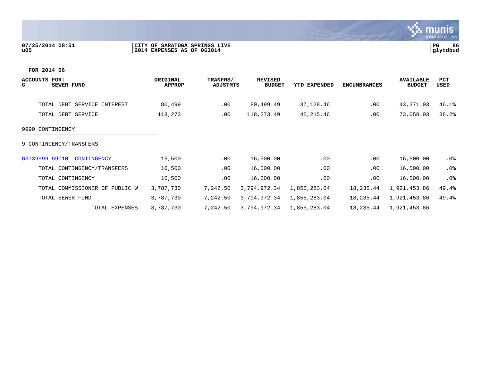## **07/25/2014 08:51 |CITY OF SARATOGA SPRINGS LIVE |PG 86 u05 |2014 EXPENSES AS OF 063014 |glytdbud**



| <b>ACCOUNTS</b><br>FOR:<br>SEWER FUND<br>G | ORIGINAL<br><b>APPROP</b> | TRANFRS/<br>ADJSTMTS | <b>REVISED</b><br><b>BUDGET</b> | YTD EXPENDED | <b>ENCUMBRANCES</b> | <b>AVAILABLE</b><br><b>BUDGET</b> | PCT<br>USED |
|--------------------------------------------|---------------------------|----------------------|---------------------------------|--------------|---------------------|-----------------------------------|-------------|
|                                            |                           |                      |                                 |              |                     |                                   |             |
| TOTAL DEBT SERVICE INTEREST                | 80,499                    | $.00 \,$             | 80,499.49                       | 37,128.46    | .00                 | 43,371.03                         | 46.1%       |
| TOTAL DEBT SERVICE                         | 118,273                   | .00                  | 118,273.49                      | 45, 215.46   | .00                 | 73,058.03                         | 38.2%       |
| 9990 CONTINGENCY                           |                           |                      |                                 |              |                     |                                   |             |
| 9 CONTINGENCY/TRANSFERS                    |                           |                      |                                 |              |                     |                                   |             |
| G3739999 59010<br>CONTINGENCY              | 16,500                    | .00                  | 16,500.00                       | .00          | .00                 | 16,500.00                         | .0%         |
| TOTAL CONTINGENCY/TRANSFERS                | 16,500                    | .00                  | 16,500.00                       | .00          | .00                 | 16,500.00                         | .0%         |
| TOTAL CONTINGENCY                          | 16,500                    | .00                  | 16,500.00                       | .00          | .00                 | 16,500.00                         | $.0\%$      |
| TOTAL COMMISSIONER OF PUBLIC W             | 3,787,730                 | 7,242.50             | 3,794,972.34                    | 1,855,283.04 | 18,235.44           | 1,921,453.86                      | 49.4%       |
| TOTAL SEWER FUND                           | 3,787,730                 | 7,242.50             | 3,794,972.34                    | 1,855,283.04 | 18,235.44           | 1,921,453.86                      | 49.4%       |
| TOTAL EXPENSES                             | 3,787,730                 | 7,242.50             | 3,794,972.34                    | 1,855,283.04 | 18,235.44           | 1,921,453.86                      |             |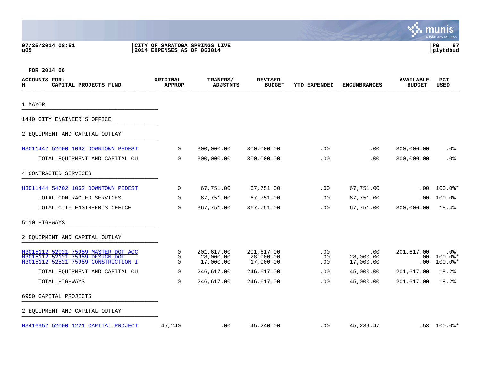## **07/25/2014 08:51 |CITY OF SARATOGA SPRINGS LIVE |PG 87 u05 |2014 EXPENSES AS OF 063014 |glytdbud**



| ACCOUNTS FOR:<br>CAPITAL PROJECTS FUND<br>н                                                                   | ORIGINAL<br><b>APPROP</b> | TRANFRS/<br><b>ADJSTMTS</b>          | <b>REVISED</b><br><b>BUDGET</b>      | <b>YTD EXPENDED</b> | <b>ENCUMBRANCES</b>           | <b>AVAILABLE</b><br><b>BUDGET</b> | <b>PCT</b><br><b>USED</b>                 |
|---------------------------------------------------------------------------------------------------------------|---------------------------|--------------------------------------|--------------------------------------|---------------------|-------------------------------|-----------------------------------|-------------------------------------------|
| 1 MAYOR                                                                                                       |                           |                                      |                                      |                     |                               |                                   |                                           |
| 1440 CITY ENGINEER'S OFFICE                                                                                   |                           |                                      |                                      |                     |                               |                                   |                                           |
| 2 EQUIPMENT AND CAPITAL OUTLAY                                                                                |                           |                                      |                                      |                     |                               |                                   |                                           |
| H3011442 52000 1062 DOWNTOWN PEDEST                                                                           | $\mathbf 0$               | 300,000.00                           | 300,000.00                           | .00.                | .00                           | 300,000.00                        | $.0\%$                                    |
| TOTAL EQUIPMENT AND CAPITAL OU                                                                                | $\mathbf 0$               | 300,000.00                           | 300,000.00                           | .00                 | .00                           | 300,000.00                        | .0%                                       |
| 4 CONTRACTED SERVICES                                                                                         |                           |                                      |                                      |                     |                               |                                   |                                           |
| H3011444 54702 1062 DOWNTOWN PEDEST                                                                           | $\overline{0}$            | 67,751.00                            | 67,751.00                            | .00                 | 67,751.00                     | .00                               | $100.0$ *                                 |
| TOTAL CONTRACTED SERVICES                                                                                     | $\mathbf 0$               | 67,751.00                            | 67,751.00                            | .00                 | 67,751.00                     | .00                               | 100.0%                                    |
| TOTAL CITY ENGINEER'S OFFICE                                                                                  | $\mathbf 0$               | 367,751.00                           | 367,751.00                           | .00                 | 67,751.00                     | 300,000.00                        | 18.4%                                     |
| 5110 HIGHWAYS                                                                                                 |                           |                                      |                                      |                     |                               |                                   |                                           |
| 2 EQUIPMENT AND CAPITAL OUTLAY                                                                                |                           |                                      |                                      |                     |                               |                                   |                                           |
| H3015112 52021 75959 MASTER DOT ACC<br>H3015112 52121 75959 DESIGN DOT<br>H3015112 52521 75959 CONSTRUCTION I | 0<br>0<br>$\Omega$        | 201,617.00<br>28,000.00<br>17,000.00 | 201,617.00<br>28,000.00<br>17,000.00 | .00<br>.00<br>.00   | .00<br>28,000.00<br>17,000.00 | 201,617.00<br>$.00 \,$<br>.00     | . 0%<br>$100.0$ <sup>*</sup><br>$100.0$ * |
| TOTAL EQUIPMENT AND CAPITAL OU                                                                                | 0                         | 246,617.00                           | 246,617.00                           | .00                 | 45,000.00                     | 201,617.00                        | 18.2%                                     |
| TOTAL HIGHWAYS                                                                                                | $\mathbf 0$               | 246,617.00                           | 246,617.00                           | .00                 | 45,000.00                     | 201,617.00                        | 18.2%                                     |
| 6950 CAPITAL PROJECTS                                                                                         |                           |                                      |                                      |                     |                               |                                   |                                           |
| 2 EQUIPMENT AND CAPITAL OUTLAY                                                                                |                           |                                      |                                      |                     |                               |                                   |                                           |
| H3416952 52000 1221 CAPITAL PROJECT                                                                           | 45,240                    | .00                                  | 45,240.00                            | .00                 | 45, 239.47                    |                                   | $.53$ 100.0%*                             |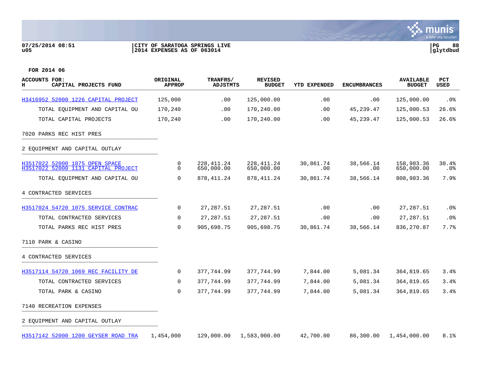## **07/25/2014 08:51 |CITY OF SARATOGA SPRINGS LIVE |PG 88 u05 |2014 EXPENSES AS OF 063014 |glytdbud**



munis

**BASE** 

| <b>ACCOUNTS FOR:</b><br>CAPITAL PROJECTS FUND<br>н                    | ORIGINAL<br><b>APPROP</b> | <b>TRANFRS/</b><br><b>ADJSTMTS</b> | <b>REVISED</b><br><b>BUDGET</b> | YTD EXPENDED     | <b>ENCUMBRANCES</b> | <b>AVAILABLE</b><br><b>BUDGET</b> | <b>PCT</b><br>USED |
|-----------------------------------------------------------------------|---------------------------|------------------------------------|---------------------------------|------------------|---------------------|-----------------------------------|--------------------|
| H3416952 52000 1226 CAPITAL PROJECT                                   | 125,000                   | .00                                | 125,000.00                      | .00              | .00                 | 125,000.00                        | .0%                |
| TOTAL EQUIPMENT AND CAPITAL OU                                        | 170,240                   | .00                                | 170,240.00                      | .00              | 45, 239.47          | 125,000.53                        | 26.6%              |
| TOTAL CAPITAL PROJECTS                                                | 170,240                   | .00                                | 170,240.00                      | .00              | 45, 239.47          | 125,000.53                        | 26.6%              |
| 7020 PARKS REC HIST PRES                                              |                           |                                    |                                 |                  |                     |                                   |                    |
| 2 EQUIPMENT AND CAPITAL OUTLAY                                        |                           |                                    |                                 |                  |                     |                                   |                    |
| H3517022 52000 1075 OPEN SPACE<br>H3517022 52000 1131 CAPITAL PROJECT | 0<br>$\mathbf 0$          | 228, 411.24<br>650,000.00          | 228, 411.24<br>650,000.00       | 30,861.74<br>.00 | 38,566.14<br>.00    | 158,983.36<br>650,000.00          | 30.4%<br>.0%       |
| TOTAL EQUIPMENT AND CAPITAL OU                                        | 0                         | 878,411.24                         | 878, 411.24                     | 30,861.74        | 38,566.14           | 808,983.36                        | 7.9%               |
| 4 CONTRACTED SERVICES                                                 |                           |                                    |                                 |                  |                     |                                   |                    |
| H3517024 54720 1075 SERVICE CONTRAC                                   | 0                         | 27, 287.51                         | 27, 287.51                      | .00              | .00                 | 27, 287.51                        | .0%                |
| TOTAL CONTRACTED SERVICES                                             | $\mathbf 0$               | 27, 287.51                         | 27, 287.51                      | .00              | .00                 | 27, 287.51                        | .0%                |
| TOTAL PARKS REC HIST PRES                                             | 0                         | 905,698.75                         | 905,698.75                      | 30,861.74        | 38,566.14           | 836, 270.87                       | 7.7%               |
| 7110 PARK & CASINO                                                    |                           |                                    |                                 |                  |                     |                                   |                    |
| 4 CONTRACTED SERVICES                                                 |                           |                                    |                                 |                  |                     |                                   |                    |
| H3517114 54720 1069 REC FACILITY DE                                   | $\mathsf{O}$              | 377,744.99                         | 377,744.99                      | 7,844.00         | 5,081.34            | 364,819.65                        | 3.4%               |
| TOTAL CONTRACTED SERVICES                                             | $\Omega$                  | 377,744.99                         | 377,744.99                      | 7,844.00         | 5,081.34            | 364,819.65                        | 3.4%               |
| TOTAL PARK & CASINO                                                   | $\mathbf 0$               | 377,744.99                         | 377,744.99                      | 7,844.00         | 5,081.34            | 364,819.65                        | 3.4%               |
| 7140 RECREATION EXPENSES                                              |                           |                                    |                                 |                  |                     |                                   |                    |
| 2 EQUIPMENT AND CAPITAL OUTLAY                                        |                           |                                    |                                 |                  |                     |                                   |                    |
| H3517142 52000 1200 GEYSER ROAD TRA                                   | 1,454,000                 | 129,000.00                         | 1,583,000.00                    | 42,700.00        | 86,300.00           | 1,454,000.00                      | 8.1%               |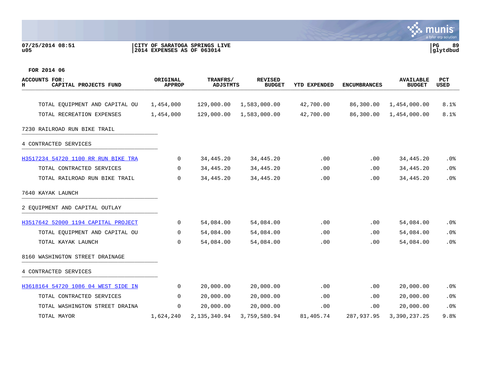## **07/25/2014 08:51 |CITY OF SARATOGA SPRINGS LIVE |PG 89 u05 |2014 EXPENSES AS OF 063014 |glytdbud**



| <b>ACCOUNTS FOR:</b><br>CAPITAL PROJECTS FUND<br>н | ORIGINAL<br><b>APPROP</b> | TRANFRS/<br><b>ADJSTMTS</b> | <b>REVISED</b><br><b>BUDGET</b> | YTD EXPENDED | <b>ENCUMBRANCES</b> | <b>AVAILABLE</b><br><b>BUDGET</b> | <b>PCT</b><br>USED |
|----------------------------------------------------|---------------------------|-----------------------------|---------------------------------|--------------|---------------------|-----------------------------------|--------------------|
| TOTAL EQUIPMENT AND CAPITAL OU                     | 1,454,000                 | 129,000.00                  | 1,583,000.00                    | 42,700.00    | 86,300.00           | 1,454,000.00                      | 8.1%               |
| TOTAL RECREATION EXPENSES                          | 1,454,000                 | 129,000.00                  | 1,583,000.00                    | 42,700.00    | 86,300.00           | 1,454,000.00                      | 8.1%               |
| 7230 RAILROAD RUN BIKE TRAIL                       |                           |                             |                                 |              |                     |                                   |                    |
| 4 CONTRACTED SERVICES                              |                           |                             |                                 |              |                     |                                   |                    |
| H3517234 54720 1100 RR RUN BIKE TRA                | 0                         | 34,445.20                   | 34, 445. 20                     | .00          | .00                 | 34,445.20                         | $.0\%$             |
| TOTAL CONTRACTED SERVICES                          | $\overline{0}$            | 34,445.20                   | 34, 445. 20                     | .00          | .00                 | 34,445.20                         | .0%                |
| TOTAL RAILROAD RUN BIKE TRAIL                      | $\Omega$                  | 34,445.20                   | 34, 445.20                      | .00          | .00                 | 34,445.20                         | .0%                |
| 7640 KAYAK LAUNCH                                  |                           |                             |                                 |              |                     |                                   |                    |
| 2 EOUIPMENT AND CAPITAL OUTLAY                     |                           |                             |                                 |              |                     |                                   |                    |
| H3517642 52000 1194 CAPITAL PROJECT                | $\mathbf 0$               | 54,084.00                   | 54,084.00                       | .00          | .00                 | 54,084.00                         | $.0\%$             |
| TOTAL EQUIPMENT AND CAPITAL OU                     | 0                         | 54,084.00                   | 54,084.00                       | .00          | .00                 | 54,084.00                         | .0%                |
| TOTAL KAYAK LAUNCH                                 | $\Omega$                  | 54,084.00                   | 54,084.00                       | .00          | .00                 | 54,084.00                         | .0%                |
| 8160 WASHINGTON STREET DRAINAGE                    |                           |                             |                                 |              |                     |                                   |                    |
| 4 CONTRACTED SERVICES                              |                           |                             |                                 |              |                     |                                   |                    |
| H3618164 54720 1086 04 WEST SIDE IN                | $\overline{0}$            | 20,000.00                   | 20,000.00                       | .00          | .00                 | 20,000.00                         | .0%                |
| TOTAL CONTRACTED SERVICES                          | 0                         | 20,000.00                   | 20,000.00                       | .00          | .00                 | 20,000.00                         | .0%                |
| TOTAL WASHINGTON STREET DRAINA                     | $\mathbf 0$               | 20,000.00                   | 20,000.00                       | .00          | .00                 | 20,000.00                         | .0 <sub>8</sub>    |
| TOTAL MAYOR                                        | 1,624,240                 | 2, 135, 340.94              | 3,759,580.94                    | 81,405.74    | 287,937.95          | 3,390,237.25                      | 9.8%               |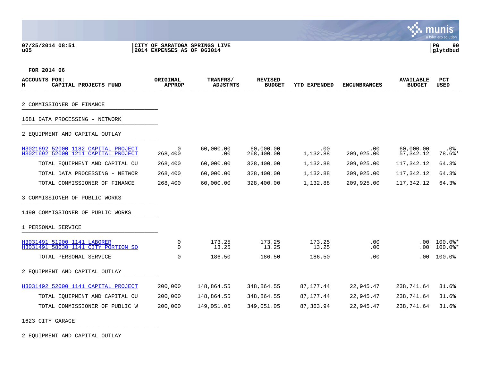## **07/25/2014 08:51 |CITY OF SARATOGA SPRINGS LIVE |PG 90 u05 |2014 EXPENSES AS OF 063014 |glytdbud**



**FOR 2014 06**

| ACCOUNTS FOR:<br>н<br>CAPITAL PROJECTS FUND                                | ORIGINAL<br><b>APPROP</b> | TRANFRS/<br>ADJSTMTS | <b>REVISED</b><br><b>BUDGET</b> | <b>YTD EXPENDED</b> | <b>ENCUMBRANCES</b> | <b>AVAILABLE</b><br><b>BUDGET</b> | <b>PCT</b><br><b>USED</b> |
|----------------------------------------------------------------------------|---------------------------|----------------------|---------------------------------|---------------------|---------------------|-----------------------------------|---------------------------|
| 2 COMMISSIONER OF FINANCE                                                  |                           |                      |                                 |                     |                     |                                   |                           |
| 1681 DATA PROCESSING - NETWORK                                             |                           |                      |                                 |                     |                     |                                   |                           |
| 2 EOUIPMENT AND CAPITAL OUTLAY                                             |                           |                      |                                 |                     |                     |                                   |                           |
| H3021692 52000 1182 CAPITAL PROJECT<br>H3021692 52000 1211 CAPITAL PROJECT | 0<br>268,400              | 60,000.00<br>.00     | 60,000.00<br>268,400.00         | .00<br>1,132.88     | .00<br>209,925.00   | 60,000.00<br>57, 342.12           | $.0\%$<br>78.6%*          |
| TOTAL EQUIPMENT AND CAPITAL OU                                             | 268,400                   | 60,000.00            | 328,400.00                      | 1,132.88            | 209,925.00          | 117,342.12                        | 64.3%                     |
| TOTAL DATA PROCESSING - NETWOR                                             | 268,400                   | 60,000.00            | 328,400.00                      | 1,132.88            | 209,925.00          | 117,342.12                        | 64.3%                     |
| TOTAL COMMISSIONER OF FINANCE                                              | 268,400                   | 60,000.00            | 328,400.00                      | 1,132.88            | 209,925.00          | 117,342.12                        | 64.3%                     |
| 3 COMMISSIONER OF PUBLIC WORKS                                             |                           |                      |                                 |                     |                     |                                   |                           |
| 1490 COMMISSIONER OF PUBLIC WORKS                                          |                           |                      |                                 |                     |                     |                                   |                           |
| 1 PERSONAL SERVICE                                                         |                           |                      |                                 |                     |                     |                                   |                           |
| H3031491 51900 1141 LABORER<br>H3031491 58030 1141 CITY PORTION SO         | 0<br>$\Omega$             | 173.25<br>13.25      | 173.25<br>13.25                 | 173.25<br>13.25     | .00<br>.00          | $.00 \,$<br>.00                   | $100.0$ *<br>$100.0$ *    |
| TOTAL PERSONAL SERVICE                                                     | $\Omega$                  | 186.50               | 186.50                          | 186.50              | .00                 | .00                               | 100.0%                    |
| 2 EOUIPMENT AND CAPITAL OUTLAY                                             |                           |                      |                                 |                     |                     |                                   |                           |
| H3031492 52000 1141 CAPITAL PROJECT                                        | 200,000                   | 148,864.55           | 348,864.55                      | 87, 177. 44         | 22,945.47           | 238,741.64                        | 31.6%                     |
| TOTAL EQUIPMENT AND CAPITAL OU                                             | 200,000                   | 148,864.55           | 348,864.55                      | 87,177.44           | 22,945.47           | 238,741.64                        | 31.6%                     |
| TOTAL COMMISSIONER OF PUBLIC W                                             | 200,000                   | 149,051.05           | 349,051.05                      | 87,363.94           | 22,945.47           | 238,741.64                        | 31.6%                     |

1623 CITY GARAGE \_\_\_\_\_\_\_\_\_\_\_\_\_\_\_\_\_\_\_\_\_\_\_\_\_\_\_\_\_\_\_\_\_\_\_\_\_\_\_\_\_

2 EQUIPMENT AND CAPITAL OUTLAY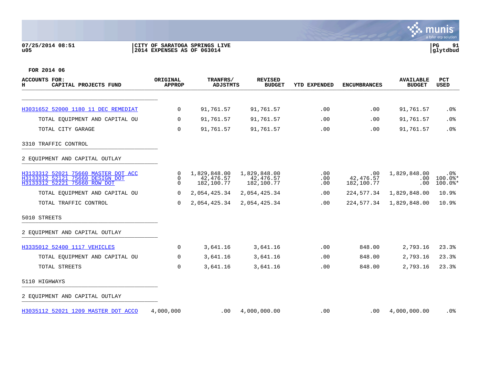## **07/25/2014 08:51 |CITY OF SARATOGA SPRINGS LIVE |PG 91 u05 |2014 EXPENSES AS OF 063014 |glytdbud**



| <b>ACCOUNTS FOR:</b><br>CAPITAL PROJECTS FUND<br>н                                                     | <b>ORIGINAL</b><br><b>APPROP</b> | TRANFRS/<br><b>ADJSTMTS</b>             | <b>REVISED</b><br><b>BUDGET</b>         | YTD EXPENDED      | <b>ENCUMBRANCES</b>            | <b>AVAILABLE</b><br><b>BUDGET</b> | <b>PCT</b><br><b>USED</b>     |
|--------------------------------------------------------------------------------------------------------|----------------------------------|-----------------------------------------|-----------------------------------------|-------------------|--------------------------------|-----------------------------------|-------------------------------|
| H3031652 52000 1180 11 DEC REMEDIAT                                                                    | $\mathbf 0$                      | 91,761.57                               | 91,761.57                               | .00               | .00                            | 91,761.57                         | $.0\%$                        |
| TOTAL EQUIPMENT AND CAPITAL OU                                                                         | $\Omega$                         | 91,761.57                               | 91,761.57                               | .00               | .00                            | 91,761.57                         | .0%                           |
| TOTAL CITY GARAGE                                                                                      | $\Omega$                         | 91,761.57                               | 91,761.57                               | .00               | .00                            | 91,761.57                         | .0%                           |
| 3310 TRAFFIC CONTROL                                                                                   |                                  |                                         |                                         |                   |                                |                                   |                               |
| 2 EQUIPMENT AND CAPITAL OUTLAY                                                                         |                                  |                                         |                                         |                   |                                |                                   |                               |
| H3133312 52021 75660 MASTER DOT ACC<br>H3133312 52121 75660 DESIGN DOT<br>H3133312 52221 75660 ROW DOT | $\mathbf 0$<br>0<br>$\Omega$     | 1,829,848.00<br>42,476.57<br>182,100.77 | 1,829,848.00<br>42,476.57<br>182,100.77 | .00<br>.00<br>.00 | .00<br>42,476.57<br>182,100.77 | 1,829,848.00<br>.00<br>.00        | .0%<br>$100.0$ *<br>$100.0$ * |
| TOTAL EOUIPMENT AND CAPITAL OU                                                                         | 0                                | 2,054,425.34                            | 2,054,425.34                            | .00               | 224,577.34                     | 1,829,848.00                      | 10.9%                         |
| TOTAL TRAFFIC CONTROL                                                                                  | $\Omega$                         | 2,054,425.34                            | 2,054,425.34                            | .00               | 224,577.34                     | 1,829,848.00                      | 10.9%                         |
| 5010 STREETS                                                                                           |                                  |                                         |                                         |                   |                                |                                   |                               |
| 2 EQUIPMENT AND CAPITAL OUTLAY                                                                         |                                  |                                         |                                         |                   |                                |                                   |                               |
| H3335012 52400 1117 VEHICLES                                                                           | $\mathbf 0$                      | 3,641.16                                | 3,641.16                                | .00               | 848.00                         | 2,793.16                          | 23.3%                         |
| TOTAL EOUIPMENT AND CAPITAL OU                                                                         | $\mathbf 0$                      | 3,641.16                                | 3,641.16                                | .00               | 848.00                         | 2,793.16                          | 23.3%                         |
| TOTAL STREETS                                                                                          | $\mathbf 0$                      | 3,641.16                                | 3,641.16                                | .00               | 848.00                         | 2,793.16                          | 23.3%                         |
| 5110 HIGHWAYS                                                                                          |                                  |                                         |                                         |                   |                                |                                   |                               |
| 2 EQUIPMENT AND CAPITAL OUTLAY                                                                         |                                  |                                         |                                         |                   |                                |                                   |                               |
| H3035112 52021 1209 MASTER DOT ACCO                                                                    | 4,000,000                        | .00                                     | 4,000,000.00                            | .00               | .00                            | 4,000,000.00                      | $.0\%$                        |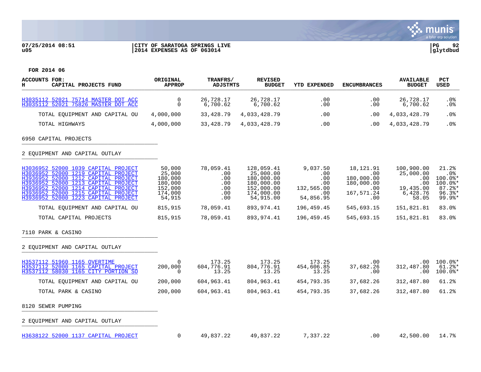## **07/25/2014 08:51 |CITY OF SARATOGA SPRINGS LIVE |PG 92 u05 |2014 EXPENSES AS OF 063014 |glytdbud**



| <b>ACCOUNTS FOR:</b><br>н<br>CAPITAL PROJECTS FUND                                                                                                                                                                                                                            | ORIGINAL<br><b>APPROP</b>                                              | TRANFRS/<br><b>ADJSTMTS</b>                         | <b>REVISED</b><br><b>BUDGET</b>                                                              | <b>YTD EXPENDED</b>                                             | <b>ENCUMBRANCES</b>                                                       | <b>AVAILABLE</b><br><b>BUDGET</b>                                            | <b>PCT</b><br><b>USED</b>                                                                   |
|-------------------------------------------------------------------------------------------------------------------------------------------------------------------------------------------------------------------------------------------------------------------------------|------------------------------------------------------------------------|-----------------------------------------------------|----------------------------------------------------------------------------------------------|-----------------------------------------------------------------|---------------------------------------------------------------------------|------------------------------------------------------------------------------|---------------------------------------------------------------------------------------------|
| H3035112 52021 75714 MASTER DOT ACC<br>H3035112 52021 75826 MASTER DOT ACC                                                                                                                                                                                                    | $\mathbf 0$<br>$\mathbf 0$                                             | 26,728.17<br>6,700.62                               | 26,728.17<br>6,700.62                                                                        | .00<br>.00                                                      | .00<br>.00                                                                | 26,728.17<br>6,700.62                                                        | .0%<br>. 0%                                                                                 |
| TOTAL EQUIPMENT AND CAPITAL OU                                                                                                                                                                                                                                                | 4,000,000                                                              | 33,428.79                                           | 4,033,428.79                                                                                 | .00                                                             | .00                                                                       | 4,033,428.79                                                                 | .0%                                                                                         |
| TOTAL HIGHWAYS                                                                                                                                                                                                                                                                | 4,000,000                                                              | 33,428.79                                           | 4,033,428.79                                                                                 | .00                                                             | $.00 \,$                                                                  | 4,033,428.79                                                                 | .0%                                                                                         |
| 6950 CAPITAL PROJECTS                                                                                                                                                                                                                                                         |                                                                        |                                                     |                                                                                              |                                                                 |                                                                           |                                                                              |                                                                                             |
| 2 EQUIPMENT AND CAPITAL OUTLAY                                                                                                                                                                                                                                                |                                                                        |                                                     |                                                                                              |                                                                 |                                                                           |                                                                              |                                                                                             |
| H3036952 52000 1039 CAPITAL PROJECT<br>H3036952 52000 1219 CAPITAL PROJECT<br>H3936952 52000 1212 CAPITAL PROJECT<br>H3936952 52000 1213 CAPITAL PROJECT<br>H3936952 52000 1214 CAPITAL PROJECT<br>H3936952 52000 1215 CAPITAL PROJECT<br>H3936952 52000 1223 CAPITAL PROJECT | 50,000<br>25,000<br>180,000<br>180,000<br>152,000<br>174,000<br>54,915 | 78,059.41<br>.00<br>.00<br>.00<br>.00<br>.00<br>.00 | 128,059.41<br>25,000.00<br>180,000.00<br>180,000.00<br>152,000.00<br>174,000.00<br>54,915.00 | 9,037.50<br>.00<br>.00<br>.00<br>132,565.00<br>.00<br>54,856.95 | 18,121.91<br>.00<br>180,000.00<br>180,000.00<br>.00.<br>167,571.24<br>.00 | 100,900.00<br>25,000.00<br>$.00 \,$<br>.00<br>19,435.00<br>6,428.76<br>58.05 | 21.2%<br>$.0\%$<br>$100.0$ *<br>$100.0$ *<br>$87.2$ %*<br>$96.3$ $*$<br>$99.9$ <sup>*</sup> |
| TOTAL EQUIPMENT AND CAPITAL OU                                                                                                                                                                                                                                                | 815,915                                                                | 78,059.41                                           | 893,974.41                                                                                   | 196,459.45                                                      | 545,693.15                                                                | 151,821.81                                                                   | 83.0%                                                                                       |
| TOTAL CAPITAL PROJECTS                                                                                                                                                                                                                                                        | 815,915                                                                | 78,059.41                                           | 893,974.41                                                                                   | 196,459.45                                                      | 545,693.15                                                                | 151,821.81                                                                   | 83.0%                                                                                       |
| 7110 PARK & CASINO                                                                                                                                                                                                                                                            |                                                                        |                                                     |                                                                                              |                                                                 |                                                                           |                                                                              |                                                                                             |
| 2 EQUIPMENT AND CAPITAL OUTLAY                                                                                                                                                                                                                                                |                                                                        |                                                     |                                                                                              |                                                                 |                                                                           |                                                                              |                                                                                             |
| H3537112 51960 1165 OVERTIME<br>H3537112 52000 1165 CAPITAL PROJECT<br>H3537112 58030 1165 CITY PORTION SO                                                                                                                                                                    | $\overline{0}$<br>200,000<br>0                                         | 173.25<br>604,776.91<br>13.25                       | 173.25<br>804,776.91<br>13.25                                                                | 173.25<br>454,606.85<br>13.25                                   | $.00 \,$<br>37,682.26<br>.00                                              | $.00 \,$<br>312,487.80<br>.00                                                | $100.0$ *<br>$61.2$ $*$<br>$100.0$ *                                                        |
| TOTAL EQUIPMENT AND CAPITAL OU                                                                                                                                                                                                                                                | 200,000                                                                | 604,963.41                                          | 804,963.41                                                                                   | 454,793.35                                                      | 37,682.26                                                                 | 312,487.80                                                                   | 61.2%                                                                                       |
| TOTAL PARK & CASINO                                                                                                                                                                                                                                                           | 200,000                                                                | 604,963.41                                          | 804,963.41                                                                                   | 454,793.35                                                      | 37,682.26                                                                 | 312,487.80                                                                   | 61.2%                                                                                       |
| 8120 SEWER PUMPING                                                                                                                                                                                                                                                            |                                                                        |                                                     |                                                                                              |                                                                 |                                                                           |                                                                              |                                                                                             |
| 2 EQUIPMENT AND CAPITAL OUTLAY                                                                                                                                                                                                                                                |                                                                        |                                                     |                                                                                              |                                                                 |                                                                           |                                                                              |                                                                                             |
| H3638122 52000 1137 CAPITAL PROJECT                                                                                                                                                                                                                                           | 0                                                                      | 49,837.22                                           | 49,837.22                                                                                    | 7,337.22                                                        | .00                                                                       | 42,500.00                                                                    | 14.7%                                                                                       |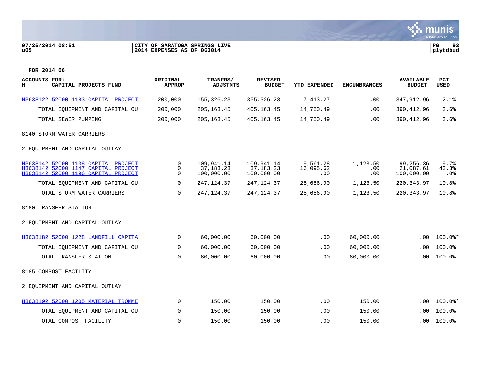## **07/25/2014 08:51 |CITY OF SARATOGA SPRINGS LIVE |PG 93 u05 |2014 EXPENSES AS OF 063014 |glytdbud**



| <b>ACCOUNTS FOR:</b><br>CAPITAL PROJECTS FUND<br>н                                                                | ORIGINAL<br><b>APPROP</b> | TRANFRS/<br>ADJSTMTS                    | <b>REVISED</b><br><b>BUDGET</b>         | YTD EXPENDED                 | <b>ENCUMBRANCES</b>    | <b>AVAILABLE</b><br><b>BUDGET</b>    | <b>PCT</b><br>USED      |
|-------------------------------------------------------------------------------------------------------------------|---------------------------|-----------------------------------------|-----------------------------------------|------------------------------|------------------------|--------------------------------------|-------------------------|
| H3638122 52000 1183 CAPITAL PROJECT                                                                               | 200,000                   | 155, 326. 23                            | 355, 326.23                             | 7,413.27                     | .00                    | 347,912.96                           | 2.1%                    |
| TOTAL EQUIPMENT AND CAPITAL OU                                                                                    | 200,000                   | 205, 163. 45                            | 405, 163. 45                            | 14,750.49                    | .00                    | 390, 412.96                          | 3.6%                    |
| TOTAL SEWER PUMPING                                                                                               | 200,000                   | 205, 163. 45                            | 405, 163. 45                            | 14,750.49                    | .00                    | 390, 412.96                          | 3.6%                    |
| 8140 STORM WATER CARRIERS                                                                                         |                           |                                         |                                         |                              |                        |                                      |                         |
| 2 EOUIPMENT AND CAPITAL OUTLAY                                                                                    |                           |                                         |                                         |                              |                        |                                      |                         |
| H3638142 52000 1138 CAPITAL PROJECT<br>H3638142 52000 1147 CAPITAL PROJECT<br>H3638142 52000 1196 CAPITAL PROJECT | 0<br>0<br>$\Omega$        | 109,941.14<br>37, 183. 23<br>100,000.00 | 109,941.14<br>37, 183. 23<br>100,000.00 | 9,561.28<br>16,095.62<br>.00 | 1,123.50<br>.00<br>.00 | 99,256.36<br>21,087.61<br>100,000.00 | 9.7%<br>43.3%<br>$.0\%$ |
| TOTAL EQUIPMENT AND CAPITAL OU                                                                                    | 0                         | 247,124.37                              | 247, 124.37                             | 25,656.90                    | 1,123.50               | 220, 343.97                          | 10.8%                   |
| TOTAL STORM WATER CARRIERS                                                                                        | 0                         | 247, 124.37                             | 247, 124.37                             | 25,656.90                    | 1,123.50               | 220, 343.97                          | 10.8%                   |
| 8180 TRANSFER STATION                                                                                             |                           |                                         |                                         |                              |                        |                                      |                         |
| 2 EQUIPMENT AND CAPITAL OUTLAY                                                                                    |                           |                                         |                                         |                              |                        |                                      |                         |
| H3638182 52000 1228 LANDFILL CAPITA                                                                               | 0                         | 60,000.00                               | 60,000.00                               | .00                          | 60,000.00              | .00                                  | $100.0$ *               |
| TOTAL EQUIPMENT AND CAPITAL OU                                                                                    | 0                         | 60,000.00                               | 60,000.00                               | .00                          | 60,000.00              | .00                                  | 100.0%                  |
| TOTAL TRANSFER STATION                                                                                            | $\mathbf 0$               | 60,000.00                               | 60,000.00                               | .00                          | 60,000.00              | .00                                  | 100.0%                  |
| 8185 COMPOST FACILITY                                                                                             |                           |                                         |                                         |                              |                        |                                      |                         |
| 2 EQUIPMENT AND CAPITAL OUTLAY                                                                                    |                           |                                         |                                         |                              |                        |                                      |                         |
| H3638192 52000 1205 MATERIAL TROMME                                                                               | 0                         | 150.00                                  | 150.00                                  | .00                          | 150.00                 | .00                                  | $100.0$ *               |
| TOTAL EOUIPMENT AND CAPITAL OU                                                                                    | $\mathbf 0$               | 150.00                                  | 150.00                                  | .00                          | 150.00                 | .00.                                 | 100.0%                  |
| TOTAL COMPOST FACILITY                                                                                            | $\Omega$                  | 150.00                                  | 150.00                                  | .00                          | 150.00                 | .00                                  | 100.0%                  |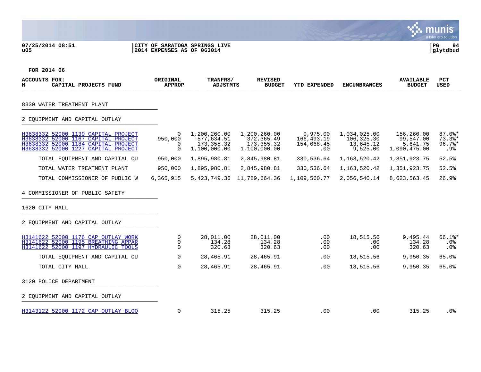## **07/25/2014 08:51 |CITY OF SARATOGA SPRINGS LIVE |PG 94 u05 |2014 EXPENSES AS OF 063014 |glytdbud**



| <b>ACCOUNTS FOR:</b><br>CAPITAL PROJECTS FUND<br>н                                                                                                       | ORIGINAL<br><b>APPROP</b>            | TRANFRS/<br>ADJSTMTS                                          | <b>REVISED</b><br><b>BUDGET</b>                            | <b>YTD EXPENDED</b>                         | <b>ENCUMBRANCES</b>                                 | <b>AVAILABLE</b><br><b>BUDGET</b>                   | PCT<br><b>USED</b>                                 |
|----------------------------------------------------------------------------------------------------------------------------------------------------------|--------------------------------------|---------------------------------------------------------------|------------------------------------------------------------|---------------------------------------------|-----------------------------------------------------|-----------------------------------------------------|----------------------------------------------------|
| 8330 WATER TREATMENT PLANT                                                                                                                               |                                      |                                                               |                                                            |                                             |                                                     |                                                     |                                                    |
| 2 EQUIPMENT AND CAPITAL OUTLAY                                                                                                                           |                                      |                                                               |                                                            |                                             |                                                     |                                                     |                                                    |
| H3638332 52000 1139 CAPITAL PROJECT<br>H3638332 52000 1167 CAPITAL PROJECT<br>H3638332 52000 1184 CAPITAL PROJECT<br>H3638332 52000 1227 CAPITAL PROJECT | $\Omega$<br>950,000<br>0<br>$\Omega$ | 1,200,260.00<br>$-577,634.51$<br>173, 355. 32<br>1,100,000.00 | 1,200,260.00<br>372,365.49<br>173, 355. 32<br>1,100,000.00 | 9,975.00<br>166,493.19<br>154,068.45<br>.00 | 1,034,025.00<br>106,325.30<br>13,645.12<br>9,525.00 | 156,260.00<br>99,547.00<br>5,641.75<br>1,090,475.00 | $87.0$ <sup>*</sup><br>$73.3$ *<br>$96.7$ *<br>.9% |
| TOTAL EOUIPMENT AND CAPITAL OU                                                                                                                           | 950,000                              | 1,895,980.81                                                  | 2,845,980.81                                               | 330,536.64                                  | 1,163,520.42                                        | 1,351,923.75                                        | 52.5%                                              |
| TOTAL WATER TREATMENT PLANT                                                                                                                              | 950,000                              | 1,895,980.81                                                  | 2,845,980.81                                               | 330,536.64                                  | 1,163,520.42                                        | 1,351,923.75                                        | 52.5%                                              |
| TOTAL COMMISSIONER OF PUBLIC W                                                                                                                           | 6,365,915                            | 5,423,749.36                                                  | 11,789,664.36                                              | 1,109,560.77                                | 2,056,540.14                                        | 8,623,563.45                                        | 26.9%                                              |
| 4 COMMISSIONER OF PUBLIC SAFETY<br>1620 CITY HALL                                                                                                        |                                      |                                                               |                                                            |                                             |                                                     |                                                     |                                                    |
| 2 EOUIPMENT AND CAPITAL OUTLAY                                                                                                                           |                                      |                                                               |                                                            |                                             |                                                     |                                                     |                                                    |
| H3141622 52000 1176 CAP OUTLAY WORK<br>H3141622 52000 1195 BREATHING APPAR<br>H3141622 52000 1197 HYDRAULIC TOOLS                                        | 0<br>$\mathbf 0$<br>0                | 28,011.00<br>134.28<br>320.63                                 | 28,011.00<br>134.28<br>320.63                              | .00<br>.00<br>.00                           | 18,515.56<br>.00<br>.00                             | 9,495.44<br>134.28<br>320.63                        | $66.1$ $*$<br>.0%<br>.0%                           |
| TOTAL EQUIPMENT AND CAPITAL OU                                                                                                                           | $\Omega$                             | 28,465.91                                                     | 28,465.91                                                  | .00                                         | 18,515.56                                           | 9,950.35                                            | 65.0%                                              |
| TOTAL CITY HALL                                                                                                                                          | $\mathbf 0$                          | 28,465.91                                                     | 28, 465.91                                                 | .00                                         | 18,515.56                                           | 9,950.35                                            | 65.0%                                              |
| 3120 POLICE DEPARTMENT                                                                                                                                   |                                      |                                                               |                                                            |                                             |                                                     |                                                     |                                                    |
| 2 EOUIPMENT AND CAPITAL OUTLAY                                                                                                                           |                                      |                                                               |                                                            |                                             |                                                     |                                                     |                                                    |
| H3143122 52000 1172 CAP OUTLAY BLOO                                                                                                                      | $\Omega$                             | 315.25                                                        | 315.25                                                     | .00                                         | .00                                                 | 315.25                                              | .0%                                                |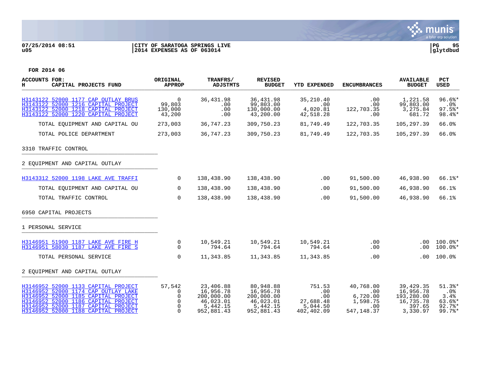## **07/25/2014 08:51 |CITY OF SARATOGA SPRINGS LIVE |PG 95 u05 |2014 EXPENSES AS OF 063014 |glytdbud**



| <b>ACCOUNTS FOR:</b><br>н<br>CAPITAL PROJECTS FUND                                                                                                                                                                                     | ORIGINAL<br><b>APPROP</b>                                   | TRANFRS/<br><b>ADJSTMTS</b>                                                 | <b>REVISED</b><br><b>BUDGET</b>                                             | <b>YTD EXPENDED</b>                                         | <b>ENCUMBRANCES</b>                                            | <b>AVAILABLE</b><br><b>BUDGET</b>                                         | <b>PCT</b><br><b>USED</b>                                       |
|----------------------------------------------------------------------------------------------------------------------------------------------------------------------------------------------------------------------------------------|-------------------------------------------------------------|-----------------------------------------------------------------------------|-----------------------------------------------------------------------------|-------------------------------------------------------------|----------------------------------------------------------------|---------------------------------------------------------------------------|-----------------------------------------------------------------|
| H3143122 52000 1177 CAP OUTLAY BRUS<br>H3143122 52000 1216 CAPITAL PROJECT<br>H3143122 52000 1218 CAPITAL PROJECT<br>H3143122 52000 1220 CAPITAL PROJECT                                                                               | $\overline{0}$<br>99,803<br>130,000<br>43,200               | 36,431.98<br>.00<br>.00<br>.00                                              | 36,431.98<br>99,803.00<br>130,000.00<br>43,200.00                           | 35,210.40<br>.00<br>4,020.81<br>42,518.28                   | .00<br>.00<br>122,703.35<br>.00                                | 1,221.58<br>99,803.00<br>3,275.84<br>681.72                               | $96.6$ %*<br>.0%<br>$97.5$ *<br>98.4%*                          |
| TOTAL EQUIPMENT AND CAPITAL OU                                                                                                                                                                                                         | 273,003                                                     | 36,747.23                                                                   | 309,750.23                                                                  | 81,749.49                                                   | 122,703.35                                                     | 105,297.39                                                                | 66.0%                                                           |
| TOTAL POLICE DEPARTMENT                                                                                                                                                                                                                | 273,003                                                     | 36,747.23                                                                   | 309,750.23                                                                  | 81,749.49                                                   | 122,703.35                                                     | 105,297.39                                                                | 66.0%                                                           |
| 3310 TRAFFIC CONTROL                                                                                                                                                                                                                   |                                                             |                                                                             |                                                                             |                                                             |                                                                |                                                                           |                                                                 |
| 2 EOUIPMENT AND CAPITAL OUTLAY                                                                                                                                                                                                         |                                                             |                                                                             |                                                                             |                                                             |                                                                |                                                                           |                                                                 |
| H3143312 52000 1198 LAKE AVE TRAFFI                                                                                                                                                                                                    | $\overline{0}$                                              | 138,438.90                                                                  | 138,438.90                                                                  | .00                                                         | 91,500.00                                                      | 46,938.90                                                                 | $66.1$ $*$                                                      |
| TOTAL EOUIPMENT AND CAPITAL OU                                                                                                                                                                                                         | $\mathbf{0}$                                                | 138,438.90                                                                  | 138,438.90                                                                  | .00                                                         | 91,500.00                                                      | 46,938.90                                                                 | 66.1%                                                           |
| TOTAL TRAFFIC CONTROL                                                                                                                                                                                                                  | $\Omega$                                                    | 138,438.90                                                                  | 138,438.90                                                                  | .00                                                         | 91,500.00                                                      | 46,938.90                                                                 | 66.1%                                                           |
| 6950 CAPITAL PROJECTS                                                                                                                                                                                                                  |                                                             |                                                                             |                                                                             |                                                             |                                                                |                                                                           |                                                                 |
| 1 PERSONAL SERVICE                                                                                                                                                                                                                     |                                                             |                                                                             |                                                                             |                                                             |                                                                |                                                                           |                                                                 |
| H3146951 51900 1187 LAKE AVE FIRE H<br>H3146951 58030 1187 LAKE AVE FIRE S                                                                                                                                                             | 0<br>$\Omega$                                               | 10,549.21<br>794.64                                                         | 10,549.21<br>794.64                                                         | 10,549.21<br>794.64                                         | $.00 \,$<br>.00                                                | .00                                                                       | $.00$ 100.0%*<br>$100.0$ *                                      |
| TOTAL PERSONAL SERVICE                                                                                                                                                                                                                 | $\Omega$                                                    | 11,343.85                                                                   | 11,343.85                                                                   | 11,343.85                                                   | .00                                                            | .00                                                                       | 100.0%                                                          |
| 2 EQUIPMENT AND CAPITAL OUTLAY                                                                                                                                                                                                         |                                                             |                                                                             |                                                                             |                                                             |                                                                |                                                                           |                                                                 |
| H3146952 52000 1133 CAPITAL PROJECT<br>H3146952 52000 1174 CAP OUTLAY LAKE<br>H3146952 52000 1185 CAPITAL PROJECT<br>H3146952 52000 1186 CAPITAL PROJECT<br>H3146952 52000 1187 CAPITAL PROJECT<br>H3146952 52000 1188 CAPITAL PROJECT | 57,542<br>0<br>$\Omega$<br>$\Omega$<br>$\Omega$<br>$\Omega$ | 23,406.88<br>16,956.78<br>200,000.00<br>46,023.01<br>5,442.15<br>952,881.43 | 80,948.88<br>16,956.78<br>200,000.00<br>46,023.01<br>5,442.15<br>952,881.43 | 751.53<br>.00<br>.00<br>27,688.48<br>5,044.50<br>402,402.09 | 40,768.00<br>.00<br>6,720.00<br>1,598.75<br>.00<br>547, 148.37 | 39, 429, 35<br>16,956.78<br>193,280.00<br>16,735.78<br>397.65<br>3,330.97 | $51.3$ $*$<br>$.0\%$<br>3.4%<br>$63.6$ *<br>$92.7$ %*<br>99.7%* |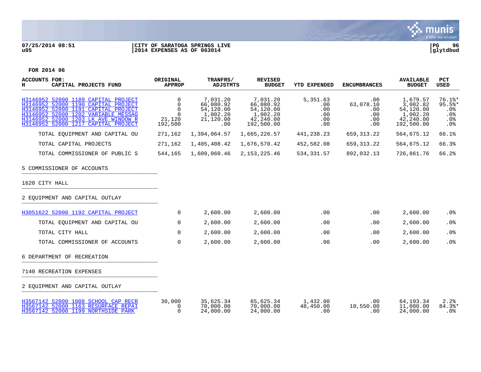

## **07/25/2014 08:51 |CITY OF SARATOGA SPRINGS LIVE |PG 96 u05 |2014 EXPENSES AS OF 063014 |glytdbud**



| <b>ACCOUNTS FOR:</b><br>н<br>CAPITAL PROJECTS FUND                                                                                                                                                                                     | ORIGINAL<br><b>APPROP</b>                                         | TRANFRS/<br><b>ADJSTMTS</b>                                        | <b>REVISED</b><br><b>BUDGET</b>                                           | <b>YTD EXPENDED</b>                              | <b>ENCUMBRANCES</b>                                            | <b>AVAILABLE</b><br><b>BUDGET</b>                                        | PCT<br><b>USED</b>                                  |
|----------------------------------------------------------------------------------------------------------------------------------------------------------------------------------------------------------------------------------------|-------------------------------------------------------------------|--------------------------------------------------------------------|---------------------------------------------------------------------------|--------------------------------------------------|----------------------------------------------------------------|--------------------------------------------------------------------------|-----------------------------------------------------|
| H3146952 52000 1189 CAPITAL PROJECT<br>H3146952 52000 1190 CAPITAL PROJECT<br>H3146952 52000 1191 CAPITAL PROJECT<br>H3146952 52000 1202 VARIABLE MESSAG<br>H3146952 52000 1203 LK AVE WINDOW R<br>H3146952 52000 1217 CAPITAL PROJECT | $\Omega$<br>$\Omega$<br>$\Omega$<br>$\Omega$<br>21,120<br>192,500 | 7,031.20<br>66,080.92<br>54,120.00<br>1,002.20<br>21,120.00<br>.00 | 7,031.20<br>66,080.92<br>54,120.00<br>1,002.20<br>42,240.00<br>192,500.00 | 5,351.63<br>.00<br>.00<br>.00<br>$.00 \,$<br>.00 | $.00 \,$<br>63,078.10<br>$.00 \,$<br>.00<br>$.00 \ \rm$<br>.00 | 1,679.57<br>3,002.82<br>54,120.00<br>1,002.20<br>42,240.00<br>192,500.00 | $76.1$ $*$<br>$95.5$ %*<br>.0%<br>.0%<br>.0%<br>.0% |
| TOTAL EOUIPMENT AND CAPITAL OU                                                                                                                                                                                                         | 271,162                                                           | 1,394,064.57                                                       | 1,665,226.57                                                              | 441,238.23                                       | 659, 313.22                                                    | 564,675.12                                                               | 66.1%                                               |
| TOTAL CAPITAL PROJECTS                                                                                                                                                                                                                 | 271,162                                                           | 1,405,408.42                                                       | 1,676,570.42                                                              | 452,582.08                                       | 659, 313.22                                                    | 564,675.12                                                               | 66.3%                                               |
| TOTAL COMMISSIONER OF PUBLIC S                                                                                                                                                                                                         | 544,165                                                           | 1,609,060.46                                                       | 2, 153, 225.46                                                            | 534, 331.57                                      | 892,032.13                                                     | 726,861.76                                                               | 66.2%                                               |
| 5 COMMISSIONER OF ACCOUNTS                                                                                                                                                                                                             |                                                                   |                                                                    |                                                                           |                                                  |                                                                |                                                                          |                                                     |
| 1620 CITY HALL                                                                                                                                                                                                                         |                                                                   |                                                                    |                                                                           |                                                  |                                                                |                                                                          |                                                     |
| 2 EQUIPMENT AND CAPITAL OUTLAY                                                                                                                                                                                                         |                                                                   |                                                                    |                                                                           |                                                  |                                                                |                                                                          |                                                     |
| H3051622 52000 1192 CAPITAL PROJECT                                                                                                                                                                                                    | $\Omega$                                                          | 2,600.00                                                           | 2,600.00                                                                  | .00                                              | .00                                                            | 2,600.00                                                                 | .0%                                                 |
| TOTAL EOUIPMENT AND CAPITAL OU                                                                                                                                                                                                         | 0                                                                 | 2,600.00                                                           | 2,600.00                                                                  | .00                                              | .00                                                            | 2,600.00                                                                 | .0%                                                 |
| TOTAL CITY HALL                                                                                                                                                                                                                        | 0                                                                 | 2,600.00                                                           | 2,600.00                                                                  | .00                                              | .00                                                            | 2,600.00                                                                 | .0%                                                 |
| TOTAL COMMISSIONER OF ACCOUNTS                                                                                                                                                                                                         | $\Omega$                                                          | 2,600.00                                                           | 2,600.00                                                                  | .00                                              | .00                                                            | 2,600.00                                                                 | .0%                                                 |
| 6 DEPARTMENT OF RECREATION                                                                                                                                                                                                             |                                                                   |                                                                    |                                                                           |                                                  |                                                                |                                                                          |                                                     |
| 7140 RECREATION EXPENSES                                                                                                                                                                                                               |                                                                   |                                                                    |                                                                           |                                                  |                                                                |                                                                          |                                                     |
| 2 EQUIPMENT AND CAPITAL OUTLAY                                                                                                                                                                                                         |                                                                   |                                                                    |                                                                           |                                                  |                                                                |                                                                          |                                                     |
| H3567142 52000 1008 SCHOOL CAP RECR<br>H3567142 52000 1163 RESURFACE REPAI<br>H3567142 52000 1199 NORTHSIDE PARK                                                                                                                       | 30,000<br>$\Omega$<br>$\Omega$                                    | 35,625.34<br>70,000.00<br>24,000.00                                | 65,625.34<br>70,000.00<br>24,000.00                                       | 1,432.00<br>48,450.00<br>.00                     | .00<br>10,550.00<br>.00                                        | 64, 193. 34<br>11,000.00<br>24,000.00                                    | 2.2%<br>84.3%*<br>.0%                               |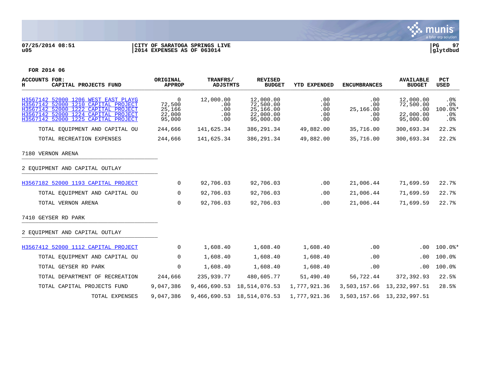

## **07/25/2014 08:51 |CITY OF SARATOGA SPRINGS LIVE |PG 97 u05 |2014 EXPENSES AS OF 063014 |glytdbud**



| <b>ACCOUNTS FOR:</b><br>н<br>CAPITAL PROJECTS FUND                                                                                                                                              | ORIGINAL<br><b>APPROP</b>                           | TRANFRS/<br><b>ADJSTMTS</b>           | <b>REVISED</b><br><b>BUDGET</b>                               | <b>YTD EXPENDED</b>             | <b>ENCUMBRANCES</b>                        | <b>AVAILABLE</b><br><b>BUDGET</b>                       | PCT<br>USED                                             |
|-------------------------------------------------------------------------------------------------------------------------------------------------------------------------------------------------|-----------------------------------------------------|---------------------------------------|---------------------------------------------------------------|---------------------------------|--------------------------------------------|---------------------------------------------------------|---------------------------------------------------------|
| H3567142 52000 1206 WEST EAST PLAYG<br>H3567142 52000 1210 CAPITAL PROJECT<br>H3567142 52000 1222 CAPITAL PROJECT<br>H3567142 52000 1224 CAPITAL PROJECT<br>H3567142 52000 1225 CAPITAL PROJECT | $\mathbf 0$<br>72,500<br>25,166<br>22,000<br>95,000 | 12,000.00<br>.00<br>.00<br>.00<br>.00 | 12,000.00<br>72,500.00<br>25,166.00<br>22,000.00<br>95,000.00 | .00<br>.00<br>.00<br>.00<br>.00 | .00<br>.00<br>25,166.00<br>.00<br>$.00 \,$ | 12,000.00<br>72,500.00<br>.00<br>22,000.00<br>95,000.00 | .0 <sub>8</sub><br>$.0\%$<br>$100.0$ *<br>$.0\%$<br>.0% |
| TOTAL EOUIPMENT AND CAPITAL OU                                                                                                                                                                  | 244,666                                             | 141,625.34                            | 386, 291.34                                                   | 49,882.00                       | 35,716.00                                  | 300,693.34                                              | 22.2%                                                   |
| TOTAL RECREATION EXPENSES                                                                                                                                                                       | 244,666                                             | 141,625.34                            | 386,291.34                                                    | 49,882.00                       | 35,716.00                                  | 300,693.34                                              | 22.2                                                    |
| 7180 VERNON ARENA                                                                                                                                                                               |                                                     |                                       |                                                               |                                 |                                            |                                                         |                                                         |
| 2 EOUIPMENT AND CAPITAL OUTLAY                                                                                                                                                                  |                                                     |                                       |                                                               |                                 |                                            |                                                         |                                                         |
| H3567182 52000 1193 CAPITAL PROJECT                                                                                                                                                             | $\mathbf 0$                                         | 92,706.03                             | 92,706.03                                                     | .00                             | 21,006.44                                  | 71,699.59                                               | 22.7%                                                   |
| TOTAL EQUIPMENT AND CAPITAL OU                                                                                                                                                                  | $\Omega$                                            | 92,706.03                             | 92,706.03                                                     | .00                             | 21,006.44                                  | 71,699.59                                               | 22.7%                                                   |
| TOTAL VERNON ARENA                                                                                                                                                                              | $\Omega$                                            | 92,706.03                             | 92,706.03                                                     | .00                             | 21,006.44                                  | 71,699.59                                               | 22.7%                                                   |
| 7410 GEYSER RD PARK                                                                                                                                                                             |                                                     |                                       |                                                               |                                 |                                            |                                                         |                                                         |
| 2 EOUIPMENT AND CAPITAL OUTLAY                                                                                                                                                                  |                                                     |                                       |                                                               |                                 |                                            |                                                         |                                                         |
| H3567412 52000 1112 CAPITAL PROJECT                                                                                                                                                             | $\Omega$                                            | 1,608.40                              | 1,608.40                                                      | 1,608.40                        | .00                                        | .00                                                     | $100.0$ *                                               |
| TOTAL EOUIPMENT AND CAPITAL OU                                                                                                                                                                  | $\Omega$                                            | 1,608.40                              | 1,608.40                                                      | 1,608.40                        | .00                                        | .00                                                     | 100.0%                                                  |
| TOTAL GEYSER RD PARK                                                                                                                                                                            | $\mathbf 0$                                         | 1,608.40                              | 1,608.40                                                      | 1,608.40                        | .00                                        | .00                                                     | 100.0%                                                  |
| TOTAL DEPARTMENT OF RECREATION                                                                                                                                                                  | 244,666                                             | 235,939.77                            | 480,605.77                                                    | 51,490.40                       | 56,722.44                                  | 372,392.93                                              | 22.5%                                                   |
| TOTAL CAPITAL PROJECTS FUND                                                                                                                                                                     | 9,047,386                                           | 9,466,690.53                          | 18,514,076.53                                                 | 1,777,921.36                    |                                            | 3,503,157.66 13,232,997.51                              | 28.5%                                                   |
| TOTAL EXPENSES                                                                                                                                                                                  | 9,047,386                                           |                                       | 9,466,690.53 18,514,076.53                                    | 1,777,921.36                    |                                            | 3,503,157.66 13,232,997.51                              |                                                         |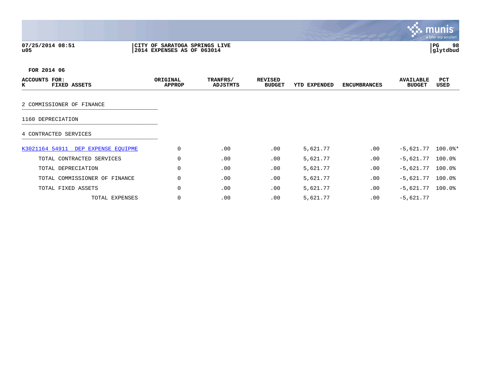## **07/25/2014 08:51 |CITY OF SARATOGA SPRINGS LIVE |PG 98 u05 |2014 EXPENSES AS OF 063014 |glytdbud**



| ACCOUNTS<br>FOR:<br>к<br>FIXED ASSETS | ORIGINAL<br><b>APPROP</b> | TRANFRS/<br>ADJSTMTS | <b>REVISED</b><br><b>BUDGET</b> | YTD EXPENDED | <b>ENCUMBRANCES</b> | <b>AVAILABLE</b><br><b>BUDGET</b> | <b>PCT</b><br>USED |
|---------------------------------------|---------------------------|----------------------|---------------------------------|--------------|---------------------|-----------------------------------|--------------------|
|                                       |                           |                      |                                 |              |                     |                                   |                    |
| 2 COMMISSIONER OF FINANCE             |                           |                      |                                 |              |                     |                                   |                    |
| 1160 DEPRECIATION                     |                           |                      |                                 |              |                     |                                   |                    |
| 4 CONTRACTED SERVICES                 |                           |                      |                                 |              |                     |                                   |                    |
| K3021164 54911 DEP EXPENSE EQUIPME    | 0                         | .00                  | .00                             | 5,621.77     | .00                 | $-5,621.77$ 100.0%*               |                    |
| TOTAL CONTRACTED SERVICES             | $\Omega$                  | .00                  | .00                             | 5,621.77     | .00                 | $-5,621.77$ 100.0%                |                    |
| TOTAL DEPRECIATION                    | 0                         | .00                  | .00                             | 5,621.77     | .00                 | $-5,621.77$ 100.0%                |                    |
| TOTAL COMMISSIONER OF FINANCE         | $\Omega$                  | .00                  | .00                             | 5,621.77     | .00                 | $-5,621.77$ 100.0%                |                    |
| TOTAL FIXED ASSETS                    | $\Omega$                  | .00                  | .00                             | 5,621.77     | .00                 | $-5,621.77$                       | $100.0$ $^{\circ}$ |
| TOTAL EXPENSES                        | 0                         | .00                  | .00                             | 5,621.77     | .00                 | $-5,621.77$                       |                    |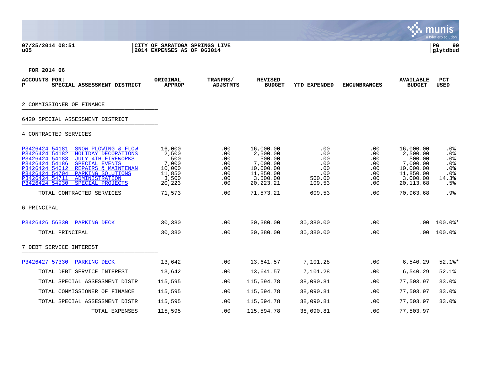**07/25/2014 08:51 |CITY OF SARATOGA SPRINGS LIVE |PG 99**

# **u05 |2014 EXPENSES AS OF 063014 |glytdbud**



 $\mathcal{L}(\mathcal{S})$ 

| ACCOUNTS FOR:<br>SPECIAL ASSESSMENT DISTRICT<br>P                                                                                                                                                                                                                                                                                  | ORIGINAL<br><b>APPROP</b>                                              | TRANFRS/<br><b>ADJSTMTS</b>                          | <b>REVISED</b><br><b>BUDGET</b>                                                                  | <b>YTD EXPENDED</b>                                        | <b>ENCUMBRANCES</b>                                            | <b>AVAILABLE</b><br><b>BUDGET</b>                                                               | <b>PCT</b><br><b>USED</b>                                    |
|------------------------------------------------------------------------------------------------------------------------------------------------------------------------------------------------------------------------------------------------------------------------------------------------------------------------------------|------------------------------------------------------------------------|------------------------------------------------------|--------------------------------------------------------------------------------------------------|------------------------------------------------------------|----------------------------------------------------------------|-------------------------------------------------------------------------------------------------|--------------------------------------------------------------|
| 2 COMMISSIONER OF FINANCE                                                                                                                                                                                                                                                                                                          |                                                                        |                                                      |                                                                                                  |                                                            |                                                                |                                                                                                 |                                                              |
| 6420 SPECIAL ASSESSMENT DISTRICT                                                                                                                                                                                                                                                                                                   |                                                                        |                                                      |                                                                                                  |                                                            |                                                                |                                                                                                 |                                                              |
| 4 CONTRACTED SERVICES                                                                                                                                                                                                                                                                                                              |                                                                        |                                                      |                                                                                                  |                                                            |                                                                |                                                                                                 |                                                              |
| P3426424 54181<br>SNOW PLOWING & FLOW<br>P3426424 54182<br>HOLIDAY DECORATIONS<br>P3426424 54183<br><b>JULY 4TH FIREWORKS</b><br>P3426424 54186<br><b>SPECIAL EVENTS</b><br>P3426424 54612<br>REPAIRS & MAINTENAN<br>P3426424 54704<br>PARKING SOLUTIONS<br>P3426424 54711<br>ADMINISTRATION<br>P3426424 54930<br>SPECIAL PROJECTS | 16,000<br>2,500<br>500<br>7,000<br>10,000<br>11,850<br>3,500<br>20,223 | .00<br>.00<br>.00<br>.00<br>.00<br>.00<br>.00<br>.00 | 16,000.00<br>2,500.00<br>500.00<br>7,000.00<br>10,000.00<br>11,850.00<br>3,500.00<br>20, 223. 21 | .00<br>.00<br>.00<br>.00<br>.00<br>.00<br>500.00<br>109.53 | $.00 \,$<br>.00<br>$.00 \,$<br>.00<br>.00<br>.00<br>.00<br>.00 | 16,000.00<br>2,500.00<br>500.00<br>7,000.00<br>10,000.00<br>11,850.00<br>3,000.00<br>20, 113.68 | $.0\%$<br>.0%<br>$.0\%$<br>.0%<br>.0%<br>.0%<br>14.3%<br>.5% |
| TOTAL CONTRACTED SERVICES                                                                                                                                                                                                                                                                                                          | 71,573                                                                 | .00                                                  | 71,573.21                                                                                        | 609.53                                                     | .00                                                            | 70,963.68                                                                                       | .9%                                                          |
| 6 PRINCIPAL                                                                                                                                                                                                                                                                                                                        |                                                                        |                                                      |                                                                                                  |                                                            |                                                                |                                                                                                 |                                                              |
| P3426426 56330 PARKING DECK                                                                                                                                                                                                                                                                                                        | 30,380                                                                 | .00                                                  | 30,380.00                                                                                        | 30,380.00                                                  | .00                                                            | .00                                                                                             | $100.0$ *                                                    |
| TOTAL PRINCIPAL                                                                                                                                                                                                                                                                                                                    | 30,380                                                                 | .00                                                  | 30,380.00                                                                                        | 30,380.00                                                  | .00                                                            | $.00 \,$                                                                                        | 100.0%                                                       |
| 7 DEBT SERVICE INTEREST                                                                                                                                                                                                                                                                                                            |                                                                        |                                                      |                                                                                                  |                                                            |                                                                |                                                                                                 |                                                              |
| P3426427 57330<br><b>PARKING DECK</b>                                                                                                                                                                                                                                                                                              | 13,642                                                                 | .00                                                  | 13,641.57                                                                                        | 7,101.28                                                   | .00                                                            | 6,540.29                                                                                        | $52.1$ %*                                                    |
| TOTAL DEBT SERVICE INTEREST                                                                                                                                                                                                                                                                                                        | 13,642                                                                 | .00                                                  | 13,641.57                                                                                        | 7,101.28                                                   | .00                                                            | 6,540.29                                                                                        | 52.1%                                                        |
| TOTAL SPECIAL ASSESSMENT DISTR                                                                                                                                                                                                                                                                                                     | 115,595                                                                | .00                                                  | 115,594.78                                                                                       | 38,090.81                                                  | .00                                                            | 77,503.97                                                                                       | 33.0%                                                        |
| TOTAL COMMISSIONER OF FINANCE                                                                                                                                                                                                                                                                                                      | 115,595                                                                | .00                                                  | 115,594.78                                                                                       | 38,090.81                                                  | .00                                                            | 77,503.97                                                                                       | 33.0%                                                        |
| TOTAL SPECIAL ASSESSMENT DISTR                                                                                                                                                                                                                                                                                                     | 115,595                                                                | .00                                                  | 115,594.78                                                                                       | 38,090.81                                                  | .00.                                                           | 77,503.97                                                                                       | 33.0%                                                        |
| TOTAL EXPENSES                                                                                                                                                                                                                                                                                                                     | 115,595                                                                | .00                                                  | 115,594.78                                                                                       | 38,090.81                                                  | .00                                                            | 77,503.97                                                                                       |                                                              |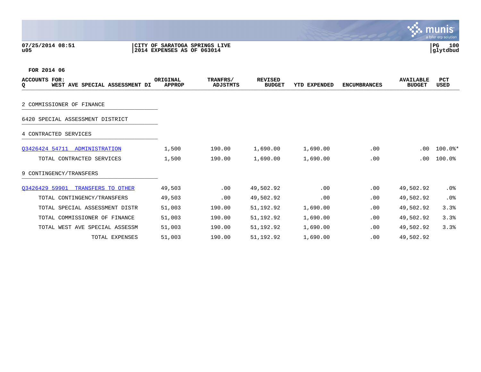**07/25/2014 08:51 |CITY OF SARATOGA SPRINGS LIVE |PG 100 u05 |2014 EXPENSES AS OF 063014 |glytdbud**



| <b>ACCOUNTS FOR:</b><br>Q<br>WEST AVE SPECIAL ASSESSMENT DI | ORIGINAL<br><b>APPROP</b> | TRANFRS/<br><b>ADJSTMTS</b> | <b>REVISED</b><br><b>BUDGET</b> | <b>YTD EXPENDED</b> | <b>ENCUMBRANCES</b> | <b>AVAILABLE</b><br><b>BUDGET</b> | <b>PCT</b><br>USED |
|-------------------------------------------------------------|---------------------------|-----------------------------|---------------------------------|---------------------|---------------------|-----------------------------------|--------------------|
| 2 COMMISSIONER OF FINANCE                                   |                           |                             |                                 |                     |                     |                                   |                    |
| 6420 SPECIAL ASSESSMENT DISTRICT                            |                           |                             |                                 |                     |                     |                                   |                    |
|                                                             |                           |                             |                                 |                     |                     |                                   |                    |
| 4 CONTRACTED SERVICES                                       |                           |                             |                                 |                     |                     |                                   |                    |
| 03426424 54711 ADMINISTRATION                               | 1,500                     | 190.00                      | 1,690.00                        | 1,690.00            | .00                 | .00                               | $100.0$ *          |
| TOTAL CONTRACTED SERVICES                                   | 1,500                     | 190.00                      | 1,690.00                        | 1,690.00            | .00                 | .00                               | 100.0%             |
| 9 CONTINGENCY/TRANSFERS                                     |                           |                             |                                 |                     |                     |                                   |                    |
| Q3426429 59901 TRANSFERS TO OTHER                           | 49,503                    | .00                         | 49,502.92                       | .00                 | .00                 | 49,502.92                         | $.0\%$             |
| TOTAL CONTINGENCY/TRANSFERS                                 | 49,503                    | .00                         | 49,502.92                       | .00                 | .00                 | 49,502.92                         | .0%                |
| TOTAL SPECIAL ASSESSMENT DISTR                              | 51,003                    | 190.00                      | 51,192.92                       | 1,690.00            | .00                 | 49,502.92                         | 3.3%               |
| TOTAL COMMISSIONER OF FINANCE                               | 51,003                    | 190.00                      | 51,192.92                       | 1,690.00            | .00                 | 49,502.92                         | 3.3%               |
| TOTAL WEST AVE SPECIAL ASSESSM                              | 51,003                    | 190.00                      | 51,192.92                       | 1,690.00            | .00                 | 49,502.92                         | 3.3%               |
| TOTAL EXPENSES                                              | 51,003                    | 190.00                      | 51,192.92                       | 1,690.00            | .00                 | 49,502.92                         |                    |

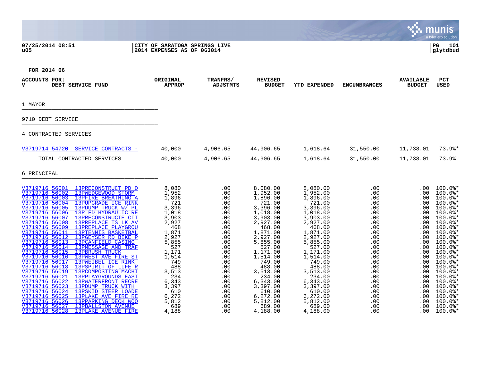## **07/25/2014 08:51 |CITY OF SARATOGA SPRINGS LIVE |PG 101 u05 |2014 EXPENSES AS OF 063014 |glytdbud**



| <b>ACCOUNTS FOR:</b><br>DEBT SERVICE FUND<br>v                                                                                                                                                                                                                                                                                                                                                                                                                                                                                                                                                                                                                                                                                                                                                                                                                                                                                                                                                                                                                                                                 | ORIGINAL<br><b>APPROP</b>                                                                                                                                                                                              | TRANFRS/<br><b>ADJSTMTS</b>                                                                                                                                                        | <b>REVISED</b><br><b>BUDGET</b>                                                                                                                                                                                                                                                                      | <b>YTD EXPENDED</b>                                                                                                                                                                                                                                                                                  | <b>ENCUMBRANCES</b>                                                                                                                                                                     | <b>AVAILABLE</b><br><b>BUDGET</b>                                                                                                                                                                                 | <b>PCT</b><br><b>USED</b>                                                                                                                                                                                                                                                                                                                                                  |
|----------------------------------------------------------------------------------------------------------------------------------------------------------------------------------------------------------------------------------------------------------------------------------------------------------------------------------------------------------------------------------------------------------------------------------------------------------------------------------------------------------------------------------------------------------------------------------------------------------------------------------------------------------------------------------------------------------------------------------------------------------------------------------------------------------------------------------------------------------------------------------------------------------------------------------------------------------------------------------------------------------------------------------------------------------------------------------------------------------------|------------------------------------------------------------------------------------------------------------------------------------------------------------------------------------------------------------------------|------------------------------------------------------------------------------------------------------------------------------------------------------------------------------------|------------------------------------------------------------------------------------------------------------------------------------------------------------------------------------------------------------------------------------------------------------------------------------------------------|------------------------------------------------------------------------------------------------------------------------------------------------------------------------------------------------------------------------------------------------------------------------------------------------------|-----------------------------------------------------------------------------------------------------------------------------------------------------------------------------------------|-------------------------------------------------------------------------------------------------------------------------------------------------------------------------------------------------------------------|----------------------------------------------------------------------------------------------------------------------------------------------------------------------------------------------------------------------------------------------------------------------------------------------------------------------------------------------------------------------------|
| 1 MAYOR                                                                                                                                                                                                                                                                                                                                                                                                                                                                                                                                                                                                                                                                                                                                                                                                                                                                                                                                                                                                                                                                                                        |                                                                                                                                                                                                                        |                                                                                                                                                                                    |                                                                                                                                                                                                                                                                                                      |                                                                                                                                                                                                                                                                                                      |                                                                                                                                                                                         |                                                                                                                                                                                                                   |                                                                                                                                                                                                                                                                                                                                                                            |
| 9710 DEBT SERVICE                                                                                                                                                                                                                                                                                                                                                                                                                                                                                                                                                                                                                                                                                                                                                                                                                                                                                                                                                                                                                                                                                              |                                                                                                                                                                                                                        |                                                                                                                                                                                    |                                                                                                                                                                                                                                                                                                      |                                                                                                                                                                                                                                                                                                      |                                                                                                                                                                                         |                                                                                                                                                                                                                   |                                                                                                                                                                                                                                                                                                                                                                            |
| 4 CONTRACTED SERVICES                                                                                                                                                                                                                                                                                                                                                                                                                                                                                                                                                                                                                                                                                                                                                                                                                                                                                                                                                                                                                                                                                          |                                                                                                                                                                                                                        |                                                                                                                                                                                    |                                                                                                                                                                                                                                                                                                      |                                                                                                                                                                                                                                                                                                      |                                                                                                                                                                                         |                                                                                                                                                                                                                   |                                                                                                                                                                                                                                                                                                                                                                            |
| V3719714 54720 SERVICE CONTRACTS -                                                                                                                                                                                                                                                                                                                                                                                                                                                                                                                                                                                                                                                                                                                                                                                                                                                                                                                                                                                                                                                                             | 40,000                                                                                                                                                                                                                 | 4,906.65                                                                                                                                                                           | 44,906.65                                                                                                                                                                                                                                                                                            | 1,618.64                                                                                                                                                                                                                                                                                             | 31,550.00                                                                                                                                                                               | 11,738.01                                                                                                                                                                                                         | $73.9$ <sup>*</sup>                                                                                                                                                                                                                                                                                                                                                        |
| TOTAL CONTRACTED SERVICES                                                                                                                                                                                                                                                                                                                                                                                                                                                                                                                                                                                                                                                                                                                                                                                                                                                                                                                                                                                                                                                                                      | 40,000                                                                                                                                                                                                                 | 4,906.65                                                                                                                                                                           | 44,906.65                                                                                                                                                                                                                                                                                            | 1,618.64                                                                                                                                                                                                                                                                                             | 31,550.00                                                                                                                                                                               | 11,738.01                                                                                                                                                                                                         | 73.9%                                                                                                                                                                                                                                                                                                                                                                      |
| 6 PRINCIPAL                                                                                                                                                                                                                                                                                                                                                                                                                                                                                                                                                                                                                                                                                                                                                                                                                                                                                                                                                                                                                                                                                                    |                                                                                                                                                                                                                        |                                                                                                                                                                                    |                                                                                                                                                                                                                                                                                                      |                                                                                                                                                                                                                                                                                                      |                                                                                                                                                                                         |                                                                                                                                                                                                                   |                                                                                                                                                                                                                                                                                                                                                                            |
| V3719716 56001 13PRECONSTRUCT PD O<br>V3719716 56002<br>13PWEDGEWOOD STORM<br>V3719716 56003<br>13PFIRE BREATHING A<br>V3719716 56004<br>13PUPGRADE ICE RINK<br>V3719716 56005<br>13PDUMP TRUCK W/ PL<br>V3719716 56006<br>13P FD HYDRAULIC RE<br>V3719716 56007<br>13PRECONSTRUCTE CIT<br>V3719716 56008<br>13PREPLACE TS LK AV<br>V3719716 56009<br><b>13PREPLACE PLAYGROU</b><br>V3719716 56011<br>13PTENNIS BASKETBAL<br>V3719716 56012<br>13PGEYSER RD BIKE P<br>V3719716 56013<br>13PCANFIELD CASINO<br>V3719716 56014<br>13PMESSAGE AND TRAF<br>V3719716 56015<br><b>13PBRUSH TRUCK</b><br>V3719716 56016<br>13PWEST AVE FIRE ST<br>V3719716 56017<br>13PWEIBEL ICE RINK<br>V3719716 56018<br>13PSPIRIT OF LIFE R<br>V3719716 56019<br>13PCOMPOSTING MACHI<br>V3719716 56021<br>13PPLAYGROUNDS EAST<br>V3719716 56022<br>13PWATERFRONT RECRE<br>V3719716 56023<br>13PDUMP TRUCK WITH<br>V3719716 56024<br>13PSKID STEER LOADE<br>V3719716 56025<br>13PLAKE AVE FIRE RE<br>V3719716 56026<br>13PPARKING DECK WOO<br>V3719716 56027<br><b>13PBALLSTON AVENUE</b><br>V3719716 56028<br>13PLAKE AVENUE FIRE | 8,080<br>1,952<br>1,896<br>721<br>3,396<br>1,018<br>3,903<br>2,927<br>468<br>1,871<br>2,927<br>5,855<br>527<br>1,171<br>1,514<br>749<br>488<br>3,513<br>234<br>6,343<br>3,397<br>610<br>6,272<br>5,812<br>689<br>4,188 | .00<br>.00<br>.00<br>.00<br>.00<br>.00<br>.00<br>.00<br>.00<br>.00<br>.00<br>.00<br>.00<br>.00<br>.00<br>.00<br>.00<br>.00<br>.00<br>.00<br>.00<br>.00<br>.00<br>.00<br>.00<br>.00 | 8,080.00<br>1,952.00<br>1,896.00<br>721.00<br>3,396.00<br>1,018.00<br>3,903.00<br>2,927.00<br>468.00<br>1,871.00<br>2,927.00<br>5,855.00<br>527.00<br>1,171.00<br>1,514.00<br>749.00<br>488.00<br>3,513.00<br>234.00<br>6,343.00<br>3,397.00<br>610.00<br>6,272.00<br>5,812.00<br>689.00<br>4,188.00 | 8,080.00<br>1,952.00<br>1,896.00<br>721.00<br>3,396.00<br>1,018.00<br>3,903.00<br>2,927.00<br>468.00<br>1,871.00<br>2,927.00<br>5,855.00<br>527.00<br>1,171.00<br>1,514.00<br>749.00<br>488.00<br>3,513.00<br>234.00<br>6,343.00<br>3,397.00<br>610.00<br>6,272.00<br>5,812.00<br>689.00<br>4,188.00 | .00<br>.00<br>.00<br>.00<br>.00<br>.00<br>.00<br>.00<br>.00<br>.00<br>.00<br>.00<br>.00<br>.00<br>.00<br>.00<br>.00<br>.00<br>.00<br>.00<br>.00<br>$.00 \,$<br>.00<br>.00<br>.00<br>.00 | .00<br>$.00 \,$<br>$.00 \,$<br>.00<br>.00<br>.00<br>.00<br>.00<br>.00<br>.00<br>.00<br>.00<br>.00<br>.00<br>$.00 \,$<br>.00<br>.00<br>.00<br>.00<br>.00.<br>.00<br>.00<br>$.00 \,$<br>.00<br>$.00 \,$<br>$.00 \,$ | $100.0$ $*$<br>$100.0$ $*$<br>$100.0$ $*$<br>$100.0$ *<br>$100.0$ *<br>$100.0$ *<br>$100.0$ *<br>$100.0$ *<br>$100.0$ $*$<br>$100.0$ $*$<br>$100.0$ *<br>$100.0$ *<br>$100.0$ *<br>$100.0$ *<br>$100.0$ $*$<br>$100.0$ *<br>$100.0$ $*$<br>$100.0$ *<br>$100.0$ *<br>$100.0$ $*$<br>$100.0$ $*$<br>$100.0$ $*$<br>$100.0$ $*$<br>$100.0$ $*$<br>$100.0$ $*$<br>$100.0$ $*$ |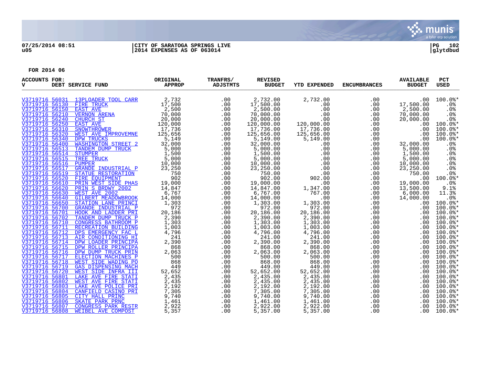

## **07/25/2014 08:51 |CITY OF SARATOGA SPRINGS LIVE |PG 102 u05 |2014 EXPENSES AS OF 063014 |glytdbud**

| <b>ACCOUNTS FOR:</b><br>v        | DEBT SERVICE FUND                     | ORIGINAL<br><b>APPROP</b> | TRANFRS/<br><b>ADJSTMTS</b> | <b>REVISED</b><br><b>BUDGET</b> | <b>YTD EXPENDED</b> | <b>ENCUMBRANCES</b> | <b>AVAILABLE</b><br><b>BUDGET</b> | <b>PCT</b><br>USED   |
|----------------------------------|---------------------------------------|---------------------------|-----------------------------|---------------------------------|---------------------|---------------------|-----------------------------------|----------------------|
|                                  | V3719716 56031 13PLOADER TOOL CARR    | 2,732                     | .00                         | 2,732.00                        | 2,732.00            | .00                 | .00                               | $100.0$ *            |
| V3719716 56130                   | FIRE TRUCK                            | 17,500                    | .00                         | 17,500.00                       | .00                 | .00                 | 17,500.00                         | .0%                  |
| V3719716 56150                   | <b>EAST AVE</b>                       | 2,500                     | .00                         | 2,500.00                        | .00                 | .00                 | 2,500.00                          | .0%                  |
| V3719716 56210                   | <b>VERNON ARENA</b>                   | 70,000                    | .00                         | 70,000.00                       | .00                 | .00                 | 70,000.00                         | .0%                  |
| V3719716 56240                   | CHURCH ST                             | 20,000                    | .00                         | 20,000.00                       | .00                 | .00                 | 20,000.00                         | .0 <sub>8</sub>      |
| V3719716 56250                   | <b>EAST AVE</b>                       | 120,000                   | .00                         | 120,000.00                      | 120,000.00          | .00                 | .00                               | $100.0$ <sup>*</sup> |
| V3719716 56310                   | SNOWTHROWER                           | 17,736                    | .00                         | 17,736.00                       | 17,736.00           | .00                 | .00                               | $100.0$ <sup>*</sup> |
| V3719716 56320                   | WEST AVE IMPROVEMNE                   | 125,656                   | .00                         | 125,656.00                      | 125,656.00          | .00                 | .00                               | $100.0$ *            |
| V3719716 56340                   | <b>DPW TRUCKS</b>                     | 5,149                     | .00                         | 5,149.00                        | 5,149.00            | .00                 | .00                               | $100.0$ *            |
| V3719716 56400                   | <b>WASHINGTON STREET 2</b>            | 32,000                    | .00                         | 32,000.00                       | .00                 | .00                 | 32,000.00                         | .0 <sub>8</sub>      |
| V3719716 56513                   | TANDEM DUMP TRUCK                     | 5,000                     | .00                         | 5,000.00                        | .00                 | .00                 | 5,000.00                          | .0%                  |
| V3719716 56514                   | STUMPER                               | 1,500                     | .00                         | 1,500.00                        | .00                 | .00                 | 1,500.00                          | .0%                  |
| V3719716 56515                   | TREE TRUCK                            | 5,000                     | .00                         | 5,000.00                        | .00                 | .00                 | 5,000.00                          | .0%                  |
| V3719716 56516                   | <b>PUMPER</b>                         | 10,000                    | .00                         | 10,000.00                       | .00                 | .00                 | 10,000.00                         | .0%                  |
| V3719716 56517                   | GRANDE INDUSTRIAL P                   | 23,250                    | .00                         | 23,250.00                       | .00                 | .00                 | 23,250.00                         | .0%                  |
| V3719716 56519                   | STATUE RESTORATION                    | 750                       | .00                         | 750.00                          | .00                 | .00                 | 750.00                            | .0%<br>$100.0$ *     |
| V3719716 56520<br>V3719716 56610 | FIRE EOUIPMENT<br>PRIN WEST SIDE PHAS | 902                       | .00<br>.00                  | 902.00<br>19,000.00             | 902.00<br>.00       | .00                 | .00<br>19,000.00                  | .0%                  |
| V3719716 56620                   | PRIN S BRDWY 2002                     | 19,000<br>14,847          | .00                         |                                 |                     | .00                 | 13,500.00                         | 9.1%                 |
| V3719716 56630                   | WEST AVE 2002                         | 6,767                     | .00                         | 14,847.00<br>6,767.00           | 1,347.00<br>767.00  | .00<br>.00          | 6,000.00                          | 11.3%                |
| V3719716 56640                   | <b>GILBERT MEADOWBROOK</b>            | 14,000                    | .00                         | 14,000.00                       | .00                 | .00                 | 14,000.00                         | .0%                  |
| V3719716 56650                   | STATION LANE PRINCI                   | 1,303                     | .00                         | 1,303.00                        | 1,303.00            | .00                 | .00                               | $100.0$ <sup>*</sup> |
| V3719716 56700                   | <b>GRANDE INDUSTRIAL P</b>            | 972                       | .00                         | 972.00                          | 972.00              | .00                 | .00                               | $100.0$ *            |
| V3719716 56701                   | HOOK AND LADDER PRI                   | 20,186                    | .00                         | 20,186.00                       | 20,186.00           | .00                 | .00                               | $100.0$ *            |
| V3719716 56702                   | TANDEM DUMP TRUCK P                   | 2,390                     | .00                         | 2,390.00                        | 2,390.00            | .00                 | .00                               | $100.0$ $*$          |
| V3719716 56710                   | CONGRESS BATHROOM P                   | 1,303                     | .00                         | 1,303.00                        | 1,303.00            | .00                 | .00                               | $100.0$ $*$          |
| V3719716 56711                   | <b>RECREATION BUILDING</b>            | 1,003                     | .00                         | 1,003.00                        | 1,003.00            | .00                 | .00                               | $100.0$ $*$          |
| V3719716 56712                   | DPS EMERGENCY FAC L                   | 4,796                     | .00                         | 4,796.00                        | 4,796.00            | .00                 | .00                               | $100.0$ $*$          |
| V3719716 56713                   | AIR CONDITIONING HI                   | 241                       | .00                         | 241.00                          | 241.00              | .00                 | .00                               | $100.0$ *            |
| V3719716 56714                   | DPW LOADER PRINCIPA                   | 2,390                     | .00                         | 2,390.00                        | 2,390.00            | .00                 | .00                               | $100.0$ $*$          |
| V3719716 56715                   | DPW ROLLER PRINCIPA                   | 868                       | .00                         | 868.00                          | 868.00              | .00                 | .00                               | $100.0$ *            |
| V3719716 56716                   | DPW DUMP TRUCK PRIN                   | 2,063                     | .00                         | 2,063.00                        | 2,063.00            | .00                 | .00                               | $100.0$ $*$          |
| V3719716 56717                   | ELECTION MACHINES P                   | 500                       | .00                         | 500.00                          | 500.00              | .00                 | .00                               | $100.0$ *            |
| V3719716 56718                   | WEST SIDE WADING PO                   | 868                       | .00                         | 868.00                          | 868.00              | .00                 | .00                               | $100.0$ $*$          |
| V3719716 56719                   | <b>GAS DISPENSING MACH</b>            | 449                       | .00                         | 449.00                          | 449.00              | .00                 | .00                               | $100.0$ $*$          |
| V3719716 56720                   | WEST SIDE INFRA III                   | 52,652                    | .00                         | 52,652.00                       | 52,652.00           | .00                 | .00                               | $100.0$ $*$          |
| V3719716 56801                   | <b>LAKE AVE FIRE STATI</b>            | 2,435                     | .00                         | 2,435.00                        | 2,435.00            | .00                 | .00                               | $100.0$ *            |
| V3719716 56802                   | WEST AVE FIRE STATI                   | 2,435                     | .00                         | 2,435.00                        | 2,435.00            | .00                 | .00.                              | $100.0$ *            |
| V3719716 56803                   | LAKE AVE POLICE PRI                   | 2,192                     | .00                         | 2,192.00                        | 2,192.00            | .00                 | .00                               | $100.0$ $*$          |
| V3719716 56804                   | CANFIELD CASINO PRI                   | 7,305                     | .00                         | 7,305.00                        | 7,305.00            | .00                 | .00                               | $100.0$ <sup>*</sup> |
| V3719716 56805                   | CITY HALL PRINC                       | 9,740                     | .00                         | 9,740.00                        | 9,740.00            | .00                 | .00                               | $100.0$ $*$          |
| V3719716 56806                   | SKATE PARK PRNC                       | 1,461                     | .00                         | 1,461.00                        | 1,461.00            | .00                 | .00.                              | $100.0$ *            |
| V3719716 56807                   | CONGRESS PARK RESTR                   | 2,922                     | .00                         | 2,922.00                        | 2,922.00            | .00                 | $.00 \,$                          | $100.0$ *            |
| V3719716 56808                   | WEIBEL AVE COMPOST                    | 5,357                     | .00                         | 5,357.00                        | 5,357.00            | .00                 | .00                               | $100.0$ $*$          |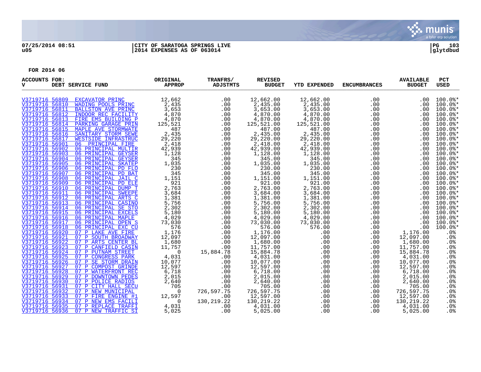

## **07/25/2014 08:51 |CITY OF SARATOGA SPRINGS LIVE |PG 103 u05 |2014 EXPENSES AS OF 063014 |glytdbud**

| <b>ACCOUNTS FOR:</b><br>v        | DEBT SERVICE FUND                                        | ORIGINAL<br><b>APPROP</b> | TRANFRS/<br>ADJSTMTS | <b>REVISED</b><br><b>BUDGET</b> | <b>YTD EXPENDED</b> | <b>ENCUMBRANCES</b> | <b>AVAILABLE</b><br><b>BUDGET</b> | <b>PCT</b><br><b>USED</b>                    |
|----------------------------------|----------------------------------------------------------|---------------------------|----------------------|---------------------------------|---------------------|---------------------|-----------------------------------|----------------------------------------------|
| V3719716 56809                   | EXCAVATOR PRINC                                          | 12,662                    | .00                  | 12,662.00                       | 12,662.00           | .00                 | .00                               | $100.0$ *                                    |
| V3719716 56810                   | WADING POOLS PRINC                                       | 2,435                     | .00                  | 2,435.00                        | 2,435.00            | .00                 | .00                               | $100.0$ *                                    |
| V3719716 56811                   | <b>BALLSTON AVE PRINC</b>                                | 3,653                     | .00                  | 3,653.00                        | 3,653.00            | .00                 | $.00 \,$                          | $100.0$ *                                    |
|                                  | V3719716 56812 INDOOR REC FACILITY                       | 4,870                     | .00                  | 4,870.00                        | 4,870.00            | .00                 | .00                               | $100.0$ <sup>*</sup>                         |
|                                  | V3719716 56813 FIRE EMS BUILDING P                       | 4,870                     | .00                  | 4,870.00                        | 4,870.00            | .00                 | $.00 \,$                          | $100.0$ *                                    |
|                                  | V3719716 56814 PARKING GARAGE PRIN                       | 125,521                   | .00                  | 125,521.00                      | 125,521.00          | .00                 | .00                               | $100.0$ *                                    |
| V3719716 56815                   | MAPLE AVE STORMWATE                                      | 487                       | .00                  | 487.00                          | 487.00              | .00                 | $.00 \,$                          | $100.0$ *                                    |
| V3719716 56816                   | SANITARY STORM SEWE                                      | 2,435                     | .00                  | 2,435.00                        | 2,435.00            | .00                 | .00                               | $100.0$ *                                    |
|                                  | V3719716 56817 WESTSIDE INFRASTRUC                       | 29,220                    | .00                  | 29,220.00                       | 29,220.00           | .00                 | .00                               | $100.0$ *                                    |
| V3719716 56901                   | 06 PRINCIPAL FIRE                                        | 2,418                     | .00                  | 2,418.00                        | 2,418.00            | .00                 | .00                               | $100.0$ *                                    |
| V3719716 56902<br>V3719716 56903 | 06 PRINCIPAL MULTIR                                      | 42,939                    | .00                  | 42,939.00                       | 42,939.00           | .00                 | .00                               | 100.0%*                                      |
| V3719716 56904                   | 06 PRINCIPAL GEYSER<br>06 PRINCIPAL GEYSER               | 1,128<br>345              | .00<br>.00           | 1,128.00<br>345.00              | 1,128.00<br>345.00  | .00                 | .00                               | $100.0$ <sup>*</sup><br>$100.0$ <sup>*</sup> |
|                                  | V3719716 56905 06 PRINCIPAL SKATEP                       | 1,035                     | .00                  | 1,035.00                        | 1,035.00            | .00<br>.00          | .00<br>.00                        | $100.0$ *                                    |
|                                  | V3719716 56906 06 PRINCIPAL PD FLO                       | 230                       | .00                  | 230.00                          | 230.00              | .00                 | .00                               | $100.0$ *                                    |
| V3719716 56907                   | 06 PRINCIPAL PD BAT                                      | 345                       | .00                  | 345.00                          | 345.00              | .00                 | .00                               | $100.0$ *                                    |
| V3719716 56908                   | 06 PRINCIPAL JAIL C                                      | 1,151                     | .00                  | 1,151.00                        | 1,151.00            | .00                 | $.00 \,$                          | $100.0$ *                                    |
| V3719716 56909                   | 06 PRINCIPAL PD ELE                                      | 921                       | .00                  | 921.00                          | 921.00              | .00                 | .00                               | $100.0$ *                                    |
| V3719716 56910                   | 06 PRINCIPAL DUMP T                                      | 2,763                     | .00                  | 2,763.00                        | 2,763.00            | .00                 | .00                               | $100.0$ *                                    |
| V3719716 56911                   | 06 PRINCIPAL SWEEPE                                      | 3,684                     | .00                  | 3,684.00                        | 3,684.00            | .00                 | .00                               | $100.0$ *                                    |
| V3719716 56912                   | 06 PRINCIPAL ARTS C                                      | 1,381                     | .00                  | 1,381.00                        | 1,381.00            | .00                 | .00                               | $100.0$ *                                    |
|                                  | V3719716 56913 06 PRINCIPAL CASINO                       | 5,756                     | .00                  | 5,756.00                        | 5,756.00            | .00                 | .00                               | $100.0$ *                                    |
|                                  | V3719716 56914 06 PRINCIPAL SE STO                       | 2,302                     | .00                  | 2,302.00                        | 2,302.00            | .00                 | .00                               | $100.0$ *                                    |
|                                  | V3719716 56915 06 PRINCIPAL EXCELS                       | 5,180                     | .00                  | 5,180.00                        | 5,180.00            | .00                 | .00                               | $100.0$ *                                    |
|                                  | V3719716 56916 06 PRINCIPAL MAPLE                        | 4,029                     | .00                  | 4,029.00                        | 4,029.00            | .00                 | .00                               | $100.0$ *                                    |
| V3719716 56917                   | 06 PRINCIPAL OPEN S                                      | 73,030                    | .00                  | 73,030.00                       | 73,030.00           | .00                 | .00                               | $100.0$ *                                    |
|                                  | V3719716 56918 06 PRINCIPAL EXC CU                       | 576                       | .00                  | 576.00                          | 576.00              | .00                 | .00                               | $100.0$ *                                    |
| V3719716 56920                   | 07 P LAKE AVE FIRE                                       | 1,176                     | .00                  | 1,176.00                        | .00                 | .00                 | 1,176.00                          | .0 <sub>8</sub>                              |
| V3719716 56921                   | 07 P SOUTH BROADWAY                                      | 12,097                    | .00                  | 12,097.00                       | .00                 | .00                 | 12,097.00                         | .0%                                          |
| V3719716 56922                   | 07 P ARTS CENTER BL                                      | 1,680                     | .00                  | 1,680.00                        | .00                 | .00                 | 1,680.00                          | .0%                                          |
| V3719716 56923                   | 07 P CANFIELD CASIN                                      | 11,757                    | .00                  | 11,757.00                       | .00                 | .00                 | 11,757.00                         | .0%                                          |
| V3719716 56924                   | 07 P PUTNAM STREET                                       | $\Omega$                  | 15,884.78            | 15,884.78                       | .00                 | .00                 | 15,884.78                         | .0%<br>.0%                                   |
| V3719716 56925                   | 07 P CONGRESS PARK<br>V3719716 56926 07 P SE STORM DRAIN | 4,031<br>10,077           | .00<br>.00           | 4,031.00<br>10,077.00           | .00<br>.00          | .00<br>.00          | 4,031.00<br>10,077.00             | .0%                                          |
| V3719716 56927                   | 07 P COMPOST GRINDE                                      | 12,597                    | .00                  | 12,597.00                       | .00                 | .00                 | 12,597.00                         | .0%                                          |
| V3719716 56928                   | 07 P WATERFRONT REC                                      | 6,718                     | .00                  | 6,718.00                        | .00                 | .00                 | 6,718.00                          | .0%                                          |
| V3719716 56929                   | 07 P_DOWNTOWN PEDES                                      | 2,015                     | .00                  | 2,015.00                        | .00                 | .00                 | 2,015.00                          | .0%                                          |
| V3719716 56930                   | 07 P POLICE RADIOS                                       | 2,640                     | .00                  | 2,640.00                        | .00                 | .00                 | 2,640.00                          | .0%                                          |
| V3719716 56931                   | 07 P CITY HALL SECU                                      | 705                       | .00                  | 705.00                          | .00                 | .00                 | 705.00                            | .0%                                          |
| V3719716 56932                   | 07 P NEW MUNICIPAL                                       | $\Omega$                  | 726,597.75           | 726,597.75                      | .00                 | .00                 | 726,597.75                        | .0%                                          |
| V3719716 56933                   | 07 P FIRE ENGINE #1                                      | 12,597                    | .00                  | 12,597.00                       | .00                 | .00                 | 12,597.00                         | .0%                                          |
| V3719716 56934                   | 07 P NEW EMS FACILI                                      | $\Omega$                  | 130,219.22           | 130, 219. 22                    | .00                 | .00                 | 130,219.22                        | .0%                                          |
| V3719716 56935                   | 07 P REPLACE TRAFFI                                      | 4,031                     | .00                  | 4,031.00                        | .00                 | .00                 | 4,031.00                          | .0%                                          |
| V3719716 56936                   | 07 P NEW TRAFFIC SI                                      | 5,025                     | .00                  | 5,025.00                        | .00                 | .00                 | 5,025.00                          | .0%                                          |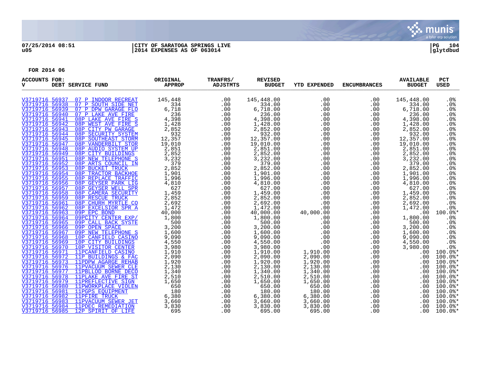

## **07/25/2014 08:51 |CITY OF SARATOGA SPRINGS LIVE |PG 104 u05 |2014 EXPENSES AS OF 063014 |glytdbud**

| <b>ACCOUNTS FOR:</b><br>v        | DEBT SERVICE FUND                                        | ORIGINAL<br><b>APPROP</b> | TRANFRS/<br><b>ADJSTMTS</b> | <b>REVISED</b><br><b>BUDGET</b> | YTD EXPENDED       | <b>ENCUMBRANCES</b> | <b>AVAILABLE</b><br><b>BUDGET</b> | <b>PCT</b><br><b>USED</b>         |
|----------------------------------|----------------------------------------------------------|---------------------------|-----------------------------|---------------------------------|--------------------|---------------------|-----------------------------------|-----------------------------------|
| V3719716 56937                   | 07 P INDOOR RECREAT                                      | 145,448                   | .00                         | 145,448.00                      | .00                | .00                 | 145,448.00                        | .0 <sub>8</sub>                   |
| V3719716 56938                   | 07 P SOUTH SIDE NET                                      | 334                       | .00                         | 334.00                          | .00                | .00                 | 334.00                            | .0%                               |
| V3719716 56939                   | 07 P DPW GARAGE FLO                                      | 6,718                     | .00                         | 6,718.00                        | .00                | .00                 | 6,718.00                          | .0%                               |
| V3719716 56940                   | 07 P LAKE AVE FIRE                                       | 236                       | .00                         | 236.00                          | .00                | .00                 | 236.00                            | .0%                               |
| V3719716 56941                   | 08P LAKE AVE FIRE S                                      | 4,398                     | .00                         | 4,398.00                        | .00                | .00                 | 4,398.00                          | .0 <sub>8</sub>                   |
| V3719716 56942                   | 08P WEST AVE FIRE S                                      | 1,428                     | .00                         | 1,428.00                        | .00                | .00                 | 1,428.00                          | .0%                               |
| V3719716 56943                   | 08P CITY PW GARAGE                                       | 2,852                     | .00                         | 2,852.00                        | .00                | .00                 | 2,852.00                          | .0%                               |
| V3719716 56944                   | 08P SECURITY SYSTEM                                      | 932                       | .00                         | 932.00                          | .00                | .00                 | 932.00                            | .0%                               |
| V3719716 56945                   | 08P SOUTHEAST STORM                                      | 12,357                    | .00                         | 12,357.00                       | .00                | .00                 | 12,357.00                         | .0 <sub>8</sub>                   |
| V3719716 56947                   | 08P VANDERBILT STOR                                      | 19,010                    | .00                         | 19,010.00                       | .00                | .00                 | 19,010.00                         | .0 <sub>8</sub>                   |
| V3719716 56948                   | 08P AUDIO SYSTEM UP                                      | 2,851                     | .00                         | 2,851.00                        | .00                | .00                 | 2,851.00                          | .0%                               |
| V3719716 56949<br>V3719716 56951 | 08P CITY BUILDINGS                                       | 2,852                     | .00                         | 2,852.00                        | .00<br>.00         | .00                 | 2,852.00                          | .0%<br>.0%                        |
| V3719716 56952                   | <b>08P NEW TELEPHONE S</b><br>08P ARTS COUNCIL IN        | 3,232<br>379              | .00<br>.00                  | 3,232.00<br>379.00              | .00                | .00<br>.00          | 3,232.00<br>379.00                | .0%                               |
| V3719716 56953                   | 08P BUCKET TRUCK                                         | 2,852                     | .00                         | 2,852.00                        | .00                | .00                 | 2,852.00                          | .0%                               |
| V3719716 56954                   | 08P TRACTOR BACKHOE                                      | 1,901                     | .00                         | 1,901.00                        | .00                | .00                 | 1,901.00                          | .0 <sub>8</sub>                   |
| V3719716 56955                   | 08P REPLACE TRAFFIC                                      | 1,996                     | .00                         | 1,996.00                        | .00                | .00                 | 1,996.00                          | .0 <sub>8</sub>                   |
| V3719716 56956                   | 08P GEYSER PARK LIG                                      | 4,810                     | .00                         | 4,810.00                        | .00                | .00                 | 4,810.00                          | .0 <sub>8</sub>                   |
| V3719716 56957                   | 08P GEYSER WELL SPR                                      | 627                       | .00                         | 627.00                          | .00                | .00                 | 627.00                            | .0 <sub>8</sub>                   |
| V3719716 56958                   | 08P CAMERA SECURITY                                      | 1,459                     | .00                         | 1,459.00                        | .00                | .00                 | 1,459.00                          | .0 <sub>8</sub>                   |
| V3719716 56959                   | <b>08P RESCUE TRUCK</b>                                  | 2,852                     | .00                         | 2,852.00                        | .00                | .00                 | 2,852.00                          | .0 <sub>8</sub>                   |
| V3719716 56961                   | 08P CHURH MYRTLE CO                                      | 2,692                     | .00                         | 2,692.00                        | .00                | .00                 | 2,692.00                          | .0%                               |
| V3719716 56962                   | 08P EXCELSIOR SPR A                                      | 1,472                     | .00                         | 1,472.00                        | .00                | .00                 | 1,472.00                          | .0 <sub>8</sub>                   |
| V3719716 56963                   | 09P EPC BOND                                             | 40,000                    | .00                         | 40,000.00                       | 40,000.00          | .00                 | .00                               | 100.0%*                           |
| V3719716 56964                   | 09PCITY CENTER EXP/                                      | 1,800                     | .00                         | 1,800.00                        | .00                | .00                 | 1,800.00                          | .0%                               |
| V3719716 56965                   | 09P CALL BACK SYSTE                                      | 500                       | .00                         | 500.00                          | .00                | .00                 | 500.00                            | .0%                               |
| V3719716 56966                   | 09P OPEN SPACE                                           | 3,200                     | .00                         | 3,200.00                        | .00                | .00                 | 3,200.00                          | .0 <sub>8</sub>                   |
| V3719716 56967                   | 09P NEW TELEPHONE S                                      | 1,600                     | .00                         | 1,600.00                        | .00                | .00                 | 1,600.00                          | .0 <sub>8</sub>                   |
| V3719716 56968                   | 10P CANFIELD CASINO                                      | 9,090                     | .00                         | 9,090.00                        | .00                | .00                 | 9,090.00                          | .0%                               |
| V3719716 56969                   | 10P CITY BUILDINGS                                       | 4,550                     | .00                         | 4,550.00                        | .00                | .00                 | 4,550.00                          | .0%                               |
| V3719716 56970                   | 10P VISITOR CENTER                                       | 3,980                     | .00                         | 3,980.00                        | .00                | .00                 | 3,980.00                          | .0%                               |
| V3719716 56971                   | 11PCANFIELD CASINO                                       | 1,910                     | .00                         | 1,910.00                        | 1,910.00           | .00                 | .00                               | $100.0$ *                         |
|                                  | V3719716 56972 11P BUILDINGS & FAC                       | 2,090                     | .00                         | 2,090.00                        | 2,090.00           | .00                 | .00                               | $100.0$ *                         |
| V3719716 56973                   | 11PDPW AGARGE REHAB                                      | 1,920                     | .00                         | 1,920.00                        | 1,920.00           | .00                 | .00.                              | 100.0%*                           |
| V3719716 56976                   | 11PVACUUM SEWER CLE                                      | 2,130                     | .00                         | 2,130.00                        | 2,130.00           | .00                 | .00                               | $100.0$ *                         |
| V3719716 56977                   | 11PBLLOD BORNE DECO                                      | 1,340                     | .00                         | 1,340.00                        | 1,340.00           | .00                 | .00.                              | $100.0$ *                         |
| V3719716 56978                   | 11PLAKE AVE FIRE ST<br>V3719716 56979 11PREFLECTIVE SIGN | 2,510                     | .00                         | 2,510.00                        | 2,510.00           | .00                 | .00                               | $100.0$ *<br>$100.0$ <sup>*</sup> |
| V3719716 56980                   | 11PWORKPLACE VIOLEN                                      | 1,650<br>650              | .00<br>.00                  | 1,650.00<br>650.00              | 1,650.00<br>650.00 | .00<br>.00          | .00.<br>.00                       | $100.0$ *                         |
| V3719716 56981                   | 11PGPS EQUIPMENT                                         | 180                       | .00                         | 180.00                          | 180.00             | .00                 | .00                               | $100.0$ *                         |
| V3719716 56982                   | 11PFIRE TRUCK                                            | 6,380                     | .00                         | 6,380.00                        | 6,380.00           | .00                 | $.00 \,$                          | $100.0$ $*$                       |
| V3719716 56983                   | 11PVACUUM SEWER JET                                      | 3,660                     | .00                         | 3,660.00                        | 3,660.00           | .00                 | .00                               | $100.0$ *                         |
| V3719716 56984                   | 11PDEC REMEDIATION                                       | 3,830                     | .00                         | 3,830.00                        | 3,830.00           | .00                 | .00.                              | $100.0$ *                         |
| V3719716 56985                   | 12P SPIRIT OF LIFE                                       | 695                       | .00                         | 695.00                          | 695.00             | .00                 | .00                               | $100.0$ $*$                       |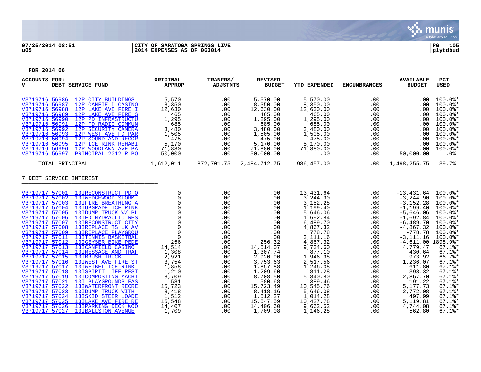

## **07/25/2014 08:51 |CITY OF SARATOGA SPRINGS LIVE |PG 105 u05 |2014 EXPENSES AS OF 063014 |glytdbud**

| <b>ACCOUNTS FOR:</b><br>v<br>DEBT SERVICE FUND                                                                                                                                                                                                                                                                                                                                             |                                                                                                                                                                                                                                                                                                                                                                                             | ORIGINAL<br><b>APPROP</b>                                                                                                                                                                               | TRANFRS/<br><b>ADJSTMTS</b>                                                                                                       | <b>REVISED</b><br><b>BUDGET</b>                                                                                                                                             | <b>YTD EXPENDED</b>                                                                                                                                                                                                       | <b>ENCUMBRANCES</b>                                                                                                               | <b>AVAILABLE</b><br><b>BUDGET</b>                                                                                                                                                                                                                                     | PCT<br><b>USED</b>                                                                                                                                                                                                                                                |
|--------------------------------------------------------------------------------------------------------------------------------------------------------------------------------------------------------------------------------------------------------------------------------------------------------------------------------------------------------------------------------------------|---------------------------------------------------------------------------------------------------------------------------------------------------------------------------------------------------------------------------------------------------------------------------------------------------------------------------------------------------------------------------------------------|---------------------------------------------------------------------------------------------------------------------------------------------------------------------------------------------------------|-----------------------------------------------------------------------------------------------------------------------------------|-----------------------------------------------------------------------------------------------------------------------------------------------------------------------------|---------------------------------------------------------------------------------------------------------------------------------------------------------------------------------------------------------------------------|-----------------------------------------------------------------------------------------------------------------------------------|-----------------------------------------------------------------------------------------------------------------------------------------------------------------------------------------------------------------------------------------------------------------------|-------------------------------------------------------------------------------------------------------------------------------------------------------------------------------------------------------------------------------------------------------------------|
| V3719716 56986 12P CITY BUILDINGS<br>V3719716 56987<br>V3719716 56988<br>V3719716 56989<br>V3719716 56990<br>V3719716 56991<br>V3719716 56992 12P SECURITY CAMERA<br>V3719716 56993<br>V3719716 56994 12P SOUND AND RECOR<br>V3719716 56995<br>V3719716 56996 12P WOODLAWN AVE PA<br>V3719716 56997                                                                                        | 12P CANFIELD CASINO<br>12P LAKE AVE FIRE I<br>12P LAKE AVE FIRE S<br>12P PD INFRASTRUCTU<br>12P FD RADIO COMMUN<br>12P WEST AVE FD PAR<br>12P ICE RINK REHABI<br>PRINCIPAL 2012 R BO                                                                                                                                                                                                        | 5,570<br>8,350<br>12,630<br>465<br>1,295<br>685<br>3,480<br>1,505<br>475<br>5,170<br>71,880<br>50,000                                                                                                   | .00<br>.00<br>.00<br>.00<br>.00<br>.00<br>.00<br>.00<br>.00<br>.00<br>.00<br>.00                                                  | 5,570.00<br>8,350.00<br>12,630.00<br>465.00<br>1,295.00<br>685.00<br>3,480.00<br>1,505.00<br>475.00<br>5,170.00<br>71,880.00<br>50,000.00                                   | 5,570.00<br>8,350.00<br>12,630.00<br>465.00<br>1,295.00<br>685.00<br>3,480.00<br>1,505.00<br>475.00<br>5,170.00<br>71,880.00<br>.00                                                                                       | .00<br>.00<br>.00<br>.00<br>.00<br>.00<br>.00<br>.00<br>.00<br>.00<br>.00<br>.00                                                  | $.00 \,$<br>.00<br>.00<br>.00<br>$.00 \,$<br>.00<br>.00<br>.00<br>$.00 \,$<br>.00<br>.00<br>50,000.00                                                                                                                                                                 | $100.0$ *<br>$100.0$ *<br>$100.0$ *<br>$100.0$ *<br>$100.0$ $*$<br>$100.0$ *<br>$100.0$ *<br>$100.0$ $*$<br>$100.0$ *<br>$100.0$ $*$<br>$100.0$ *<br>.0%                                                                                                          |
| TOTAL PRINCIPAL                                                                                                                                                                                                                                                                                                                                                                            |                                                                                                                                                                                                                                                                                                                                                                                             | 1,612,011                                                                                                                                                                                               | 872,701.75                                                                                                                        | 2,484,712.75                                                                                                                                                                | 986,457.00                                                                                                                                                                                                                | .00                                                                                                                               | 1,498,255.75                                                                                                                                                                                                                                                          | 39.7%                                                                                                                                                                                                                                                             |
| 7 DEBT SERVICE INTEREST                                                                                                                                                                                                                                                                                                                                                                    |                                                                                                                                                                                                                                                                                                                                                                                             |                                                                                                                                                                                                         |                                                                                                                                   |                                                                                                                                                                             |                                                                                                                                                                                                                           |                                                                                                                                   |                                                                                                                                                                                                                                                                       |                                                                                                                                                                                                                                                                   |
| V3719717 57001 13IRECONSTRUCT PD O<br>V3719717 57002<br>V3719717 57003<br>V3719717 57004<br>V3719717 57005<br>V3719717 57006<br>V3719717 57007<br>V3719717 57008<br>V3719717 57009<br>V3719717 57011<br>V3719717 57012<br>V3719717 57013<br>V3719717 57014<br>V3719717 57015<br>V3719717 57016 13IWEST AVE FIRE ST<br>V3719717 57017<br>V3719717 57018<br>V3719717 57019<br>V3719717 57021 | 13IWEDGEWOOD STORM<br>13IFIRE BREATHING A<br>13IUPGRADE ICE RINK<br>13IDUMP TRUCK W/ PL<br>13IFD HYDRAULIC RES<br>13IRECONSTRUCT CITY<br>13IREPLACE TS LK AV<br>13IREPLACE PLAYGROU<br>13ITENNIS BASKETBAL<br>13IGEYSER BIKE PEDE<br>13ICANFIELD CASINO<br>13IMESSAGE AND TRAF<br>13IBRUSH TRUCK<br>13IWEIBEL ICE RINK<br>13ISPIRIT LIFE REST<br>13ICOMPOSTING MACHI<br>13I PLAYGROUNDS EAS | 0<br>$\mathbf 0$<br>$\Omega$<br>$\mathbf 0$<br>$\Omega$<br>$\Omega$<br>$\mathsf 0$<br>$\Omega$<br>$\mathbf 0$<br>$\Omega$<br>256<br>14,514<br>1,308<br>2,921<br>3,754<br>1,858<br>1,210<br>8,709<br>581 | .00<br>.00<br>.00<br>.00<br>.00<br>.00<br>.00<br>.00<br>.00<br>.00<br>.00<br>.00<br>.00<br>.00<br>.00<br>.00<br>.00<br>.00<br>.00 | .00<br>.00<br>.00<br>.00<br>.00<br>.00<br>.00<br>.00<br>.00<br>.00<br>256.32<br>14,514.07<br>1,307.74<br>2,920.90<br>3,753.63<br>1,857.88<br>1,209.60<br>8,708.50<br>580.68 | 13,431.64<br>3,244.90<br>3,152.28<br>1,199.40<br>5,646.06<br>1,692.84<br>6,489.70<br>4,867.32<br>778.78<br>3,111.16<br>4,867.32<br>9,734.60<br>877.10<br>1,946.98<br>2,517.56<br>1,246.08<br>811.28<br>5,840.80<br>389.46 | .00<br>.00<br>.00<br>.00<br>.00<br>.00<br>.00<br>.00<br>.00<br>.00<br>.00<br>.00<br>.00<br>.00<br>.00<br>.00<br>.00<br>.00<br>.00 | $-13,431.64$<br>$-3, 244.90$<br>$-3, 152.28$<br>$-1, 199.40$<br>$-5,646.06$<br>$-1,692.84$<br>$-6, 489.70$<br>$-4,867.32$<br>$-778.78$<br>$-3, 111, 16$<br>$-4,611.00$ 1898.9%*<br>4,779.47<br>430.64<br>973.92<br>1,236.07<br>611.80<br>398.32<br>2,867.70<br>191.22 | $100.0$ *<br>$100.0$ *<br>$100.0$ *<br>$100.0$ *<br>$100.0$ *<br>$100.0$ *<br>$100.0$ *<br>$100.0$ *<br>$100.0$ *<br>$100.0$ *<br>$67.1$ <sup>*</sup><br>$67.1$ %*<br>66.7%*<br>$67.1$ <sup>*</sup><br>$67.1$ %*<br>$67.1$ %*<br>$67.1$ <sup>*</sup><br>$67.1$ %* |
| V3719717 57022<br>V3719717 57023<br>V3719717 57024<br>V3719717 57025<br>V3719717 57026<br>V3719717 57027                                                                                                                                                                                                                                                                                   | 13IWATERFRONT RECRE<br>13IDUMP TRUCK WITH<br>13ISKID STEER LOADE<br>13ILAKE AVE FIRE RE<br>13IPARKING DECK WOO<br>13IBALLSTON AVENUE                                                                                                                                                                                                                                                        | 15,723<br>8,418<br>1,512<br>15,548<br>14,407<br>1,709                                                                                                                                                   | .00<br>.00<br>.00<br>.00<br>.00<br>.00                                                                                            | 15,723.49<br>8,418.16<br>1,512.27<br>15,547.59<br>14,406.60<br>1,709.08                                                                                                     | 10,545.76<br>5,646.08<br>1,014.28<br>10,427.78<br>9,662.52<br>1,146.28                                                                                                                                                    | .00<br>.00<br>.00<br>.00<br>.00<br>.00                                                                                            | 5,177.73<br>2,772.08<br>497.99<br>5,119.81<br>4,744.08<br>562.80                                                                                                                                                                                                      | $67.1$ %*<br>$67.1$ %*<br>$67.1$ %*<br>$67.1$ %*<br>$67.1$ %*<br>$67.1$ <sup>*</sup>                                                                                                                                                                              |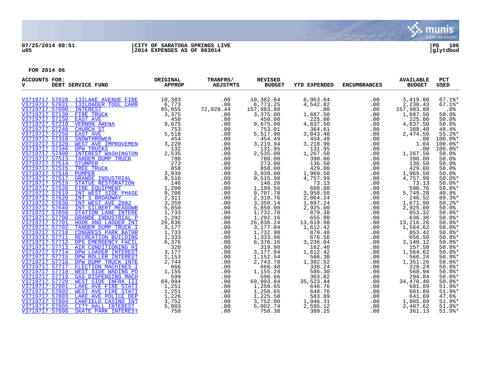

## **07/25/2014 08:51 |CITY OF SARATOGA SPRINGS LIVE |PG 106 u05 |2014 EXPENSES AS OF 063014 |glytdbud**

| <b>ACCOUNTS FOR:</b><br>v        | DEBT SERVICE FUND                                                                                                                                                                | ORIGINAL<br><b>APPROP</b> | TRANFRS/<br><b>ADJSTMTS</b> | <b>REVISED</b><br><b>BUDGET</b> | <b>YTD EXPENDED</b>  | <b>ENCUMBRANCES</b> | <b>AVAILABLE</b><br><b>BUDGET</b> | PCT<br><b>USED</b>   |
|----------------------------------|----------------------------------------------------------------------------------------------------------------------------------------------------------------------------------|---------------------------|-----------------------------|---------------------------------|----------------------|---------------------|-----------------------------------|----------------------|
|                                  | V3719717 57028 13ILAKE AVENUE FIRE                                                                                                                                               |                           | .00                         | 10,382.64                       | 6,963.64             | .00                 | 3,419.00                          | $67.1$ %*            |
| V3719717 57031                   | 13ILOADER TOOL CARR                                                                                                                                                              | 10,383<br>6,773<br>85,955 | .00                         | 6,773.25<br>157,983.88          | 4,542.82             | .00                 | 2,230.43                          | $67.1$ %*            |
|                                  |                                                                                                                                                                                  |                           | 72,028.44                   |                                 | .00                  | .00                 | 157,983.88                        | .0%                  |
|                                  |                                                                                                                                                                                  | 3,375                     | .00                         | 3,375.00                        | 1,687.50             | .00                 | 1,687.50                          | 50.0%                |
|                                  |                                                                                                                                                                                  | 450                       | .00                         | 450.00                          | 225.00               | .00                 | 225.00                            | 50.0%                |
|                                  |                                                                                                                                                                                  | 9,675                     | .00                         | 9,675.00                        | 4,837.50             | .00                 | 4,837.50                          | 50.0%                |
|                                  | V3719717 57150 FIRE TRUCK<br>V3719717 57210 VERNON ARENA<br>V3719717 57240 CHURCH ST<br>V3719717 57240 CHURCH ST<br>3719717 57310 SNOWTHROWER<br>V719717 57320 WEST AVE IMPROVER | 753<br>5,518              | .00<br>.00                  | 753.01<br>5,517.90              | 364.61<br>3,043.40   | .00<br>.00          | 388.40<br>2,474.50                | 48.4%<br>$55.2$ *    |
|                                  |                                                                                                                                                                                  | 454                       | .00                         | 454.49                          | 454.49               | .00                 | .00                               | $100.0$ *            |
|                                  |                                                                                                                                                                                  | 3,220                     | .00                         | 3,219.94                        | 3,218.90             | .00                 | 1.04                              | $100.0$ *            |
|                                  |                                                                                                                                                                                  | 132                       | .00                         | 131.95                          | 131.95               | .00                 | .00                               | $100.0$ *            |
| V3719717 57400                   | <b>INTEREST WASHINGTON</b>                                                                                                                                                       | 2,535                     | .00                         | 2,535.00                        | 1,267.50             | .00                 | 1,267.50                          | 50.0%                |
| V3719717 57513                   | TANDEM DUMP TRUCK                                                                                                                                                                | 780                       | .00                         | 780.00                          | 390.00               | .00                 | 390.00                            | 50.0%                |
| V3719717 57514                   | <b>STUMPER</b>                                                                                                                                                                   | 273                       | .00                         | 273.00                          | 136.50               | .00                 | 136.50                            | 50.0%                |
|                                  | V3719717 57515 TREE TRUCK                                                                                                                                                        | 858                       | .00                         | 858.00                          | 429.00               | .00                 | 429.00                            | 50.0%                |
| V3719717 57516 PUMPER            |                                                                                                                                                                                  | 3,939                     | .00                         | 3,939.00                        | 1,969.50             | .00                 | 1,969.50                          | 50.0%                |
|                                  | V3719717 57517 GRANDE INDUSTRIAL                                                                                                                                                 | 9,516                     | .00                         | 9,515.98                        | 4,757.99             | .00                 | 4,757.99                          | $50.0$ *             |
| V3719717 57519<br>V3719717 57520 | STATUE RESTORATION<br>FIRE EOUIPMENT                                                                                                                                             | 146<br>1,200              | .00<br>.00                  | 146.26                          | 73.13<br>608.80      | .00<br>.00          | 73.13<br>590.76                   | $50.0$ *<br>$50.8$ * |
|                                  | V3719717 57610 INT WEST SIDE PHASE                                                                                                                                               | 9,708                     | .00                         | 1,199.56<br>9,707.78            | 3,958.50             | .00                 | 5,749.28                          | 40.8%                |
| V3719717 57620                   | INT S BROADWAY                                                                                                                                                                   | 2,311                     | .00                         | 2,310.76                        | 2,064.24             | .00                 | 246.52                            | $89.3$ $*$           |
| V3719717 57630                   | INT WEST AVE 2002                                                                                                                                                                | 3,359                     | .00                         | 3,359.14                        | 1,687.24             | .00                 | 1,671.90                          | $50.2$ %*            |
| V3719717 57640                   | <b>INT GILBERT MEADOWB</b>                                                                                                                                                       | 5,850                     | .00                         |                                 | 2,925.00             | .00                 | 2,925.00                          | 50.0%                |
|                                  | V3719717 57650 STATION LANE INTERE                                                                                                                                               | 1,733                     | .00                         | 5,850.00<br>1,732.70            | 879.38               | .00                 | 853.32                            | $50.8$ *             |
| V3719717 57700                   | GRANDE INDUSTRIAL P                                                                                                                                                              | 1,292                     | .00                         | 1,292.16                        | 655.80               | .00                 | 636.36                            | 50.8%                |
|                                  | V3719717 57701 HOOK AND LADDER INT                                                                                                                                               | 26,836                    | .00                         | 26,836.24                       | 13,619.98            | .00                 | 13,216.26                         | $50.8$ *             |
|                                  | V3719717 57702 TANDEM DUMP TRUCK I                                                                                                                                               | 3,177                     | .00                         | 3,177.04                        | 1,612.42             | .00                 | 1,564.62                          | $50.8$ *             |
|                                  | V3719717 57710 CONGRESS PARK BATHR                                                                                                                                               | 1,733                     | .00                         | 1,732.90                        | 879.48               | .00                 | 853.42                            | $50.8$ *             |
| V3719717 57711                   | RECREATION BUILDING<br>V3719717 57712 DPS EMERGENCY FACIL                                                                                                                        | 1,333                     | .00                         | 1,333.06                        | 676.56               | .00                 | 656.50<br>3,140.12                | $50.8$ *             |
|                                  | V3719717 57713 AIR CONDITIONING HI                                                                                                                                               | 6,376<br>320              | .00<br>.00                  | 6,376.16<br>319.98              | 3,236.04<br>162.40   | .00<br>.00          | 157.58                            | 50.8%*<br>50.8%      |
|                                  | V3719717 57714 DPW LOADER INTEREST                                                                                                                                               | 3,177                     | .00                         | 3,177.04                        | 1,612.42             | .00                 | 1,564.62                          |                      |
|                                  | V3719717 57715 DPW ROLLER INTEREST                                                                                                                                               | 1,153                     | .00                         | 1,152.54                        | 586.30               | .00                 | 566.24                            | $50.8$ *<br>$50.9$ * |
|                                  | V3719717 57716 DPW DUMP TRUCK INTE                                                                                                                                               | 2,744                     | .00                         | 2,743.78                        | 1,392.52             | .00                 | 1,351.26                          | $50.8$ *             |
|                                  | V3719717 57717 ELECTION MACHINES I                                                                                                                                               | 666                       | .00                         | 666.48                          | 338.24               | .00                 | 328.24                            | 50.8%*               |
|                                  | V3719717 57718 WEST SIDE WADING PO                                                                                                                                               | 1,155                     | .00                         | 1,155.24                        | 586.30               | .00                 | 568.94                            | $50.8$ *             |
| V3719717 57719                   | <b>GAS DISPENSING MACH</b>                                                                                                                                                       | 599                       | .00                         | 598.66                          | 303.82               | .00                 | 294.84                            | $50.8$ *             |
|                                  | V3719717 57720 WEST SIDE INFRA III                                                                                                                                               | 69,994                    | .00                         | 69,993.84                       | 35,523.44            | .00                 | 34,470.40                         | $50.8$ *             |
| V3719717 57801                   | <b>LAKE AVE FIRE STATI</b>                                                                                                                                                       | 1,251                     | .00                         | 1,250.65                        | 648.76               | .00                 | 601.89                            | 51.9%*               |
| V3719717 57802                   | WEST AVE FIRE STATI                                                                                                                                                              | 1,251                     | .00                         | 1,250.65                        | 648.76               | .00                 | 601.89                            | 51.9%*               |
| V3719717 57803                   | LAKE AVE POLICE DEP                                                                                                                                                              | 1,226                     | .00                         | 1,225.58                        | 583.89               | .00                 | 641.69                            | 47.6%                |
| V3719717 57805                   | V3719717 57804 CANFIELD CASINO INT<br>CITY HALL INTEREST                                                                                                                         | 3,752<br>5,003            | .00<br>.00                  | 3,752.00<br>5,002.74            | 1,946.31<br>2,595.12 | .00<br>.00          | 1,805.69<br>2,407.62              | 51.9%*<br>$51.9$ %*  |
| V3719717 57806                   | SKATE PARK INTEREST                                                                                                                                                              | 750                       | .00                         | 750.38                          | 389.25               | .00                 | 361.13                            | $51.9$ %*            |
|                                  |                                                                                                                                                                                  |                           |                             |                                 |                      |                     |                                   |                      |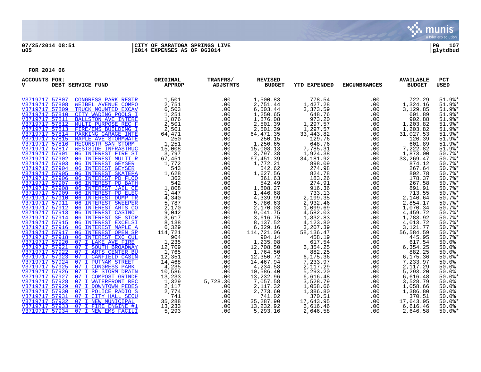

## **07/25/2014 08:51 |CITY OF SARATOGA SPRINGS LIVE |PG 107 u05 |2014 EXPENSES AS OF 063014 |glytdbud**

| <b>ACCOUNTS FOR:</b><br>v        | DEBT SERVICE FUND                                        | ORIGINAL<br><b>APPROP</b> | TRANFRS/<br><b>ADJSTMTS</b> | <b>REVISED</b><br><b>BUDGET</b> | <b>YTD EXPENDED</b>   | <b>ENCUMBRANCES</b> | <b>AVAILABLE</b><br><b>BUDGET</b> | PCT<br><b>USED</b>  |
|----------------------------------|----------------------------------------------------------|---------------------------|-----------------------------|---------------------------------|-----------------------|---------------------|-----------------------------------|---------------------|
| V3719717 57807                   | CONGRESS PARK RESTR                                      | 1,501                     | .00                         | 1,500.83                        | 778.54                | .00                 | 722.29                            | $51.9$ <sup>*</sup> |
| V3719717 57808                   | WEIBEL AVENUE COMPO                                      | 2,751                     | .00                         | 2,751.44                        | 1,427.28              | .00                 | 1,324.16                          | $51.9$ %*           |
| V3719717 57809                   | TRUCK MOUNTED EXCAV                                      | 6,503                     | .00                         | 6,503.44                        | 3,373.59              | .00                 | 3,129.85                          | $51.9$ %*           |
| V3719717 57810                   | CITY WADING POOLS I                                      | 1,251                     | .00                         | 1,250.65                        | 648.76                | .00                 | 601.89                            | $51.9$ %*           |
| V3719717 57811                   | <b>BALLSTON AVE INTERE</b>                               | 1,876                     | .00                         | 1,876.08                        | 973.20                | .00                 | 902.88                            | $51.9$ %*           |
| V3719717 57812                   | MULTI PURPOSE REC F                                      | 2,501                     | .00                         | 2,501.39                        | 1,297.57              | .00                 | 1,203.82                          | $51.9$ %*           |
| V3719717 57813                   | FIRE/EMS BUILDING I                                      | 2,501                     | .00                         | 2,501.39                        | 1,297.57              | .00                 | 1,203.82                          | $51.9$ %*           |
| V3719717 57814                   | PARKING GARAGE INTE                                      | 64,471                    | .00                         | 64, 471.35                      | 33,443.82             | .00                 | 31,027.53                         | 51.9%*              |
|                                  | V3719717 57815 MAPLE AVE STORMWATE                       | 250                       | .00                         | 250.15                          | 129.76                | .00                 | 120.39                            | $51.9$ %*           |
|                                  | V3719717 57816 RECONSTR SAN STORM                        | 1,251                     | .00                         | 1,250.65                        | 648.76                | .00                 | 601.89                            | $51.9$ %*           |
| V3719717 57817                   | WESTSIDE INFRASTRUC                                      | 15,008                    | .00                         | 15,008.13                       | 7,785.31              | .00                 | 7,222.82                          | $51.9$ %*           |
| V3719717 57901                   | 06 INTEREST FIRE ST                                      | 3,797                     | .00                         | 3,797.38                        | 1,924.38              | .00                 | 1,873.00                          | $50.7$ %*           |
| V3719717 57902                   | 06 INTEREST MULTI R<br>V3719717 57903 06 INTEREST GEYSER | 67,451<br>1,772           | .00                         | 67,451.39                       | 34, 181. 92<br>898.09 | .00                 | 33, 269.47<br>874.12              | $50.7$ %*<br>50.7%  |
| V3719717 57904                   | 06 INTEREST GEYSER                                       | 543                       | .00<br>.00                  | 1,772.21<br>542.62              | 274.98                | .00<br>.00          | 267.64                            | 50.7%               |
| V3719717 57905                   | 06 INTEREST SKATEPA                                      | 1,628                     | .00                         | 1,627.56                        | 824.78                | .00                 | 802.78                            | 50.7%               |
| V3719717 57906                   | 06 INTEREST PD FLOO                                      | 362                       | .00                         | 361.63                          | 183.26                | .00                 | 178.37                            | $50.7$ %*           |
| V3719717 57907                   | 06 INTEREST PD BATH                                      | 542                       | .00                         | 542.49                          | 274.91                | .00                 | 267.58                            | 50.7%               |
| V3719717 57908                   | 06 INTEREST JAIL CE                                      | 1,808                     | .00                         | 1,808.27                        | 916.36                | .00                 | 891.91                            | 50.7%               |
| V3719717 57909                   | 06 INTEREST PD ELEC                                      | 1,447                     | .00                         | 1,446.68                        | 733.13                | .00                 | 713.55                            | 50.7%               |
| V3719717 57910                   | 06 INTEREST DUMP TR                                      | 4,340                     | .00                         | 4,339.99                        | 2,199.35              | .00                 | 2,140.64                          | $50.7$ %*           |
| V3719717 57911                   | 06 INTEREST SWEEPER                                      | 5,787                     | .00                         | 5,786.63                        | 2,932.46              | .00                 | 2,854.17                          | $50.7$ %*           |
| V3719717 57912                   | 06 INTEREST ARTS CO                                      | 2,170                     | .00                         | 2,170.03                        | 1,099.69              | .00                 | 1,070.34                          | 50.7%               |
|                                  | V3719717 57913 06 INTEREST CASINO                        | 9,042                     | .00                         | 9,041.75                        | 4,582.03              | .00                 | 4,459.72                          | 50.7%               |
|                                  | V3719717 57914 06 INTEREST SE STOR                       | 3,617                     | .00                         | 3,616.75                        | 1,832.83              | .00                 | 1,783.92                          | 50.7%               |
| V3719717 57915                   | 06 INTEREST EXCELSI                                      | 8,138                     | .00                         | 8,137.52                        | 4,123.80              | .00                 | 4,013.72                          | $50.7$ %*           |
| V3719717 57916                   | 06 INTEREST MAPLE A                                      | 6,329                     | .00                         | 6,329.16                        | 3,207.39              | .00                 | 3,121.77                          | 50.7%               |
| V3719717 57917                   | 06 INTEREST OPEN SP                                      | 114,721                   | .00                         | 114,721.06                      | 58, 136. 47           | .00                 | 56,584.59                         | 50.7%               |
|                                  | V3719717 57918 06 INTEREST EXC CUL                       | 904                       | .00                         | 904.14                          | 458.19                | .00                 | 445.95                            | 50.7%               |
| V3719717 57920                   | 07 I LAKE AVE FIRE                                       | 1,235                     | .00                         | 1,235.08                        | 617.54                | .00                 | 617.54                            | 50.0%               |
| V3719717 57921                   | 07 I SOUTH BROADWAY                                      | 12,709                    | .00                         | 12,708.50                       | 6,354.25              | .00                 | 6,354.25                          | 50.0%               |
| V3719717 57922                   | 07 I ARTS CENTER BU                                      | 1,765                     | .00                         | 1,764.50                        | 882.25                | .00                 | 882.25                            | 50.0%               |
| V3719717 57923                   | 07 I CANFIELD CASIN                                      | 12,351                    | .00                         | 12,350.72                       | 6,175.36              | .00                 | 6,175.36                          | $50.0$ *            |
| V3719717 57924                   | 07 I PUTNAM STREET                                       | 14,468                    | .00                         | 14,467.94                       | 7,233.97              | .00                 | 7,233.97                          | 50.0%               |
| V3719717 57925                   | 07 I CONGRESS PARK                                       | 4,235                     | .00                         | 4,234.58                        | 2,117.29              | .00                 | 2,117.29                          | 50.0%               |
| V3719717 57926                   | 07 I SE STORM DRAIN                                      | 10,586                    | .00                         | 10,586.40                       | 5,293.20              | .00                 | 5,293.20                          | 50.0%               |
| V3719717 57927                   | 07 I COMPOST GRINDE                                      | 13,233<br>1,329           | .00                         | 13,232.96                       | 6,616.48<br>3,528.79  | .00                 | 6,616.48                          | $50.0$ *<br>50.0%   |
| V3719717 57928<br>V3719717 57929 | 07 I WATERFRONT REC<br>07 I DOWNTOWN PEDES               | 2,117                     | 5,728.30<br>.00             | 7,057.58                        | 1,058.66              | .00<br>.00          | 3,528.79<br>1,058.66              | 50.0%               |
| V3719717 57930                   | 07 I POLICE RADIO S                                      | 2,774                     | .00                         | 2,117.32<br>2,773.60            | 1,386.80              | .00                 | 1,386.80                          | 50.0%               |
| V3719717 57931                   | 07 I CITY HALL SECU                                      | 741                       | .00                         | 741.02                          | 370.51                | .00                 | 370.51                            | 50.0%               |
| V3719717 57932                   | 07 I NEW MUNICIPAL                                       | 35,288                    | .00                         | 35, 287.90                      | 17,643.95             | .00                 | 17,643.95                         | $50.0$ *            |
| V3719717 57933                   | 07 I FIRE ENGINE #1                                      | 13,233                    | .00                         | 13,232.92                       | 6,616.46              | .00                 | 6,616.46                          | 50.0%               |
| V3719717 57934                   | 07 I NEW EMS FACILI                                      | 5,293                     | .00                         | 5,293.16                        | 2,646.58              | .00                 | 2,646.58                          | $50.0$ *            |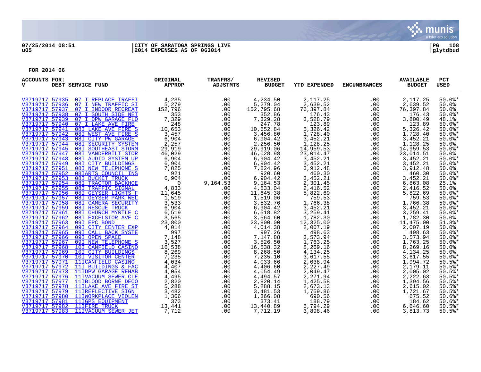

## **07/25/2014 08:51 |CITY OF SARATOGA SPRINGS LIVE |PG 108 u05 |2014 EXPENSES AS OF 063014 |glytdbud**

| <b>ACCOUNTS FOR:</b><br>v | DEBT SERVICE FUND                                        | ORIGINAL<br><b>APPROP</b> | TRANFRS/<br><b>ADJSTMTS</b> | <b>REVISED</b><br><b>BUDGET</b> | <b>YTD EXPENDED</b>    | <b>ENCUMBRANCES</b> | <b>AVAILABLE</b><br><b>BUDGET</b> | PCT<br><b>USED</b>  |
|---------------------------|----------------------------------------------------------|---------------------------|-----------------------------|---------------------------------|------------------------|---------------------|-----------------------------------|---------------------|
|                           | V3719717 57935 07 I REPLACE TRAFFI                       | 4,235                     | .00                         | 4,234.50                        | 2, 117.25              | .00                 | 2,117.25                          | $50.0$ *            |
|                           | V3719717 57936 07 I NEW TRAFFIC SI                       | 5,279                     | .00                         | 5,279.04                        | 2,639.52<br>76,397.84  | .00                 | 2,639.52<br>76,397.84             | 50.0%               |
| V3719717 57937            | 07 I INDOOR RECREAT                                      | 152,796                   | .00                         | 152,795.68                      |                        | .00                 |                                   | 50.0%               |
|                           | V3719717 57938 07 I SOUTH SIDE NET                       | 353                       | .00                         | 352.86                          | 176.43                 | .00                 | 176.43                            | $50.0$ *            |
|                           | V3719717 57939 07 I DPW GARAGE FLO                       | 7,329                     | .00                         | 7,329.28                        | 3,528.79               | .00                 | 3,800.49                          | 48.1%               |
|                           | V3719717 57940 07 I LAKE AVE FIRE                        | 248                       | .00                         | 247.78                          | 123.89                 | .00                 | 123.89                            | $50.0$ *            |
|                           | V3719717 57941 081 LAKE AVE FIRE S                       | 10,653                    | .00                         | 10,652.84                       | 5,326.42               | .00                 | 5,326.42                          | $50.0$ *            |
|                           | V3719717 57942 081 WEST AVE FIRE S                       | 3,457                     | .00                         | 3,456.80                        | 1,728.40               | .00                 | 1,728.40                          | $50.0$ *            |
|                           | V3719717 57943 08I CITY PW GARAGE                        | 6,904                     | .00                         | 6,904.42                        | 3,452.21               | .00                 | 3,452.21                          | $50.0$ *            |
|                           | V3719717 57944 081 SECURITY SYSTEM                       | 2,257                     | .00                         | 2,256.50                        | 1,128.25               | .00                 | 1,128.25                          | 50.0%               |
|                           | V3719717 57945 08I SOUTHEAST STORM                       | 29,919                    | .00                         | 29,919.06                       | 14,959.53              | .00                 | 14,959.53                         | $50.0$ %*           |
|                           | V3719717 57947 08I VANDERBILT STOR                       | 46,029                    | .00                         | 46,028.98                       | 23,014.47              | .00                 | 23,014.51                         | 50.0%               |
|                           | V3719717 57948 081 AUDIO SYSTEM UP                       | 6,904                     | .00                         | 6,904.42                        | 3,452.21               | .00                 | 3,452.21                          | $50.0$ %*           |
| V3719717 57951            | V3719717 57949 081 CITY BUILDINGS<br>08I NEW TELEPHONE S | 6,904                     | .00<br>.00                  | 6,904.42<br>7,824.96            | 3,452.21<br>3,912.48   | .00                 | 3,452.21<br>3,912.48              | $50.0$ *<br>50.0%   |
|                           | V3719717 57952 08IARTS COUNCIL INS                       | 7,825<br>921              | .00                         | 920.60                          | 460.30                 | .00<br>.00          | 460.30                            | $50.0$ *            |
|                           | V3719717 57953 08I BUCKET TRUCK                          | 6,904                     | .00                         | 6,904.42                        | 3,452.21               | .00                 | 3,452.21                          | $50.0$ %*           |
|                           | V3719717 57954 08I TRACTOR BACKHOE                       | $\Omega$                  | 9,164.53                    | 9,164.53                        | 2,301.45               | .00                 | 6,863.08                          | 25.1%               |
| V3719717 57955            | 08I TRAFFIC SIGNAL                                       | 4,833                     | .00                         | 4,833.04                        |                        | .00                 |                                   |                     |
|                           | V3719717 57956 08I GEYSER LIGHTS F                       | 11,645                    | .00                         | 11,645.38                       | 2,416.52<br>5,822.69   | .00                 | 2,416.52<br>5,822.69              | $50.0%$<br>$50.0%$  |
| V3719717 57957            | 081 GEYSER PARK WEL                                      | 1,519                     | .00                         | 1,519.06                        | 759.53                 | .00                 | 759.53                            | $50.0$ *            |
|                           | V3719717 57958 08I CAMERA SECURITY                       | 3,533                     | .00                         | 3,532.76                        |                        | .00                 | 1,766.38                          | $50.0$ *            |
| V3719717 57959            | 081 RESCUE TRUCK                                         | 6,904                     | .00                         | 6,904.42                        | 1,766.38<br>3,452.21   | .00                 | 3,452.21                          | $50.0$ *            |
| V3719717 57961            | 08I CHURCH MYRTLE C                                      | 6,519                     | .00                         | 6,518.82                        | 3,259.41               | .00                 | 3,259.41                          | $50.0$ *            |
|                           | V3719717 57962 081 EXCELSIOR AVE C                       | 3,565                     | .00                         | 3,564.60                        | 1,782.30               | .00                 | 1,782.30                          | 50.0%               |
|                           | V3719717 57963 09I EPC BOND                              | 23,800                    | .00                         | 23,800.00                       | 12,325.00              | .00                 | 11,475.00                         | $51.8$ $*$          |
|                           | V3719717 57964 09I CITY CENTER EXP                       | 4,014                     | .00                         | 4,014.38                        | 2,007.19               | .00                 | 2,007.19                          | 50.0%               |
| V3719717 57965            | 09I CALL BACK SYSTE                                      | 997                       | .00                         | 997.26                          | 498.63                 | .00                 | 498.63                            | $50.0$ %*           |
|                           | V3719717 57966 09I OPEN SPACE                            | 7,148                     | .00                         | 7,147.88                        | 3,573.94               | .00                 | 3,573.94<br>1,763.25              | $50.0$ *            |
|                           | V3719717 57967 09I NEW TELEPHONE S                       | 3,527                     | .00                         | 3,526.50                        | 1,763.25               | .00                 |                                   | $50.0$ $*$          |
|                           | V3719717 57968 10I CANFIELD CASINO                       | 16,538                    | .00                         | 16,538.32                       | 8,269.16               | .00                 | 8,269.16                          | 50.0%               |
|                           | V3719717 57969 101 CITY BUILDINGS                        | 8,269                     | .00                         | 8,268.50                        | 4,134.25               | .00                 | 4,134.25                          | 50.0%               |
| V3719717 57970            | 101 VISITOR CENTER                                       | 7,235                     | .00                         | 7,235.10                        | 3,617.55               | .00                 | 3,617.55                          | $50.0$ %*           |
|                           | V3719717 57971 11ICANFIELD CASINO                        | 4,034                     | .00.00                      | 4,033.66                        | 2,038.94               | .00                 | 1,994.72                          | $50.5$ *            |
|                           | V3719717 57972 11I BUILDINGS & FAC                       | 4,407                     |                             | 4,406.60                        | 2,227.49               | .00                 | 2,179.11                          | $50.5$ $*$          |
|                           | V3719717 57973 11IDPW GARAGE REHAB                       | 4,054                     | .00                         | 4,054.49                        | 2,049.47               | .00                 | 2,005.02                          | $50.5$ $*$          |
|                           | V3719717 57976 11IVACUUM SEWER CLE                       | 4,495                     | .00                         | $4,494.57$<br>2,820.14          | 2, 271.94<br>1, 425.58 | .00                 | 2,222.63                          | $50.5$ *            |
|                           | V3719717 57977 11IBLOOD BORNE DECO                       | 2,820                     | .00                         |                                 |                        | .00                 | 1,394.56                          | $50.5$ *            |
|                           | V3719717 57978 11ILAKE AVE FIRE ST                       | 5,288                     | .00                         | 5,288.15                        | 2,673.13               | .00                 | 2,615.02                          | $50.5$ *            |
|                           | V3719717 57979 11IREFLECTIVE SIGN                        | 3,482                     | .00                         | 3,481.53                        | 1,759.86               | .00                 | 1,721.67                          | 50.5%               |
| V3719717 57980            | 11IWORKPLACE VIOLEN                                      | 1,366                     | .00                         | 1,366.08                        | 690.56                 | .00                 | 675.52                            | $50.6$ *            |
| V3719717 57981            | 11IGPS EOUIPMENT<br>V3719717 57982 11IFIRE TRUCK         | 373                       | .00<br>.00                  | 373.41<br>13,440.89             | 188.79<br>6,794.29     | .00<br>.00          | 184.62<br>6,646.60                | $50.6$ $*$<br>50.5% |
| V3719717 57983            |                                                          | 13,441<br>7.712           | .00                         |                                 |                        | .00                 |                                   |                     |
|                           | 11IVACUUM SEWER JET                                      |                           |                             | 7,712.19                        | 3,898.46               |                     | 3,813.73                          | 50.5%               |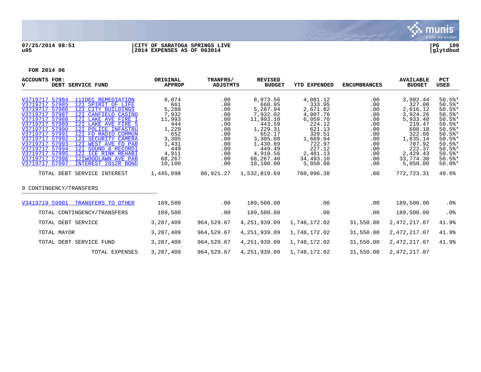

## **07/25/2014 08:51 |CITY OF SARATOGA SPRINGS LIVE |PG 109 u05 |2014 EXPENSES AS OF 063014 |glytdbud**



| <b>ACCOUNTS FOR:</b><br>DEBT SERVICE FUND<br>v                                                                                                                                                                                                                                                                                                                                                                                                                                                                                                                                          | ORIGINAL<br><b>APPROP</b>                                                                                             | TRANFRS/<br>ADJSTMTS                                                                           | <b>REVISED</b><br><b>BUDGET</b>                                                                                                                                 | <b>YTD EXPENDED</b>                                                                                                                                       | <b>ENCUMBRANCES</b>                                                                            | <b>AVAILABLE</b><br><b>BUDGET</b>                                                                                                                         | <b>PCT</b><br>USED                                                                                                                                    |
|-----------------------------------------------------------------------------------------------------------------------------------------------------------------------------------------------------------------------------------------------------------------------------------------------------------------------------------------------------------------------------------------------------------------------------------------------------------------------------------------------------------------------------------------------------------------------------------------|-----------------------------------------------------------------------------------------------------------------------|------------------------------------------------------------------------------------------------|-----------------------------------------------------------------------------------------------------------------------------------------------------------------|-----------------------------------------------------------------------------------------------------------------------------------------------------------|------------------------------------------------------------------------------------------------|-----------------------------------------------------------------------------------------------------------------------------------------------------------|-------------------------------------------------------------------------------------------------------------------------------------------------------|
| V3719717 57984<br>11IDEC REMEDIATION<br>V3719717 57985<br>12I SPIRIT OF LIFE<br>V3719717 57986<br>12I CITY BUILDINGS<br>V3719717 57987<br>12I CANFIELD CASINO<br>V3719717 57988<br>12I LAKE AVE FIRE I<br>V3719717 57989<br>12I LAKE AVE FIRE S<br>V3719717 57990<br>12I POLICE INFASTRU<br>V3719717 57991<br>12I FD RADIO COMMUN<br>V3719717 57992<br>12I SECURITY CAMERA<br>V3719717 57993<br>12I WEST AVE FD PAR<br>V3719717 57994<br>12I SOUND & RECORDI<br>V3719717 57995<br>12I ICE RINK REHABI<br>V3719717 57996<br>12IWOODLAWN AVE PAR<br>V3719717 57997<br>INTEREST 2012R BOND | 8,074<br>661<br>5,288<br>7,932<br>11,993<br>444<br>1,229<br>652<br>3,305<br>1,431<br>449<br>4,911<br>68,267<br>10,100 | .00<br>.00<br>.00<br>.00<br>.00<br>.00<br>.00<br>.00<br>.00<br>.00<br>.00<br>.00<br>.00<br>.00 | 8,073.56<br>660.95<br>5,287.94<br>7,932.02<br>11,993.10<br>443.59<br>1,229.31<br>652.17<br>3,305.08<br>1,430.89<br>449.49<br>4,910.56<br>68,267.40<br>10,100.00 | 4,081.12<br>333.95<br>2,671.82<br>4,007.76<br>6,059.70<br>224.12<br>621.13<br>329.51<br>1,669.94<br>722.97<br>227.12<br>2,481.13<br>34,493.10<br>5,050.00 | .00<br>.00<br>.00<br>.00<br>.00<br>.00<br>.00<br>.00<br>.00<br>.00<br>.00<br>.00<br>.00<br>.00 | 3,992.44<br>327.00<br>2,616.12<br>3,924.26<br>5,933.40<br>219.47<br>608.18<br>322.66<br>1,635.14<br>707.92<br>222.37<br>2,429.43<br>33,774.30<br>5,050.00 | 50.5%<br>$50.5$ *<br>$50.5$ *<br>50.5%<br>$50.5$ *<br>50.5%<br>$50.5$ *<br>$50.5$ *<br>50.5%<br>$50.5$ *<br>$50.5$ *<br>50.5%<br>$50.5$ *<br>$50.0$ * |
| TOTAL DEBT SERVICE INTEREST                                                                                                                                                                                                                                                                                                                                                                                                                                                                                                                                                             | 1,445,898                                                                                                             | 86,921.27                                                                                      | 1,532,819.69                                                                                                                                                    | 760,096.38                                                                                                                                                | .00                                                                                            | 772,723.31                                                                                                                                                | 49.6%                                                                                                                                                 |
| 9 CONTINGENCY/TRANSFERS                                                                                                                                                                                                                                                                                                                                                                                                                                                                                                                                                                 |                                                                                                                       |                                                                                                |                                                                                                                                                                 |                                                                                                                                                           |                                                                                                |                                                                                                                                                           |                                                                                                                                                       |
| V3419719 59901<br>TRANSFERS TO OTHER                                                                                                                                                                                                                                                                                                                                                                                                                                                                                                                                                    | 189,500                                                                                                               | .00                                                                                            | 189,500.00                                                                                                                                                      | .00                                                                                                                                                       | .00                                                                                            | 189,500.00                                                                                                                                                | $.0\%$                                                                                                                                                |
| TOTAL CONTINGENCY/TRANSFERS                                                                                                                                                                                                                                                                                                                                                                                                                                                                                                                                                             | 189,500                                                                                                               | .00                                                                                            | 189,500.00                                                                                                                                                      | .00                                                                                                                                                       | .00                                                                                            | 189,500.00                                                                                                                                                | .0 <sub>8</sub>                                                                                                                                       |
| TOTAL DEBT SERVICE                                                                                                                                                                                                                                                                                                                                                                                                                                                                                                                                                                      | 3,287,409                                                                                                             | 964,529.67                                                                                     | 4, 251, 939.09                                                                                                                                                  | 1,748,172.02                                                                                                                                              | 31,550.00                                                                                      | 2,472,217.07                                                                                                                                              | 41.9%                                                                                                                                                 |
| TOTAL MAYOR                                                                                                                                                                                                                                                                                                                                                                                                                                                                                                                                                                             | 3,287,409                                                                                                             | 964,529.67                                                                                     | 4, 251, 939.09                                                                                                                                                  | 1,748,172.02                                                                                                                                              | 31,550.00                                                                                      | 2,472,217.07                                                                                                                                              | 41.9%                                                                                                                                                 |
| TOTAL DEBT SERVICE FUND                                                                                                                                                                                                                                                                                                                                                                                                                                                                                                                                                                 | 3,287,409                                                                                                             | 964,529.67                                                                                     | 4,251,939.09                                                                                                                                                    | 1,748,172.02                                                                                                                                              | 31,550.00                                                                                      | 2,472,217.07                                                                                                                                              | 41.9%                                                                                                                                                 |
| TOTAL EXPENSES                                                                                                                                                                                                                                                                                                                                                                                                                                                                                                                                                                          | 3,287,409                                                                                                             | 964,529.67                                                                                     | 4,251,939.09                                                                                                                                                    | 1,748,172.02                                                                                                                                              | 31,550.00                                                                                      | 2,472,217.07                                                                                                                                              |                                                                                                                                                       |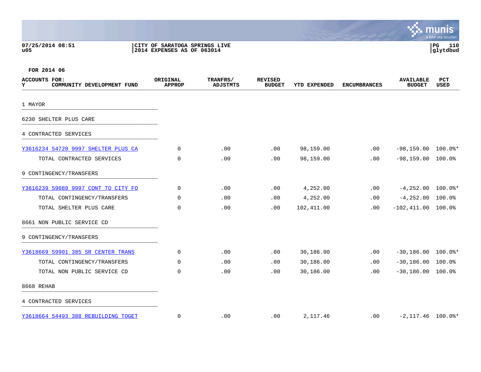| 07/25/2014 08:51 | CITY OF SARATOGA SPRINGS LIVE | l PG     | 110 |
|------------------|-------------------------------|----------|-----|
| u05              | 2014 EXPENSES AS OF 063014    | glytdbud |     |



| <b>ACCOUNTS FOR:</b><br>COMMUNITY DEVELOPMENT FUND<br>Y | ORIGINAL<br><b>APPROP</b> | TRANFRS/<br>ADJSTMTS | <b>REVISED</b><br><b>BUDGET</b> | YTD EXPENDED | <b>ENCUMBRANCES</b> | <b>AVAILABLE</b><br><b>BUDGET</b> | <b>PCT</b><br><b>USED</b> |
|---------------------------------------------------------|---------------------------|----------------------|---------------------------------|--------------|---------------------|-----------------------------------|---------------------------|
| 1 MAYOR                                                 |                           |                      |                                 |              |                     |                                   |                           |
| 6230 SHELTER PLUS CARE                                  |                           |                      |                                 |              |                     |                                   |                           |
| 4 CONTRACTED SERVICES                                   |                           |                      |                                 |              |                     |                                   |                           |
| Y3616234 54720 9997 SHELTER PLUS CA                     | 0                         | .00                  | .00                             | 98,159.00    | .00                 | $-98,159.00$ 100.0%*              |                           |
| TOTAL CONTRACTED SERVICES                               | $\Omega$                  | .00                  | .00                             | 98,159.00    | .00                 | $-98, 159.00$ 100.0%              |                           |
| 9 CONTINGENCY/TRANSFERS                                 |                           |                      |                                 |              |                     |                                   |                           |
| Y3616239 59089 9997 CONT TO CITY FO                     | 0                         | .00                  | .00                             | 4,252.00     | .00                 | $-4,252.00$ 100.0%*               |                           |
| TOTAL CONTINGENCY/TRANSFERS                             | 0                         | .00                  | .00                             | 4,252.00     | .00                 | $-4, 252.00$ 100.0%               |                           |
| TOTAL SHELTER PLUS CARE                                 | 0                         | .00                  | .00                             | 102,411.00   | .00                 | $-102, 411.00$ 100.0%             |                           |
| 8661 NON PUBLIC SERVICE CD                              |                           |                      |                                 |              |                     |                                   |                           |
| 9 CONTINGENCY/TRANSFERS                                 |                           |                      |                                 |              |                     |                                   |                           |
| Y3618669 59901 385 SR CENTER TRANS                      | $\mathbf 0$               | .00                  | .00                             | 30,186.00    | .00                 | $-30,186.00$ 100.0%*              |                           |
| TOTAL CONTINGENCY/TRANSFERS                             | $\Omega$                  | .00                  | .00                             | 30,186.00    | .00                 | $-30,186.00$ 100.0%               |                           |
| TOTAL NON PUBLIC SERVICE CD                             | $\Omega$                  | .00                  | .00                             | 30,186.00    | .00                 | $-30, 186.00$ 100.0%              |                           |
| 8668 REHAB                                              |                           |                      |                                 |              |                     |                                   |                           |
| 4 CONTRACTED SERVICES                                   |                           |                      |                                 |              |                     |                                   |                           |
| Y3618664 54493 388 REBUILDING TOGET                     | $\mathbf 0$               | .00                  | .00                             | 2,117.46     | .00                 | $-2,117.46$ 100.0%*               |                           |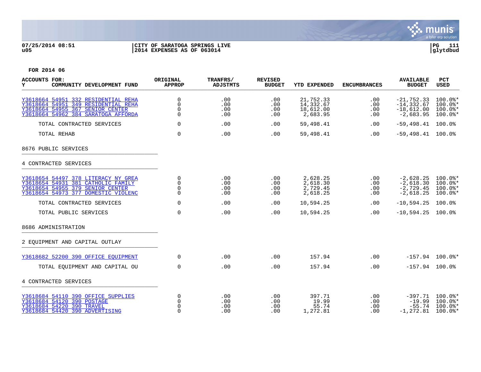

## **07/25/2014 08:51 |CITY OF SARATOGA SPRINGS LIVE |PG 111 u05 |2014 EXPENSES AS OF 063014 |glytdbud**



| <b>ACCOUNTS FOR:</b><br>Y<br>COMMUNITY DEVELOPMENT FUND                                                                                               | ORIGINAL<br><b>APPROP</b>                   | TRANFRS/<br><b>ADJSTMTS</b> | <b>REVISED</b><br><b>BUDGET</b> | <b>YTD EXPENDED</b>                             | <b>ENCUMBRANCES</b>      | <b>AVAILABLE</b><br><b>BUDGET</b>                            | <b>PCT</b><br><b>USED</b>                          |
|-------------------------------------------------------------------------------------------------------------------------------------------------------|---------------------------------------------|-----------------------------|---------------------------------|-------------------------------------------------|--------------------------|--------------------------------------------------------------|----------------------------------------------------|
| Y3618664 54951 332 RESIDENTIAL REHA<br>Y3618664 54951 349 RESIDENTIAL REHA<br>Y3618664 54955 367 SENIOR CENTER<br>Y3618664 54962 384 SARATOGA AFFORDA | 0<br>$\mathbf 0$<br>$\Omega$<br>$\Omega$    | .00<br>.00<br>.00<br>.00    | .00<br>.00<br>.00<br>.00        | 21,752.33<br>14,332.67<br>18,612.00<br>2,683.95 | .00<br>.00<br>.00<br>.00 | $-21,752.33$<br>$-14, 332.67$<br>$-18,612.00$<br>$-2,683.95$ | 100.0%*<br>$100.0$ *<br>$100.0$ *<br>$100.0$ *     |
| TOTAL CONTRACTED SERVICES                                                                                                                             | $\Omega$                                    | .00                         | .00                             | 59,498.41                                       | .00                      | $-59,498.41$                                                 | 100.0%                                             |
| TOTAL REHAB                                                                                                                                           | $\mathbf 0$                                 | .00                         | .00                             | 59,498.41                                       | .00                      | $-59,498.41$ 100.0%                                          |                                                    |
| 8676 PUBLIC SERVICES                                                                                                                                  |                                             |                             |                                 |                                                 |                          |                                                              |                                                    |
| 4 CONTRACTED SERVICES                                                                                                                                 |                                             |                             |                                 |                                                 |                          |                                                              |                                                    |
| Y3618654 54497 378 LITERACY NY GREA<br>Y3618654 54931 381 CATHOLIC FAMILY<br>Y3618654 54955 379 SENIOR CENTER<br>Y3618654 54973 377 DOMESTIC VIOLENC  | 0<br>$\overline{0}$<br>$\Omega$<br>$\Omega$ | .00<br>.00<br>.00<br>.00    | .00<br>.00<br>.00<br>.00        | 2,628.25<br>2,618.30<br>2,729.45<br>2,618.25    | .00<br>.00<br>.00<br>.00 | $-2,628.25$<br>$-2,618.30$<br>$-2,729.45$<br>$-2,618.25$     | $100.0$ $*$<br>$100.0$ *<br>$100.0$ *<br>$100.0$ * |
| TOTAL CONTRACTED SERVICES                                                                                                                             | $\Omega$                                    | .00                         | .00                             | 10,594.25                                       | .00                      | $-10,594.25$                                                 | 100.0%                                             |
| TOTAL PUBLIC SERVICES                                                                                                                                 | $\mathbf 0$                                 | .00                         | .00                             | 10,594.25                                       | .00                      | $-10,594.25$                                                 | $100.0\%$                                          |
| 8686 ADMINISTRATION                                                                                                                                   |                                             |                             |                                 |                                                 |                          |                                                              |                                                    |
| 2 EOUIPMENT AND CAPITAL OUTLAY                                                                                                                        |                                             |                             |                                 |                                                 |                          |                                                              |                                                    |
| Y3618682 52200 390 OFFICE EOUIPMENT                                                                                                                   | $\Omega$                                    | .00                         | .00                             | 157.94                                          | .00                      |                                                              | $-157.94$ 100.0%*                                  |
| TOTAL EQUIPMENT AND CAPITAL OU                                                                                                                        | $\mathbf 0$                                 | .00                         | .00                             | 157.94                                          | .00                      | $-157.94$ 100.0%                                             |                                                    |
| 4 CONTRACTED SERVICES                                                                                                                                 |                                             |                             |                                 |                                                 |                          |                                                              |                                                    |
| Y3618684 54110 390 OFFICE SUPPLIES<br>Y3618684 54120 390 POSTAGE<br>Y3618684 54220 390 TRAVEL<br>Y3618684 54420 390 ADVERTISING                       | 0<br>$\Omega$<br>$\Omega$<br>$\Omega$       | .00<br>.00<br>.00<br>.00    | .00<br>.00<br>.00<br>.00        | 397.71<br>19.99<br>55.74<br>1,272.81            | .00<br>.00<br>.00<br>.00 | $-397.71$<br>$-19.99$<br>$-55.74$<br>$-1, 272.81$            | $100.0$ *<br>100.0%*<br>$100.0$ *<br>$100.0$ *     |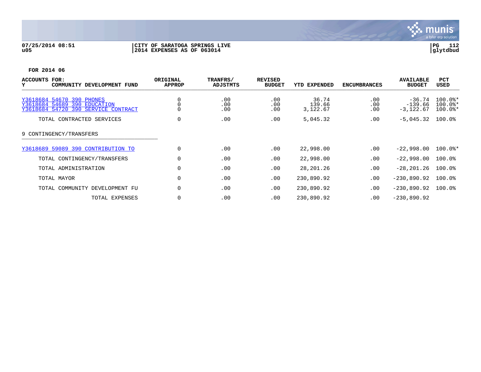

## **07/25/2014 08:51 |CITY OF SARATOGA SPRINGS LIVE |PG 112 u05 |2014 EXPENSES AS OF 063014 |glytdbud**



| ACCOUNTS FOR:<br>COMMUNITY DEVELOPMENT FUND<br>Y                                                 | ORIGINAL<br><b>APPROP</b> | TRANFRS/<br>ADJSTMTS | <b>REVISED</b><br><b>BUDGET</b> | YTD EXPENDED                | <b>ENCUMBRANCES</b> | <b>AVAILABLE</b><br><b>BUDGET</b>    | <b>PCT</b><br>USED                  |
|--------------------------------------------------------------------------------------------------|---------------------------|----------------------|---------------------------------|-----------------------------|---------------------|--------------------------------------|-------------------------------------|
| Y3618684 54670 390 PHONES<br>Y3618684 54689 390 EDUCATION<br>Y3618684 54720 390 SERVICE CONTRACT | $\mathbf 0$               | .00<br>.00<br>.00    | .00<br>.00<br>.00               | 36.74<br>139.66<br>3,122.67 | .00<br>.00<br>.00   | $-36.74$<br>$-139.66$<br>$-3,122.67$ | $100.0$ *<br>$100.0$ *<br>$100.0$ * |
| TOTAL CONTRACTED SERVICES                                                                        | $\mathbf 0$               | .00                  | .00                             | 5,045.32                    | .00                 | $-5,045.32$                          | 100.0%                              |
| 9 CONTINGENCY/TRANSFERS                                                                          |                           |                      |                                 |                             |                     |                                      |                                     |
| Y3618689 59089 390 CONTRIBUTION TO                                                               | $\mathbf 0$               | .00                  | .00                             | 22,998.00                   | .00                 | $-22.998.00$                         | $100.0$ *                           |
| TOTAL CONTINGENCY/TRANSFERS                                                                      | 0                         | .00                  | .00                             | 22,998.00                   | .00                 | $-22,998.00$                         | $100.0$ <sup>8</sup>                |
| TOTAL ADMINISTRATION                                                                             | $\Omega$                  | .00                  | .00                             | 28, 201. 26                 | .00                 | $-28, 201, 26$                       | $100.0$ %                           |
| TOTAL MAYOR                                                                                      | $\mathbf 0$               | .00                  | .00                             | 230,890.92                  | .00                 | $-230,890.92$                        | $100.0$ <sup>8</sup>                |
| TOTAL COMMUNITY DEVELOPMENT FU                                                                   | $\mathbf 0$               | .00                  | .00                             | 230,890.92                  | .00                 | $-230,890.92$                        | 100.0%                              |
| TOTAL EXPENSES                                                                                   | 0                         | .00                  | .00                             | 230,890.92                  | .00                 | $-230,890.92$                        |                                     |
|                                                                                                  |                           |                      |                                 |                             |                     |                                      |                                     |